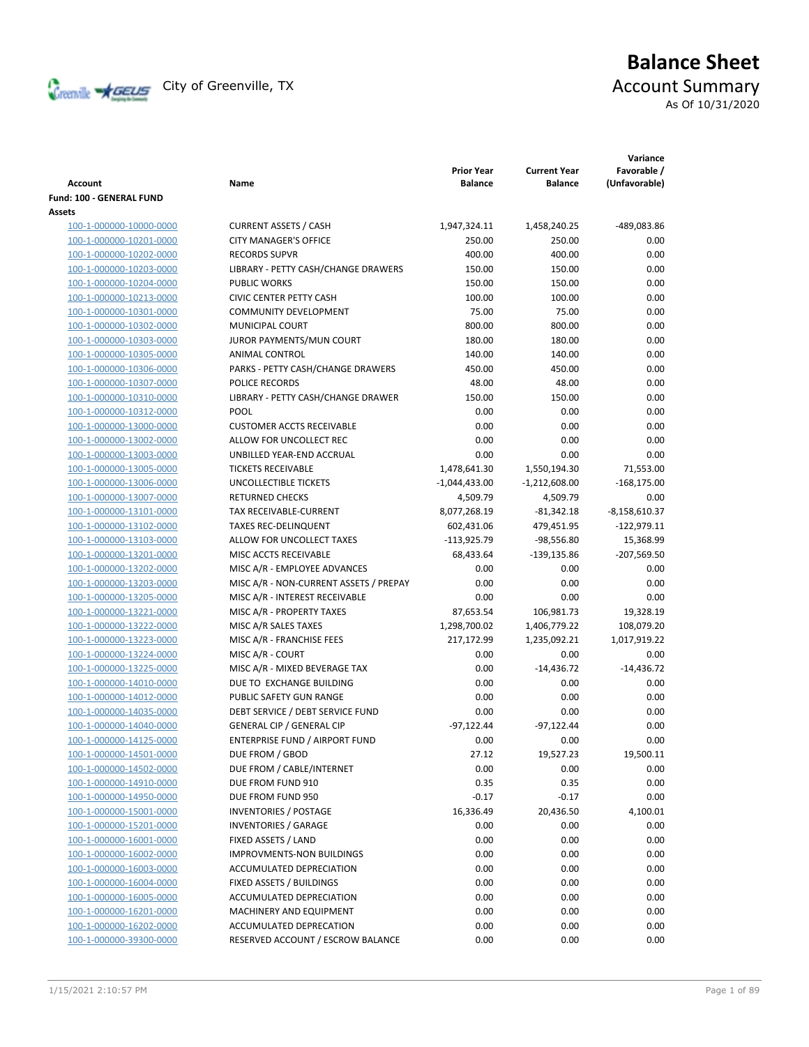

# **Balance Sheet** Creenville Strategy City of Greenville, TX Account Summary

As Of 10/31/2020

| <b>Account</b>           | Name                                   | <b>Prior Year</b><br><b>Balance</b> | <b>Current Year</b><br><b>Balance</b> | Variance<br>Favorable /<br>(Unfavorable) |
|--------------------------|----------------------------------------|-------------------------------------|---------------------------------------|------------------------------------------|
| Fund: 100 - GENERAL FUND |                                        |                                     |                                       |                                          |
| Assets                   |                                        |                                     |                                       |                                          |
| 100-1-000000-10000-0000  | <b>CURRENT ASSETS / CASH</b>           | 1,947,324.11                        | 1,458,240.25                          | -489,083.86                              |
| 100-1-000000-10201-0000  | <b>CITY MANAGER'S OFFICE</b>           | 250.00                              | 250.00                                | 0.00                                     |
| 100-1-000000-10202-0000  | <b>RECORDS SUPVR</b>                   | 400.00                              | 400.00                                | 0.00                                     |
| 100-1-000000-10203-0000  | LIBRARY - PETTY CASH/CHANGE DRAWERS    | 150.00                              | 150.00                                | 0.00                                     |
| 100-1-000000-10204-0000  | <b>PUBLIC WORKS</b>                    | 150.00                              | 150.00                                | 0.00                                     |
| 100-1-000000-10213-0000  | <b>CIVIC CENTER PETTY CASH</b>         | 100.00                              | 100.00                                | 0.00                                     |
| 100-1-000000-10301-0000  | <b>COMMUNITY DEVELOPMENT</b>           | 75.00                               | 75.00                                 | 0.00                                     |
| 100-1-000000-10302-0000  | MUNICIPAL COURT                        | 800.00                              | 800.00                                | 0.00                                     |
| 100-1-000000-10303-0000  | JUROR PAYMENTS/MUN COURT               | 180.00                              | 180.00                                | 0.00                                     |
| 100-1-000000-10305-0000  | ANIMAL CONTROL                         | 140.00                              | 140.00                                | 0.00                                     |
| 100-1-000000-10306-0000  | PARKS - PETTY CASH/CHANGE DRAWERS      | 450.00                              | 450.00                                | 0.00                                     |
| 100-1-000000-10307-0000  | POLICE RECORDS                         | 48.00                               | 48.00                                 | 0.00                                     |
| 100-1-000000-10310-0000  | LIBRARY - PETTY CASH/CHANGE DRAWER     | 150.00                              | 150.00                                | 0.00                                     |
| 100-1-000000-10312-0000  | POOL                                   | 0.00                                | 0.00                                  | 0.00                                     |
| 100-1-000000-13000-0000  | <b>CUSTOMER ACCTS RECEIVABLE</b>       | 0.00                                | 0.00                                  | 0.00                                     |
| 100-1-000000-13002-0000  | ALLOW FOR UNCOLLECT REC                | 0.00                                | 0.00                                  | 0.00                                     |
| 100-1-000000-13003-0000  | UNBILLED YEAR-END ACCRUAL              | 0.00                                | 0.00                                  | 0.00                                     |
| 100-1-000000-13005-0000  | <b>TICKETS RECEIVABLE</b>              | 1,478,641.30                        | 1,550,194.30                          | 71,553.00                                |
| 100-1-000000-13006-0000  | UNCOLLECTIBLE TICKETS                  | $-1,044,433.00$                     | $-1,212,608.00$                       | $-168,175.00$                            |
| 100-1-000000-13007-0000  | <b>RETURNED CHECKS</b>                 | 4,509.79                            | 4,509.79                              | 0.00                                     |
| 100-1-000000-13101-0000  | TAX RECEIVABLE-CURRENT                 | 8,077,268.19                        | $-81,342.18$                          | $-8,158,610.37$                          |
| 100-1-000000-13102-0000  | <b>TAXES REC-DELINQUENT</b>            | 602,431.06                          | 479,451.95                            | $-122,979.11$                            |
| 100-1-000000-13103-0000  | ALLOW FOR UNCOLLECT TAXES              | $-113,925.79$                       | $-98,556.80$                          | 15,368.99                                |
| 100-1-000000-13201-0000  | MISC ACCTS RECEIVABLE                  | 68,433.64                           | -139,135.86                           | $-207,569.50$                            |
| 100-1-000000-13202-0000  | MISC A/R - EMPLOYEE ADVANCES           | 0.00                                | 0.00                                  | 0.00                                     |
| 100-1-000000-13203-0000  | MISC A/R - NON-CURRENT ASSETS / PREPAY | 0.00                                | 0.00                                  | 0.00                                     |
| 100-1-000000-13205-0000  | MISC A/R - INTEREST RECEIVABLE         | 0.00                                | 0.00                                  | 0.00                                     |
| 100-1-000000-13221-0000  | MISC A/R - PROPERTY TAXES              | 87,653.54                           | 106,981.73                            | 19,328.19                                |
| 100-1-000000-13222-0000  | MISC A/R SALES TAXES                   | 1,298,700.02                        | 1,406,779.22                          | 108,079.20                               |
| 100-1-000000-13223-0000  | MISC A/R - FRANCHISE FEES              | 217,172.99                          | 1,235,092.21                          | 1,017,919.22                             |
| 100-1-000000-13224-0000  | MISC A/R - COURT                       | 0.00                                | 0.00                                  | 0.00                                     |
| 100-1-000000-13225-0000  | MISC A/R - MIXED BEVERAGE TAX          | 0.00                                | $-14,436.72$                          | $-14,436.72$                             |
| 100-1-000000-14010-0000  | DUE TO EXCHANGE BUILDING               | 0.00                                | 0.00                                  | 0.00                                     |
| 100-1-000000-14012-0000  | PUBLIC SAFETY GUN RANGE                | 0.00                                | 0.00                                  | 0.00                                     |
| 100-1-000000-14035-0000  | DEBT SERVICE / DEBT SERVICE FUND       | 0.00                                | 0.00                                  | 0.00                                     |
| 100-1-000000-14040-0000  | <b>GENERAL CIP / GENERAL CIP</b>       | $-97,122.44$                        | $-97,122.44$                          | 0.00                                     |
| 100-1-000000-14125-0000  | ENTERPRISE FUND / AIRPORT FUND         | 0.00                                | 0.00                                  | 0.00                                     |
| 100-1-000000-14501-0000  | DUE FROM / GBOD                        | 27.12                               | 19,527.23                             | 19,500.11                                |
| 100-1-000000-14502-0000  | DUE FROM / CABLE/INTERNET              | 0.00                                | 0.00                                  | 0.00                                     |
| 100-1-000000-14910-0000  | DUE FROM FUND 910                      | 0.35                                | 0.35                                  | 0.00                                     |
| 100-1-000000-14950-0000  | DUE FROM FUND 950                      | $-0.17$                             | $-0.17$                               | 0.00                                     |
| 100-1-000000-15001-0000  | <b>INVENTORIES / POSTAGE</b>           | 16,336.49                           | 20,436.50                             | 4,100.01                                 |
| 100-1-000000-15201-0000  | <b>INVENTORIES / GARAGE</b>            | 0.00                                | 0.00                                  | 0.00                                     |
| 100-1-000000-16001-0000  | FIXED ASSETS / LAND                    | 0.00                                | 0.00                                  | 0.00                                     |
| 100-1-000000-16002-0000  | <b>IMPROVMENTS-NON BUILDINGS</b>       | 0.00                                | 0.00                                  | 0.00                                     |
| 100-1-000000-16003-0000  | ACCUMULATED DEPRECIATION               | 0.00                                | 0.00                                  | 0.00                                     |
| 100-1-000000-16004-0000  | FIXED ASSETS / BUILDINGS               | 0.00                                | 0.00                                  | 0.00                                     |
| 100-1-000000-16005-0000  | ACCUMULATED DEPRECIATION               | 0.00                                | 0.00                                  | 0.00                                     |
| 100-1-000000-16201-0000  | MACHINERY AND EQUIPMENT                | 0.00                                | 0.00                                  | 0.00                                     |
| 100-1-000000-16202-0000  | ACCUMULATED DEPRECATION                | 0.00                                | 0.00                                  | 0.00                                     |
| 100-1-000000-39300-0000  | RESERVED ACCOUNT / ESCROW BALANCE      | 0.00                                | 0.00                                  | 0.00                                     |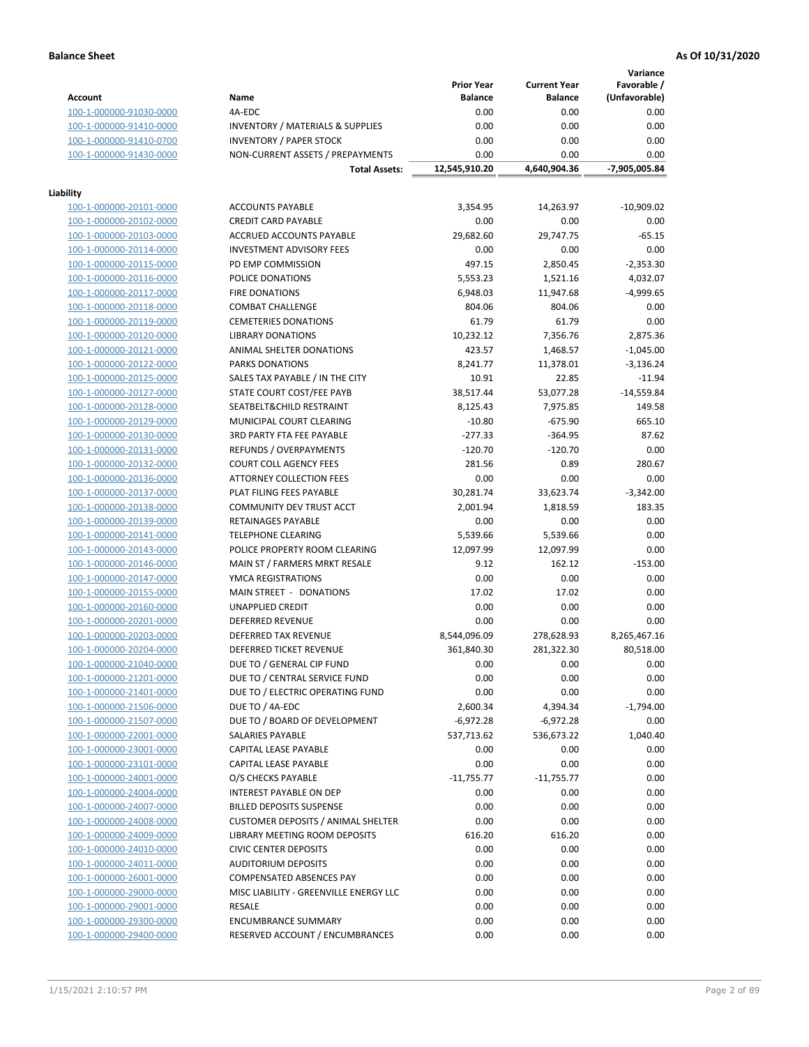**Variance**

|                         |                                             | <b>Prior Year</b> | <b>Current Year</b> | Favorable /   |
|-------------------------|---------------------------------------------|-------------------|---------------------|---------------|
| Account                 | Name                                        | <b>Balance</b>    | <b>Balance</b>      | (Unfavorable) |
| 100-1-000000-91030-0000 | 4A-EDC                                      | 0.00              | 0.00                | 0.00          |
| 100-1-000000-91410-0000 | <b>INVENTORY / MATERIALS &amp; SUPPLIES</b> | 0.00              | 0.00                | 0.00          |
| 100-1-000000-91410-0700 | <b>INVENTORY / PAPER STOCK</b>              | 0.00              | 0.00                | 0.00          |
| 100-1-000000-91430-0000 | NON-CURRENT ASSETS / PREPAYMENTS            | 0.00              | 0.00                | 0.00          |
|                         | <b>Total Assets:</b>                        | 12,545,910.20     | 4,640,904.36        | -7,905,005.84 |
|                         |                                             |                   |                     |               |
| Liability               |                                             |                   |                     |               |
| 100-1-000000-20101-0000 | <b>ACCOUNTS PAYABLE</b>                     | 3,354.95          | 14,263.97           | $-10,909.02$  |
| 100-1-000000-20102-0000 | <b>CREDIT CARD PAYABLE</b>                  | 0.00              | 0.00                | 0.00          |
| 100-1-000000-20103-0000 | <b>ACCRUED ACCOUNTS PAYABLE</b>             | 29,682.60         | 29,747.75           | $-65.15$      |
| 100-1-000000-20114-0000 | <b>INVESTMENT ADVISORY FEES</b>             | 0.00              | 0.00                | 0.00          |
| 100-1-000000-20115-0000 | PD EMP COMMISSION                           | 497.15            | 2,850.45            | $-2,353.30$   |
| 100-1-000000-20116-0000 | POLICE DONATIONS                            | 5,553.23          | 1,521.16            | 4,032.07      |
| 100-1-000000-20117-0000 | <b>FIRE DONATIONS</b>                       | 6,948.03          | 11,947.68           | $-4,999.65$   |
| 100-1-000000-20118-0000 | <b>COMBAT CHALLENGE</b>                     | 804.06            | 804.06              | 0.00          |
| 100-1-000000-20119-0000 | <b>CEMETERIES DONATIONS</b>                 | 61.79             | 61.79               | 0.00          |
| 100-1-000000-20120-0000 | <b>LIBRARY DONATIONS</b>                    | 10,232.12         | 7,356.76            | 2,875.36      |
|                         |                                             |                   |                     |               |
| 100-1-000000-20121-0000 | ANIMAL SHELTER DONATIONS                    | 423.57            | 1,468.57            | $-1,045.00$   |
| 100-1-000000-20122-0000 | <b>PARKS DONATIONS</b>                      | 8,241.77          | 11,378.01           | $-3,136.24$   |
| 100-1-000000-20125-0000 | SALES TAX PAYABLE / IN THE CITY             | 10.91             | 22.85               | $-11.94$      |
| 100-1-000000-20127-0000 | STATE COURT COST/FEE PAYB                   | 38,517.44         | 53,077.28           | $-14,559.84$  |
| 100-1-000000-20128-0000 | SEATBELT&CHILD RESTRAINT                    | 8,125.43          | 7,975.85            | 149.58        |
| 100-1-000000-20129-0000 | MUNICIPAL COURT CLEARING                    | $-10.80$          | $-675.90$           | 665.10        |
| 100-1-000000-20130-0000 | <b>3RD PARTY FTA FEE PAYABLE</b>            | $-277.33$         | $-364.95$           | 87.62         |
| 100-1-000000-20131-0000 | REFUNDS / OVERPAYMENTS                      | $-120.70$         | $-120.70$           | 0.00          |
| 100-1-000000-20132-0000 | <b>COURT COLL AGENCY FEES</b>               | 281.56            | 0.89                | 280.67        |
| 100-1-000000-20136-0000 | <b>ATTORNEY COLLECTION FEES</b>             | 0.00              | 0.00                | 0.00          |
| 100-1-000000-20137-0000 | PLAT FILING FEES PAYABLE                    | 30,281.74         | 33,623.74           | $-3,342.00$   |
| 100-1-000000-20138-0000 | COMMUNITY DEV TRUST ACCT                    | 2,001.94          | 1,818.59            | 183.35        |
| 100-1-000000-20139-0000 | RETAINAGES PAYABLE                          | 0.00              | 0.00                | 0.00          |
| 100-1-000000-20141-0000 | <b>TELEPHONE CLEARING</b>                   | 5,539.66          | 5,539.66            | 0.00          |
| 100-1-000000-20143-0000 | POLICE PROPERTY ROOM CLEARING               | 12,097.99         | 12,097.99           | 0.00          |
| 100-1-000000-20146-0000 | MAIN ST / FARMERS MRKT RESALE               | 9.12              | 162.12              | $-153.00$     |
| 100-1-000000-20147-0000 | YMCA REGISTRATIONS                          | 0.00              | 0.00                | 0.00          |
| 100-1-000000-20155-0000 | MAIN STREET - DONATIONS                     | 17.02             | 17.02               | 0.00          |
| 100-1-000000-20160-0000 | <b>UNAPPLIED CREDIT</b>                     | 0.00              | 0.00                | 0.00          |
| 100-1-000000-20201-0000 | <b>DEFERRED REVENUE</b>                     | 0.00              | 0.00                | 0.00          |
| 100-1-000000-20203-0000 | <b>DEFERRED TAX REVENUE</b>                 | 8,544,096.09      | 278,628.93          | 8,265,467.16  |
| 100-1-000000-20204-0000 | DEFERRED TICKET REVENUE                     | 361,840.30        | 281,322.30          | 80,518.00     |
| 100-1-000000-21040-0000 | DUE TO / GENERAL CIP FUND                   | 0.00              | 0.00                | 0.00          |
| 100-1-000000-21201-0000 | DUE TO / CENTRAL SERVICE FUND               | 0.00              | 0.00                | 0.00          |
| 100-1-000000-21401-0000 | DUE TO / ELECTRIC OPERATING FUND            | 0.00              | 0.00                | 0.00          |
| 100-1-000000-21506-0000 | DUE TO / 4A-EDC                             | 2,600.34          | 4,394.34            | $-1,794.00$   |
| 100-1-000000-21507-0000 | DUE TO / BOARD OF DEVELOPMENT               | -6,972.28         | -6,972.28           | 0.00          |
| 100-1-000000-22001-0000 | SALARIES PAYABLE                            | 537,713.62        | 536,673.22          | 1,040.40      |
| 100-1-000000-23001-0000 | CAPITAL LEASE PAYABLE                       | 0.00              | 0.00                | 0.00          |
| 100-1-000000-23101-0000 | <b>CAPITAL LEASE PAYABLE</b>                | 0.00              | 0.00                | 0.00          |
| 100-1-000000-24001-0000 | O/S CHECKS PAYABLE                          | $-11,755.77$      | $-11,755.77$        | 0.00          |
| 100-1-000000-24004-0000 | INTEREST PAYABLE ON DEP                     | 0.00              | 0.00                | 0.00          |
| 100-1-000000-24007-0000 | <b>BILLED DEPOSITS SUSPENSE</b>             | 0.00              | 0.00                | 0.00          |
| 100-1-000000-24008-0000 | <b>CUSTOMER DEPOSITS / ANIMAL SHELTER</b>   | 0.00              | 0.00                | 0.00          |
|                         | LIBRARY MEETING ROOM DEPOSITS               |                   |                     | 0.00          |
| 100-1-000000-24009-0000 |                                             | 616.20            | 616.20              |               |
| 100-1-000000-24010-0000 | <b>CIVIC CENTER DEPOSITS</b>                | 0.00              | 0.00                | 0.00          |
| 100-1-000000-24011-0000 | <b>AUDITORIUM DEPOSITS</b>                  | 0.00              | 0.00                | 0.00          |
| 100-1-000000-26001-0000 | COMPENSATED ABSENCES PAY                    | 0.00              | 0.00                | 0.00          |
| 100-1-000000-29000-0000 | MISC LIABILITY - GREENVILLE ENERGY LLC      | 0.00              | 0.00                | 0.00          |
| 100-1-000000-29001-0000 | RESALE                                      | 0.00              | 0.00                | 0.00          |
| 100-1-000000-29300-0000 | <b>ENCUMBRANCE SUMMARY</b>                  | 0.00              | 0.00                | 0.00          |
| 100-1-000000-29400-0000 | RESERVED ACCOUNT / ENCUMBRANCES             | 0.00              | 0.00                | 0.00          |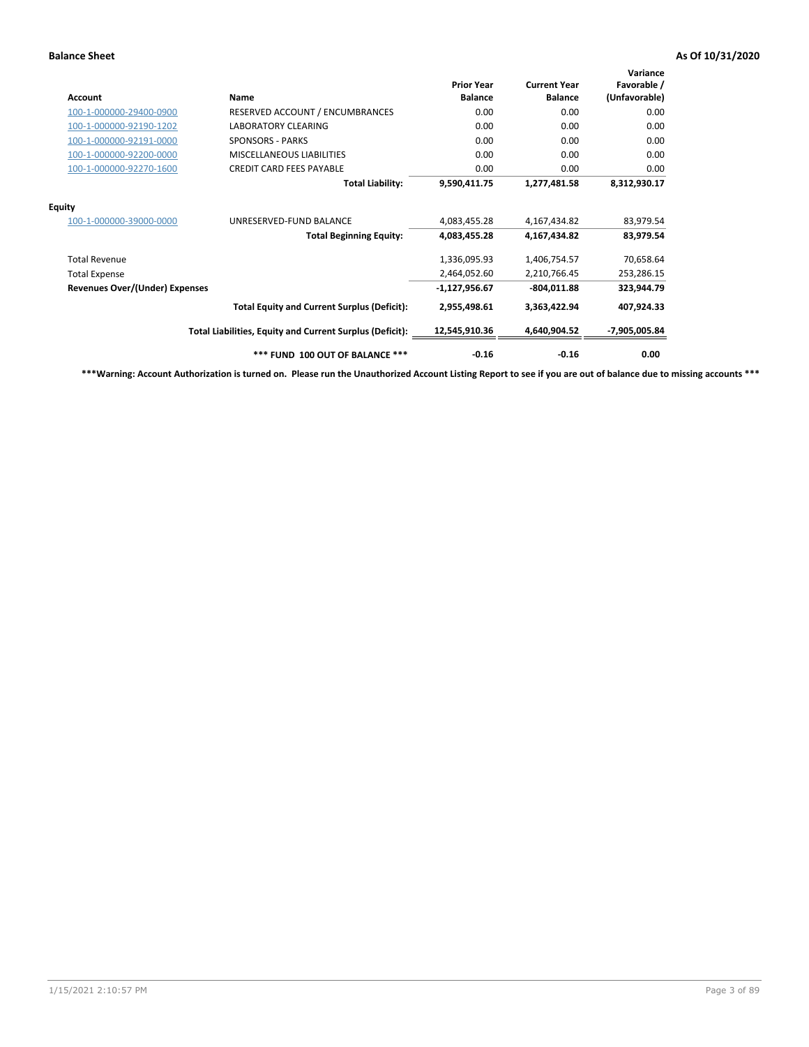| <b>Account</b>                        | Name                                                     | <b>Prior Year</b><br><b>Balance</b> | <b>Current Year</b><br><b>Balance</b> | Variance<br>Favorable /<br>(Unfavorable) |
|---------------------------------------|----------------------------------------------------------|-------------------------------------|---------------------------------------|------------------------------------------|
| 100-1-000000-29400-0900               | RESERVED ACCOUNT / ENCUMBRANCES                          | 0.00                                | 0.00                                  | 0.00                                     |
| 100-1-000000-92190-1202               | <b>LABORATORY CLEARING</b>                               | 0.00                                | 0.00                                  | 0.00                                     |
| 100-1-000000-92191-0000               | <b>SPONSORS - PARKS</b>                                  | 0.00                                | 0.00                                  | 0.00                                     |
| 100-1-000000-92200-0000               | MISCELLANEOUS LIABILITIES                                | 0.00                                | 0.00                                  | 0.00                                     |
| 100-1-000000-92270-1600               | <b>CREDIT CARD FEES PAYABLE</b>                          | 0.00                                | 0.00                                  | 0.00                                     |
|                                       | <b>Total Liability:</b>                                  | 9,590,411.75                        | 1,277,481.58                          | 8,312,930.17                             |
| <b>Equity</b>                         |                                                          |                                     |                                       |                                          |
| 100-1-000000-39000-0000               | UNRESERVED-FUND BALANCE                                  | 4,083,455.28                        | 4,167,434.82                          | 83,979.54                                |
|                                       | <b>Total Beginning Equity:</b>                           | 4,083,455.28                        | 4,167,434.82                          | 83,979.54                                |
| <b>Total Revenue</b>                  |                                                          | 1,336,095.93                        | 1,406,754.57                          | 70,658.64                                |
| <b>Total Expense</b>                  |                                                          | 2,464,052.60                        | 2,210,766.45                          | 253,286.15                               |
| <b>Revenues Over/(Under) Expenses</b> |                                                          | $-1,127,956.67$                     | $-804,011.88$                         | 323,944.79                               |
|                                       | <b>Total Equity and Current Surplus (Deficit):</b>       | 2,955,498.61                        | 3,363,422.94                          | 407,924.33                               |
|                                       | Total Liabilities, Equity and Current Surplus (Deficit): | 12,545,910.36                       | 4,640,904.52                          | -7,905,005.84                            |
|                                       | *** FUND 100 OUT OF BALANCE ***                          | $-0.16$                             | $-0.16$                               | 0.00                                     |

**\*\*\*Warning: Account Authorization is turned on. Please run the Unauthorized Account Listing Report to see if you are out of balance due to missing accounts \*\*\***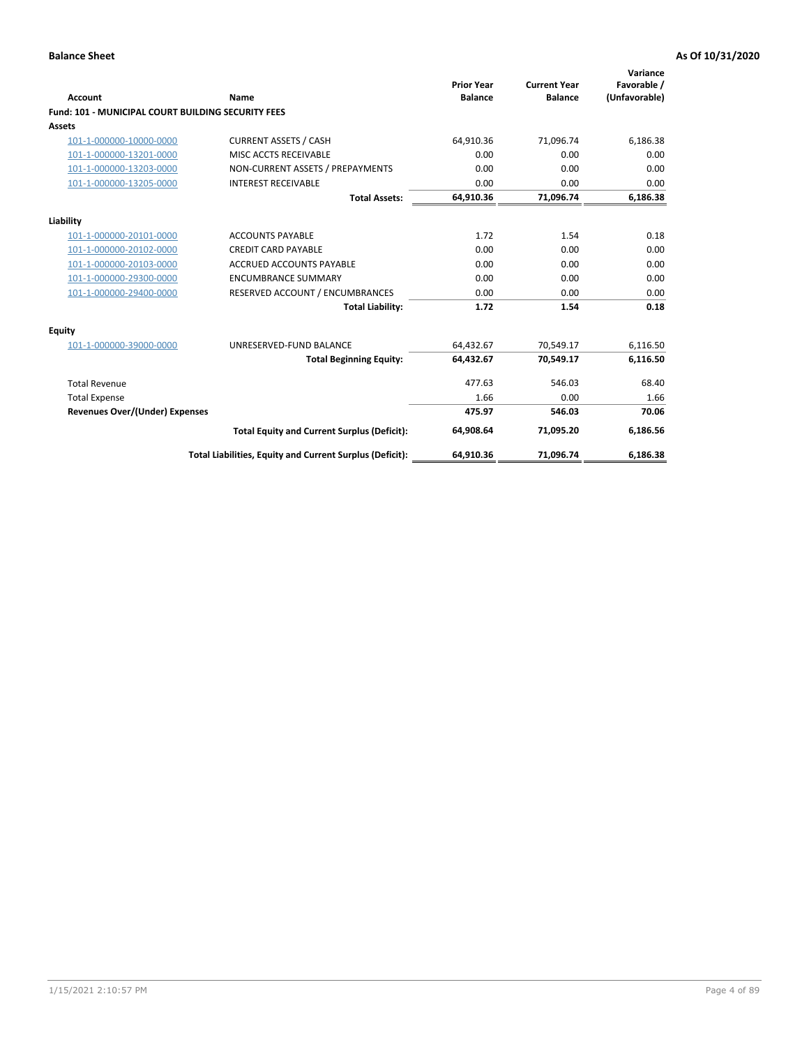| <b>Account</b>                                            | Name                                                     | <b>Prior Year</b><br><b>Balance</b> | <b>Current Year</b><br><b>Balance</b> | Variance<br>Favorable /<br>(Unfavorable) |
|-----------------------------------------------------------|----------------------------------------------------------|-------------------------------------|---------------------------------------|------------------------------------------|
| <b>Fund: 101 - MUNICIPAL COURT BUILDING SECURITY FEES</b> |                                                          |                                     |                                       |                                          |
| Assets                                                    |                                                          |                                     |                                       |                                          |
| 101-1-000000-10000-0000                                   | <b>CURRENT ASSETS / CASH</b>                             | 64.910.36                           | 71,096.74                             | 6,186.38                                 |
| 101-1-000000-13201-0000                                   | <b>MISC ACCTS RECEIVABLE</b>                             | 0.00                                | 0.00                                  | 0.00                                     |
| 101-1-000000-13203-0000                                   | NON-CURRENT ASSETS / PREPAYMENTS                         | 0.00                                | 0.00                                  | 0.00                                     |
| 101-1-000000-13205-0000                                   | <b>INTEREST RECEIVABLE</b>                               | 0.00                                | 0.00                                  | 0.00                                     |
|                                                           | <b>Total Assets:</b>                                     | 64,910.36                           | 71,096.74                             | 6,186.38                                 |
| Liability                                                 |                                                          |                                     |                                       |                                          |
| 101-1-000000-20101-0000                                   | <b>ACCOUNTS PAYABLE</b>                                  | 1.72                                | 1.54                                  | 0.18                                     |
| 101-1-000000-20102-0000                                   | <b>CREDIT CARD PAYABLE</b>                               | 0.00                                | 0.00                                  | 0.00                                     |
| 101-1-000000-20103-0000                                   | <b>ACCRUED ACCOUNTS PAYABLE</b>                          | 0.00                                | 0.00                                  | 0.00                                     |
| 101-1-000000-29300-0000                                   | <b>ENCUMBRANCE SUMMARY</b>                               | 0.00                                | 0.00                                  | 0.00                                     |
| 101-1-000000-29400-0000                                   | RESERVED ACCOUNT / ENCUMBRANCES                          | 0.00                                | 0.00                                  | 0.00                                     |
|                                                           | <b>Total Liability:</b>                                  | 1.72                                | 1.54                                  | 0.18                                     |
| <b>Equity</b>                                             |                                                          |                                     |                                       |                                          |
| 101-1-000000-39000-0000                                   | UNRESERVED-FUND BALANCE                                  | 64,432.67                           | 70,549.17                             | 6,116.50                                 |
|                                                           | <b>Total Beginning Equity:</b>                           | 64.432.67                           | 70.549.17                             | 6,116.50                                 |
| <b>Total Revenue</b>                                      |                                                          | 477.63                              | 546.03                                | 68.40                                    |
| <b>Total Expense</b>                                      |                                                          | 1.66                                | 0.00                                  | 1.66                                     |
| <b>Revenues Over/(Under) Expenses</b>                     |                                                          | 475.97                              | 546.03                                | 70.06                                    |
|                                                           | <b>Total Equity and Current Surplus (Deficit):</b>       | 64.908.64                           | 71.095.20                             | 6,186.56                                 |
|                                                           | Total Liabilities, Equity and Current Surplus (Deficit): | 64,910.36                           | 71,096.74                             | 6,186.38                                 |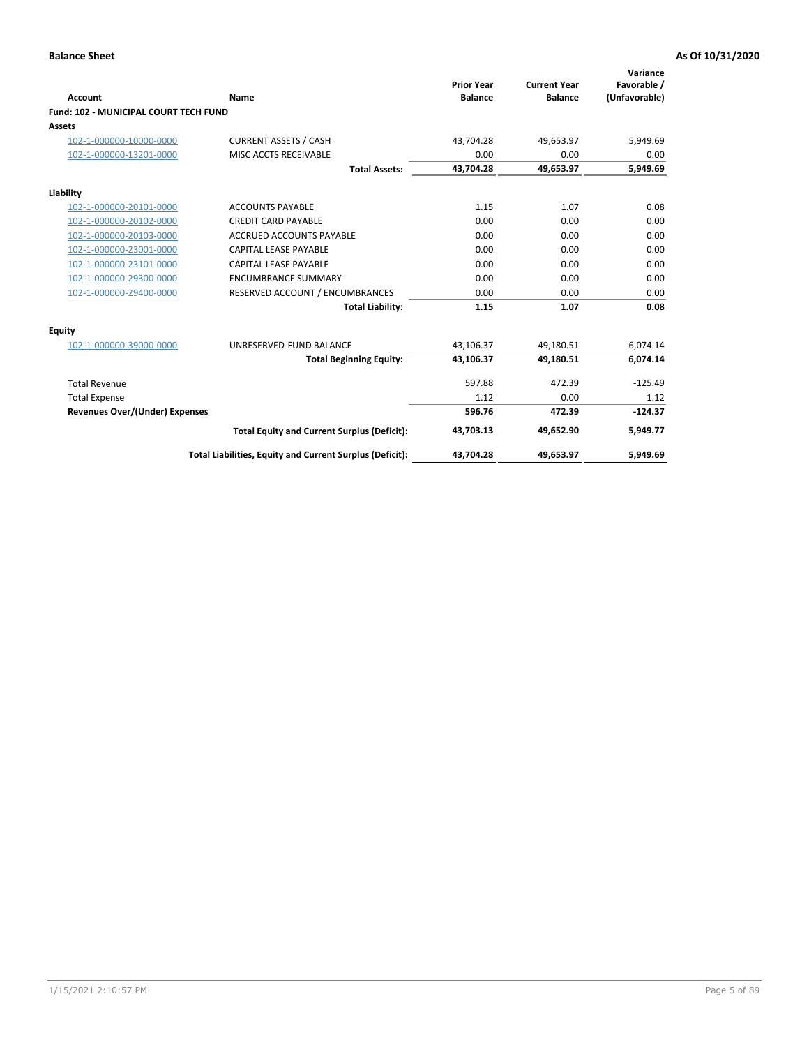| Account                                      | Name                                                     | <b>Prior Year</b><br><b>Balance</b> | <b>Current Year</b><br><b>Balance</b> | Variance<br>Favorable /<br>(Unfavorable) |
|----------------------------------------------|----------------------------------------------------------|-------------------------------------|---------------------------------------|------------------------------------------|
| <b>Fund: 102 - MUNICIPAL COURT TECH FUND</b> |                                                          |                                     |                                       |                                          |
| Assets                                       |                                                          |                                     |                                       |                                          |
| 102-1-000000-10000-0000                      | <b>CURRENT ASSETS / CASH</b>                             | 43,704.28                           | 49,653.97                             | 5,949.69                                 |
| 102-1-000000-13201-0000                      | MISC ACCTS RECEIVABLE                                    | 0.00                                | 0.00                                  | 0.00                                     |
|                                              | <b>Total Assets:</b>                                     | 43,704.28                           | 49,653.97                             | 5,949.69                                 |
| Liability                                    |                                                          |                                     |                                       |                                          |
| 102-1-000000-20101-0000                      | <b>ACCOUNTS PAYABLE</b>                                  | 1.15                                | 1.07                                  | 0.08                                     |
| 102-1-000000-20102-0000                      | <b>CREDIT CARD PAYABLE</b>                               | 0.00                                | 0.00                                  | 0.00                                     |
| 102-1-000000-20103-0000                      | <b>ACCRUED ACCOUNTS PAYABLE</b>                          | 0.00                                | 0.00                                  | 0.00                                     |
| 102-1-000000-23001-0000                      | CAPITAL LEASE PAYABLE                                    | 0.00                                | 0.00                                  | 0.00                                     |
| 102-1-000000-23101-0000                      | CAPITAL LEASE PAYABLE                                    | 0.00                                | 0.00                                  | 0.00                                     |
| 102-1-000000-29300-0000                      | <b>ENCUMBRANCE SUMMARY</b>                               | 0.00                                | 0.00                                  | 0.00                                     |
| 102-1-000000-29400-0000                      | RESERVED ACCOUNT / ENCUMBRANCES                          | 0.00                                | 0.00                                  | 0.00                                     |
|                                              | <b>Total Liability:</b>                                  | 1.15                                | 1.07                                  | 0.08                                     |
| <b>Equity</b>                                |                                                          |                                     |                                       |                                          |
| 102-1-000000-39000-0000                      | UNRESERVED-FUND BALANCE                                  | 43,106.37                           | 49,180.51                             | 6,074.14                                 |
|                                              | <b>Total Beginning Equity:</b>                           | 43,106.37                           | 49,180.51                             | 6,074.14                                 |
| <b>Total Revenue</b>                         |                                                          | 597.88                              | 472.39                                | $-125.49$                                |
| <b>Total Expense</b>                         |                                                          | 1.12                                | 0.00                                  | 1.12                                     |
| Revenues Over/(Under) Expenses               |                                                          | 596.76                              | 472.39                                | $-124.37$                                |
|                                              | <b>Total Equity and Current Surplus (Deficit):</b>       | 43,703.13                           | 49,652.90                             | 5,949.77                                 |
|                                              | Total Liabilities, Equity and Current Surplus (Deficit): | 43,704.28                           | 49,653.97                             | 5,949.69                                 |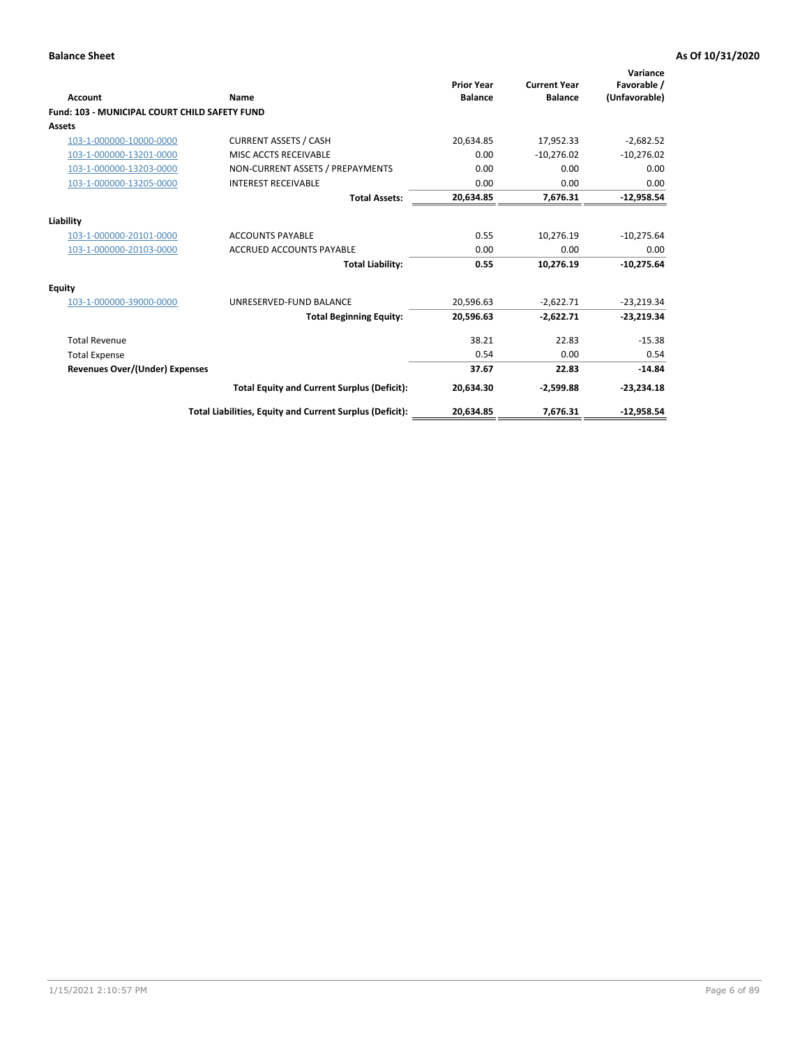| <b>Account</b>                                       | Name                                                     | <b>Prior Year</b><br><b>Balance</b> | <b>Current Year</b><br><b>Balance</b> | Variance<br>Favorable /<br>(Unfavorable) |
|------------------------------------------------------|----------------------------------------------------------|-------------------------------------|---------------------------------------|------------------------------------------|
| <b>Fund: 103 - MUNICIPAL COURT CHILD SAFETY FUND</b> |                                                          |                                     |                                       |                                          |
| <b>Assets</b>                                        |                                                          |                                     |                                       |                                          |
| 103-1-000000-10000-0000                              | <b>CURRENT ASSETS / CASH</b>                             | 20,634.85                           | 17,952.33                             | $-2,682.52$                              |
| 103-1-000000-13201-0000                              | MISC ACCTS RECEIVABLE                                    | 0.00                                | $-10,276.02$                          | $-10,276.02$                             |
| 103-1-000000-13203-0000                              | NON-CURRENT ASSETS / PREPAYMENTS                         | 0.00                                | 0.00                                  | 0.00                                     |
| 103-1-000000-13205-0000                              | <b>INTEREST RECEIVABLE</b>                               | 0.00                                | 0.00                                  | 0.00                                     |
|                                                      | <b>Total Assets:</b>                                     | 20,634.85                           | 7,676.31                              | $-12,958.54$                             |
| Liability                                            |                                                          |                                     |                                       |                                          |
| 103-1-000000-20101-0000                              | <b>ACCOUNTS PAYABLE</b>                                  | 0.55                                | 10.276.19                             | $-10,275.64$                             |
| 103-1-000000-20103-0000                              | <b>ACCRUED ACCOUNTS PAYABLE</b>                          | 0.00                                | 0.00                                  | 0.00                                     |
|                                                      | <b>Total Liability:</b>                                  | 0.55                                | 10,276.19                             | $-10,275.64$                             |
| Equity                                               |                                                          |                                     |                                       |                                          |
| 103-1-000000-39000-0000                              | UNRESERVED-FUND BALANCE                                  | 20,596.63                           | $-2,622.71$                           | $-23,219.34$                             |
|                                                      | <b>Total Beginning Equity:</b>                           | 20,596.63                           | $-2,622.71$                           | $-23,219.34$                             |
| <b>Total Revenue</b>                                 |                                                          | 38.21                               | 22.83                                 | $-15.38$                                 |
| <b>Total Expense</b>                                 |                                                          | 0.54                                | 0.00                                  | 0.54                                     |
| Revenues Over/(Under) Expenses                       |                                                          | 37.67                               | 22.83                                 | $-14.84$                                 |
|                                                      | <b>Total Equity and Current Surplus (Deficit):</b>       | 20,634.30                           | $-2,599.88$                           | $-23,234.18$                             |
|                                                      | Total Liabilities, Equity and Current Surplus (Deficit): | 20,634.85                           | 7,676.31                              | $-12,958.54$                             |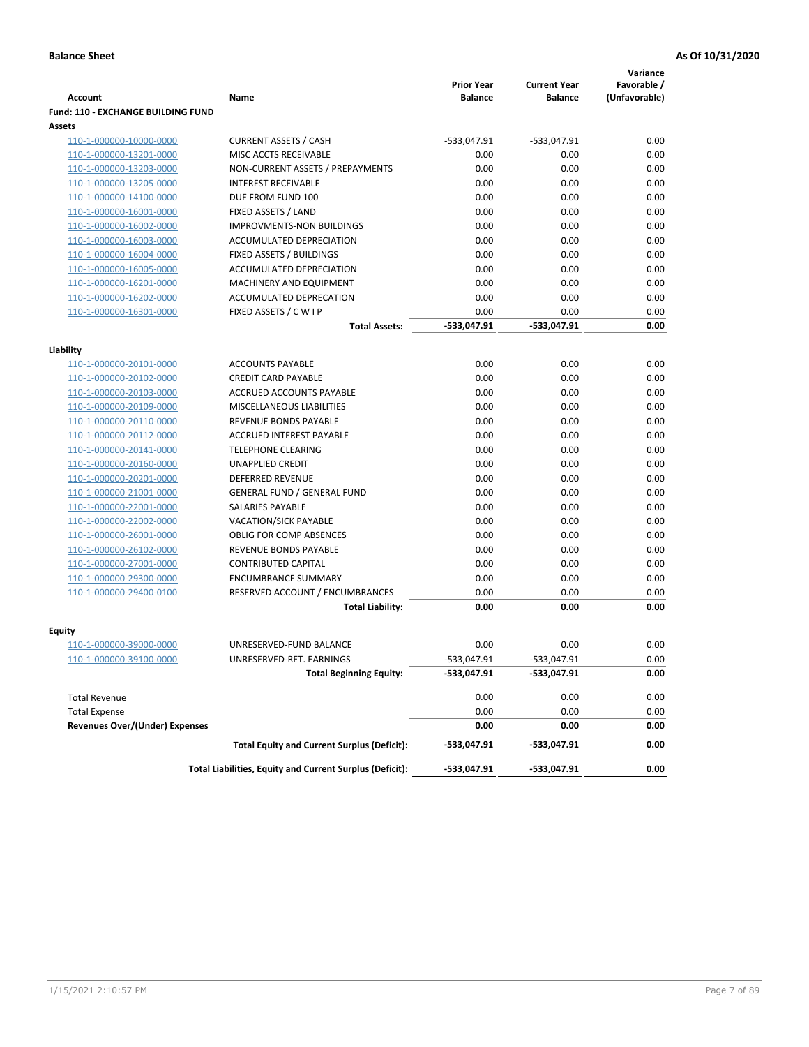|                                           |                                                          |                                     |                                       | Variance                     |
|-------------------------------------------|----------------------------------------------------------|-------------------------------------|---------------------------------------|------------------------------|
| <b>Account</b>                            | Name                                                     | <b>Prior Year</b><br><b>Balance</b> | <b>Current Year</b><br><b>Balance</b> | Favorable /<br>(Unfavorable) |
| <b>Fund: 110 - EXCHANGE BUILDING FUND</b> |                                                          |                                     |                                       |                              |
| Assets                                    |                                                          |                                     |                                       |                              |
| 110-1-000000-10000-0000                   | <b>CURRENT ASSETS / CASH</b>                             | -533,047.91                         | $-533,047.91$                         | 0.00                         |
| 110-1-000000-13201-0000                   | MISC ACCTS RECEIVABLE                                    | 0.00                                | 0.00                                  | 0.00                         |
| 110-1-000000-13203-0000                   | NON-CURRENT ASSETS / PREPAYMENTS                         | 0.00                                | 0.00                                  | 0.00                         |
| 110-1-000000-13205-0000                   | <b>INTEREST RECEIVABLE</b>                               | 0.00                                | 0.00                                  | 0.00                         |
| 110-1-000000-14100-0000                   | DUE FROM FUND 100                                        | 0.00                                | 0.00                                  | 0.00                         |
| 110-1-000000-16001-0000                   | FIXED ASSETS / LAND                                      | 0.00                                | 0.00                                  | 0.00                         |
| 110-1-000000-16002-0000                   | <b>IMPROVMENTS-NON BUILDINGS</b>                         | 0.00                                | 0.00                                  | 0.00                         |
| 110-1-000000-16003-0000                   | ACCUMULATED DEPRECIATION                                 | 0.00                                | 0.00                                  | 0.00                         |
| 110-1-000000-16004-0000                   | FIXED ASSETS / BUILDINGS                                 | 0.00                                | 0.00                                  | 0.00                         |
| 110-1-000000-16005-0000                   | ACCUMULATED DEPRECIATION                                 | 0.00                                | 0.00                                  | 0.00                         |
| 110-1-000000-16201-0000                   | <b>MACHINERY AND EQUIPMENT</b>                           | 0.00                                | 0.00                                  | 0.00                         |
| 110-1-000000-16202-0000                   | ACCUMULATED DEPRECATION                                  | 0.00                                | 0.00                                  | 0.00                         |
| 110-1-000000-16301-0000                   | FIXED ASSETS / C W I P                                   | 0.00                                | 0.00                                  | 0.00                         |
|                                           | <b>Total Assets:</b>                                     | $-533,047.91$                       | -533,047.91                           | 0.00                         |
| Liability                                 |                                                          |                                     |                                       |                              |
| 110-1-000000-20101-0000                   | <b>ACCOUNTS PAYABLE</b>                                  | 0.00                                | 0.00                                  | 0.00                         |
| 110-1-000000-20102-0000                   | <b>CREDIT CARD PAYABLE</b>                               | 0.00                                | 0.00                                  | 0.00                         |
| 110-1-000000-20103-0000                   | ACCRUED ACCOUNTS PAYABLE                                 | 0.00                                | 0.00                                  | 0.00                         |
| 110-1-000000-20109-0000                   | MISCELLANEOUS LIABILITIES                                | 0.00                                | 0.00                                  | 0.00                         |
| 110-1-000000-20110-0000                   | REVENUE BONDS PAYABLE                                    | 0.00                                | 0.00                                  | 0.00                         |
| 110-1-000000-20112-0000                   | <b>ACCRUED INTEREST PAYABLE</b>                          | 0.00                                | 0.00                                  | 0.00                         |
| 110-1-000000-20141-0000                   | <b>TELEPHONE CLEARING</b>                                | 0.00                                | 0.00                                  | 0.00                         |
| 110-1-000000-20160-0000                   | <b>UNAPPLIED CREDIT</b>                                  | 0.00                                | 0.00                                  | 0.00                         |
| 110-1-000000-20201-0000                   | <b>DEFERRED REVENUE</b>                                  | 0.00                                | 0.00                                  | 0.00                         |
| 110-1-000000-21001-0000                   | <b>GENERAL FUND / GENERAL FUND</b>                       | 0.00                                | 0.00                                  | 0.00                         |
| 110-1-000000-22001-0000                   | SALARIES PAYABLE                                         | 0.00                                | 0.00                                  | 0.00                         |
| 110-1-000000-22002-0000                   | <b>VACATION/SICK PAYABLE</b>                             | 0.00                                | 0.00                                  | 0.00                         |
| 110-1-000000-26001-0000                   | <b>OBLIG FOR COMP ABSENCES</b>                           | 0.00                                | 0.00                                  | 0.00                         |
| 110-1-000000-26102-0000                   | REVENUE BONDS PAYABLE                                    | 0.00                                | 0.00                                  | 0.00                         |
| 110-1-000000-27001-0000                   | <b>CONTRIBUTED CAPITAL</b>                               | 0.00                                | 0.00                                  | 0.00                         |
| 110-1-000000-29300-0000                   | <b>ENCUMBRANCE SUMMARY</b>                               | 0.00                                | 0.00                                  | 0.00                         |
| 110-1-000000-29400-0100                   | RESERVED ACCOUNT / ENCUMBRANCES                          | 0.00                                | 0.00                                  | 0.00                         |
|                                           | <b>Total Liability:</b>                                  | 0.00                                | 0.00                                  | 0.00                         |
| <b>Equity</b>                             |                                                          |                                     |                                       |                              |
| 110-1-000000-39000-0000                   | UNRESERVED-FUND BALANCE                                  | 0.00                                | 0.00                                  | 0.00                         |
| 110-1-000000-39100-0000                   | UNRESERVED-RET. EARNINGS                                 | -533,047.91                         | -533,047.91                           | 0.00                         |
|                                           | <b>Total Beginning Equity:</b>                           | -533,047.91                         | -533,047.91                           | 0.00                         |
|                                           |                                                          |                                     |                                       |                              |
| <b>Total Revenue</b>                      |                                                          | 0.00                                | 0.00                                  | 0.00                         |
| <b>Total Expense</b>                      |                                                          | 0.00                                | 0.00                                  | 0.00                         |
| <b>Revenues Over/(Under) Expenses</b>     |                                                          | 0.00                                | 0.00                                  | 0.00                         |
|                                           | <b>Total Equity and Current Surplus (Deficit):</b>       | -533,047.91                         | -533,047.91                           | 0.00                         |
|                                           | Total Liabilities, Equity and Current Surplus (Deficit): | -533,047.91                         | -533,047.91                           | 0.00                         |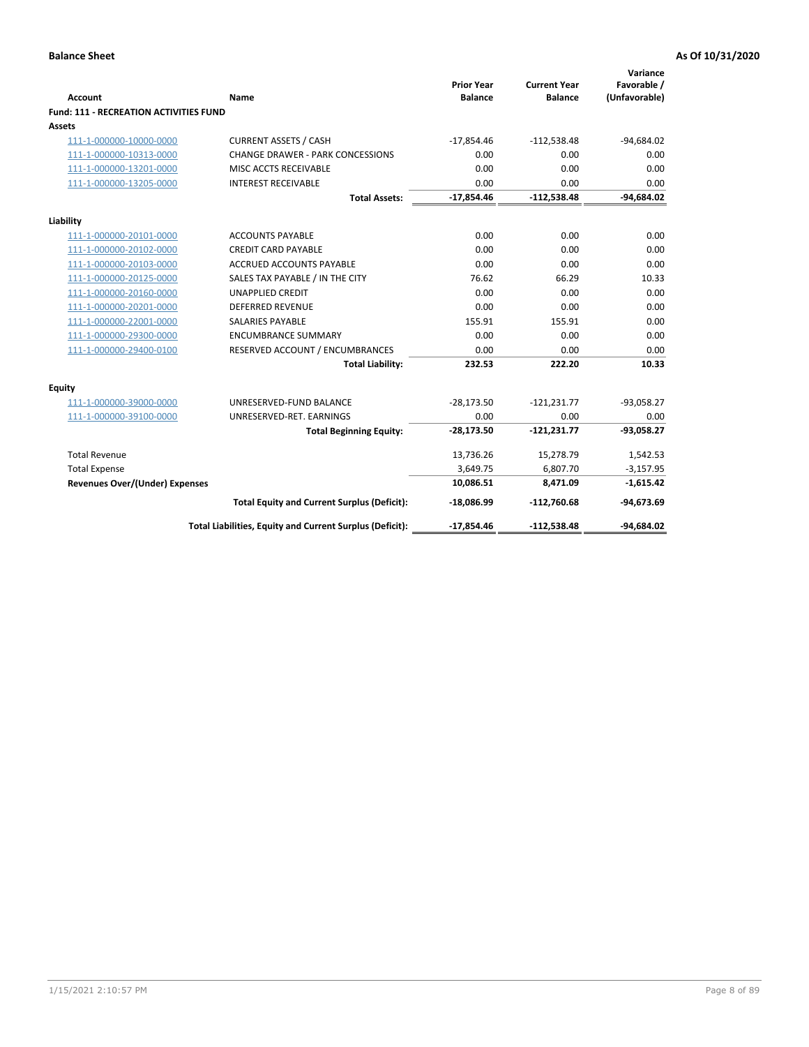| <b>Account</b>                                | Name                                                     | <b>Prior Year</b><br><b>Balance</b> | <b>Current Year</b><br><b>Balance</b> | Variance<br>Favorable /<br>(Unfavorable) |
|-----------------------------------------------|----------------------------------------------------------|-------------------------------------|---------------------------------------|------------------------------------------|
| <b>Fund: 111 - RECREATION ACTIVITIES FUND</b> |                                                          |                                     |                                       |                                          |
| Assets                                        |                                                          |                                     |                                       |                                          |
| 111-1-000000-10000-0000                       | <b>CURRENT ASSETS / CASH</b>                             | $-17,854.46$                        | $-112,538.48$                         | $-94,684.02$                             |
| 111-1-000000-10313-0000                       | <b>CHANGE DRAWER - PARK CONCESSIONS</b>                  | 0.00                                | 0.00                                  | 0.00                                     |
| 111-1-000000-13201-0000                       | MISC ACCTS RECEIVABLE                                    | 0.00                                | 0.00                                  | 0.00                                     |
| 111-1-000000-13205-0000                       | <b>INTEREST RECEIVABLE</b>                               | 0.00                                | 0.00                                  | 0.00                                     |
|                                               | <b>Total Assets:</b>                                     | $-17,854.46$                        | $-112,538.48$                         | $-94,684.02$                             |
| Liability                                     |                                                          |                                     |                                       |                                          |
| 111-1-000000-20101-0000                       | <b>ACCOUNTS PAYABLE</b>                                  | 0.00                                | 0.00                                  | 0.00                                     |
| 111-1-000000-20102-0000                       | <b>CREDIT CARD PAYABLE</b>                               | 0.00                                | 0.00                                  | 0.00                                     |
| 111-1-000000-20103-0000                       | ACCRUED ACCOUNTS PAYABLE                                 | 0.00                                | 0.00                                  | 0.00                                     |
| 111-1-000000-20125-0000                       | SALES TAX PAYABLE / IN THE CITY                          | 76.62                               | 66.29                                 | 10.33                                    |
| 111-1-000000-20160-0000                       | <b>UNAPPLIED CREDIT</b>                                  | 0.00                                | 0.00                                  | 0.00                                     |
| 111-1-000000-20201-0000                       | <b>DEFERRED REVENUE</b>                                  | 0.00                                | 0.00                                  | 0.00                                     |
| 111-1-000000-22001-0000                       | <b>SALARIES PAYABLE</b>                                  | 155.91                              | 155.91                                | 0.00                                     |
| 111-1-000000-29300-0000                       | <b>ENCUMBRANCE SUMMARY</b>                               | 0.00                                | 0.00                                  | 0.00                                     |
| 111-1-000000-29400-0100                       | RESERVED ACCOUNT / ENCUMBRANCES                          | 0.00                                | 0.00                                  | 0.00                                     |
|                                               | <b>Total Liability:</b>                                  | 232.53                              | 222.20                                | 10.33                                    |
| Equity                                        |                                                          |                                     |                                       |                                          |
| 111-1-000000-39000-0000                       | UNRESERVED-FUND BALANCE                                  | $-28,173.50$                        | $-121,231.77$                         | $-93,058.27$                             |
| 111-1-000000-39100-0000                       | UNRESERVED-RET. EARNINGS                                 | 0.00                                | 0.00                                  | 0.00                                     |
|                                               | <b>Total Beginning Equity:</b>                           | $-28,173.50$                        | $-121,231.77$                         | $-93,058.27$                             |
| <b>Total Revenue</b>                          |                                                          | 13,736.26                           | 15,278.79                             | 1,542.53                                 |
| <b>Total Expense</b>                          |                                                          | 3,649.75                            | 6,807.70                              | $-3,157.95$                              |
| <b>Revenues Over/(Under) Expenses</b>         |                                                          | 10,086.51                           | 8,471.09                              | $-1,615.42$                              |
|                                               | <b>Total Equity and Current Surplus (Deficit):</b>       | $-18,086.99$                        | $-112,760.68$                         | $-94,673.69$                             |
|                                               | Total Liabilities, Equity and Current Surplus (Deficit): | $-17,854.46$                        | $-112,538.48$                         | $-94,684.02$                             |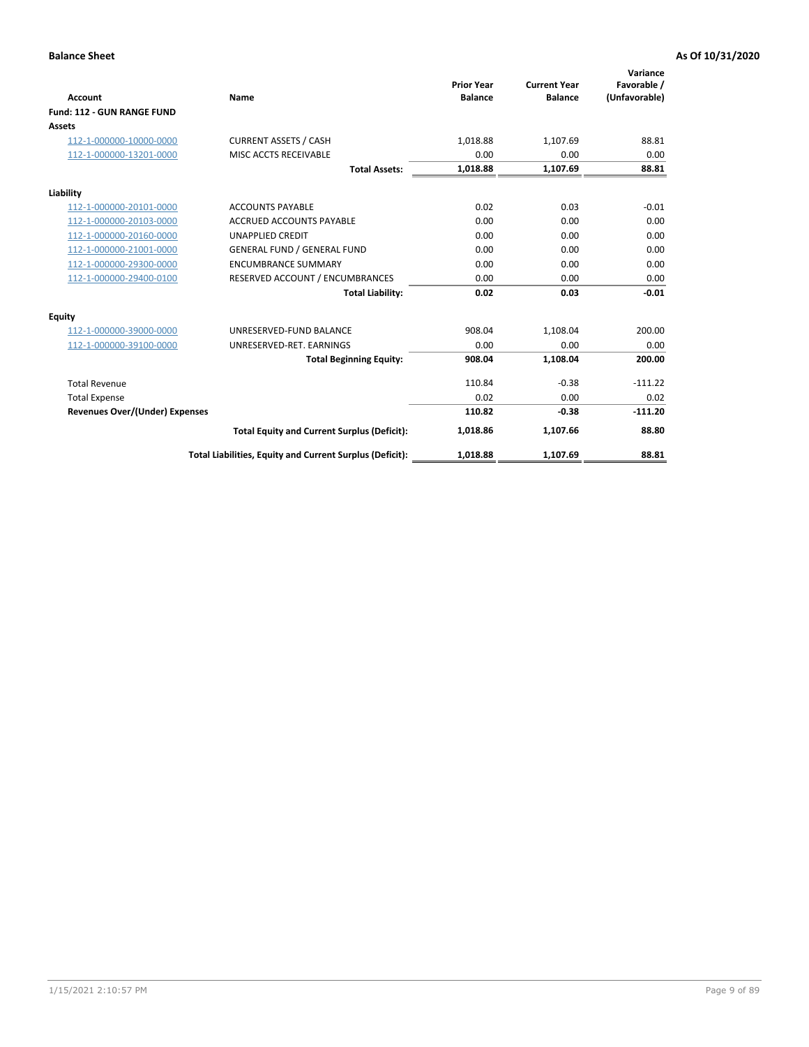|                                       |                                                          |                                     |                                       | Variance                     |
|---------------------------------------|----------------------------------------------------------|-------------------------------------|---------------------------------------|------------------------------|
| <b>Account</b>                        | Name                                                     | <b>Prior Year</b><br><b>Balance</b> | <b>Current Year</b><br><b>Balance</b> | Favorable /<br>(Unfavorable) |
| Fund: 112 - GUN RANGE FUND            |                                                          |                                     |                                       |                              |
| <b>Assets</b>                         |                                                          |                                     |                                       |                              |
| 112-1-000000-10000-0000               | <b>CURRENT ASSETS / CASH</b>                             | 1,018.88                            | 1,107.69                              | 88.81                        |
| 112-1-000000-13201-0000               | MISC ACCTS RECEIVABLE                                    | 0.00                                | 0.00                                  | 0.00                         |
|                                       | <b>Total Assets:</b>                                     | 1,018.88                            | 1,107.69                              | 88.81                        |
| Liability                             |                                                          |                                     |                                       |                              |
| 112-1-000000-20101-0000               | <b>ACCOUNTS PAYABLE</b>                                  | 0.02                                | 0.03                                  | $-0.01$                      |
| 112-1-000000-20103-0000               | <b>ACCRUED ACCOUNTS PAYABLE</b>                          | 0.00                                | 0.00                                  | 0.00                         |
| 112-1-000000-20160-0000               | <b>UNAPPLIED CREDIT</b>                                  | 0.00                                | 0.00                                  | 0.00                         |
| 112-1-000000-21001-0000               | <b>GENERAL FUND / GENERAL FUND</b>                       | 0.00                                | 0.00                                  | 0.00                         |
| 112-1-000000-29300-0000               | <b>ENCUMBRANCE SUMMARY</b>                               | 0.00                                | 0.00                                  | 0.00                         |
| 112-1-000000-29400-0100               | RESERVED ACCOUNT / ENCUMBRANCES                          | 0.00                                | 0.00                                  | 0.00                         |
|                                       | <b>Total Liability:</b>                                  | 0.02                                | 0.03                                  | $-0.01$                      |
| Equity                                |                                                          |                                     |                                       |                              |
| 112-1-000000-39000-0000               | UNRESERVED-FUND BALANCE                                  | 908.04                              | 1,108.04                              | 200.00                       |
| 112-1-000000-39100-0000               | UNRESERVED-RET. EARNINGS                                 | 0.00                                | 0.00                                  | 0.00                         |
|                                       | <b>Total Beginning Equity:</b>                           | 908.04                              | 1,108.04                              | 200.00                       |
| <b>Total Revenue</b>                  |                                                          | 110.84                              | $-0.38$                               | $-111.22$                    |
| <b>Total Expense</b>                  |                                                          | 0.02                                | 0.00                                  | 0.02                         |
| <b>Revenues Over/(Under) Expenses</b> |                                                          | 110.82                              | $-0.38$                               | $-111.20$                    |
|                                       | <b>Total Equity and Current Surplus (Deficit):</b>       | 1,018.86                            | 1,107.66                              | 88.80                        |
|                                       | Total Liabilities, Equity and Current Surplus (Deficit): | 1,018.88                            | 1,107.69                              | 88.81                        |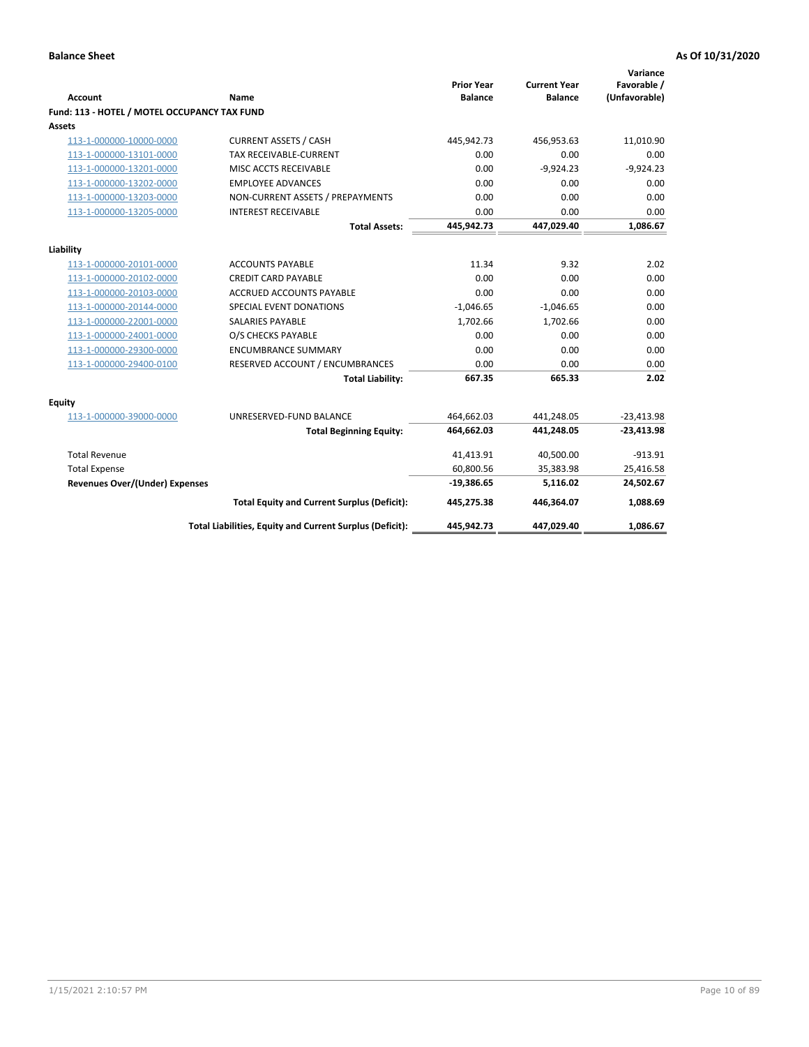| <b>Account</b>                               | <b>Name</b>                                              | <b>Prior Year</b><br><b>Balance</b> | <b>Current Year</b><br><b>Balance</b> | Variance<br>Favorable /<br>(Unfavorable) |
|----------------------------------------------|----------------------------------------------------------|-------------------------------------|---------------------------------------|------------------------------------------|
| Fund: 113 - HOTEL / MOTEL OCCUPANCY TAX FUND |                                                          |                                     |                                       |                                          |
| Assets                                       |                                                          |                                     |                                       |                                          |
| 113-1-000000-10000-0000                      | <b>CURRENT ASSETS / CASH</b>                             | 445,942.73                          | 456,953.63                            | 11,010.90                                |
| 113-1-000000-13101-0000                      | <b>TAX RECEIVABLE-CURRENT</b>                            | 0.00                                | 0.00                                  | 0.00                                     |
| 113-1-000000-13201-0000                      | MISC ACCTS RECEIVABLE                                    | 0.00                                | $-9,924.23$                           | $-9,924.23$                              |
| 113-1-000000-13202-0000                      | <b>EMPLOYEE ADVANCES</b>                                 | 0.00                                | 0.00                                  | 0.00                                     |
| 113-1-000000-13203-0000                      | NON-CURRENT ASSETS / PREPAYMENTS                         | 0.00                                | 0.00                                  | 0.00                                     |
| 113-1-000000-13205-0000                      | <b>INTEREST RECEIVABLE</b>                               | 0.00                                | 0.00                                  | 0.00                                     |
|                                              | <b>Total Assets:</b>                                     | 445,942.73                          | 447,029.40                            | 1,086.67                                 |
| Liability                                    |                                                          |                                     |                                       |                                          |
| 113-1-000000-20101-0000                      | <b>ACCOUNTS PAYABLE</b>                                  | 11.34                               | 9.32                                  | 2.02                                     |
| 113-1-000000-20102-0000                      | <b>CREDIT CARD PAYABLE</b>                               | 0.00                                | 0.00                                  | 0.00                                     |
| 113-1-000000-20103-0000                      | <b>ACCRUED ACCOUNTS PAYABLE</b>                          | 0.00                                | 0.00                                  | 0.00                                     |
| 113-1-000000-20144-0000                      | SPECIAL EVENT DONATIONS                                  | $-1,046.65$                         | $-1,046.65$                           | 0.00                                     |
| 113-1-000000-22001-0000                      | <b>SALARIES PAYABLE</b>                                  | 1,702.66                            | 1,702.66                              | 0.00                                     |
| 113-1-000000-24001-0000                      | O/S CHECKS PAYABLE                                       | 0.00                                | 0.00                                  | 0.00                                     |
| 113-1-000000-29300-0000                      | <b>ENCUMBRANCE SUMMARY</b>                               | 0.00                                | 0.00                                  | 0.00                                     |
| 113-1-000000-29400-0100                      | RESERVED ACCOUNT / ENCUMBRANCES                          | 0.00                                | 0.00                                  | 0.00                                     |
|                                              | <b>Total Liability:</b>                                  | 667.35                              | 665.33                                | 2.02                                     |
| Equity                                       |                                                          |                                     |                                       |                                          |
| 113-1-000000-39000-0000                      | UNRESERVED-FUND BALANCE                                  | 464,662.03                          | 441,248.05                            | $-23,413.98$                             |
|                                              | <b>Total Beginning Equity:</b>                           | 464,662.03                          | 441,248.05                            | $-23,413.98$                             |
| <b>Total Revenue</b>                         |                                                          | 41,413.91                           | 40,500.00                             | $-913.91$                                |
| <b>Total Expense</b>                         |                                                          | 60,800.56                           | 35,383.98                             | 25,416.58                                |
| <b>Revenues Over/(Under) Expenses</b>        |                                                          | $-19,386.65$                        | 5,116.02                              | 24,502.67                                |
|                                              | <b>Total Equity and Current Surplus (Deficit):</b>       | 445,275.38                          | 446,364.07                            | 1,088.69                                 |
|                                              | Total Liabilities, Equity and Current Surplus (Deficit): | 445,942.73                          | 447,029.40                            | 1,086.67                                 |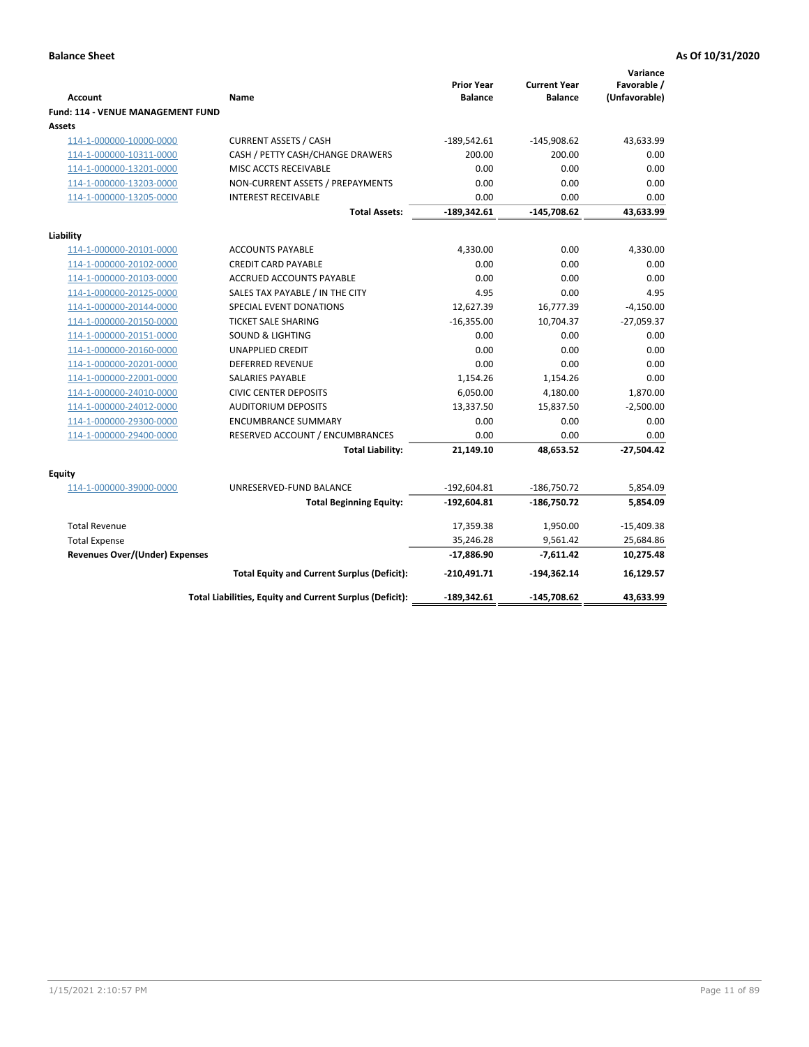| <b>Account</b>                                     | Name                                                     | <b>Prior Year</b><br><b>Balance</b> | <b>Current Year</b><br><b>Balance</b> | Variance<br>Favorable /<br>(Unfavorable) |
|----------------------------------------------------|----------------------------------------------------------|-------------------------------------|---------------------------------------|------------------------------------------|
| <b>Fund: 114 - VENUE MANAGEMENT FUND</b><br>Assets |                                                          |                                     |                                       |                                          |
| 114-1-000000-10000-0000                            | <b>CURRENT ASSETS / CASH</b>                             | $-189,542.61$                       | $-145,908.62$                         | 43,633.99                                |
| 114-1-000000-10311-0000                            | CASH / PETTY CASH/CHANGE DRAWERS                         | 200.00                              | 200.00                                | 0.00                                     |
| 114-1-000000-13201-0000                            | MISC ACCTS RECEIVABLE                                    | 0.00                                | 0.00                                  | 0.00                                     |
| 114-1-000000-13203-0000                            | NON-CURRENT ASSETS / PREPAYMENTS                         | 0.00                                | 0.00                                  | 0.00                                     |
| 114-1-000000-13205-0000                            | <b>INTEREST RECEIVABLE</b>                               | 0.00                                | 0.00                                  | 0.00                                     |
|                                                    | <b>Total Assets:</b>                                     | $-189,342.61$                       | $-145,708.62$                         | 43,633.99                                |
| Liability                                          |                                                          |                                     |                                       |                                          |
| 114-1-000000-20101-0000                            | <b>ACCOUNTS PAYABLE</b>                                  | 4,330.00                            | 0.00                                  | 4,330.00                                 |
| 114-1-000000-20102-0000                            | <b>CREDIT CARD PAYABLE</b>                               | 0.00                                | 0.00                                  | 0.00                                     |
| 114-1-000000-20103-0000                            | <b>ACCRUED ACCOUNTS PAYABLE</b>                          | 0.00                                | 0.00                                  | 0.00                                     |
| 114-1-000000-20125-0000                            | SALES TAX PAYABLE / IN THE CITY                          | 4.95                                | 0.00                                  | 4.95                                     |
| 114-1-000000-20144-0000                            | SPECIAL EVENT DONATIONS                                  | 12,627.39                           | 16,777.39                             | $-4,150.00$                              |
| 114-1-000000-20150-0000                            | <b>TICKET SALE SHARING</b>                               | $-16,355.00$                        | 10,704.37                             | $-27,059.37$                             |
| 114-1-000000-20151-0000                            | <b>SOUND &amp; LIGHTING</b>                              | 0.00                                | 0.00                                  | 0.00                                     |
| 114-1-000000-20160-0000                            | <b>UNAPPLIED CREDIT</b>                                  | 0.00                                | 0.00                                  | 0.00                                     |
| 114-1-000000-20201-0000                            | <b>DEFERRED REVENUE</b>                                  | 0.00                                | 0.00                                  | 0.00                                     |
| 114-1-000000-22001-0000                            | SALARIES PAYABLE                                         | 1,154.26                            | 1,154.26                              | 0.00                                     |
| 114-1-000000-24010-0000                            | <b>CIVIC CENTER DEPOSITS</b>                             | 6,050.00                            | 4,180.00                              | 1,870.00                                 |
| 114-1-000000-24012-0000                            | <b>AUDITORIUM DEPOSITS</b>                               | 13,337.50                           | 15,837.50                             | $-2,500.00$                              |
| 114-1-000000-29300-0000                            | <b>ENCUMBRANCE SUMMARY</b>                               | 0.00                                | 0.00                                  | 0.00                                     |
| 114-1-000000-29400-0000                            | RESERVED ACCOUNT / ENCUMBRANCES                          | 0.00                                | 0.00                                  | 0.00                                     |
|                                                    | <b>Total Liability:</b>                                  | 21,149.10                           | 48,653.52                             | $-27,504.42$                             |
| Equity                                             |                                                          |                                     |                                       |                                          |
| 114-1-000000-39000-0000                            | UNRESERVED-FUND BALANCE                                  | $-192,604.81$                       | $-186,750.72$                         | 5,854.09                                 |
|                                                    | <b>Total Beginning Equity:</b>                           | $-192,604.81$                       | -186,750.72                           | 5,854.09                                 |
| <b>Total Revenue</b>                               |                                                          | 17,359.38                           | 1,950.00                              | $-15,409.38$                             |
| <b>Total Expense</b>                               |                                                          | 35,246.28                           | 9,561.42                              | 25,684.86                                |
| <b>Revenues Over/(Under) Expenses</b>              |                                                          | $-17,886.90$                        | -7,611.42                             | 10,275.48                                |
|                                                    | <b>Total Equity and Current Surplus (Deficit):</b>       | $-210,491.71$                       | -194,362.14                           | 16,129.57                                |
|                                                    | Total Liabilities, Equity and Current Surplus (Deficit): | $-189,342.61$                       | $-145,708.62$                         | 43.633.99                                |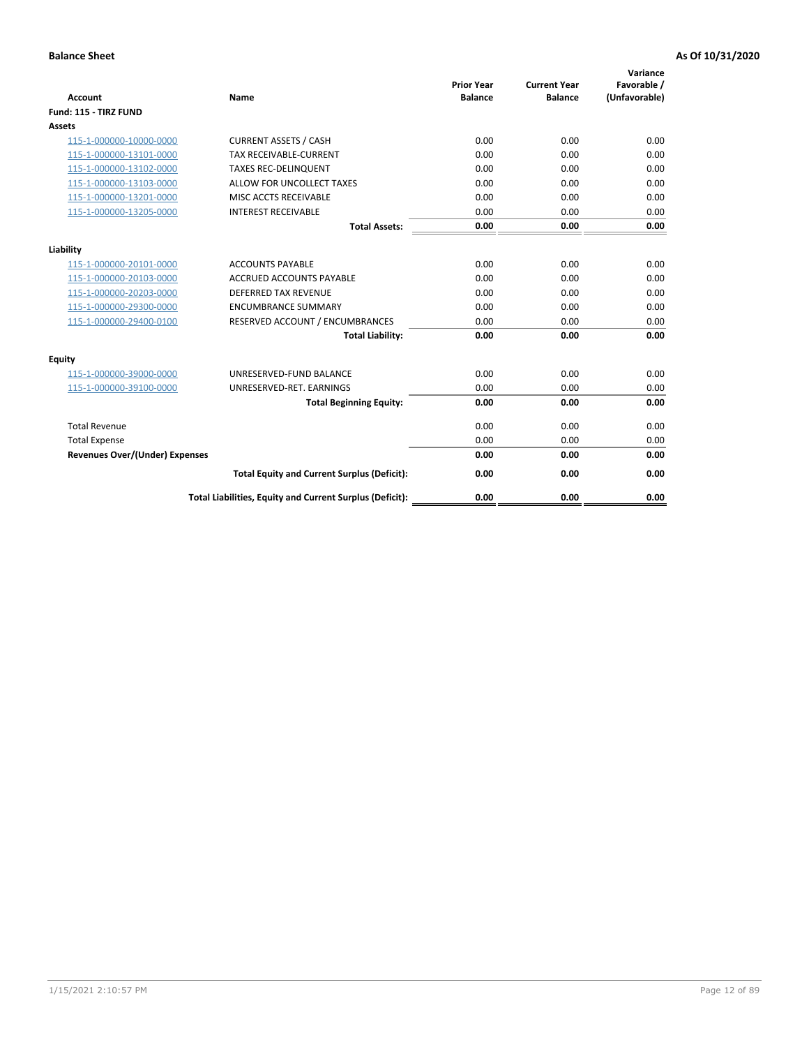| <b>Account</b>                        | <b>Name</b>                                              | <b>Prior Year</b><br><b>Balance</b> | <b>Current Year</b><br><b>Balance</b> | Variance<br>Favorable /<br>(Unfavorable) |
|---------------------------------------|----------------------------------------------------------|-------------------------------------|---------------------------------------|------------------------------------------|
| Fund: 115 - TIRZ FUND                 |                                                          |                                     |                                       |                                          |
| <b>Assets</b>                         |                                                          |                                     |                                       |                                          |
| 115-1-000000-10000-0000               | <b>CURRENT ASSETS / CASH</b>                             | 0.00                                | 0.00                                  | 0.00                                     |
| 115-1-000000-13101-0000               | <b>TAX RECEIVABLE-CURRENT</b>                            | 0.00                                | 0.00                                  | 0.00                                     |
| 115-1-000000-13102-0000               | <b>TAXES REC-DELINQUENT</b>                              | 0.00                                | 0.00                                  | 0.00                                     |
| 115-1-000000-13103-0000               | ALLOW FOR UNCOLLECT TAXES                                | 0.00                                | 0.00                                  | 0.00                                     |
| 115-1-000000-13201-0000               | MISC ACCTS RECEIVABLE                                    | 0.00                                | 0.00                                  | 0.00                                     |
| 115-1-000000-13205-0000               | <b>INTEREST RECEIVABLE</b>                               | 0.00                                | 0.00                                  | 0.00                                     |
|                                       | <b>Total Assets:</b>                                     | 0.00                                | 0.00                                  | 0.00                                     |
| Liability                             |                                                          |                                     |                                       |                                          |
| 115-1-000000-20101-0000               | <b>ACCOUNTS PAYABLE</b>                                  | 0.00                                | 0.00                                  | 0.00                                     |
| 115-1-000000-20103-0000               | <b>ACCRUED ACCOUNTS PAYABLE</b>                          | 0.00                                | 0.00                                  | 0.00                                     |
| 115-1-000000-20203-0000               | <b>DEFERRED TAX REVENUE</b>                              | 0.00                                | 0.00                                  | 0.00                                     |
| 115-1-000000-29300-0000               | <b>ENCUMBRANCE SUMMARY</b>                               | 0.00                                | 0.00                                  | 0.00                                     |
| 115-1-000000-29400-0100               | RESERVED ACCOUNT / ENCUMBRANCES                          | 0.00                                | 0.00                                  | 0.00                                     |
|                                       | <b>Total Liability:</b>                                  | 0.00                                | 0.00                                  | 0.00                                     |
| Equity                                |                                                          |                                     |                                       |                                          |
| 115-1-000000-39000-0000               | UNRESERVED-FUND BALANCE                                  | 0.00                                | 0.00                                  | 0.00                                     |
| 115-1-000000-39100-0000               | UNRESERVED-RET. EARNINGS                                 | 0.00                                | 0.00                                  | 0.00                                     |
|                                       | <b>Total Beginning Equity:</b>                           | 0.00                                | 0.00                                  | 0.00                                     |
| <b>Total Revenue</b>                  |                                                          | 0.00                                | 0.00                                  | 0.00                                     |
| <b>Total Expense</b>                  |                                                          | 0.00                                | 0.00                                  | 0.00                                     |
| <b>Revenues Over/(Under) Expenses</b> |                                                          | 0.00                                | 0.00                                  | 0.00                                     |
|                                       | <b>Total Equity and Current Surplus (Deficit):</b>       | 0.00                                | 0.00                                  | 0.00                                     |
|                                       | Total Liabilities, Equity and Current Surplus (Deficit): | 0.00                                | 0.00                                  | 0.00                                     |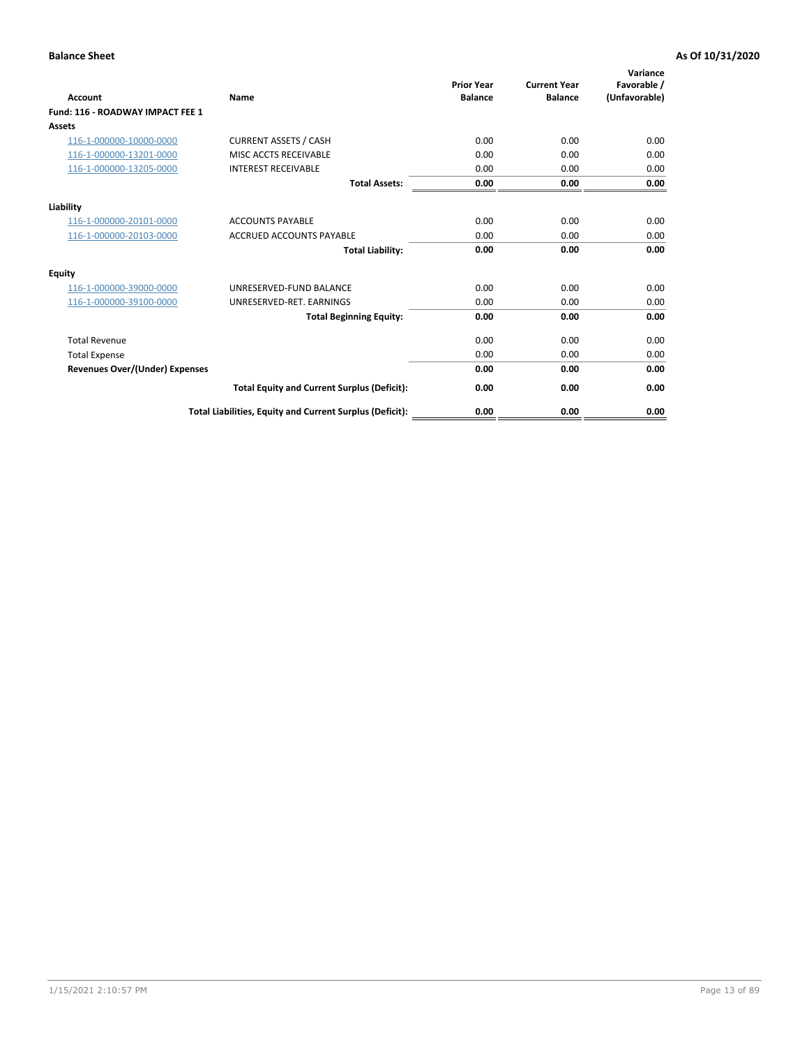| <b>Account</b>                        | <b>Name</b>                                              | <b>Prior Year</b><br><b>Balance</b> | <b>Current Year</b><br><b>Balance</b> | Variance<br>Favorable /<br>(Unfavorable) |
|---------------------------------------|----------------------------------------------------------|-------------------------------------|---------------------------------------|------------------------------------------|
| Fund: 116 - ROADWAY IMPACT FEE 1      |                                                          |                                     |                                       |                                          |
| Assets                                |                                                          |                                     |                                       |                                          |
| 116-1-000000-10000-0000               | <b>CURRENT ASSETS / CASH</b>                             | 0.00                                | 0.00                                  | 0.00                                     |
| 116-1-000000-13201-0000               | <b>MISC ACCTS RECEIVABLE</b>                             | 0.00                                | 0.00                                  | 0.00                                     |
| 116-1-000000-13205-0000               | <b>INTEREST RECEIVABLE</b>                               | 0.00                                | 0.00                                  | 0.00                                     |
|                                       | <b>Total Assets:</b>                                     | 0.00                                | 0.00                                  | 0.00                                     |
| Liability                             |                                                          |                                     |                                       |                                          |
| 116-1-000000-20101-0000               | <b>ACCOUNTS PAYABLE</b>                                  | 0.00                                | 0.00                                  | 0.00                                     |
| 116-1-000000-20103-0000               | <b>ACCRUED ACCOUNTS PAYABLE</b>                          | 0.00                                | 0.00                                  | 0.00                                     |
|                                       | <b>Total Liability:</b>                                  | 0.00                                | 0.00                                  | 0.00                                     |
| Equity                                |                                                          |                                     |                                       |                                          |
| 116-1-000000-39000-0000               | UNRESERVED-FUND BALANCE                                  | 0.00                                | 0.00                                  | 0.00                                     |
| 116-1-000000-39100-0000               | UNRESERVED-RET, EARNINGS                                 | 0.00                                | 0.00                                  | 0.00                                     |
|                                       | <b>Total Beginning Equity:</b>                           | 0.00                                | 0.00                                  | 0.00                                     |
| <b>Total Revenue</b>                  |                                                          | 0.00                                | 0.00                                  | 0.00                                     |
| <b>Total Expense</b>                  |                                                          | 0.00                                | 0.00                                  | 0.00                                     |
| <b>Revenues Over/(Under) Expenses</b> |                                                          | 0.00                                | 0.00                                  | 0.00                                     |
|                                       | <b>Total Equity and Current Surplus (Deficit):</b>       | 0.00                                | 0.00                                  | 0.00                                     |
|                                       | Total Liabilities, Equity and Current Surplus (Deficit): | 0.00                                | 0.00                                  | 0.00                                     |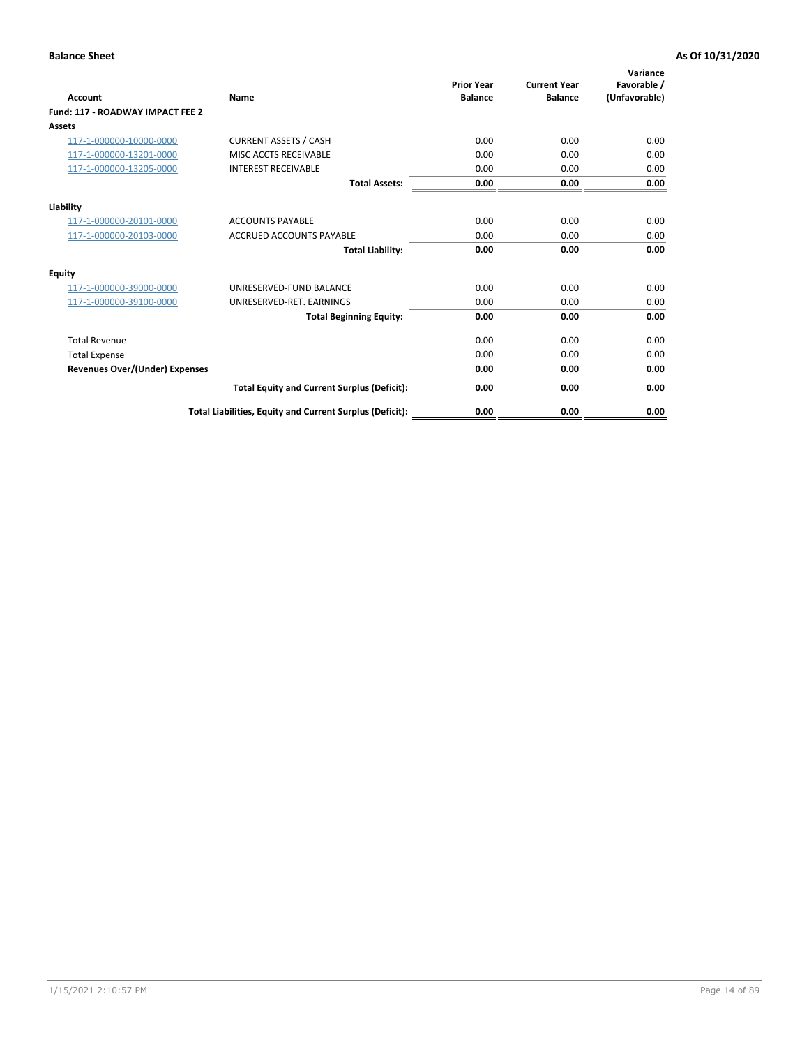| <b>Account</b>                        | <b>Name</b>                                              | <b>Prior Year</b><br><b>Balance</b> | <b>Current Year</b><br><b>Balance</b> | Variance<br>Favorable /<br>(Unfavorable) |
|---------------------------------------|----------------------------------------------------------|-------------------------------------|---------------------------------------|------------------------------------------|
| Fund: 117 - ROADWAY IMPACT FEE 2      |                                                          |                                     |                                       |                                          |
| Assets                                |                                                          |                                     |                                       |                                          |
| 117-1-000000-10000-0000               | <b>CURRENT ASSETS / CASH</b>                             | 0.00                                | 0.00                                  | 0.00                                     |
| 117-1-000000-13201-0000               | <b>MISC ACCTS RECEIVABLE</b>                             | 0.00                                | 0.00                                  | 0.00                                     |
| 117-1-000000-13205-0000               | <b>INTEREST RECEIVABLE</b>                               | 0.00                                | 0.00                                  | 0.00                                     |
|                                       | <b>Total Assets:</b>                                     | 0.00                                | 0.00                                  | 0.00                                     |
| Liability                             |                                                          |                                     |                                       |                                          |
| 117-1-000000-20101-0000               | <b>ACCOUNTS PAYABLE</b>                                  | 0.00                                | 0.00                                  | 0.00                                     |
| 117-1-000000-20103-0000               | <b>ACCRUED ACCOUNTS PAYABLE</b>                          | 0.00                                | 0.00                                  | 0.00                                     |
|                                       | <b>Total Liability:</b>                                  | 0.00                                | 0.00                                  | 0.00                                     |
| Equity                                |                                                          |                                     |                                       |                                          |
| 117-1-000000-39000-0000               | UNRESERVED-FUND BALANCE                                  | 0.00                                | 0.00                                  | 0.00                                     |
| 117-1-000000-39100-0000               | UNRESERVED-RET, EARNINGS                                 | 0.00                                | 0.00                                  | 0.00                                     |
|                                       | <b>Total Beginning Equity:</b>                           | 0.00                                | 0.00                                  | 0.00                                     |
| <b>Total Revenue</b>                  |                                                          | 0.00                                | 0.00                                  | 0.00                                     |
| <b>Total Expense</b>                  |                                                          | 0.00                                | 0.00                                  | 0.00                                     |
| <b>Revenues Over/(Under) Expenses</b> |                                                          | 0.00                                | 0.00                                  | 0.00                                     |
|                                       | <b>Total Equity and Current Surplus (Deficit):</b>       | 0.00                                | 0.00                                  | 0.00                                     |
|                                       | Total Liabilities, Equity and Current Surplus (Deficit): | 0.00                                | 0.00                                  | 0.00                                     |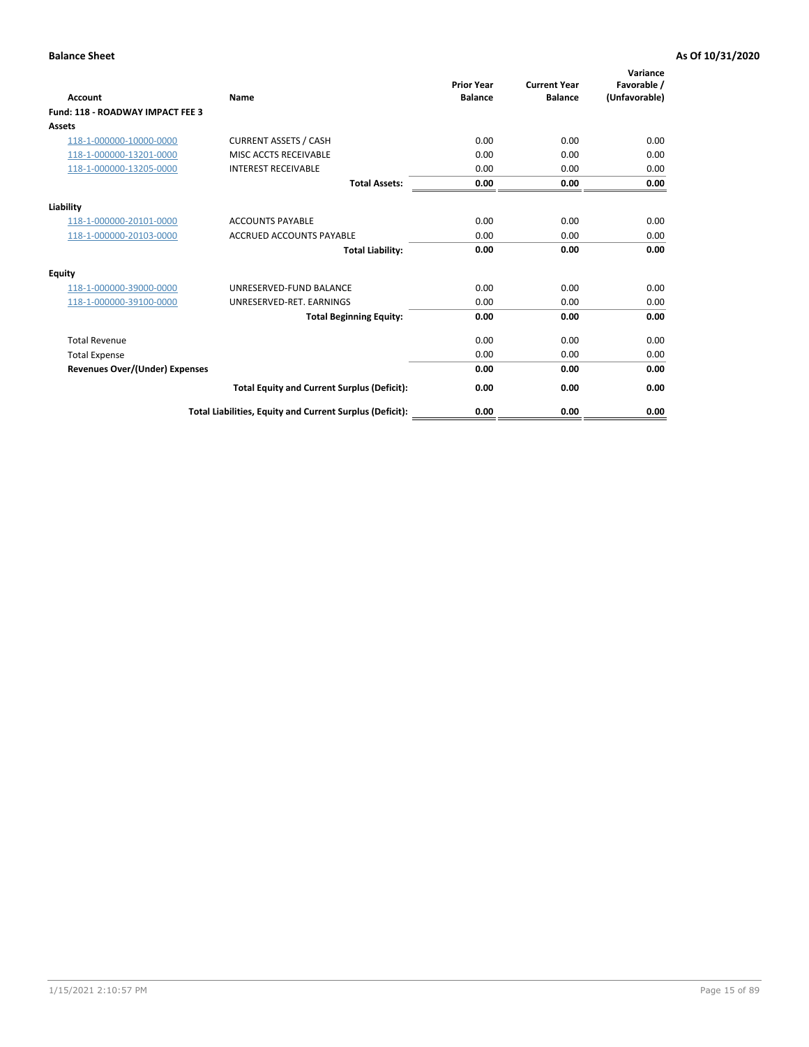| <b>Account</b>                        | <b>Name</b>                                              | <b>Prior Year</b><br><b>Balance</b> | <b>Current Year</b><br><b>Balance</b> | Variance<br>Favorable /<br>(Unfavorable) |
|---------------------------------------|----------------------------------------------------------|-------------------------------------|---------------------------------------|------------------------------------------|
| Fund: 118 - ROADWAY IMPACT FEE 3      |                                                          |                                     |                                       |                                          |
| <b>Assets</b>                         |                                                          |                                     |                                       |                                          |
| 118-1-000000-10000-0000               | <b>CURRENT ASSETS / CASH</b>                             | 0.00                                | 0.00                                  | 0.00                                     |
| 118-1-000000-13201-0000               | MISC ACCTS RECEIVABLE                                    | 0.00                                | 0.00                                  | 0.00                                     |
| 118-1-000000-13205-0000               | <b>INTEREST RECEIVABLE</b>                               | 0.00                                | 0.00                                  | 0.00                                     |
|                                       | <b>Total Assets:</b>                                     | 0.00                                | 0.00                                  | 0.00                                     |
| Liability                             |                                                          |                                     |                                       |                                          |
| 118-1-000000-20101-0000               | <b>ACCOUNTS PAYABLE</b>                                  | 0.00                                | 0.00                                  | 0.00                                     |
| 118-1-000000-20103-0000               | <b>ACCRUED ACCOUNTS PAYABLE</b>                          | 0.00                                | 0.00                                  | 0.00                                     |
|                                       | <b>Total Liability:</b>                                  | 0.00                                | 0.00                                  | 0.00                                     |
| Equity                                |                                                          |                                     |                                       |                                          |
| 118-1-000000-39000-0000               | UNRESERVED-FUND BALANCE                                  | 0.00                                | 0.00                                  | 0.00                                     |
| 118-1-000000-39100-0000               | UNRESERVED-RET. EARNINGS                                 | 0.00                                | 0.00                                  | 0.00                                     |
|                                       | <b>Total Beginning Equity:</b>                           | 0.00                                | 0.00                                  | 0.00                                     |
| <b>Total Revenue</b>                  |                                                          | 0.00                                | 0.00                                  | 0.00                                     |
| <b>Total Expense</b>                  |                                                          | 0.00                                | 0.00                                  | 0.00                                     |
| <b>Revenues Over/(Under) Expenses</b> |                                                          | 0.00                                | 0.00                                  | 0.00                                     |
|                                       | <b>Total Equity and Current Surplus (Deficit):</b>       | 0.00                                | 0.00                                  | 0.00                                     |
|                                       | Total Liabilities, Equity and Current Surplus (Deficit): | 0.00                                | 0.00                                  | 0.00                                     |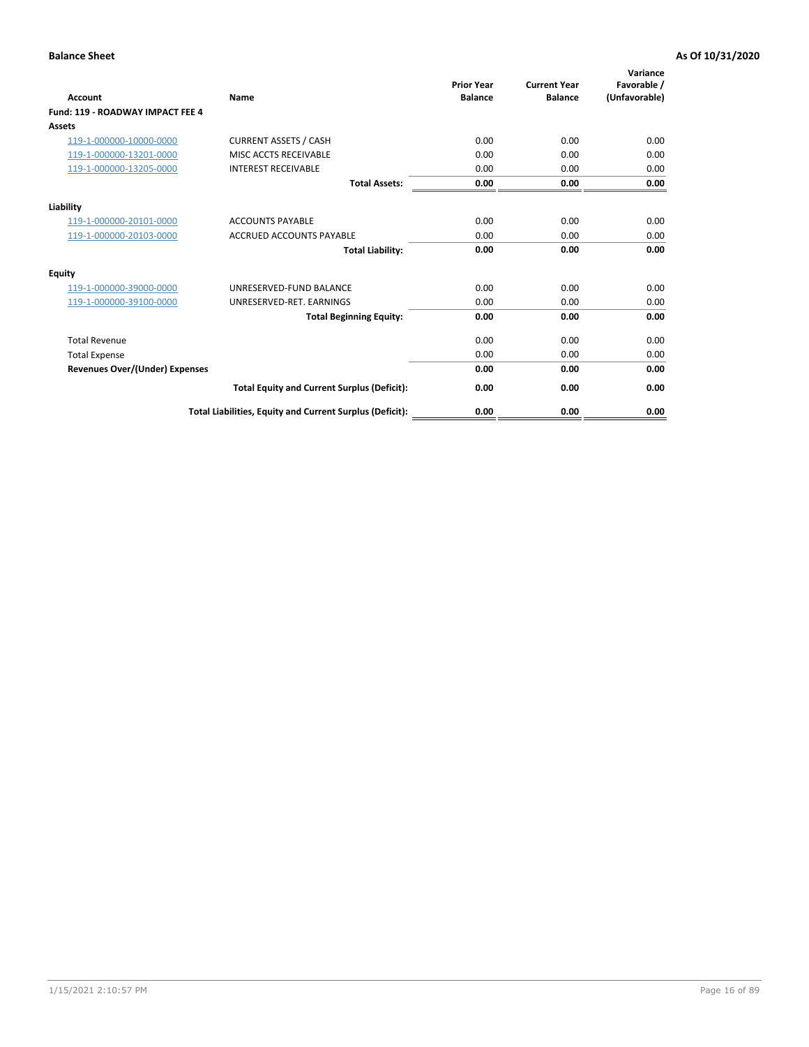| <b>Account</b>                        | <b>Name</b>                                              | <b>Prior Year</b><br><b>Balance</b> | <b>Current Year</b><br><b>Balance</b> | Variance<br>Favorable /<br>(Unfavorable) |
|---------------------------------------|----------------------------------------------------------|-------------------------------------|---------------------------------------|------------------------------------------|
| Fund: 119 - ROADWAY IMPACT FEE 4      |                                                          |                                     |                                       |                                          |
| Assets                                |                                                          |                                     |                                       |                                          |
| 119-1-000000-10000-0000               | <b>CURRENT ASSETS / CASH</b>                             | 0.00                                | 0.00                                  | 0.00                                     |
| 119-1-000000-13201-0000               | MISC ACCTS RECEIVABLE                                    | 0.00                                | 0.00                                  | 0.00                                     |
| 119-1-000000-13205-0000               | <b>INTEREST RECEIVABLE</b>                               | 0.00                                | 0.00                                  | 0.00                                     |
|                                       | <b>Total Assets:</b>                                     | 0.00                                | 0.00                                  | 0.00                                     |
| Liability                             |                                                          |                                     |                                       |                                          |
| 119-1-000000-20101-0000               | <b>ACCOUNTS PAYABLE</b>                                  | 0.00                                | 0.00                                  | 0.00                                     |
| 119-1-000000-20103-0000               | <b>ACCRUED ACCOUNTS PAYABLE</b>                          | 0.00                                | 0.00                                  | 0.00                                     |
|                                       | <b>Total Liability:</b>                                  | 0.00                                | 0.00                                  | 0.00                                     |
| Equity                                |                                                          |                                     |                                       |                                          |
| 119-1-000000-39000-0000               | UNRESERVED-FUND BALANCE                                  | 0.00                                | 0.00                                  | 0.00                                     |
| 119-1-000000-39100-0000               | UNRESERVED-RET. EARNINGS                                 | 0.00                                | 0.00                                  | 0.00                                     |
|                                       | <b>Total Beginning Equity:</b>                           | 0.00                                | 0.00                                  | 0.00                                     |
| <b>Total Revenue</b>                  |                                                          | 0.00                                | 0.00                                  | 0.00                                     |
| <b>Total Expense</b>                  |                                                          | 0.00                                | 0.00                                  | 0.00                                     |
| <b>Revenues Over/(Under) Expenses</b> |                                                          | 0.00                                | 0.00                                  | 0.00                                     |
|                                       | <b>Total Equity and Current Surplus (Deficit):</b>       | 0.00                                | 0.00                                  | 0.00                                     |
|                                       | Total Liabilities, Equity and Current Surplus (Deficit): | 0.00                                | 0.00                                  | 0.00                                     |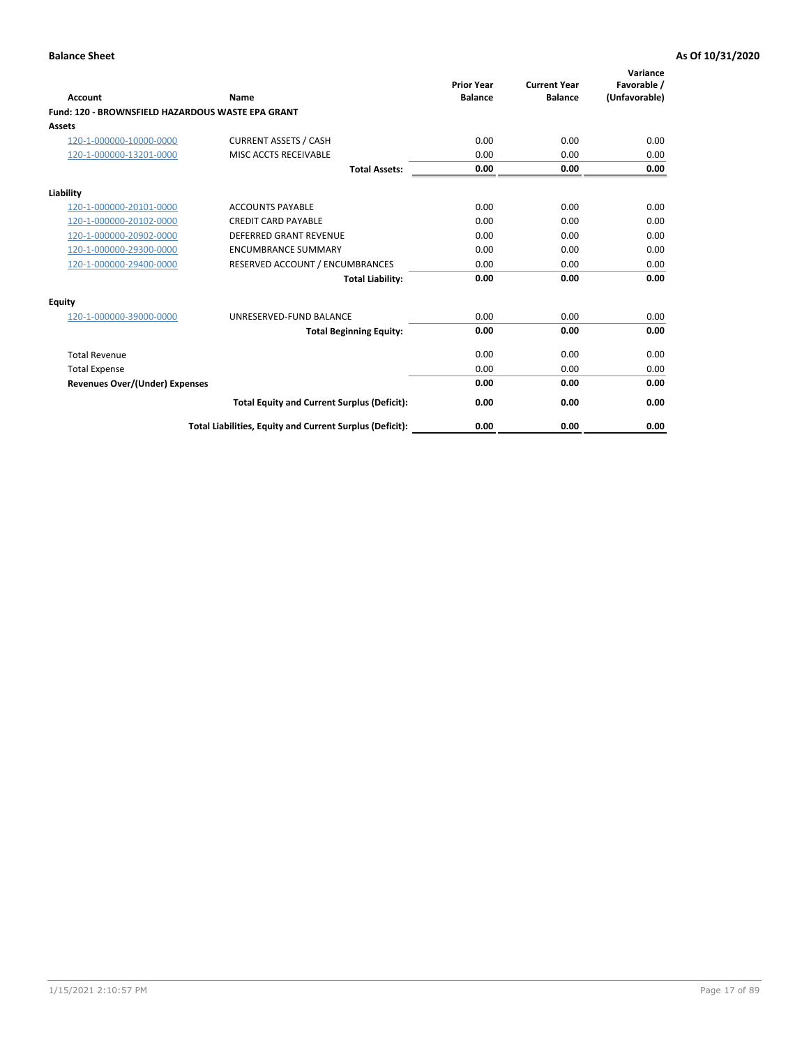|                                                   |                                                          | <b>Prior Year</b> | <b>Current Year</b> | Variance<br>Favorable / |
|---------------------------------------------------|----------------------------------------------------------|-------------------|---------------------|-------------------------|
| <b>Account</b>                                    | <b>Name</b>                                              | <b>Balance</b>    | <b>Balance</b>      | (Unfavorable)           |
| Fund: 120 - BROWNSFIELD HAZARDOUS WASTE EPA GRANT |                                                          |                   |                     |                         |
| <b>Assets</b>                                     |                                                          |                   |                     |                         |
| 120-1-000000-10000-0000                           | <b>CURRENT ASSETS / CASH</b>                             | 0.00              | 0.00                | 0.00                    |
| 120-1-000000-13201-0000                           | MISC ACCTS RECEIVABLE                                    | 0.00              | 0.00                | 0.00                    |
|                                                   | <b>Total Assets:</b>                                     | 0.00              | 0.00                | 0.00                    |
| Liability                                         |                                                          |                   |                     |                         |
| 120-1-000000-20101-0000                           | <b>ACCOUNTS PAYABLE</b>                                  | 0.00              | 0.00                | 0.00                    |
| 120-1-000000-20102-0000                           | <b>CREDIT CARD PAYABLE</b>                               | 0.00              | 0.00                | 0.00                    |
| 120-1-000000-20902-0000                           | <b>DEFERRED GRANT REVENUE</b>                            | 0.00              | 0.00                | 0.00                    |
| 120-1-000000-29300-0000                           | <b>ENCUMBRANCE SUMMARY</b>                               | 0.00              | 0.00                | 0.00                    |
| 120-1-000000-29400-0000                           | RESERVED ACCOUNT / ENCUMBRANCES                          | 0.00              | 0.00                | 0.00                    |
|                                                   | <b>Total Liability:</b>                                  | 0.00              | 0.00                | 0.00                    |
| Equity                                            |                                                          |                   |                     |                         |
| 120-1-000000-39000-0000                           | UNRESERVED-FUND BALANCE                                  | 0.00              | 0.00                | 0.00                    |
|                                                   | <b>Total Beginning Equity:</b>                           | 0.00              | 0.00                | 0.00                    |
| <b>Total Revenue</b>                              |                                                          | 0.00              | 0.00                | 0.00                    |
| <b>Total Expense</b>                              |                                                          | 0.00              | 0.00                | 0.00                    |
| <b>Revenues Over/(Under) Expenses</b>             |                                                          | 0.00              | 0.00                | 0.00                    |
|                                                   | <b>Total Equity and Current Surplus (Deficit):</b>       | 0.00              | 0.00                | 0.00                    |
|                                                   | Total Liabilities, Equity and Current Surplus (Deficit): | 0.00              | 0.00                | 0.00                    |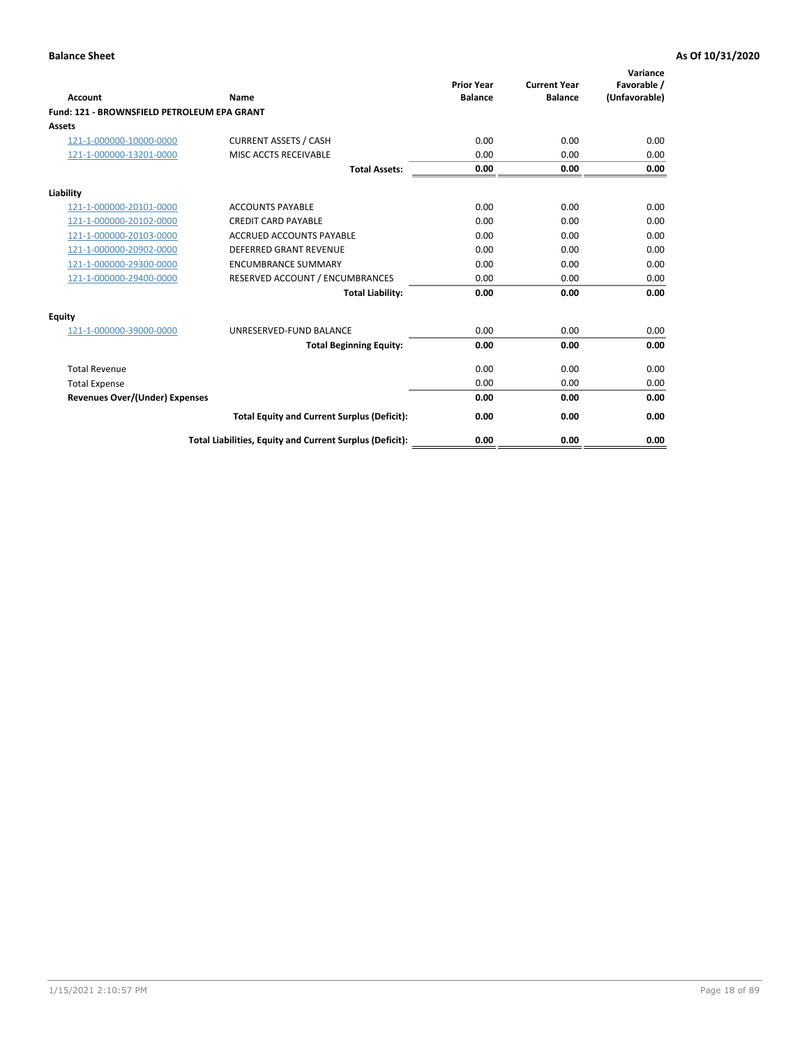| Account                                     | Name                                                     | <b>Prior Year</b><br><b>Balance</b> | <b>Current Year</b><br><b>Balance</b> | Variance<br>Favorable /<br>(Unfavorable) |
|---------------------------------------------|----------------------------------------------------------|-------------------------------------|---------------------------------------|------------------------------------------|
| Fund: 121 - BROWNSFIELD PETROLEUM EPA GRANT |                                                          |                                     |                                       |                                          |
| <b>Assets</b>                               |                                                          |                                     |                                       |                                          |
| 121-1-000000-10000-0000                     | <b>CURRENT ASSETS / CASH</b>                             | 0.00                                | 0.00                                  | 0.00                                     |
| 121-1-000000-13201-0000                     | <b>MISC ACCTS RECEIVABLE</b>                             | 0.00                                | 0.00                                  | 0.00                                     |
|                                             | <b>Total Assets:</b>                                     | 0.00                                | 0.00                                  | 0.00                                     |
| Liability                                   |                                                          |                                     |                                       |                                          |
| 121-1-000000-20101-0000                     | <b>ACCOUNTS PAYABLE</b>                                  | 0.00                                | 0.00                                  | 0.00                                     |
| 121-1-000000-20102-0000                     | <b>CREDIT CARD PAYABLE</b>                               | 0.00                                | 0.00                                  | 0.00                                     |
| 121-1-000000-20103-0000                     | <b>ACCRUED ACCOUNTS PAYABLE</b>                          | 0.00                                | 0.00                                  | 0.00                                     |
| 121-1-000000-20902-0000                     | <b>DEFERRED GRANT REVENUE</b>                            | 0.00                                | 0.00                                  | 0.00                                     |
| 121-1-000000-29300-0000                     | <b>ENCUMBRANCE SUMMARY</b>                               | 0.00                                | 0.00                                  | 0.00                                     |
| 121-1-000000-29400-0000                     | RESERVED ACCOUNT / ENCUMBRANCES                          | 0.00                                | 0.00                                  | 0.00                                     |
|                                             | <b>Total Liability:</b>                                  | 0.00                                | 0.00                                  | 0.00                                     |
| <b>Equity</b>                               |                                                          |                                     |                                       |                                          |
| 121-1-000000-39000-0000                     | UNRESERVED-FUND BALANCE                                  | 0.00                                | 0.00                                  | 0.00                                     |
|                                             | <b>Total Beginning Equity:</b>                           | 0.00                                | 0.00                                  | 0.00                                     |
| <b>Total Revenue</b>                        |                                                          | 0.00                                | 0.00                                  | 0.00                                     |
| <b>Total Expense</b>                        |                                                          | 0.00                                | 0.00                                  | 0.00                                     |
| <b>Revenues Over/(Under) Expenses</b>       |                                                          | 0.00                                | 0.00                                  | 0.00                                     |
|                                             | <b>Total Equity and Current Surplus (Deficit):</b>       | 0.00                                | 0.00                                  | 0.00                                     |
|                                             | Total Liabilities, Equity and Current Surplus (Deficit): | 0.00                                | 0.00                                  | 0.00                                     |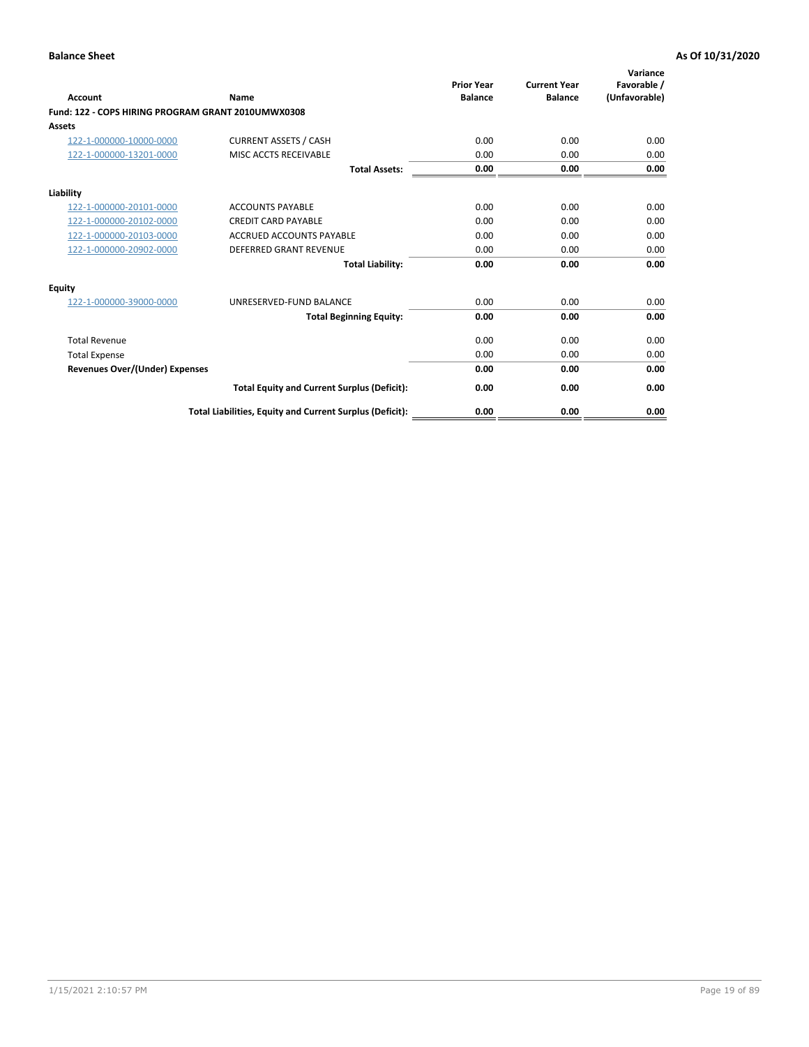| <b>Account</b>                                     | Name                                                     | <b>Prior Year</b><br><b>Balance</b> | <b>Current Year</b><br><b>Balance</b> | Variance<br>Favorable /<br>(Unfavorable) |
|----------------------------------------------------|----------------------------------------------------------|-------------------------------------|---------------------------------------|------------------------------------------|
| Fund: 122 - COPS HIRING PROGRAM GRANT 2010UMWX0308 |                                                          |                                     |                                       |                                          |
| Assets                                             |                                                          |                                     |                                       |                                          |
| 122-1-000000-10000-0000                            | <b>CURRENT ASSETS / CASH</b>                             | 0.00                                | 0.00                                  | 0.00                                     |
| 122-1-000000-13201-0000                            | MISC ACCTS RECEIVABLE                                    | 0.00                                | 0.00                                  | 0.00                                     |
|                                                    | <b>Total Assets:</b>                                     | 0.00                                | 0.00                                  | 0.00                                     |
| Liability                                          |                                                          |                                     |                                       |                                          |
| 122-1-000000-20101-0000                            | <b>ACCOUNTS PAYABLE</b>                                  | 0.00                                | 0.00                                  | 0.00                                     |
| 122-1-000000-20102-0000                            | <b>CREDIT CARD PAYABLE</b>                               | 0.00                                | 0.00                                  | 0.00                                     |
| 122-1-000000-20103-0000                            | <b>ACCRUED ACCOUNTS PAYABLE</b>                          | 0.00                                | 0.00                                  | 0.00                                     |
| 122-1-000000-20902-0000                            | <b>DEFERRED GRANT REVENUE</b>                            | 0.00                                | 0.00                                  | 0.00                                     |
|                                                    | <b>Total Liability:</b>                                  | 0.00                                | 0.00                                  | 0.00                                     |
| Equity                                             |                                                          |                                     |                                       |                                          |
| 122-1-000000-39000-0000                            | UNRESERVED-FUND BALANCE                                  | 0.00                                | 0.00                                  | 0.00                                     |
|                                                    | <b>Total Beginning Equity:</b>                           | 0.00                                | 0.00                                  | 0.00                                     |
| <b>Total Revenue</b>                               |                                                          | 0.00                                | 0.00                                  | 0.00                                     |
| <b>Total Expense</b>                               |                                                          | 0.00                                | 0.00                                  | 0.00                                     |
| <b>Revenues Over/(Under) Expenses</b>              |                                                          | 0.00                                | 0.00                                  | 0.00                                     |
|                                                    | <b>Total Equity and Current Surplus (Deficit):</b>       | 0.00                                | 0.00                                  | 0.00                                     |
|                                                    | Total Liabilities, Equity and Current Surplus (Deficit): | 0.00                                | 0.00                                  | 0.00                                     |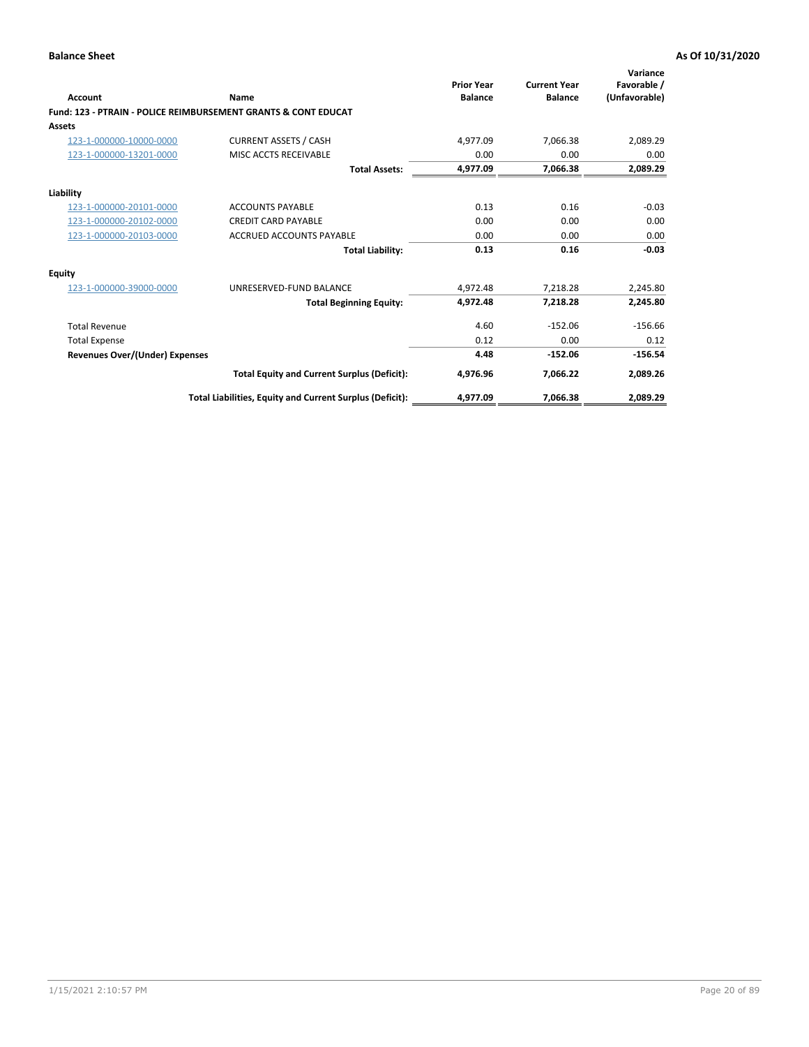| Account                        | Name                                                           | <b>Prior Year</b><br><b>Balance</b> | <b>Current Year</b><br><b>Balance</b> | Variance<br>Favorable /<br>(Unfavorable) |
|--------------------------------|----------------------------------------------------------------|-------------------------------------|---------------------------------------|------------------------------------------|
|                                | Fund: 123 - PTRAIN - POLICE REIMBURSEMENT GRANTS & CONT EDUCAT |                                     |                                       |                                          |
| Assets                         |                                                                |                                     |                                       |                                          |
| 123-1-000000-10000-0000        | <b>CURRENT ASSETS / CASH</b>                                   | 4,977.09                            | 7,066.38                              | 2,089.29                                 |
| 123-1-000000-13201-0000        | MISC ACCTS RECEIVABLE                                          | 0.00                                | 0.00                                  | 0.00                                     |
|                                | <b>Total Assets:</b>                                           | 4.977.09                            | 7,066.38                              | 2,089.29                                 |
| Liability                      |                                                                |                                     |                                       |                                          |
| 123-1-000000-20101-0000        | <b>ACCOUNTS PAYABLE</b>                                        | 0.13                                | 0.16                                  | $-0.03$                                  |
| 123-1-000000-20102-0000        | <b>CREDIT CARD PAYABLE</b>                                     | 0.00                                | 0.00                                  | 0.00                                     |
| 123-1-000000-20103-0000        | ACCRUED ACCOUNTS PAYABLE                                       | 0.00                                | 0.00                                  | 0.00                                     |
|                                | <b>Total Liability:</b>                                        | 0.13                                | 0.16                                  | $-0.03$                                  |
| Equity                         |                                                                |                                     |                                       |                                          |
| 123-1-000000-39000-0000        | UNRESERVED-FUND BALANCE                                        | 4,972.48                            | 7,218.28                              | 2,245.80                                 |
|                                | <b>Total Beginning Equity:</b>                                 | 4,972.48                            | 7,218.28                              | 2,245.80                                 |
| <b>Total Revenue</b>           |                                                                | 4.60                                | $-152.06$                             | $-156.66$                                |
| <b>Total Expense</b>           |                                                                | 0.12                                | 0.00                                  | 0.12                                     |
| Revenues Over/(Under) Expenses |                                                                | 4.48                                | $-152.06$                             | $-156.54$                                |
|                                | <b>Total Equity and Current Surplus (Deficit):</b>             | 4,976.96                            | 7.066.22                              | 2,089.26                                 |
|                                | Total Liabilities, Equity and Current Surplus (Deficit):       | 4,977.09                            | 7,066.38                              | 2,089.29                                 |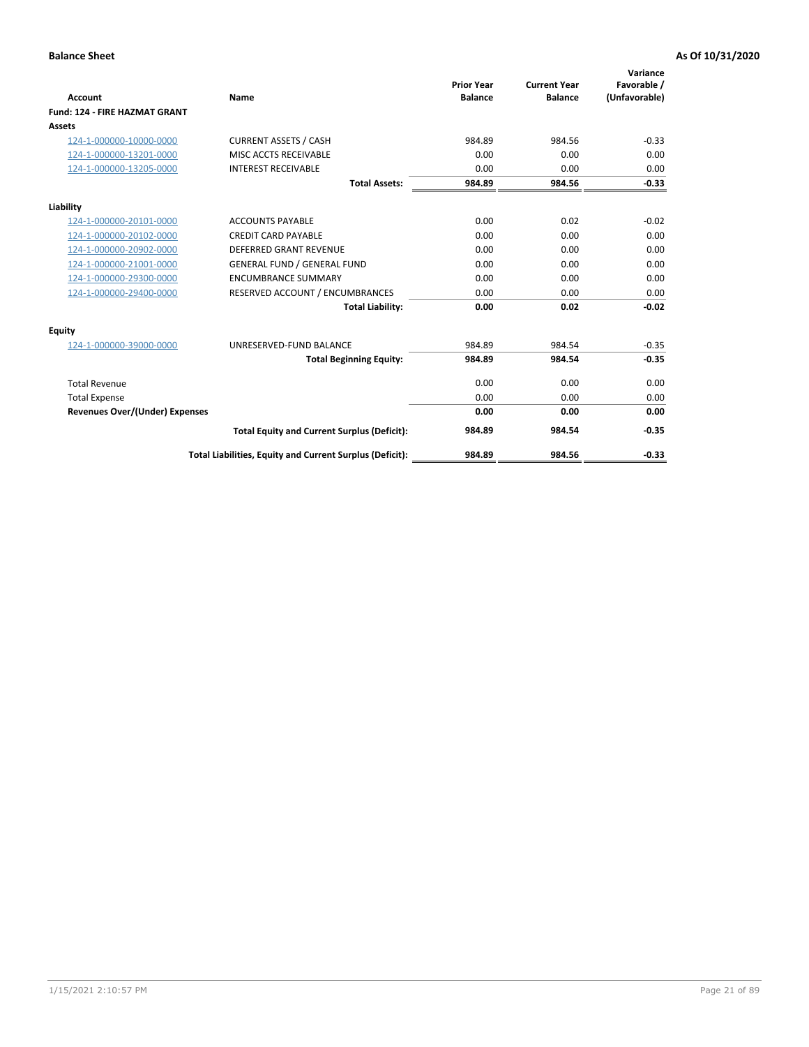|                                      |                                                          |                                     |                                       | Variance                     |
|--------------------------------------|----------------------------------------------------------|-------------------------------------|---------------------------------------|------------------------------|
| <b>Account</b>                       | <b>Name</b>                                              | <b>Prior Year</b><br><b>Balance</b> | <b>Current Year</b><br><b>Balance</b> | Favorable /<br>(Unfavorable) |
| <b>Fund: 124 - FIRE HAZMAT GRANT</b> |                                                          |                                     |                                       |                              |
| <b>Assets</b>                        |                                                          |                                     |                                       |                              |
| 124-1-000000-10000-0000              | <b>CURRENT ASSETS / CASH</b>                             | 984.89                              | 984.56                                | $-0.33$                      |
| 124-1-000000-13201-0000              | MISC ACCTS RECEIVABLE                                    | 0.00                                | 0.00                                  | 0.00                         |
| 124-1-000000-13205-0000              | <b>INTEREST RECEIVABLE</b>                               | 0.00                                | 0.00                                  | 0.00                         |
|                                      | <b>Total Assets:</b>                                     | 984.89                              | 984.56                                | $-0.33$                      |
| Liability                            |                                                          |                                     |                                       |                              |
| 124-1-000000-20101-0000              | <b>ACCOUNTS PAYABLE</b>                                  | 0.00                                | 0.02                                  | $-0.02$                      |
| 124-1-000000-20102-0000              | <b>CREDIT CARD PAYABLE</b>                               | 0.00                                | 0.00                                  | 0.00                         |
| 124-1-000000-20902-0000              | <b>DEFERRED GRANT REVENUE</b>                            | 0.00                                | 0.00                                  | 0.00                         |
| 124-1-000000-21001-0000              | <b>GENERAL FUND / GENERAL FUND</b>                       | 0.00                                | 0.00                                  | 0.00                         |
| 124-1-000000-29300-0000              | <b>ENCUMBRANCE SUMMARY</b>                               | 0.00                                | 0.00                                  | 0.00                         |
| 124-1-000000-29400-0000              | RESERVED ACCOUNT / ENCUMBRANCES                          | 0.00                                | 0.00                                  | 0.00                         |
|                                      | <b>Total Liability:</b>                                  | 0.00                                | 0.02                                  | $-0.02$                      |
| Equity                               |                                                          |                                     |                                       |                              |
| 124-1-000000-39000-0000              | UNRESERVED-FUND BALANCE                                  | 984.89                              | 984.54                                | $-0.35$                      |
|                                      | <b>Total Beginning Equity:</b>                           | 984.89                              | 984.54                                | $-0.35$                      |
| <b>Total Revenue</b>                 |                                                          | 0.00                                | 0.00                                  | 0.00                         |
| <b>Total Expense</b>                 |                                                          | 0.00                                | 0.00                                  | 0.00                         |
| Revenues Over/(Under) Expenses       |                                                          | 0.00                                | 0.00                                  | 0.00                         |
|                                      | <b>Total Equity and Current Surplus (Deficit):</b>       | 984.89                              | 984.54                                | $-0.35$                      |
|                                      | Total Liabilities, Equity and Current Surplus (Deficit): | 984.89                              | 984.56                                | $-0.33$                      |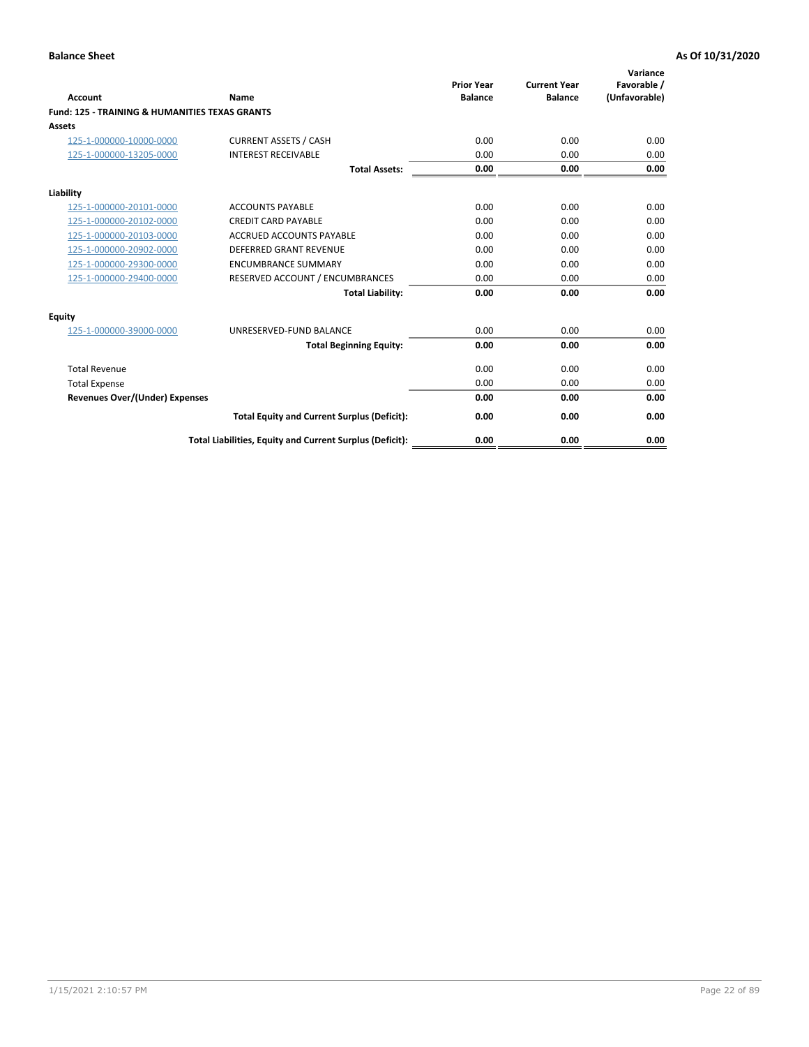| Account                                                   | Name                                                     | <b>Prior Year</b><br><b>Balance</b> | <b>Current Year</b><br><b>Balance</b> | Variance<br>Favorable /<br>(Unfavorable) |
|-----------------------------------------------------------|----------------------------------------------------------|-------------------------------------|---------------------------------------|------------------------------------------|
| <b>Fund: 125 - TRAINING &amp; HUMANITIES TEXAS GRANTS</b> |                                                          |                                     |                                       |                                          |
| <b>Assets</b>                                             |                                                          |                                     |                                       |                                          |
| 125-1-000000-10000-0000                                   | <b>CURRENT ASSETS / CASH</b>                             | 0.00                                | 0.00                                  | 0.00                                     |
| 125-1-000000-13205-0000                                   | <b>INTEREST RECEIVABLE</b>                               | 0.00                                | 0.00                                  | 0.00                                     |
|                                                           | <b>Total Assets:</b>                                     | 0.00                                | 0.00                                  | 0.00                                     |
| Liability                                                 |                                                          |                                     |                                       |                                          |
| 125-1-000000-20101-0000                                   | <b>ACCOUNTS PAYABLE</b>                                  | 0.00                                | 0.00                                  | 0.00                                     |
| 125-1-000000-20102-0000                                   | <b>CREDIT CARD PAYABLE</b>                               | 0.00                                | 0.00                                  | 0.00                                     |
| 125-1-000000-20103-0000                                   | <b>ACCRUED ACCOUNTS PAYABLE</b>                          | 0.00                                | 0.00                                  | 0.00                                     |
| 125-1-000000-20902-0000                                   | <b>DEFERRED GRANT REVENUE</b>                            | 0.00                                | 0.00                                  | 0.00                                     |
| 125-1-000000-29300-0000                                   | <b>ENCUMBRANCE SUMMARY</b>                               | 0.00                                | 0.00                                  | 0.00                                     |
| 125-1-000000-29400-0000                                   | RESERVED ACCOUNT / ENCUMBRANCES                          | 0.00                                | 0.00                                  | 0.00                                     |
|                                                           | <b>Total Liability:</b>                                  | 0.00                                | 0.00                                  | 0.00                                     |
| <b>Equity</b>                                             |                                                          |                                     |                                       |                                          |
| 125-1-000000-39000-0000                                   | UNRESERVED-FUND BALANCE                                  | 0.00                                | 0.00                                  | 0.00                                     |
|                                                           | <b>Total Beginning Equity:</b>                           | 0.00                                | 0.00                                  | 0.00                                     |
| <b>Total Revenue</b>                                      |                                                          | 0.00                                | 0.00                                  | 0.00                                     |
| <b>Total Expense</b>                                      |                                                          | 0.00                                | 0.00                                  | 0.00                                     |
| <b>Revenues Over/(Under) Expenses</b>                     |                                                          | 0.00                                | 0.00                                  | 0.00                                     |
|                                                           | <b>Total Equity and Current Surplus (Deficit):</b>       | 0.00                                | 0.00                                  | 0.00                                     |
|                                                           | Total Liabilities, Equity and Current Surplus (Deficit): | 0.00                                | 0.00                                  | 0.00                                     |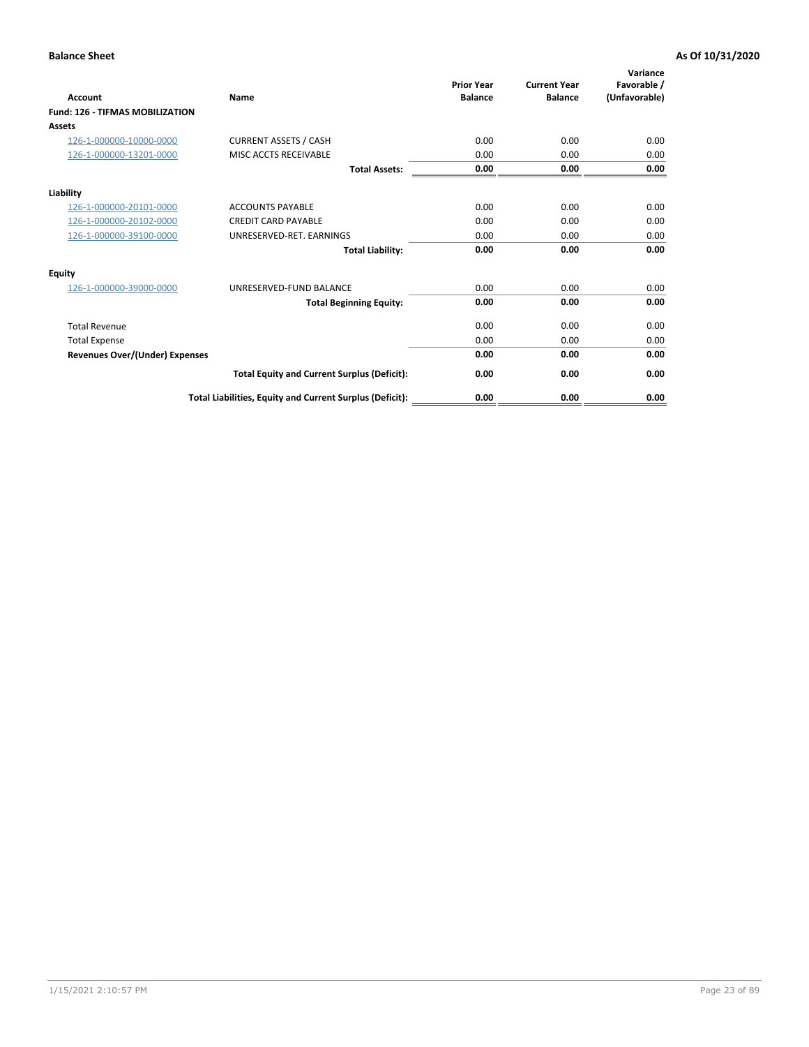| Account                                | Name                                                     | <b>Prior Year</b><br><b>Balance</b> | <b>Current Year</b><br><b>Balance</b> | Variance<br>Favorable /<br>(Unfavorable) |
|----------------------------------------|----------------------------------------------------------|-------------------------------------|---------------------------------------|------------------------------------------|
| <b>Fund: 126 - TIFMAS MOBILIZATION</b> |                                                          |                                     |                                       |                                          |
| Assets                                 |                                                          |                                     |                                       |                                          |
| 126-1-000000-10000-0000                | <b>CURRENT ASSETS / CASH</b>                             | 0.00                                | 0.00                                  | 0.00                                     |
| 126-1-000000-13201-0000                | MISC ACCTS RECEIVABLE                                    | 0.00                                | 0.00                                  | 0.00                                     |
|                                        | <b>Total Assets:</b>                                     | 0.00                                | 0.00                                  | 0.00                                     |
| Liability                              |                                                          |                                     |                                       |                                          |
| 126-1-000000-20101-0000                | <b>ACCOUNTS PAYABLE</b>                                  | 0.00                                | 0.00                                  | 0.00                                     |
| 126-1-000000-20102-0000                | <b>CREDIT CARD PAYABLE</b>                               | 0.00                                | 0.00                                  | 0.00                                     |
| 126-1-000000-39100-0000                | UNRESERVED-RET. EARNINGS                                 | 0.00                                | 0.00                                  | 0.00                                     |
|                                        | <b>Total Liability:</b>                                  | 0.00                                | 0.00                                  | 0.00                                     |
| Equity                                 |                                                          |                                     |                                       |                                          |
| 126-1-000000-39000-0000                | UNRESERVED-FUND BALANCE                                  | 0.00                                | 0.00                                  | 0.00                                     |
|                                        | <b>Total Beginning Equity:</b>                           | 0.00                                | 0.00                                  | 0.00                                     |
| <b>Total Revenue</b>                   |                                                          | 0.00                                | 0.00                                  | 0.00                                     |
| <b>Total Expense</b>                   |                                                          | 0.00                                | 0.00                                  | 0.00                                     |
| Revenues Over/(Under) Expenses         |                                                          | 0.00                                | 0.00                                  | 0.00                                     |
|                                        | <b>Total Equity and Current Surplus (Deficit):</b>       | 0.00                                | 0.00                                  | 0.00                                     |
|                                        | Total Liabilities, Equity and Current Surplus (Deficit): | 0.00                                | 0.00                                  | 0.00                                     |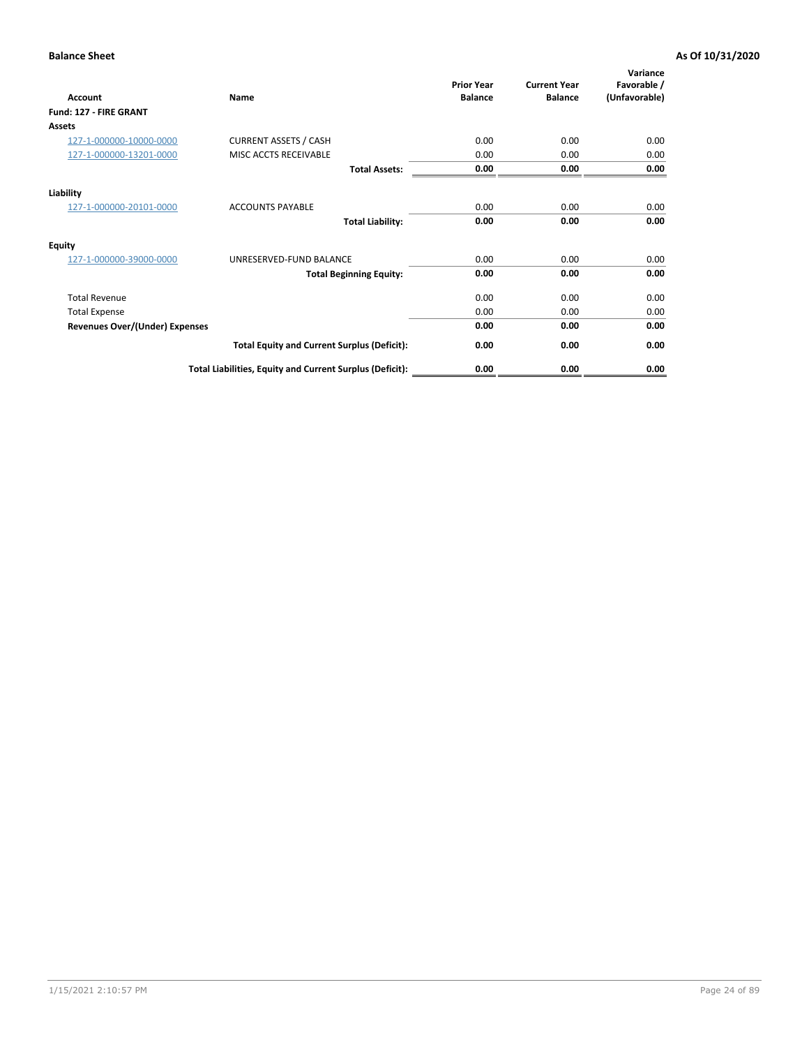| <b>Account</b>                        | Name                                                     | <b>Prior Year</b><br><b>Balance</b> | <b>Current Year</b><br><b>Balance</b> | Variance<br>Favorable /<br>(Unfavorable) |
|---------------------------------------|----------------------------------------------------------|-------------------------------------|---------------------------------------|------------------------------------------|
| Fund: 127 - FIRE GRANT                |                                                          |                                     |                                       |                                          |
| Assets                                |                                                          |                                     |                                       |                                          |
| 127-1-000000-10000-0000               | <b>CURRENT ASSETS / CASH</b>                             | 0.00                                | 0.00                                  | 0.00                                     |
| 127-1-000000-13201-0000               | MISC ACCTS RECEIVABLE                                    | 0.00                                | 0.00                                  | 0.00                                     |
|                                       | <b>Total Assets:</b>                                     | 0.00                                | 0.00                                  | 0.00                                     |
| Liability                             |                                                          |                                     |                                       |                                          |
| 127-1-000000-20101-0000               | <b>ACCOUNTS PAYABLE</b>                                  | 0.00                                | 0.00                                  | 0.00                                     |
|                                       | <b>Total Liability:</b>                                  | 0.00                                | 0.00                                  | 0.00                                     |
| Equity                                |                                                          |                                     |                                       |                                          |
| 127-1-000000-39000-0000               | UNRESERVED-FUND BALANCE                                  | 0.00                                | 0.00                                  | 0.00                                     |
|                                       | <b>Total Beginning Equity:</b>                           | 0.00                                | 0.00                                  | 0.00                                     |
| <b>Total Revenue</b>                  |                                                          | 0.00                                | 0.00                                  | 0.00                                     |
| <b>Total Expense</b>                  |                                                          | 0.00                                | 0.00                                  | 0.00                                     |
| <b>Revenues Over/(Under) Expenses</b> |                                                          | 0.00                                | 0.00                                  | 0.00                                     |
|                                       | <b>Total Equity and Current Surplus (Deficit):</b>       | 0.00                                | 0.00                                  | 0.00                                     |
|                                       | Total Liabilities, Equity and Current Surplus (Deficit): | 0.00                                | 0.00                                  | 0.00                                     |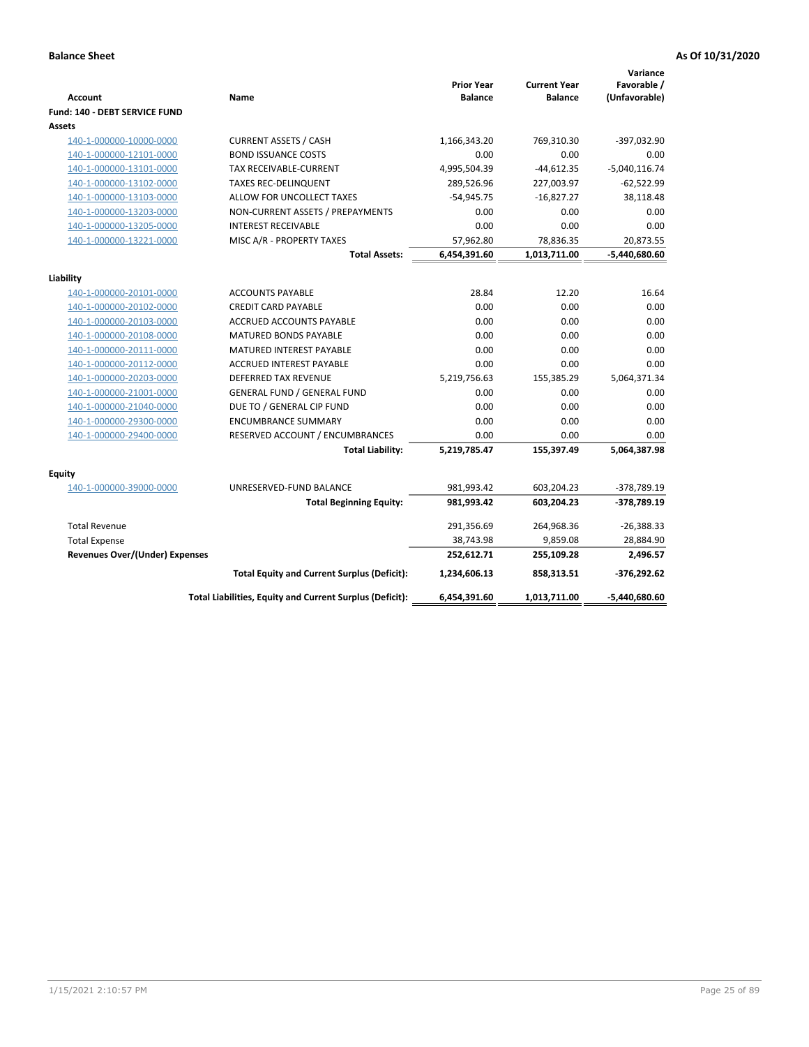| <b>Account</b>                        | Name                                                     | <b>Prior Year</b><br><b>Balance</b> | <b>Current Year</b><br><b>Balance</b> | Variance<br>Favorable /<br>(Unfavorable) |
|---------------------------------------|----------------------------------------------------------|-------------------------------------|---------------------------------------|------------------------------------------|
| Fund: 140 - DEBT SERVICE FUND         |                                                          |                                     |                                       |                                          |
| Assets                                |                                                          |                                     |                                       |                                          |
| 140-1-000000-10000-0000               | <b>CURRENT ASSETS / CASH</b>                             | 1,166,343.20                        | 769,310.30                            | $-397,032.90$                            |
| 140-1-000000-12101-0000               | <b>BOND ISSUANCE COSTS</b>                               | 0.00                                | 0.00                                  | 0.00                                     |
| 140-1-000000-13101-0000               | <b>TAX RECEIVABLE-CURRENT</b>                            | 4,995,504.39                        | $-44,612.35$                          | $-5,040,116.74$                          |
| 140-1-000000-13102-0000               | <b>TAXES REC-DELINQUENT</b>                              | 289,526.96                          | 227,003.97                            | $-62,522.99$                             |
| 140-1-000000-13103-0000               | ALLOW FOR UNCOLLECT TAXES                                | $-54,945.75$                        | $-16,827.27$                          | 38,118.48                                |
| 140-1-000000-13203-0000               | NON-CURRENT ASSETS / PREPAYMENTS                         | 0.00                                | 0.00                                  | 0.00                                     |
| 140-1-000000-13205-0000               | <b>INTEREST RECEIVABLE</b>                               | 0.00                                | 0.00                                  | 0.00                                     |
| 140-1-000000-13221-0000               | MISC A/R - PROPERTY TAXES                                | 57,962.80                           | 78,836.35                             | 20,873.55                                |
|                                       | <b>Total Assets:</b>                                     | 6,454,391.60                        | 1,013,711.00                          | $-5,440,680.60$                          |
| Liability                             |                                                          |                                     |                                       |                                          |
| 140-1-000000-20101-0000               | <b>ACCOUNTS PAYABLE</b>                                  | 28.84                               | 12.20                                 | 16.64                                    |
| 140-1-000000-20102-0000               | <b>CREDIT CARD PAYABLE</b>                               | 0.00                                | 0.00                                  | 0.00                                     |
| 140-1-000000-20103-0000               | ACCRUED ACCOUNTS PAYABLE                                 | 0.00                                | 0.00                                  | 0.00                                     |
| 140-1-000000-20108-0000               | <b>MATURED BONDS PAYABLE</b>                             | 0.00                                | 0.00                                  | 0.00                                     |
| 140-1-000000-20111-0000               | MATURED INTEREST PAYABLE                                 | 0.00                                | 0.00                                  | 0.00                                     |
| 140-1-000000-20112-0000               | <b>ACCRUED INTEREST PAYABLE</b>                          | 0.00                                | 0.00                                  | 0.00                                     |
| 140-1-000000-20203-0000               | <b>DEFERRED TAX REVENUE</b>                              | 5,219,756.63                        | 155,385.29                            | 5,064,371.34                             |
| 140-1-000000-21001-0000               | <b>GENERAL FUND / GENERAL FUND</b>                       | 0.00                                | 0.00                                  | 0.00                                     |
| 140-1-000000-21040-0000               | DUE TO / GENERAL CIP FUND                                | 0.00                                | 0.00                                  | 0.00                                     |
| 140-1-000000-29300-0000               | <b>ENCUMBRANCE SUMMARY</b>                               | 0.00                                | 0.00                                  | 0.00                                     |
| 140-1-000000-29400-0000               | RESERVED ACCOUNT / ENCUMBRANCES                          | 0.00                                | 0.00                                  | 0.00                                     |
|                                       | <b>Total Liability:</b>                                  | 5,219,785.47                        | 155,397.49                            | 5,064,387.98                             |
| Equity                                |                                                          |                                     |                                       |                                          |
| 140-1-000000-39000-0000               | UNRESERVED-FUND BALANCE                                  | 981,993.42                          | 603,204.23                            | -378,789.19                              |
|                                       | <b>Total Beginning Equity:</b>                           | 981,993.42                          | 603,204.23                            | -378,789.19                              |
| <b>Total Revenue</b>                  |                                                          | 291,356.69                          | 264,968.36                            | $-26,388.33$                             |
| <b>Total Expense</b>                  |                                                          | 38,743.98                           | 9,859.08                              | 28,884.90                                |
| <b>Revenues Over/(Under) Expenses</b> |                                                          | 252,612.71                          | 255,109.28                            | 2,496.57                                 |
|                                       | <b>Total Equity and Current Surplus (Deficit):</b>       | 1,234,606.13                        | 858,313.51                            | $-376,292.62$                            |
|                                       | Total Liabilities, Equity and Current Surplus (Deficit): | 6,454,391.60                        | 1,013,711.00                          | -5,440,680.60                            |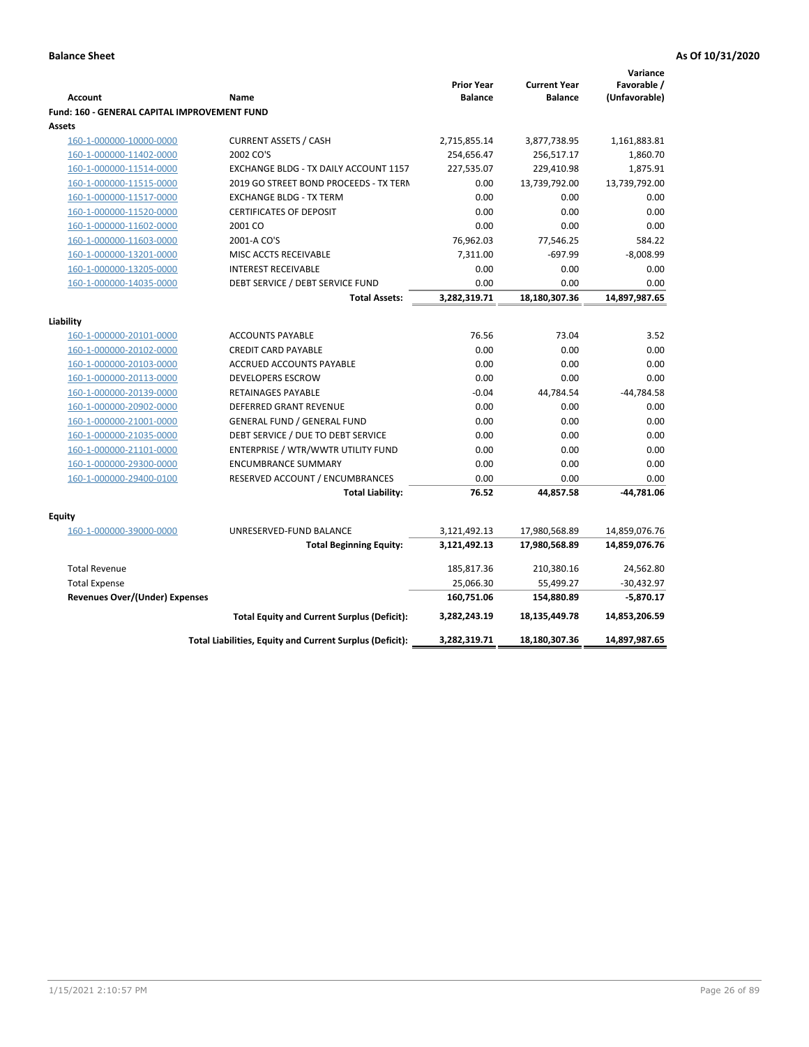|                                                     |                                                          |                   |                     | Variance      |
|-----------------------------------------------------|----------------------------------------------------------|-------------------|---------------------|---------------|
|                                                     |                                                          | <b>Prior Year</b> | <b>Current Year</b> | Favorable /   |
| <b>Account</b>                                      | Name                                                     | <b>Balance</b>    | <b>Balance</b>      | (Unfavorable) |
| <b>Fund: 160 - GENERAL CAPITAL IMPROVEMENT FUND</b> |                                                          |                   |                     |               |
| Assets                                              |                                                          |                   |                     |               |
| 160-1-000000-10000-0000                             | <b>CURRENT ASSETS / CASH</b>                             | 2,715,855.14      | 3,877,738.95        | 1,161,883.81  |
| 160-1-000000-11402-0000                             | 2002 CO'S                                                | 254,656.47        | 256,517.17          | 1,860.70      |
| 160-1-000000-11514-0000                             | EXCHANGE BLDG - TX DAILY ACCOUNT 1157                    | 227,535.07        | 229,410.98          | 1,875.91      |
| 160-1-000000-11515-0000                             | 2019 GO STREET BOND PROCEEDS - TX TERN                   | 0.00              | 13,739,792.00       | 13,739,792.00 |
| 160-1-000000-11517-0000                             | <b>EXCHANGE BLDG - TX TERM</b>                           | 0.00              | 0.00                | 0.00          |
| 160-1-000000-11520-0000                             | <b>CERTIFICATES OF DEPOSIT</b>                           | 0.00              | 0.00                | 0.00          |
| 160-1-000000-11602-0000                             | 2001 CO                                                  | 0.00              | 0.00                | 0.00          |
| 160-1-000000-11603-0000                             | 2001-A CO'S                                              | 76,962.03         | 77,546.25           | 584.22        |
| 160-1-000000-13201-0000                             | MISC ACCTS RECEIVABLE                                    | 7,311.00          | $-697.99$           | $-8,008.99$   |
| 160-1-000000-13205-0000                             | <b>INTEREST RECEIVABLE</b>                               | 0.00              | 0.00                | 0.00          |
| 160-1-000000-14035-0000                             | DEBT SERVICE / DEBT SERVICE FUND                         | 0.00              | 0.00                | 0.00          |
|                                                     | <b>Total Assets:</b>                                     | 3,282,319.71      | 18,180,307.36       | 14,897,987.65 |
| Liability                                           |                                                          |                   |                     |               |
| 160-1-000000-20101-0000                             | <b>ACCOUNTS PAYABLE</b>                                  | 76.56             | 73.04               | 3.52          |
| 160-1-000000-20102-0000                             | <b>CREDIT CARD PAYABLE</b>                               | 0.00              | 0.00                | 0.00          |
| 160-1-000000-20103-0000                             | ACCRUED ACCOUNTS PAYABLE                                 | 0.00              | 0.00                | 0.00          |
| 160-1-000000-20113-0000                             | <b>DEVELOPERS ESCROW</b>                                 | 0.00              | 0.00                | 0.00          |
| 160-1-000000-20139-0000                             | RETAINAGES PAYABLE                                       | $-0.04$           | 44,784.54           | $-44,784.58$  |
| 160-1-000000-20902-0000                             | <b>DEFERRED GRANT REVENUE</b>                            | 0.00              | 0.00                | 0.00          |
| 160-1-000000-21001-0000                             | <b>GENERAL FUND / GENERAL FUND</b>                       | 0.00              | 0.00                | 0.00          |
| 160-1-000000-21035-0000                             | DEBT SERVICE / DUE TO DEBT SERVICE                       | 0.00              | 0.00                | 0.00          |
| 160-1-000000-21101-0000                             | ENTERPRISE / WTR/WWTR UTILITY FUND                       | 0.00              | 0.00                | 0.00          |
| 160-1-000000-29300-0000                             | <b>ENCUMBRANCE SUMMARY</b>                               | 0.00              | 0.00                | 0.00          |
| 160-1-000000-29400-0100                             | RESERVED ACCOUNT / ENCUMBRANCES                          | 0.00              | 0.00                | 0.00          |
|                                                     | <b>Total Liability:</b>                                  | 76.52             | 44,857.58           | -44,781.06    |
|                                                     |                                                          |                   |                     |               |
| <b>Equity</b>                                       |                                                          |                   |                     |               |
| 160-1-000000-39000-0000                             | UNRESERVED-FUND BALANCE                                  | 3,121,492.13      | 17,980,568.89       | 14,859,076.76 |
|                                                     | <b>Total Beginning Equity:</b>                           | 3,121,492.13      | 17,980,568.89       | 14,859,076.76 |
| <b>Total Revenue</b>                                |                                                          | 185,817.36        | 210,380.16          | 24,562.80     |
| <b>Total Expense</b>                                |                                                          | 25,066.30         | 55,499.27           | $-30,432.97$  |
| <b>Revenues Over/(Under) Expenses</b>               |                                                          | 160,751.06        | 154,880.89          | $-5,870.17$   |
|                                                     | <b>Total Equity and Current Surplus (Deficit):</b>       | 3,282,243.19      | 18,135,449.78       | 14,853,206.59 |
|                                                     | Total Liabilities, Equity and Current Surplus (Deficit): | 3,282,319.71      | 18,180,307.36       | 14,897,987.65 |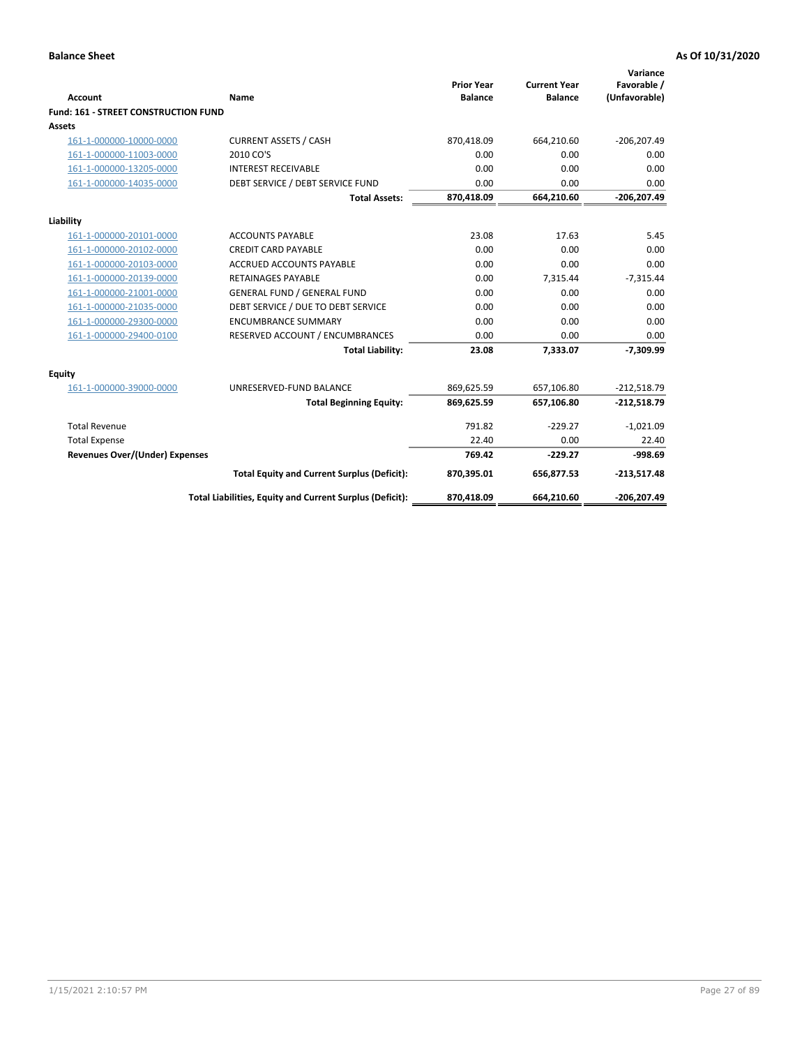| <b>Account</b>                       | <b>Name</b>                                              | <b>Prior Year</b><br><b>Balance</b> | <b>Current Year</b><br><b>Balance</b> | Variance<br>Favorable /<br>(Unfavorable) |
|--------------------------------------|----------------------------------------------------------|-------------------------------------|---------------------------------------|------------------------------------------|
| Fund: 161 - STREET CONSTRUCTION FUND |                                                          |                                     |                                       |                                          |
| <b>Assets</b>                        |                                                          |                                     |                                       |                                          |
| 161-1-000000-10000-0000              | <b>CURRENT ASSETS / CASH</b>                             | 870,418.09                          | 664,210.60                            | $-206, 207.49$                           |
| 161-1-000000-11003-0000              | 2010 CO'S                                                | 0.00                                | 0.00                                  | 0.00                                     |
| 161-1-000000-13205-0000              | <b>INTEREST RECEIVABLE</b>                               | 0.00                                | 0.00                                  | 0.00                                     |
| 161-1-000000-14035-0000              | DEBT SERVICE / DEBT SERVICE FUND                         | 0.00                                | 0.00                                  | 0.00                                     |
|                                      | <b>Total Assets:</b>                                     | 870,418.09                          | 664,210.60                            | $-206,207.49$                            |
| Liability                            |                                                          |                                     |                                       |                                          |
| 161-1-000000-20101-0000              | <b>ACCOUNTS PAYABLE</b>                                  | 23.08                               | 17.63                                 | 5.45                                     |
| 161-1-000000-20102-0000              | <b>CREDIT CARD PAYABLE</b>                               | 0.00                                | 0.00                                  | 0.00                                     |
| 161-1-000000-20103-0000              | <b>ACCRUED ACCOUNTS PAYABLE</b>                          | 0.00                                | 0.00                                  | 0.00                                     |
| 161-1-000000-20139-0000              | <b>RETAINAGES PAYABLE</b>                                | 0.00                                | 7,315.44                              | $-7,315.44$                              |
| 161-1-000000-21001-0000              | <b>GENERAL FUND / GENERAL FUND</b>                       | 0.00                                | 0.00                                  | 0.00                                     |
| 161-1-000000-21035-0000              | DEBT SERVICE / DUE TO DEBT SERVICE                       | 0.00                                | 0.00                                  | 0.00                                     |
| 161-1-000000-29300-0000              | <b>ENCUMBRANCE SUMMARY</b>                               | 0.00                                | 0.00                                  | 0.00                                     |
| 161-1-000000-29400-0100              | RESERVED ACCOUNT / ENCUMBRANCES                          | 0.00                                | 0.00                                  | 0.00                                     |
|                                      | <b>Total Liability:</b>                                  | 23.08                               | 7,333.07                              | $-7,309.99$                              |
| Equity                               |                                                          |                                     |                                       |                                          |
| 161-1-000000-39000-0000              | UNRESERVED-FUND BALANCE                                  | 869,625.59                          | 657,106.80                            | $-212,518.79$                            |
|                                      | <b>Total Beginning Equity:</b>                           | 869,625.59                          | 657,106.80                            | $-212,518.79$                            |
| <b>Total Revenue</b>                 |                                                          | 791.82                              | $-229.27$                             | $-1,021.09$                              |
| <b>Total Expense</b>                 |                                                          | 22.40                               | 0.00                                  | 22.40                                    |
| Revenues Over/(Under) Expenses       |                                                          | 769.42                              | $-229.27$                             | $-998.69$                                |
|                                      | <b>Total Equity and Current Surplus (Deficit):</b>       | 870,395.01                          | 656,877.53                            | $-213,517.48$                            |
|                                      | Total Liabilities, Equity and Current Surplus (Deficit): | 870,418.09                          | 664,210.60                            | $-206,207.49$                            |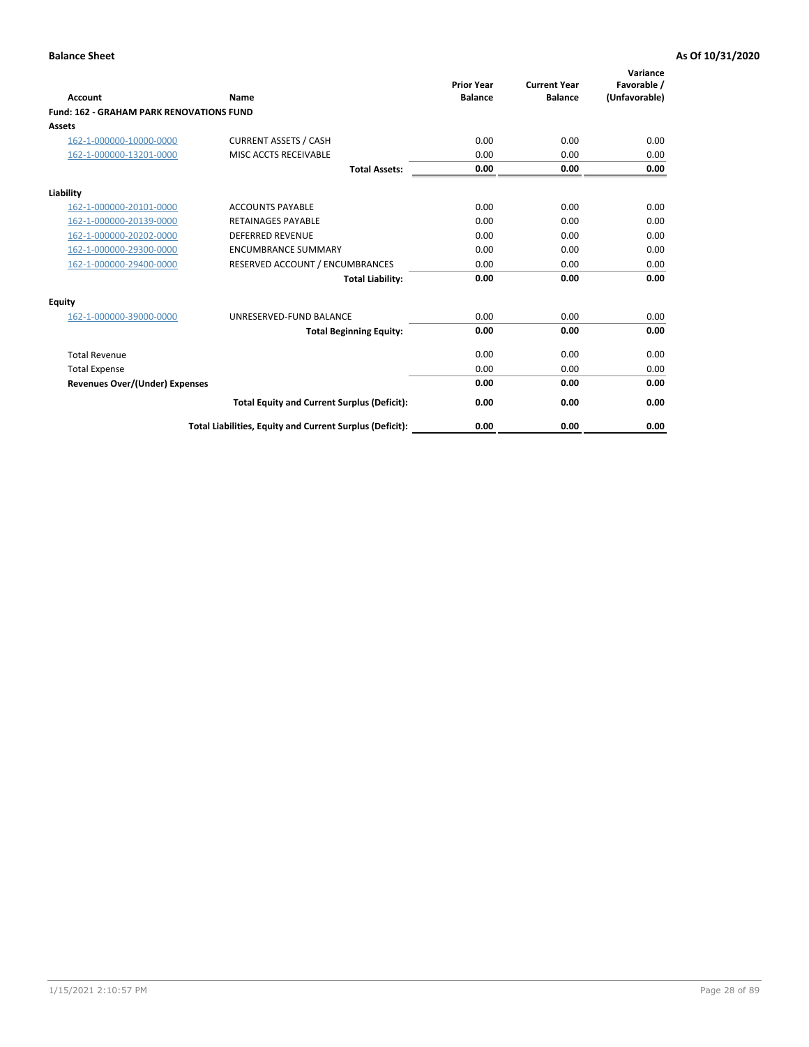|                                                 |                                                          | <b>Prior Year</b><br><b>Balance</b> | <b>Current Year</b> | Variance<br>Favorable / |
|-------------------------------------------------|----------------------------------------------------------|-------------------------------------|---------------------|-------------------------|
| <b>Account</b>                                  | Name                                                     |                                     | <b>Balance</b>      | (Unfavorable)           |
| <b>Fund: 162 - GRAHAM PARK RENOVATIONS FUND</b> |                                                          |                                     |                     |                         |
| <b>Assets</b>                                   |                                                          |                                     |                     |                         |
| 162-1-000000-10000-0000                         | <b>CURRENT ASSETS / CASH</b>                             | 0.00                                | 0.00                | 0.00                    |
| 162-1-000000-13201-0000                         | MISC ACCTS RECEIVABLE                                    | 0.00                                | 0.00                | 0.00                    |
|                                                 | <b>Total Assets:</b>                                     | 0.00                                | 0.00                | 0.00                    |
| Liability                                       |                                                          |                                     |                     |                         |
| 162-1-000000-20101-0000                         | <b>ACCOUNTS PAYABLE</b>                                  | 0.00                                | 0.00                | 0.00                    |
| 162-1-000000-20139-0000                         | <b>RETAINAGES PAYABLE</b>                                | 0.00                                | 0.00                | 0.00                    |
| 162-1-000000-20202-0000                         | <b>DEFERRED REVENUE</b>                                  | 0.00                                | 0.00                | 0.00                    |
| 162-1-000000-29300-0000                         | <b>ENCUMBRANCE SUMMARY</b>                               | 0.00                                | 0.00                | 0.00                    |
| 162-1-000000-29400-0000                         | RESERVED ACCOUNT / ENCUMBRANCES                          | 0.00                                | 0.00                | 0.00                    |
|                                                 | <b>Total Liability:</b>                                  | 0.00                                | 0.00                | 0.00                    |
| Equity                                          |                                                          |                                     |                     |                         |
| 162-1-000000-39000-0000                         | UNRESERVED-FUND BALANCE                                  | 0.00                                | 0.00                | 0.00                    |
|                                                 | <b>Total Beginning Equity:</b>                           | 0.00                                | 0.00                | 0.00                    |
| <b>Total Revenue</b>                            |                                                          | 0.00                                | 0.00                | 0.00                    |
| <b>Total Expense</b>                            |                                                          | 0.00                                | 0.00                | 0.00                    |
| Revenues Over/(Under) Expenses                  |                                                          | 0.00                                | 0.00                | 0.00                    |
|                                                 | <b>Total Equity and Current Surplus (Deficit):</b>       | 0.00                                | 0.00                | 0.00                    |
|                                                 | Total Liabilities, Equity and Current Surplus (Deficit): | 0.00                                | 0.00                | 0.00                    |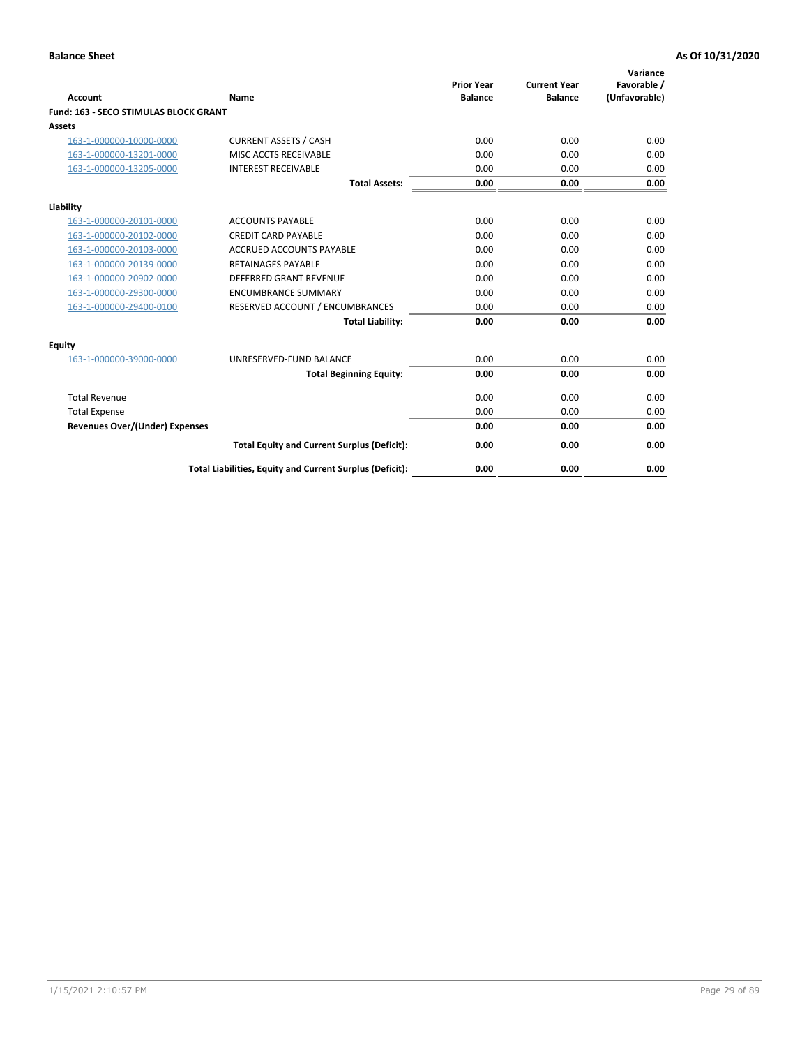| Account                               | Name                                                     | <b>Prior Year</b><br><b>Balance</b> | <b>Current Year</b><br><b>Balance</b> | Variance<br>Favorable /<br>(Unfavorable) |
|---------------------------------------|----------------------------------------------------------|-------------------------------------|---------------------------------------|------------------------------------------|
| Fund: 163 - SECO STIMULAS BLOCK GRANT |                                                          |                                     |                                       |                                          |
| <b>Assets</b>                         |                                                          |                                     |                                       |                                          |
| 163-1-000000-10000-0000               | <b>CURRENT ASSETS / CASH</b>                             | 0.00                                | 0.00                                  | 0.00                                     |
| 163-1-000000-13201-0000               | MISC ACCTS RECEIVABLE                                    | 0.00                                | 0.00                                  | 0.00                                     |
| 163-1-000000-13205-0000               | <b>INTEREST RECEIVABLE</b>                               | 0.00                                | 0.00                                  | 0.00                                     |
|                                       | <b>Total Assets:</b>                                     | 0.00                                | 0.00                                  | 0.00                                     |
| Liability                             |                                                          |                                     |                                       |                                          |
| 163-1-000000-20101-0000               | <b>ACCOUNTS PAYABLE</b>                                  | 0.00                                | 0.00                                  | 0.00                                     |
| 163-1-000000-20102-0000               | <b>CREDIT CARD PAYABLE</b>                               | 0.00                                | 0.00                                  | 0.00                                     |
| 163-1-000000-20103-0000               | <b>ACCRUED ACCOUNTS PAYABLE</b>                          | 0.00                                | 0.00                                  | 0.00                                     |
| 163-1-000000-20139-0000               | <b>RETAINAGES PAYABLE</b>                                | 0.00                                | 0.00                                  | 0.00                                     |
| 163-1-000000-20902-0000               | DEFERRED GRANT REVENUE                                   | 0.00                                | 0.00                                  | 0.00                                     |
| 163-1-000000-29300-0000               | <b>ENCUMBRANCE SUMMARY</b>                               | 0.00                                | 0.00                                  | 0.00                                     |
| 163-1-000000-29400-0100               | RESERVED ACCOUNT / ENCUMBRANCES                          | 0.00                                | 0.00                                  | 0.00                                     |
|                                       | <b>Total Liability:</b>                                  | 0.00                                | 0.00                                  | 0.00                                     |
| <b>Equity</b>                         |                                                          |                                     |                                       |                                          |
| 163-1-000000-39000-0000               | UNRESERVED-FUND BALANCE                                  | 0.00                                | 0.00                                  | 0.00                                     |
|                                       | <b>Total Beginning Equity:</b>                           | 0.00                                | 0.00                                  | 0.00                                     |
| <b>Total Revenue</b>                  |                                                          | 0.00                                | 0.00                                  | 0.00                                     |
| <b>Total Expense</b>                  |                                                          | 0.00                                | 0.00                                  | 0.00                                     |
| <b>Revenues Over/(Under) Expenses</b> |                                                          | 0.00                                | 0.00                                  | 0.00                                     |
|                                       | <b>Total Equity and Current Surplus (Deficit):</b>       | 0.00                                | 0.00                                  | 0.00                                     |
|                                       | Total Liabilities, Equity and Current Surplus (Deficit): | 0.00                                | 0.00                                  | 0.00                                     |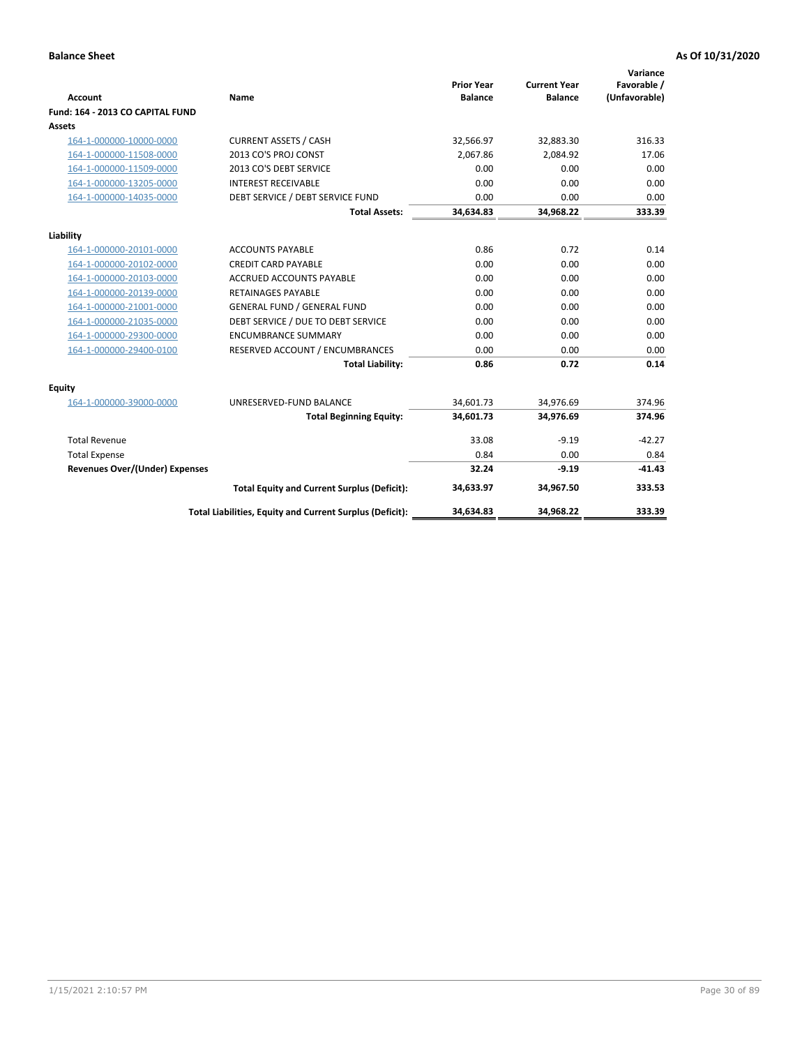| <b>Account</b>                        | <b>Name</b>                                              | <b>Prior Year</b><br><b>Balance</b> | <b>Current Year</b><br><b>Balance</b> | Variance<br>Favorable /<br>(Unfavorable) |
|---------------------------------------|----------------------------------------------------------|-------------------------------------|---------------------------------------|------------------------------------------|
| Fund: 164 - 2013 CO CAPITAL FUND      |                                                          |                                     |                                       |                                          |
| Assets                                |                                                          |                                     |                                       |                                          |
| 164-1-000000-10000-0000               | <b>CURRENT ASSETS / CASH</b>                             | 32,566.97                           | 32,883.30                             | 316.33                                   |
| 164-1-000000-11508-0000               | 2013 CO'S PROJ CONST                                     | 2,067.86                            | 2,084.92                              | 17.06                                    |
| 164-1-000000-11509-0000               | 2013 CO'S DEBT SERVICE                                   | 0.00                                | 0.00                                  | 0.00                                     |
| 164-1-000000-13205-0000               | <b>INTEREST RECEIVABLE</b>                               | 0.00                                | 0.00                                  | 0.00                                     |
| 164-1-000000-14035-0000               | DEBT SERVICE / DEBT SERVICE FUND                         | 0.00                                | 0.00                                  | 0.00                                     |
|                                       | <b>Total Assets:</b>                                     | 34,634.83                           | 34,968.22                             | 333.39                                   |
| Liability                             |                                                          |                                     |                                       |                                          |
| 164-1-000000-20101-0000               | <b>ACCOUNTS PAYABLE</b>                                  | 0.86                                | 0.72                                  | 0.14                                     |
| 164-1-000000-20102-0000               | <b>CREDIT CARD PAYABLE</b>                               | 0.00                                | 0.00                                  | 0.00                                     |
| 164-1-000000-20103-0000               | <b>ACCRUED ACCOUNTS PAYABLE</b>                          | 0.00                                | 0.00                                  | 0.00                                     |
| 164-1-000000-20139-0000               | <b>RETAINAGES PAYABLE</b>                                | 0.00                                | 0.00                                  | 0.00                                     |
| 164-1-000000-21001-0000               | <b>GENERAL FUND / GENERAL FUND</b>                       | 0.00                                | 0.00                                  | 0.00                                     |
| 164-1-000000-21035-0000               | DEBT SERVICE / DUE TO DEBT SERVICE                       | 0.00                                | 0.00                                  | 0.00                                     |
| 164-1-000000-29300-0000               | <b>ENCUMBRANCE SUMMARY</b>                               | 0.00                                | 0.00                                  | 0.00                                     |
| 164-1-000000-29400-0100               | RESERVED ACCOUNT / ENCUMBRANCES                          | 0.00                                | 0.00                                  | 0.00                                     |
|                                       | <b>Total Liability:</b>                                  | 0.86                                | 0.72                                  | 0.14                                     |
| Equity                                |                                                          |                                     |                                       |                                          |
| 164-1-000000-39000-0000               | UNRESERVED-FUND BALANCE                                  | 34,601.73                           | 34,976.69                             | 374.96                                   |
|                                       | <b>Total Beginning Equity:</b>                           | 34,601.73                           | 34,976.69                             | 374.96                                   |
| <b>Total Revenue</b>                  |                                                          | 33.08                               | $-9.19$                               | $-42.27$                                 |
| <b>Total Expense</b>                  |                                                          | 0.84                                | 0.00                                  | 0.84                                     |
| <b>Revenues Over/(Under) Expenses</b> |                                                          | 32.24                               | $-9.19$                               | $-41.43$                                 |
|                                       | <b>Total Equity and Current Surplus (Deficit):</b>       | 34,633.97                           | 34,967.50                             | 333.53                                   |
|                                       | Total Liabilities, Equity and Current Surplus (Deficit): | 34,634.83                           | 34,968.22                             | 333.39                                   |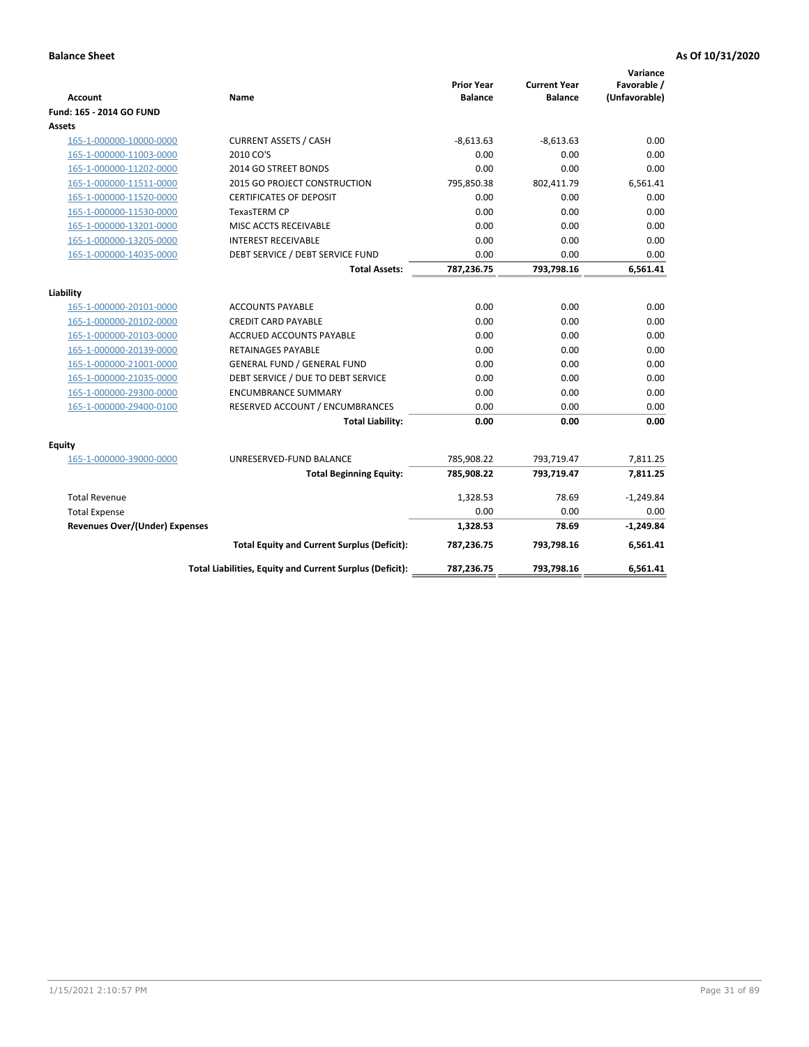| <b>Account</b>                        | Name                                                     | <b>Prior Year</b><br><b>Balance</b> | <b>Current Year</b><br><b>Balance</b> | Variance<br>Favorable /<br>(Unfavorable) |
|---------------------------------------|----------------------------------------------------------|-------------------------------------|---------------------------------------|------------------------------------------|
| Fund: 165 - 2014 GO FUND              |                                                          |                                     |                                       |                                          |
| Assets                                |                                                          |                                     |                                       |                                          |
| 165-1-000000-10000-0000               | <b>CURRENT ASSETS / CASH</b>                             | $-8,613.63$                         | $-8,613.63$                           | 0.00                                     |
| 165-1-000000-11003-0000               | 2010 CO'S                                                | 0.00                                | 0.00                                  | 0.00                                     |
| 165-1-000000-11202-0000               | 2014 GO STREET BONDS                                     | 0.00                                | 0.00                                  | 0.00                                     |
| 165-1-000000-11511-0000               | 2015 GO PROJECT CONSTRUCTION                             | 795,850.38                          | 802,411.79                            | 6,561.41                                 |
| 165-1-000000-11520-0000               | <b>CERTIFICATES OF DEPOSIT</b>                           | 0.00                                | 0.00                                  | 0.00                                     |
| 165-1-000000-11530-0000               | <b>TexasTERM CP</b>                                      | 0.00                                | 0.00                                  | 0.00                                     |
| 165-1-000000-13201-0000               | MISC ACCTS RECEIVABLE                                    | 0.00                                | 0.00                                  | 0.00                                     |
| 165-1-000000-13205-0000               | <b>INTEREST RECEIVABLE</b>                               | 0.00                                | 0.00                                  | 0.00                                     |
| 165-1-000000-14035-0000               | DEBT SERVICE / DEBT SERVICE FUND                         | 0.00                                | 0.00                                  | 0.00                                     |
|                                       | <b>Total Assets:</b>                                     | 787,236.75                          | 793,798.16                            | 6,561.41                                 |
| Liability                             |                                                          |                                     |                                       |                                          |
| 165-1-000000-20101-0000               | <b>ACCOUNTS PAYABLE</b>                                  | 0.00                                | 0.00                                  | 0.00                                     |
| 165-1-000000-20102-0000               | <b>CREDIT CARD PAYABLE</b>                               | 0.00                                | 0.00                                  | 0.00                                     |
| 165-1-000000-20103-0000               | <b>ACCRUED ACCOUNTS PAYABLE</b>                          | 0.00                                | 0.00                                  | 0.00                                     |
| 165-1-000000-20139-0000               | <b>RETAINAGES PAYABLE</b>                                | 0.00                                | 0.00                                  | 0.00                                     |
| 165-1-000000-21001-0000               | <b>GENERAL FUND / GENERAL FUND</b>                       | 0.00                                | 0.00                                  | 0.00                                     |
| 165-1-000000-21035-0000               | DEBT SERVICE / DUE TO DEBT SERVICE                       | 0.00                                | 0.00                                  | 0.00                                     |
| 165-1-000000-29300-0000               | <b>ENCUMBRANCE SUMMARY</b>                               | 0.00                                | 0.00                                  | 0.00                                     |
| 165-1-000000-29400-0100               | RESERVED ACCOUNT / ENCUMBRANCES                          | 0.00                                | 0.00                                  | 0.00                                     |
|                                       | <b>Total Liability:</b>                                  | 0.00                                | 0.00                                  | 0.00                                     |
| Equity                                |                                                          |                                     |                                       |                                          |
| 165-1-000000-39000-0000               | UNRESERVED-FUND BALANCE                                  | 785,908.22                          | 793,719.47                            | 7,811.25                                 |
|                                       | <b>Total Beginning Equity:</b>                           | 785,908.22                          | 793,719.47                            | 7,811.25                                 |
| <b>Total Revenue</b>                  |                                                          | 1,328.53                            | 78.69                                 | $-1,249.84$                              |
| <b>Total Expense</b>                  |                                                          | 0.00                                | 0.00                                  | 0.00                                     |
| <b>Revenues Over/(Under) Expenses</b> |                                                          | 1,328.53                            | 78.69                                 | $-1,249.84$                              |
|                                       | <b>Total Equity and Current Surplus (Deficit):</b>       | 787,236.75                          | 793,798.16                            | 6,561.41                                 |
|                                       | Total Liabilities, Equity and Current Surplus (Deficit): | 787,236.75                          | 793,798.16                            | 6.561.41                                 |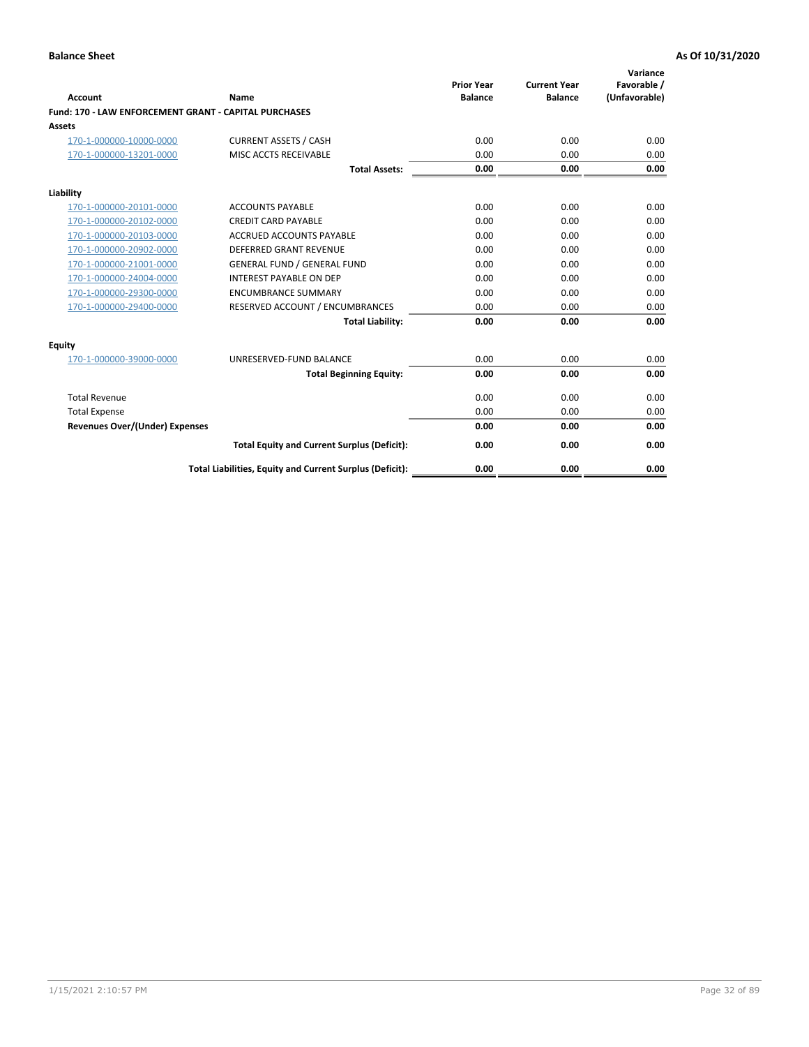| Account                                                      | Name                                                     | <b>Prior Year</b><br><b>Balance</b> | <b>Current Year</b><br><b>Balance</b> | Variance<br>Favorable /<br>(Unfavorable) |
|--------------------------------------------------------------|----------------------------------------------------------|-------------------------------------|---------------------------------------|------------------------------------------|
| <b>Fund: 170 - LAW ENFORCEMENT GRANT - CAPITAL PURCHASES</b> |                                                          |                                     |                                       |                                          |
| <b>Assets</b>                                                |                                                          |                                     |                                       |                                          |
| 170-1-000000-10000-0000                                      | <b>CURRENT ASSETS / CASH</b>                             | 0.00                                | 0.00                                  | 0.00                                     |
| 170-1-000000-13201-0000                                      | MISC ACCTS RECEIVABLE                                    | 0.00                                | 0.00                                  | 0.00                                     |
|                                                              | <b>Total Assets:</b>                                     | 0.00                                | 0.00                                  | 0.00                                     |
| Liability                                                    |                                                          |                                     |                                       |                                          |
| 170-1-000000-20101-0000                                      | <b>ACCOUNTS PAYABLE</b>                                  | 0.00                                | 0.00                                  | 0.00                                     |
| 170-1-000000-20102-0000                                      | <b>CREDIT CARD PAYABLE</b>                               | 0.00                                | 0.00                                  | 0.00                                     |
| 170-1-000000-20103-0000                                      | <b>ACCRUED ACCOUNTS PAYABLE</b>                          | 0.00                                | 0.00                                  | 0.00                                     |
| 170-1-000000-20902-0000                                      | <b>DEFERRED GRANT REVENUE</b>                            | 0.00                                | 0.00                                  | 0.00                                     |
| 170-1-000000-21001-0000                                      | <b>GENERAL FUND / GENERAL FUND</b>                       | 0.00                                | 0.00                                  | 0.00                                     |
| 170-1-000000-24004-0000                                      | <b>INTEREST PAYABLE ON DEP</b>                           | 0.00                                | 0.00                                  | 0.00                                     |
| 170-1-000000-29300-0000                                      | <b>ENCUMBRANCE SUMMARY</b>                               | 0.00                                | 0.00                                  | 0.00                                     |
| 170-1-000000-29400-0000                                      | RESERVED ACCOUNT / ENCUMBRANCES                          | 0.00                                | 0.00                                  | 0.00                                     |
|                                                              | <b>Total Liability:</b>                                  | 0.00                                | 0.00                                  | 0.00                                     |
| <b>Equity</b>                                                |                                                          |                                     |                                       |                                          |
| 170-1-000000-39000-0000                                      | UNRESERVED-FUND BALANCE                                  | 0.00                                | 0.00                                  | 0.00                                     |
|                                                              | <b>Total Beginning Equity:</b>                           | 0.00                                | 0.00                                  | 0.00                                     |
| <b>Total Revenue</b>                                         |                                                          | 0.00                                | 0.00                                  | 0.00                                     |
| <b>Total Expense</b>                                         |                                                          | 0.00                                | 0.00                                  | 0.00                                     |
| <b>Revenues Over/(Under) Expenses</b>                        |                                                          | 0.00                                | 0.00                                  | 0.00                                     |
|                                                              | <b>Total Equity and Current Surplus (Deficit):</b>       | 0.00                                | 0.00                                  | 0.00                                     |
|                                                              | Total Liabilities, Equity and Current Surplus (Deficit): | 0.00                                | 0.00                                  | 0.00                                     |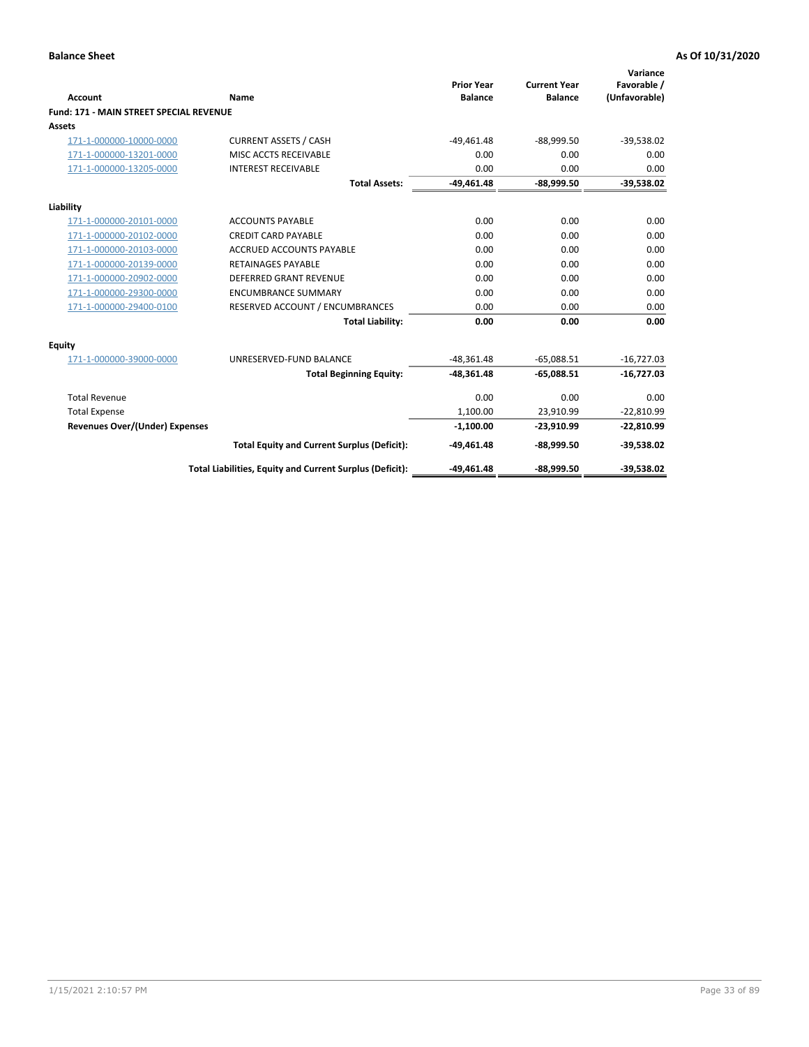|                                                |                                                          | <b>Prior Year</b> | <b>Current Year</b> | Variance<br>Favorable / |
|------------------------------------------------|----------------------------------------------------------|-------------------|---------------------|-------------------------|
| <b>Account</b>                                 | Name                                                     | <b>Balance</b>    | <b>Balance</b>      | (Unfavorable)           |
| <b>Fund: 171 - MAIN STREET SPECIAL REVENUE</b> |                                                          |                   |                     |                         |
| <b>Assets</b>                                  |                                                          |                   |                     |                         |
| 171-1-000000-10000-0000                        | <b>CURRENT ASSETS / CASH</b>                             | $-49,461.48$      | $-88,999.50$        | $-39,538.02$            |
| 171-1-000000-13201-0000                        | MISC ACCTS RECEIVABLE                                    | 0.00              | 0.00                | 0.00                    |
| 171-1-000000-13205-0000                        | <b>INTEREST RECEIVABLE</b>                               | 0.00              | 0.00                | 0.00                    |
|                                                | <b>Total Assets:</b>                                     | $-49.461.48$      | $-88.999.50$        | $-39,538.02$            |
| Liability                                      |                                                          |                   |                     |                         |
| 171-1-000000-20101-0000                        | <b>ACCOUNTS PAYABLE</b>                                  | 0.00              | 0.00                | 0.00                    |
| 171-1-000000-20102-0000                        | <b>CREDIT CARD PAYABLE</b>                               | 0.00              | 0.00                | 0.00                    |
| 171-1-000000-20103-0000                        | <b>ACCRUED ACCOUNTS PAYABLE</b>                          | 0.00              | 0.00                | 0.00                    |
| 171-1-000000-20139-0000                        | <b>RETAINAGES PAYABLE</b>                                | 0.00              | 0.00                | 0.00                    |
| 171-1-000000-20902-0000                        | DEFERRED GRANT REVENUE                                   | 0.00              | 0.00                | 0.00                    |
| 171-1-000000-29300-0000                        | <b>ENCUMBRANCE SUMMARY</b>                               | 0.00              | 0.00                | 0.00                    |
| 171-1-000000-29400-0100                        | RESERVED ACCOUNT / ENCUMBRANCES                          | 0.00              | 0.00                | 0.00                    |
|                                                | <b>Total Liability:</b>                                  | 0.00              | 0.00                | 0.00                    |
| <b>Equity</b>                                  |                                                          |                   |                     |                         |
| 171-1-000000-39000-0000                        | UNRESERVED-FUND BALANCE                                  | $-48,361.48$      | $-65,088.51$        | $-16,727.03$            |
|                                                | <b>Total Beginning Equity:</b>                           | $-48,361.48$      | $-65,088.51$        | $-16,727.03$            |
| <b>Total Revenue</b>                           |                                                          | 0.00              | 0.00                | 0.00                    |
| <b>Total Expense</b>                           |                                                          | 1,100.00          | 23,910.99           | $-22,810.99$            |
| <b>Revenues Over/(Under) Expenses</b>          |                                                          | $-1,100.00$       | $-23,910.99$        | $-22,810.99$            |
|                                                | <b>Total Equity and Current Surplus (Deficit):</b>       | $-49,461.48$      | $-88,999.50$        | $-39,538.02$            |
|                                                | Total Liabilities, Equity and Current Surplus (Deficit): | $-49,461.48$      | $-88,999.50$        | $-39.538.02$            |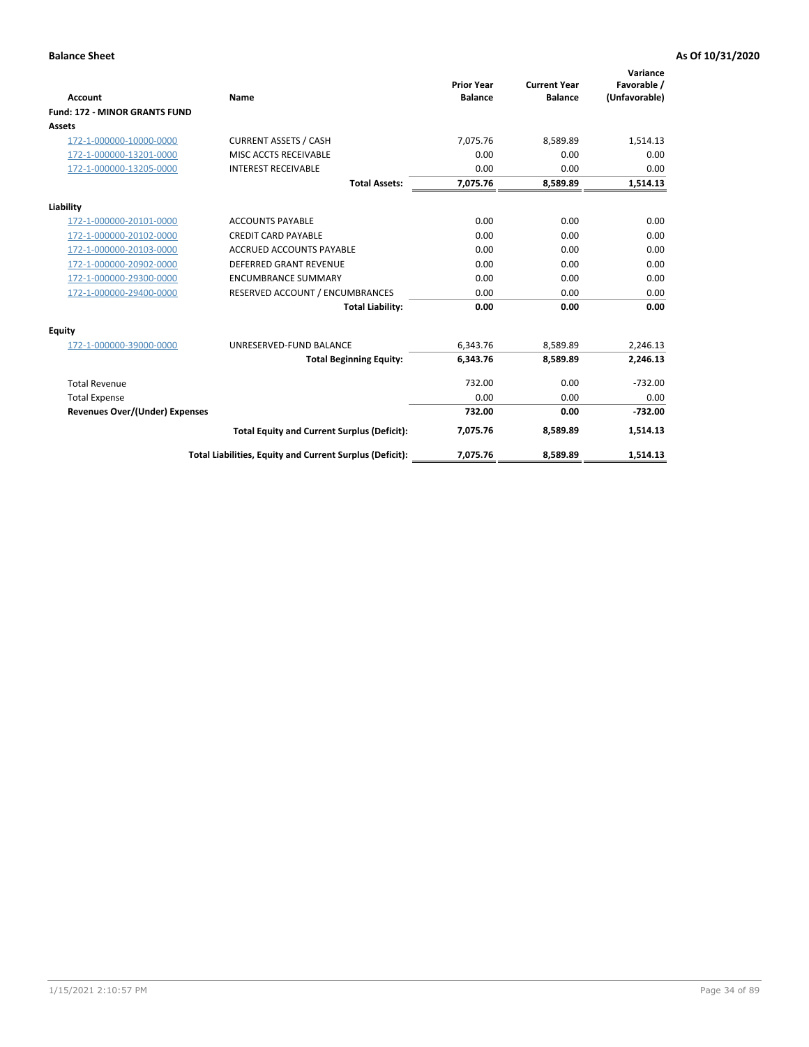|                                       |                                                          |                                     |                                       | Variance                     |
|---------------------------------------|----------------------------------------------------------|-------------------------------------|---------------------------------------|------------------------------|
| <b>Account</b>                        | <b>Name</b>                                              | <b>Prior Year</b><br><b>Balance</b> | <b>Current Year</b><br><b>Balance</b> | Favorable /<br>(Unfavorable) |
| <b>Fund: 172 - MINOR GRANTS FUND</b>  |                                                          |                                     |                                       |                              |
| <b>Assets</b>                         |                                                          |                                     |                                       |                              |
| 172-1-000000-10000-0000               | <b>CURRENT ASSETS / CASH</b>                             | 7,075.76                            | 8,589.89                              | 1,514.13                     |
|                                       | MISC ACCTS RECEIVABLE                                    | 0.00                                | 0.00                                  | 0.00                         |
| 172-1-000000-13201-0000               |                                                          |                                     |                                       |                              |
| 172-1-000000-13205-0000               | <b>INTEREST RECEIVABLE</b>                               | 0.00                                | 0.00                                  | 0.00                         |
|                                       | <b>Total Assets:</b>                                     | 7,075.76                            | 8,589.89                              | 1,514.13                     |
| Liability                             |                                                          |                                     |                                       |                              |
| 172-1-000000-20101-0000               | <b>ACCOUNTS PAYABLE</b>                                  | 0.00                                | 0.00                                  | 0.00                         |
| 172-1-000000-20102-0000               | <b>CREDIT CARD PAYABLE</b>                               | 0.00                                | 0.00                                  | 0.00                         |
| 172-1-000000-20103-0000               | <b>ACCRUED ACCOUNTS PAYABLE</b>                          | 0.00                                | 0.00                                  | 0.00                         |
| 172-1-000000-20902-0000               | <b>DEFERRED GRANT REVENUE</b>                            | 0.00                                | 0.00                                  | 0.00                         |
| 172-1-000000-29300-0000               | <b>ENCUMBRANCE SUMMARY</b>                               | 0.00                                | 0.00                                  | 0.00                         |
| 172-1-000000-29400-0000               | RESERVED ACCOUNT / ENCUMBRANCES                          | 0.00                                | 0.00                                  | 0.00                         |
|                                       | <b>Total Liability:</b>                                  | 0.00                                | 0.00                                  | 0.00                         |
| Equity                                |                                                          |                                     |                                       |                              |
| 172-1-000000-39000-0000               | UNRESERVED-FUND BALANCE                                  | 6,343.76                            | 8,589.89                              | 2,246.13                     |
|                                       | <b>Total Beginning Equity:</b>                           | 6,343.76                            | 8,589.89                              | 2,246.13                     |
| <b>Total Revenue</b>                  |                                                          | 732.00                              | 0.00                                  | $-732.00$                    |
| <b>Total Expense</b>                  |                                                          | 0.00                                | 0.00                                  | 0.00                         |
| <b>Revenues Over/(Under) Expenses</b> |                                                          | 732.00                              | 0.00                                  | $-732.00$                    |
|                                       | <b>Total Equity and Current Surplus (Deficit):</b>       | 7,075.76                            | 8,589.89                              | 1,514.13                     |
|                                       | Total Liabilities, Equity and Current Surplus (Deficit): | 7,075.76                            | 8,589.89                              | 1,514.13                     |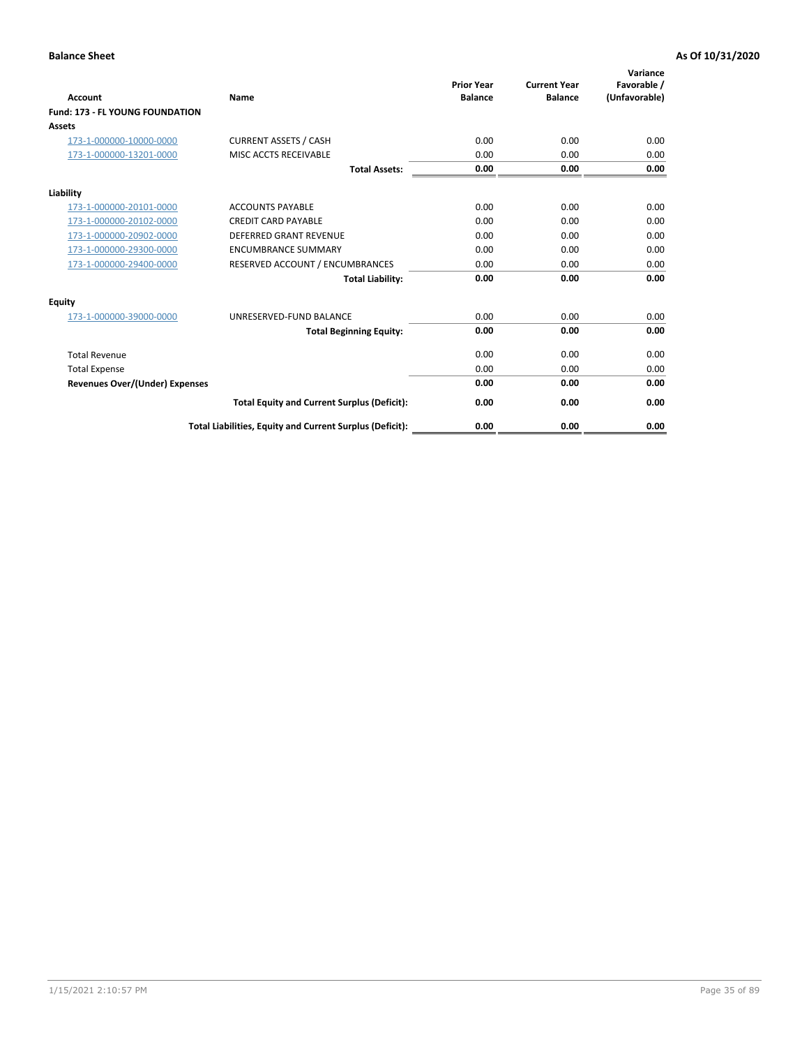| <b>Account</b>                         | <b>Name</b>                                              | <b>Prior Year</b><br><b>Balance</b> | <b>Current Year</b><br><b>Balance</b> | Variance<br>Favorable /<br>(Unfavorable) |
|----------------------------------------|----------------------------------------------------------|-------------------------------------|---------------------------------------|------------------------------------------|
| <b>Fund: 173 - FL YOUNG FOUNDATION</b> |                                                          |                                     |                                       |                                          |
| Assets                                 |                                                          |                                     |                                       |                                          |
| 173-1-000000-10000-0000                | <b>CURRENT ASSETS / CASH</b>                             | 0.00                                | 0.00                                  | 0.00                                     |
| 173-1-000000-13201-0000                | MISC ACCTS RECEIVABLE                                    | 0.00                                | 0.00                                  | 0.00                                     |
|                                        | <b>Total Assets:</b>                                     | 0.00                                | 0.00                                  | 0.00                                     |
| Liability                              |                                                          |                                     |                                       |                                          |
| 173-1-000000-20101-0000                | <b>ACCOUNTS PAYABLE</b>                                  | 0.00                                | 0.00                                  | 0.00                                     |
| 173-1-000000-20102-0000                | <b>CREDIT CARD PAYABLE</b>                               | 0.00                                | 0.00                                  | 0.00                                     |
| 173-1-000000-20902-0000                | <b>DEFERRED GRANT REVENUE</b>                            | 0.00                                | 0.00                                  | 0.00                                     |
| 173-1-000000-29300-0000                | <b>ENCUMBRANCE SUMMARY</b>                               | 0.00                                | 0.00                                  | 0.00                                     |
| 173-1-000000-29400-0000                | RESERVED ACCOUNT / ENCUMBRANCES                          | 0.00                                | 0.00                                  | 0.00                                     |
|                                        | <b>Total Liability:</b>                                  | 0.00                                | 0.00                                  | 0.00                                     |
| Equity                                 |                                                          |                                     |                                       |                                          |
| 173-1-000000-39000-0000                | UNRESERVED-FUND BALANCE                                  | 0.00                                | 0.00                                  | 0.00                                     |
|                                        | <b>Total Beginning Equity:</b>                           | 0.00                                | 0.00                                  | 0.00                                     |
| <b>Total Revenue</b>                   |                                                          | 0.00                                | 0.00                                  | 0.00                                     |
| <b>Total Expense</b>                   |                                                          | 0.00                                | 0.00                                  | 0.00                                     |
| <b>Revenues Over/(Under) Expenses</b>  |                                                          | 0.00                                | 0.00                                  | 0.00                                     |
|                                        | <b>Total Equity and Current Surplus (Deficit):</b>       | 0.00                                | 0.00                                  | 0.00                                     |
|                                        | Total Liabilities, Equity and Current Surplus (Deficit): | 0.00                                | 0.00                                  | 0.00                                     |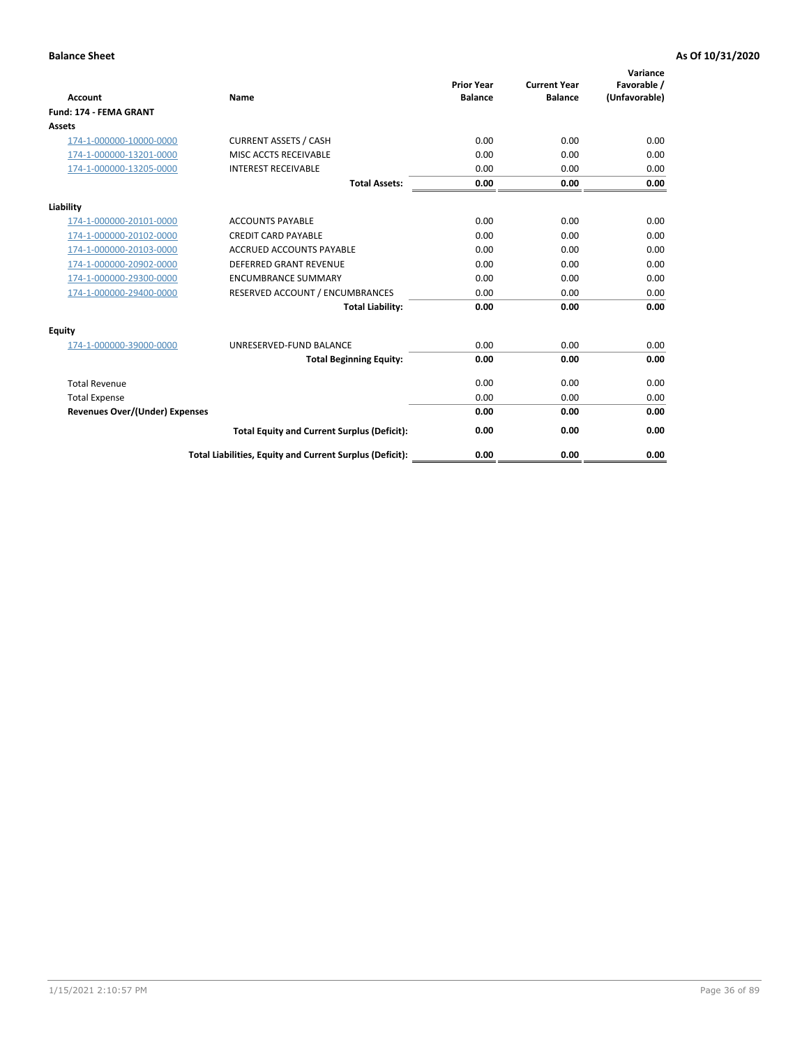| <b>Account</b>                        | Name                                                     | <b>Prior Year</b><br><b>Balance</b> | <b>Current Year</b><br><b>Balance</b> | Variance<br>Favorable /<br>(Unfavorable) |
|---------------------------------------|----------------------------------------------------------|-------------------------------------|---------------------------------------|------------------------------------------|
| <b>Fund: 174 - FEMA GRANT</b>         |                                                          |                                     |                                       |                                          |
| Assets                                |                                                          |                                     |                                       |                                          |
| 174-1-000000-10000-0000               | <b>CURRENT ASSETS / CASH</b>                             | 0.00                                | 0.00                                  | 0.00                                     |
| 174-1-000000-13201-0000               | MISC ACCTS RECEIVABLE                                    | 0.00                                | 0.00                                  | 0.00                                     |
| 174-1-000000-13205-0000               | <b>INTEREST RECEIVABLE</b>                               | 0.00                                | 0.00                                  | 0.00                                     |
|                                       | <b>Total Assets:</b>                                     | 0.00                                | 0.00                                  | 0.00                                     |
| Liability                             |                                                          |                                     |                                       |                                          |
| 174-1-000000-20101-0000               | <b>ACCOUNTS PAYABLE</b>                                  | 0.00                                | 0.00                                  | 0.00                                     |
| 174-1-000000-20102-0000               | <b>CREDIT CARD PAYABLE</b>                               | 0.00                                | 0.00                                  | 0.00                                     |
| 174-1-000000-20103-0000               | <b>ACCRUED ACCOUNTS PAYABLE</b>                          | 0.00                                | 0.00                                  | 0.00                                     |
| 174-1-000000-20902-0000               | <b>DEFERRED GRANT REVENUE</b>                            | 0.00                                | 0.00                                  | 0.00                                     |
| 174-1-000000-29300-0000               | <b>ENCUMBRANCE SUMMARY</b>                               | 0.00                                | 0.00                                  | 0.00                                     |
| 174-1-000000-29400-0000               | RESERVED ACCOUNT / ENCUMBRANCES                          | 0.00                                | 0.00                                  | 0.00                                     |
|                                       | <b>Total Liability:</b>                                  | 0.00                                | 0.00                                  | 0.00                                     |
| <b>Equity</b>                         |                                                          |                                     |                                       |                                          |
| 174-1-000000-39000-0000               | UNRESERVED-FUND BALANCE                                  | 0.00                                | 0.00                                  | 0.00                                     |
|                                       | <b>Total Beginning Equity:</b>                           | 0.00                                | 0.00                                  | 0.00                                     |
| <b>Total Revenue</b>                  |                                                          | 0.00                                | 0.00                                  | 0.00                                     |
| <b>Total Expense</b>                  |                                                          | 0.00                                | 0.00                                  | 0.00                                     |
| <b>Revenues Over/(Under) Expenses</b> |                                                          | 0.00                                | 0.00                                  | 0.00                                     |
|                                       | <b>Total Equity and Current Surplus (Deficit):</b>       | 0.00                                | 0.00                                  | 0.00                                     |
|                                       | Total Liabilities, Equity and Current Surplus (Deficit): | 0.00                                | 0.00                                  | 0.00                                     |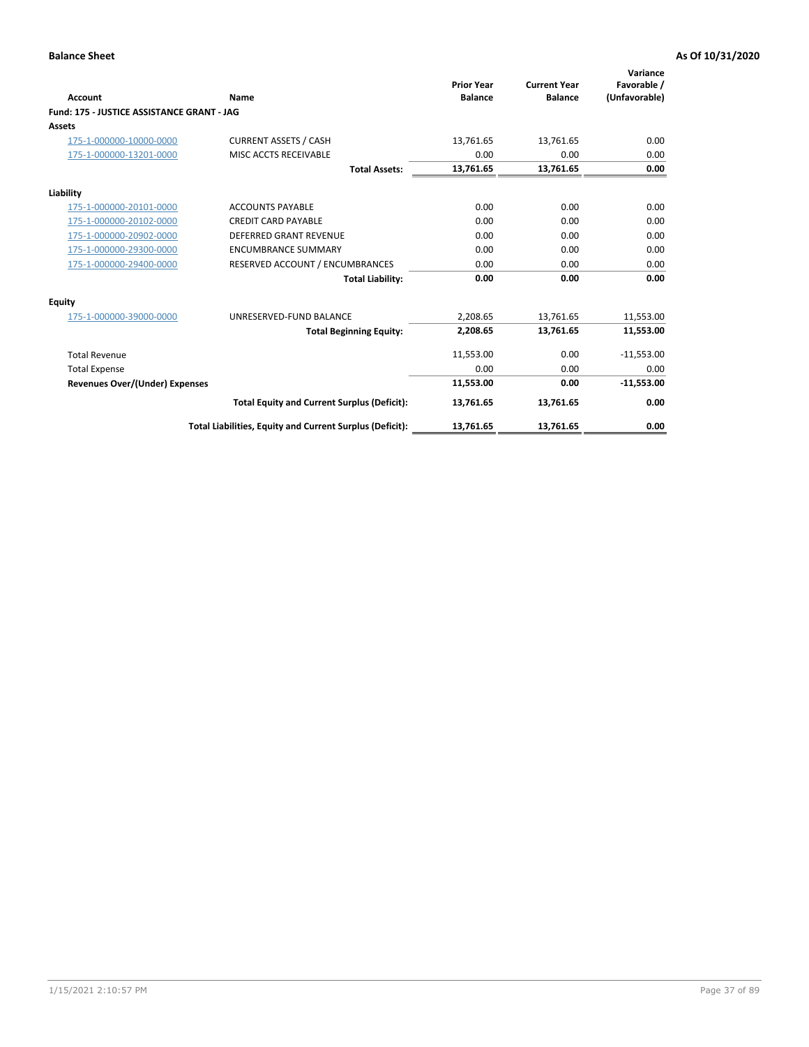|                                            |                                                          |                                     |                                       | Variance                     |
|--------------------------------------------|----------------------------------------------------------|-------------------------------------|---------------------------------------|------------------------------|
| Account                                    | Name                                                     | <b>Prior Year</b><br><b>Balance</b> | <b>Current Year</b><br><b>Balance</b> | Favorable /<br>(Unfavorable) |
| Fund: 175 - JUSTICE ASSISTANCE GRANT - JAG |                                                          |                                     |                                       |                              |
| <b>Assets</b>                              |                                                          |                                     |                                       |                              |
| 175-1-000000-10000-0000                    | <b>CURRENT ASSETS / CASH</b>                             | 13,761.65                           | 13,761.65                             | 0.00                         |
| 175-1-000000-13201-0000                    | MISC ACCTS RECEIVABLE                                    | 0.00                                | 0.00                                  | 0.00                         |
|                                            | <b>Total Assets:</b>                                     | 13,761.65                           | 13,761.65                             | 0.00                         |
| Liability                                  |                                                          |                                     |                                       |                              |
| 175-1-000000-20101-0000                    | <b>ACCOUNTS PAYABLE</b>                                  | 0.00                                | 0.00                                  | 0.00                         |
| 175-1-000000-20102-0000                    | <b>CREDIT CARD PAYABLE</b>                               | 0.00                                | 0.00                                  | 0.00                         |
| 175-1-000000-20902-0000                    | <b>DEFERRED GRANT REVENUE</b>                            | 0.00                                | 0.00                                  | 0.00                         |
| 175-1-000000-29300-0000                    | <b>ENCUMBRANCE SUMMARY</b>                               | 0.00                                | 0.00                                  | 0.00                         |
| 175-1-000000-29400-0000                    | RESERVED ACCOUNT / ENCUMBRANCES                          | 0.00                                | 0.00                                  | 0.00                         |
|                                            | <b>Total Liability:</b>                                  | 0.00                                | 0.00                                  | 0.00                         |
| <b>Equity</b>                              |                                                          |                                     |                                       |                              |
| 175-1-000000-39000-0000                    | UNRESERVED-FUND BALANCE                                  | 2,208.65                            | 13,761.65                             | 11,553.00                    |
|                                            | <b>Total Beginning Equity:</b>                           | 2,208.65                            | 13,761.65                             | 11,553.00                    |
| <b>Total Revenue</b>                       |                                                          | 11,553.00                           | 0.00                                  | $-11,553.00$                 |
| <b>Total Expense</b>                       |                                                          | 0.00                                | 0.00                                  | 0.00                         |
| <b>Revenues Over/(Under) Expenses</b>      |                                                          | 11,553.00                           | 0.00                                  | $-11,553.00$                 |
|                                            | <b>Total Equity and Current Surplus (Deficit):</b>       | 13,761.65                           | 13,761.65                             | 0.00                         |
|                                            | Total Liabilities, Equity and Current Surplus (Deficit): | 13,761.65                           | 13,761.65                             | 0.00                         |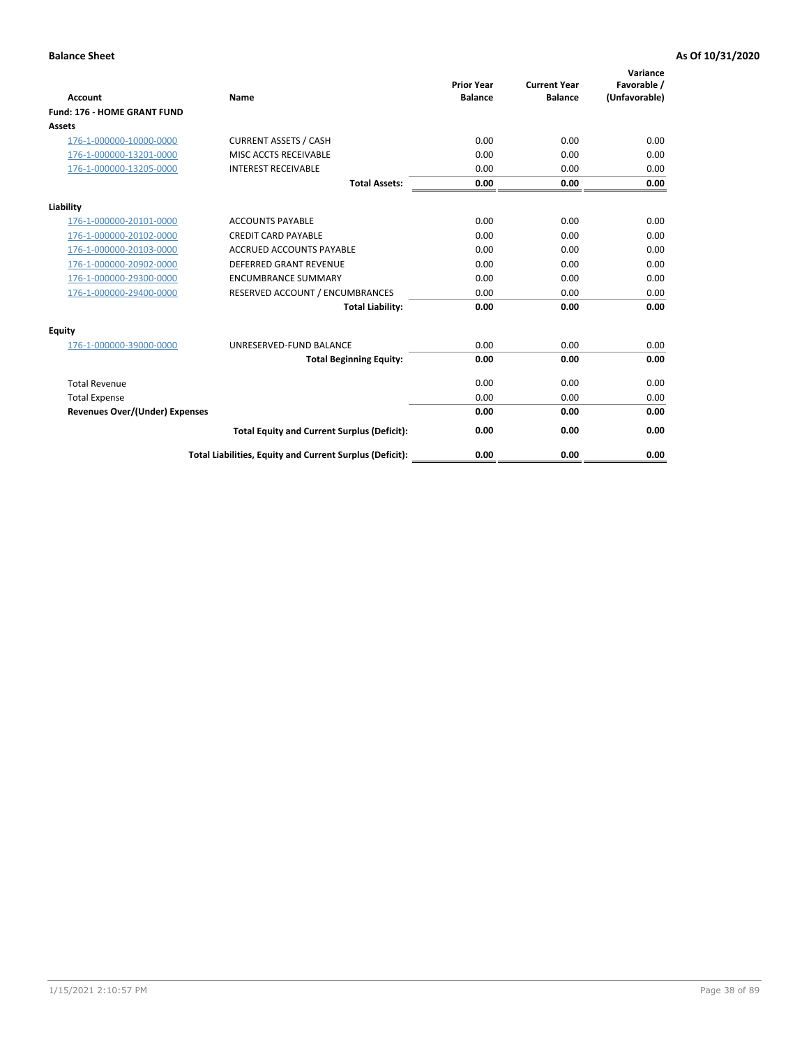| <b>Account</b>                        | Name                                                     | <b>Prior Year</b><br><b>Balance</b> | <b>Current Year</b><br><b>Balance</b> | Variance<br>Favorable /<br>(Unfavorable) |
|---------------------------------------|----------------------------------------------------------|-------------------------------------|---------------------------------------|------------------------------------------|
| Fund: 176 - HOME GRANT FUND           |                                                          |                                     |                                       |                                          |
| Assets                                |                                                          |                                     |                                       |                                          |
| 176-1-000000-10000-0000               | <b>CURRENT ASSETS / CASH</b>                             | 0.00                                | 0.00                                  | 0.00                                     |
| 176-1-000000-13201-0000               | MISC ACCTS RECEIVABLE                                    | 0.00                                | 0.00                                  | 0.00                                     |
| 176-1-000000-13205-0000               | <b>INTEREST RECEIVABLE</b>                               | 0.00                                | 0.00                                  | 0.00                                     |
|                                       | <b>Total Assets:</b>                                     | 0.00                                | 0.00                                  | 0.00                                     |
| Liability                             |                                                          |                                     |                                       |                                          |
| 176-1-000000-20101-0000               | <b>ACCOUNTS PAYABLE</b>                                  | 0.00                                | 0.00                                  | 0.00                                     |
| 176-1-000000-20102-0000               | <b>CREDIT CARD PAYABLE</b>                               | 0.00                                | 0.00                                  | 0.00                                     |
| 176-1-000000-20103-0000               | <b>ACCRUED ACCOUNTS PAYABLE</b>                          | 0.00                                | 0.00                                  | 0.00                                     |
| 176-1-000000-20902-0000               | <b>DEFERRED GRANT REVENUE</b>                            | 0.00                                | 0.00                                  | 0.00                                     |
| 176-1-000000-29300-0000               | <b>ENCUMBRANCE SUMMARY</b>                               | 0.00                                | 0.00                                  | 0.00                                     |
| 176-1-000000-29400-0000               | RESERVED ACCOUNT / ENCUMBRANCES                          | 0.00                                | 0.00                                  | 0.00                                     |
|                                       | <b>Total Liability:</b>                                  | 0.00                                | 0.00                                  | 0.00                                     |
| <b>Equity</b>                         |                                                          |                                     |                                       |                                          |
| 176-1-000000-39000-0000               | UNRESERVED-FUND BALANCE                                  | 0.00                                | 0.00                                  | 0.00                                     |
|                                       | <b>Total Beginning Equity:</b>                           | 0.00                                | 0.00                                  | 0.00                                     |
| <b>Total Revenue</b>                  |                                                          | 0.00                                | 0.00                                  | 0.00                                     |
| <b>Total Expense</b>                  |                                                          | 0.00                                | 0.00                                  | 0.00                                     |
| <b>Revenues Over/(Under) Expenses</b> |                                                          | 0.00                                | 0.00                                  | 0.00                                     |
|                                       | <b>Total Equity and Current Surplus (Deficit):</b>       | 0.00                                | 0.00                                  | 0.00                                     |
|                                       | Total Liabilities, Equity and Current Surplus (Deficit): | 0.00                                | 0.00                                  | 0.00                                     |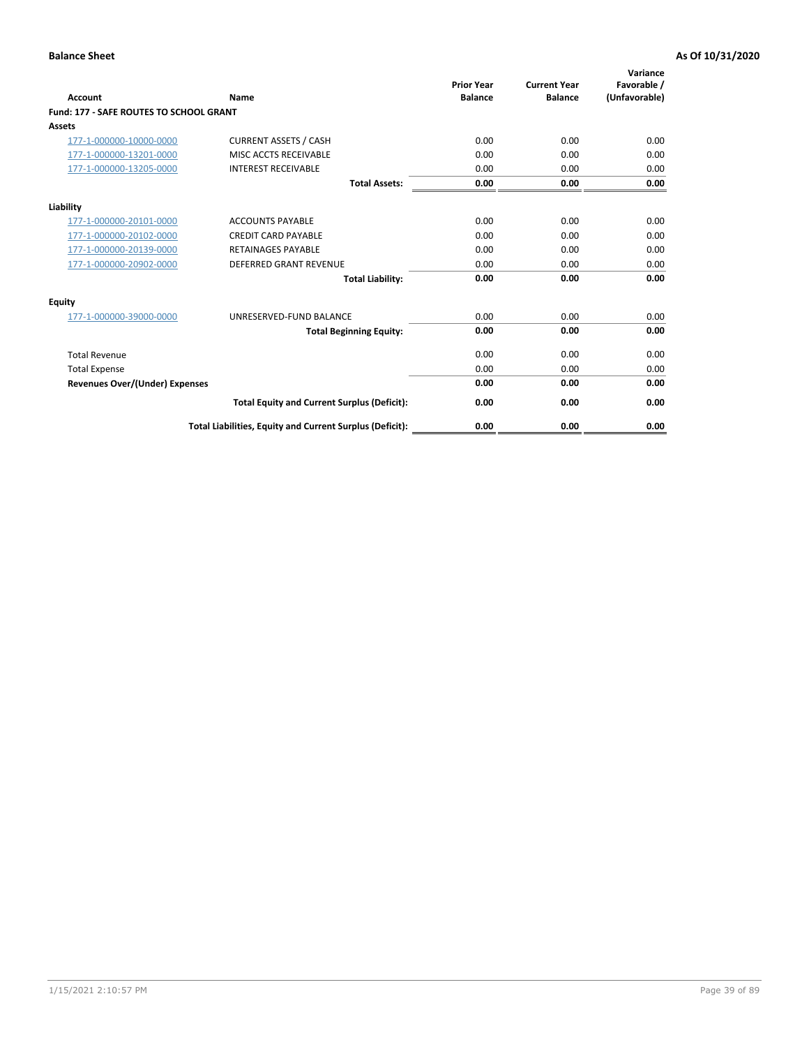| Account                                        | Name                                                     | <b>Prior Year</b><br><b>Balance</b> | <b>Current Year</b><br><b>Balance</b> | Variance<br>Favorable /<br>(Unfavorable) |
|------------------------------------------------|----------------------------------------------------------|-------------------------------------|---------------------------------------|------------------------------------------|
| <b>Fund: 177 - SAFE ROUTES TO SCHOOL GRANT</b> |                                                          |                                     |                                       |                                          |
| <b>Assets</b>                                  |                                                          |                                     |                                       |                                          |
| 177-1-000000-10000-0000                        | <b>CURRENT ASSETS / CASH</b>                             | 0.00                                | 0.00                                  | 0.00                                     |
| 177-1-000000-13201-0000                        | MISC ACCTS RECEIVABLE                                    | 0.00                                | 0.00                                  | 0.00                                     |
| 177-1-000000-13205-0000                        | <b>INTEREST RECEIVABLE</b>                               | 0.00                                | 0.00                                  | 0.00                                     |
|                                                | <b>Total Assets:</b>                                     | 0.00                                | 0.00                                  | 0.00                                     |
| Liability                                      |                                                          |                                     |                                       |                                          |
| 177-1-000000-20101-0000                        | <b>ACCOUNTS PAYABLE</b>                                  | 0.00                                | 0.00                                  | 0.00                                     |
| 177-1-000000-20102-0000                        | <b>CREDIT CARD PAYABLE</b>                               | 0.00                                | 0.00                                  | 0.00                                     |
| 177-1-000000-20139-0000                        | <b>RETAINAGES PAYABLE</b>                                | 0.00                                | 0.00                                  | 0.00                                     |
| 177-1-000000-20902-0000                        | <b>DEFERRED GRANT REVENUE</b>                            | 0.00                                | 0.00                                  | 0.00                                     |
|                                                | <b>Total Liability:</b>                                  | 0.00                                | 0.00                                  | 0.00                                     |
| Equity                                         |                                                          |                                     |                                       |                                          |
| 177-1-000000-39000-0000                        | UNRESERVED-FUND BALANCE                                  | 0.00                                | 0.00                                  | 0.00                                     |
|                                                | <b>Total Beginning Equity:</b>                           | 0.00                                | 0.00                                  | 0.00                                     |
| <b>Total Revenue</b>                           |                                                          | 0.00                                | 0.00                                  | 0.00                                     |
| <b>Total Expense</b>                           |                                                          | 0.00                                | 0.00                                  | 0.00                                     |
| Revenues Over/(Under) Expenses                 |                                                          | 0.00                                | 0.00                                  | 0.00                                     |
|                                                | <b>Total Equity and Current Surplus (Deficit):</b>       | 0.00                                | 0.00                                  | 0.00                                     |
|                                                | Total Liabilities, Equity and Current Surplus (Deficit): | 0.00                                | 0.00                                  | 0.00                                     |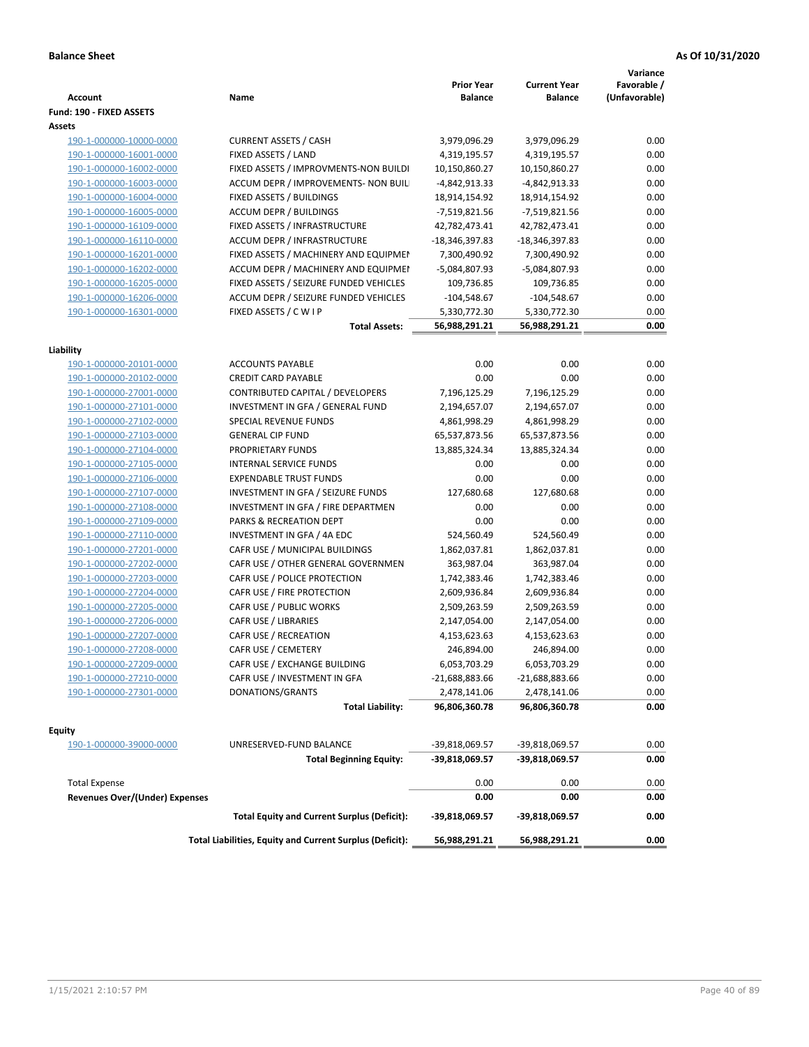| <b>Account</b>                        | Name                                                     | <b>Prior Year</b><br><b>Balance</b> | <b>Current Year</b><br><b>Balance</b> | Variance<br>Favorable /<br>(Unfavorable) |
|---------------------------------------|----------------------------------------------------------|-------------------------------------|---------------------------------------|------------------------------------------|
| Fund: 190 - FIXED ASSETS<br>Assets    |                                                          |                                     |                                       |                                          |
| 190-1-000000-10000-0000               | <b>CURRENT ASSETS / CASH</b>                             | 3,979,096.29                        | 3,979,096.29                          | 0.00                                     |
| 190-1-000000-16001-0000               | FIXED ASSETS / LAND                                      | 4,319,195.57                        | 4,319,195.57                          | 0.00                                     |
| 190-1-000000-16002-0000               | FIXED ASSETS / IMPROVMENTS-NON BUILDI                    | 10,150,860.27                       | 10,150,860.27                         | 0.00                                     |
| 190-1-000000-16003-0000               | ACCUM DEPR / IMPROVEMENTS- NON BUIL                      | -4,842,913.33                       | -4,842,913.33                         | 0.00                                     |
| 190-1-000000-16004-0000               | FIXED ASSETS / BUILDINGS                                 | 18,914,154.92                       | 18,914,154.92                         | 0.00                                     |
| 190-1-000000-16005-0000               | <b>ACCUM DEPR / BUILDINGS</b>                            | -7,519,821.56                       | -7,519,821.56                         | 0.00                                     |
| 190-1-000000-16109-0000               | FIXED ASSETS / INFRASTRUCTURE                            | 42,782,473.41                       | 42,782,473.41                         | 0.00                                     |
| 190-1-000000-16110-0000               | <b>ACCUM DEPR / INFRASTRUCTURE</b>                       | -18,346,397.83                      | -18,346,397.83                        | 0.00                                     |
| 190-1-000000-16201-0000               | FIXED ASSETS / MACHINERY AND EQUIPMEN                    | 7,300,490.92                        | 7,300,490.92                          | 0.00                                     |
| 190-1-000000-16202-0000               | ACCUM DEPR / MACHINERY AND EQUIPMEI                      | -5,084,807.93                       | -5,084,807.93                         | 0.00                                     |
| 190-1-000000-16205-0000               | FIXED ASSETS / SEIZURE FUNDED VEHICLES                   | 109,736.85                          | 109,736.85                            | 0.00                                     |
| 190-1-000000-16206-0000               | ACCUM DEPR / SEIZURE FUNDED VEHICLES                     | $-104,548.67$                       | $-104,548.67$                         | 0.00                                     |
| 190-1-000000-16301-0000               | FIXED ASSETS / C W I P                                   | 5,330,772.30                        | 5,330,772.30                          | 0.00                                     |
|                                       | <b>Total Assets:</b>                                     | 56,988,291.21                       | 56,988,291.21                         | 0.00                                     |
| Liability                             |                                                          |                                     |                                       |                                          |
| 190-1-000000-20101-0000               | <b>ACCOUNTS PAYABLE</b>                                  | 0.00                                | 0.00                                  | 0.00                                     |
| 190-1-000000-20102-0000               | <b>CREDIT CARD PAYABLE</b>                               | 0.00                                | 0.00                                  | 0.00                                     |
| 190-1-000000-27001-0000               | CONTRIBUTED CAPITAL / DEVELOPERS                         | 7,196,125.29                        | 7,196,125.29                          | 0.00                                     |
| 190-1-000000-27101-0000               | INVESTMENT IN GFA / GENERAL FUND                         | 2,194,657.07                        | 2,194,657.07                          | 0.00                                     |
| 190-1-000000-27102-0000               | <b>SPECIAL REVENUE FUNDS</b>                             | 4,861,998.29                        | 4,861,998.29                          | 0.00                                     |
| 190-1-000000-27103-0000               | <b>GENERAL CIP FUND</b>                                  | 65,537,873.56                       | 65,537,873.56                         | 0.00                                     |
| 190-1-000000-27104-0000               | PROPRIETARY FUNDS                                        | 13,885,324.34                       | 13,885,324.34                         | 0.00                                     |
| 190-1-000000-27105-0000               | <b>INTERNAL SERVICE FUNDS</b>                            | 0.00                                | 0.00                                  | 0.00                                     |
| 190-1-000000-27106-0000               | <b>EXPENDABLE TRUST FUNDS</b>                            | 0.00                                | 0.00                                  | 0.00                                     |
| 190-1-000000-27107-0000               | INVESTMENT IN GFA / SEIZURE FUNDS                        | 127,680.68                          | 127,680.68                            | 0.00                                     |
| 190-1-000000-27108-0000               | INVESTMENT IN GFA / FIRE DEPARTMEN                       | 0.00                                | 0.00                                  | 0.00                                     |
| 190-1-000000-27109-0000               | PARKS & RECREATION DEPT                                  | 0.00                                | 0.00                                  | 0.00                                     |
| 190-1-000000-27110-0000               | INVESTMENT IN GFA / 4A EDC                               | 524,560.49                          | 524,560.49                            | 0.00                                     |
| 190-1-000000-27201-0000               | CAFR USE / MUNICIPAL BUILDINGS                           | 1,862,037.81                        | 1,862,037.81                          | 0.00                                     |
| 190-1-000000-27202-0000               | CAFR USE / OTHER GENERAL GOVERNMEN                       | 363,987.04                          | 363,987.04                            | 0.00                                     |
| 190-1-000000-27203-0000               | CAFR USE / POLICE PROTECTION                             | 1,742,383.46                        | 1,742,383.46                          | 0.00                                     |
| 190-1-000000-27204-0000               | CAFR USE / FIRE PROTECTION                               | 2,609,936.84                        | 2,609,936.84                          | 0.00                                     |
| 190-1-000000-27205-0000               | CAFR USE / PUBLIC WORKS                                  | 2,509,263.59                        | 2,509,263.59                          | 0.00                                     |
| 190-1-000000-27206-0000               | CAFR USE / LIBRARIES                                     | 2,147,054.00                        | 2,147,054.00                          | 0.00                                     |
| 190-1-000000-27207-0000               | CAFR USE / RECREATION                                    | 4,153,623.63                        | 4,153,623.63                          | 0.00                                     |
| 190-1-000000-27208-0000               | CAFR USE / CEMETERY                                      | 246,894.00                          | 246,894.00                            | 0.00                                     |
| 190-1-000000-27209-0000               | CAFR USE / EXCHANGE BUILDING                             | 6,053,703.29                        | 6,053,703.29                          | $0.00\,$                                 |
| 190-1-000000-27210-0000               | CAFR USE / INVESTMENT IN GFA                             | $-21,688,883.66$                    | $-21,688,883.66$                      | 0.00                                     |
| 190-1-000000-27301-0000               | DONATIONS/GRANTS                                         | 2,478,141.06                        | 2,478,141.06                          | 0.00                                     |
|                                       | <b>Total Liability:</b>                                  | 96,806,360.78                       | 96,806,360.78                         | 0.00                                     |
| <b>Equity</b>                         |                                                          |                                     |                                       |                                          |
| 190-1-000000-39000-0000               | UNRESERVED-FUND BALANCE                                  | -39,818,069.57                      | -39,818,069.57                        | 0.00                                     |
|                                       | <b>Total Beginning Equity:</b>                           | -39,818,069.57                      | -39,818,069.57                        | 0.00                                     |
| <b>Total Expense</b>                  |                                                          | 0.00                                | 0.00                                  | 0.00                                     |
| <b>Revenues Over/(Under) Expenses</b> |                                                          | 0.00                                | 0.00                                  | 0.00                                     |
|                                       | <b>Total Equity and Current Surplus (Deficit):</b>       | -39,818,069.57                      | -39,818,069.57                        | 0.00                                     |
|                                       | Total Liabilities, Equity and Current Surplus (Deficit): | 56,988,291.21                       | 56,988,291.21                         | 0.00                                     |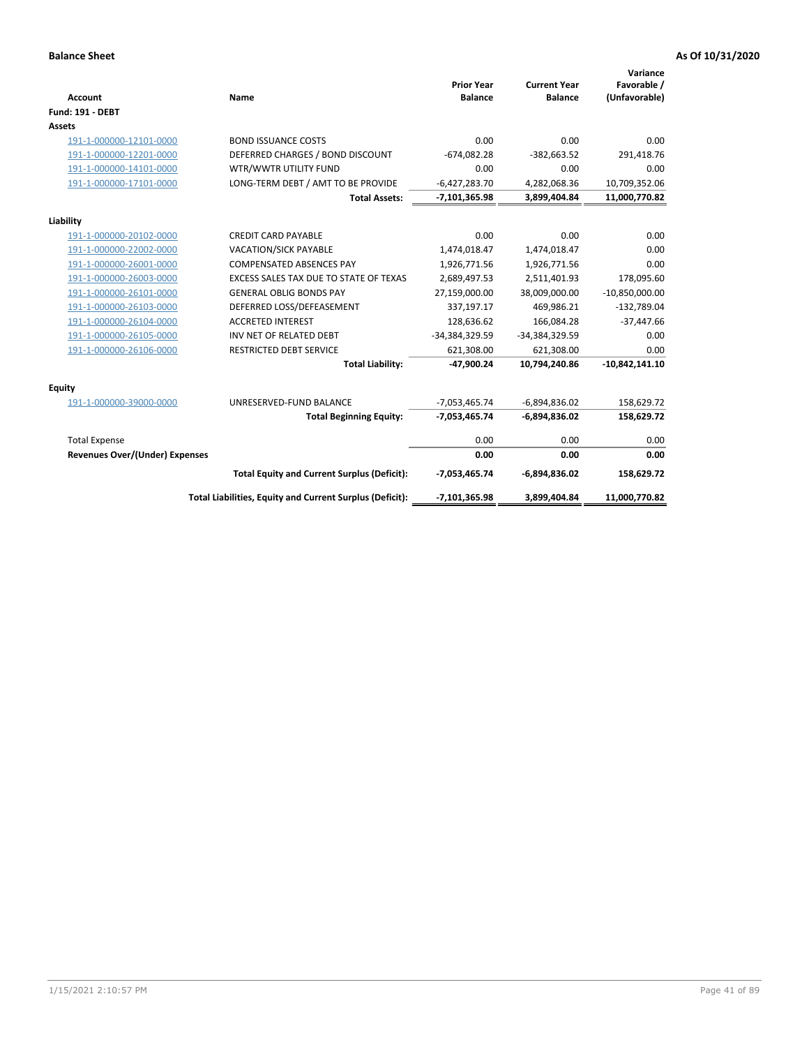| <b>Account</b>                 | Name                                                     | <b>Prior Year</b><br><b>Balance</b> | <b>Current Year</b><br><b>Balance</b> | Variance<br>Favorable /<br>(Unfavorable) |
|--------------------------------|----------------------------------------------------------|-------------------------------------|---------------------------------------|------------------------------------------|
| <b>Fund: 191 - DEBT</b>        |                                                          |                                     |                                       |                                          |
| <b>Assets</b>                  |                                                          |                                     |                                       |                                          |
| 191-1-000000-12101-0000        | <b>BOND ISSUANCE COSTS</b>                               | 0.00                                | 0.00                                  | 0.00                                     |
| 191-1-000000-12201-0000        | DEFERRED CHARGES / BOND DISCOUNT                         | $-674,082.28$                       | $-382,663.52$                         | 291,418.76                               |
| 191-1-000000-14101-0000        | WTR/WWTR UTILITY FUND                                    | 0.00                                | 0.00                                  | 0.00                                     |
| 191-1-000000-17101-0000        | LONG-TERM DEBT / AMT TO BE PROVIDE                       | $-6,427,283.70$                     | 4,282,068.36                          | 10,709,352.06                            |
|                                | <b>Total Assets:</b>                                     | $-7,101,365.98$                     | 3,899,404.84                          | 11,000,770.82                            |
| Liability                      |                                                          |                                     |                                       |                                          |
| 191-1-000000-20102-0000        | <b>CREDIT CARD PAYABLE</b>                               | 0.00                                | 0.00                                  | 0.00                                     |
| 191-1-000000-22002-0000        | <b>VACATION/SICK PAYABLE</b>                             | 1,474,018.47                        | 1,474,018.47                          | 0.00                                     |
| 191-1-000000-26001-0000        | <b>COMPENSATED ABSENCES PAY</b>                          | 1,926,771.56                        | 1,926,771.56                          | 0.00                                     |
| 191-1-000000-26003-0000        | EXCESS SALES TAX DUE TO STATE OF TEXAS                   | 2,689,497.53                        | 2,511,401.93                          | 178,095.60                               |
| 191-1-000000-26101-0000        | <b>GENERAL OBLIG BONDS PAY</b>                           | 27,159,000.00                       | 38,009,000.00                         | $-10,850,000.00$                         |
| 191-1-000000-26103-0000        | DEFERRED LOSS/DEFEASEMENT                                | 337,197.17                          | 469,986.21                            | $-132,789.04$                            |
| 191-1-000000-26104-0000        | <b>ACCRETED INTEREST</b>                                 | 128,636.62                          | 166,084.28                            | $-37,447.66$                             |
| 191-1-000000-26105-0000        | INV NET OF RELATED DEBT                                  | -34,384,329.59                      | -34,384,329.59                        | 0.00                                     |
| 191-1-000000-26106-0000        | <b>RESTRICTED DEBT SERVICE</b>                           | 621,308.00                          | 621,308.00                            | 0.00                                     |
|                                | <b>Total Liability:</b>                                  | $-47,900.24$                        | 10,794,240.86                         | $-10,842,141.10$                         |
| Equity                         |                                                          |                                     |                                       |                                          |
| 191-1-000000-39000-0000        | UNRESERVED-FUND BALANCE                                  | $-7,053,465.74$                     | $-6,894,836.02$                       | 158,629.72                               |
|                                | <b>Total Beginning Equity:</b>                           | $-7,053,465.74$                     | $-6,894,836.02$                       | 158,629.72                               |
| <b>Total Expense</b>           |                                                          | 0.00                                | 0.00                                  | 0.00                                     |
| Revenues Over/(Under) Expenses |                                                          | 0.00                                | 0.00                                  | 0.00                                     |
|                                | <b>Total Equity and Current Surplus (Deficit):</b>       | $-7,053,465.74$                     | $-6,894,836.02$                       | 158,629.72                               |
|                                | Total Liabilities, Equity and Current Surplus (Deficit): | $-7,101,365.98$                     | 3,899,404.84                          | 11,000,770.82                            |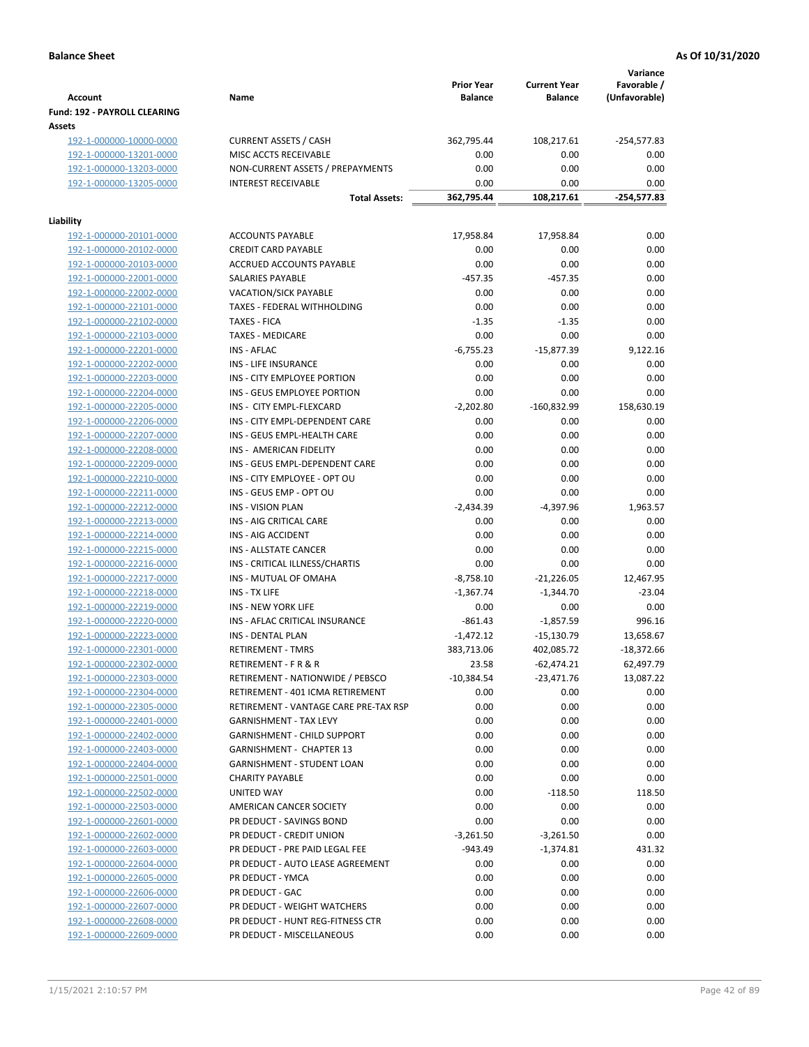| <b>Account</b>                 | Name                                  | <b>Prior Year</b><br><b>Balance</b> | <b>Current Year</b><br><b>Balance</b> | Variance<br>Favorable /<br>(Unfavorable) |
|--------------------------------|---------------------------------------|-------------------------------------|---------------------------------------|------------------------------------------|
| Fund: 192 - PAYROLL CLEARING   |                                       |                                     |                                       |                                          |
| Assets                         |                                       |                                     |                                       |                                          |
| 192-1-000000-10000-0000        | <b>CURRENT ASSETS / CASH</b>          | 362,795.44                          | 108,217.61                            | -254,577.83                              |
| 192-1-000000-13201-0000        | MISC ACCTS RECEIVABLE                 | 0.00                                | 0.00                                  | 0.00                                     |
| 192-1-000000-13203-0000        | NON-CURRENT ASSETS / PREPAYMENTS      | 0.00                                | 0.00                                  | 0.00                                     |
| 192-1-000000-13205-0000        | <b>INTEREST RECEIVABLE</b>            | 0.00                                | 0.00                                  | 0.00                                     |
|                                | <b>Total Assets:</b>                  | 362,795.44                          | 108,217.61                            | -254,577.83                              |
| Liability                      |                                       |                                     |                                       |                                          |
| 192-1-000000-20101-0000        | <b>ACCOUNTS PAYABLE</b>               | 17,958.84                           | 17,958.84                             | 0.00                                     |
| 192-1-000000-20102-0000        | <b>CREDIT CARD PAYABLE</b>            | 0.00                                | 0.00                                  | 0.00                                     |
| 192-1-000000-20103-0000        | ACCRUED ACCOUNTS PAYABLE              | 0.00                                | 0.00                                  | 0.00                                     |
| 192-1-000000-22001-0000        | SALARIES PAYABLE                      | $-457.35$                           | $-457.35$                             | 0.00                                     |
| 192-1-000000-22002-0000        | <b>VACATION/SICK PAYABLE</b>          | 0.00                                | 0.00                                  | 0.00                                     |
| 192-1-000000-22101-0000        | TAXES - FEDERAL WITHHOLDING           | 0.00                                | 0.00                                  | 0.00                                     |
| 192-1-000000-22102-0000        | <b>TAXES - FICA</b>                   | $-1.35$                             | $-1.35$                               | 0.00                                     |
| 192-1-000000-22103-0000        | <b>TAXES - MEDICARE</b>               | 0.00                                | 0.00                                  | 0.00                                     |
| 192-1-000000-22201-0000        | <b>INS - AFLAC</b>                    | $-6,755.23$                         | $-15,877.39$                          | 9,122.16                                 |
| 192-1-000000-22202-0000        | <b>INS - LIFE INSURANCE</b>           | 0.00                                | 0.00                                  | 0.00                                     |
| 192-1-000000-22203-0000        | INS - CITY EMPLOYEE PORTION           | 0.00                                | 0.00                                  | 0.00                                     |
| 192-1-000000-22204-0000        | INS - GEUS EMPLOYEE PORTION           | 0.00                                | 0.00                                  | 0.00                                     |
| 192-1-000000-22205-0000        | INS - CITY EMPL-FLEXCARD              | $-2,202.80$                         | $-160,832.99$                         | 158,630.19                               |
| 192-1-000000-22206-0000        | INS - CITY EMPL-DEPENDENT CARE        | 0.00                                | 0.00                                  | 0.00                                     |
| 192-1-000000-22207-0000        | INS - GEUS EMPL-HEALTH CARE           | 0.00                                | 0.00                                  | 0.00                                     |
| 192-1-000000-22208-0000        | INS - AMERICAN FIDELITY               | 0.00                                | 0.00                                  | 0.00                                     |
| 192-1-000000-22209-0000        | INS - GEUS EMPL-DEPENDENT CARE        | 0.00                                | 0.00                                  | 0.00                                     |
| 192-1-000000-22210-0000        | INS - CITY EMPLOYEE - OPT OU          | 0.00                                | 0.00                                  | 0.00                                     |
| 192-1-000000-22211-0000        | INS - GEUS EMP - OPT OU               | 0.00                                | 0.00                                  | 0.00                                     |
| 192-1-000000-22212-0000        | <b>INS - VISION PLAN</b>              | $-2,434.39$                         | -4,397.96                             | 1,963.57                                 |
| 192-1-000000-22213-0000        | INS - AIG CRITICAL CARE               | 0.00                                | 0.00                                  | 0.00                                     |
| 192-1-000000-22214-0000        | INS - AIG ACCIDENT                    | 0.00                                | 0.00                                  | 0.00                                     |
| 192-1-000000-22215-0000        | INS - ALLSTATE CANCER                 | 0.00                                | 0.00                                  | 0.00                                     |
| 192-1-000000-22216-0000        | INS - CRITICAL ILLNESS/CHARTIS        | 0.00                                | 0.00                                  | 0.00                                     |
| 192-1-000000-22217-0000        | INS - MUTUAL OF OMAHA                 | $-8,758.10$                         | $-21,226.05$                          | 12,467.95                                |
| 192-1-000000-22218-0000        | INS - TX LIFE                         | $-1,367.74$                         | $-1,344.70$                           | $-23.04$                                 |
| 192-1-000000-22219-0000        | <b>INS - NEW YORK LIFE</b>            | 0.00                                | 0.00                                  | 0.00                                     |
| 192-1-000000-22220-0000        | INS - AFLAC CRITICAL INSURANCE        | $-861.43$                           | $-1,857.59$                           | 996.16                                   |
| 192-1-000000-22223-0000        | INS - DENTAL PLAN                     | $-1,472.12$                         | $-15,130.79$                          | 13,658.67                                |
| <u>192-1-000000-22301-0000</u> | <b>RETIREMENT - TMRS</b>              | 383,713.06                          | 402,085.72                            | $-18,372.66$                             |
| 192-1-000000-22302-0000        | <b>RETIREMENT - F R &amp; R</b>       | 23.58                               | $-62,474.21$                          | 62,497.79                                |
| 192-1-000000-22303-0000        | RETIREMENT - NATIONWIDE / PEBSCO      | $-10,384.54$                        | $-23,471.76$                          | 13,087.22                                |
| 192-1-000000-22304-0000        | RETIREMENT - 401 ICMA RETIREMENT      | 0.00                                | 0.00                                  | 0.00                                     |
| 192-1-000000-22305-0000        | RETIREMENT - VANTAGE CARE PRE-TAX RSP | 0.00                                | 0.00                                  | 0.00                                     |
| 192-1-000000-22401-0000        | <b>GARNISHMENT - TAX LEVY</b>         | 0.00                                | 0.00                                  | 0.00                                     |
| 192-1-000000-22402-0000        | <b>GARNISHMENT - CHILD SUPPORT</b>    | 0.00                                | 0.00                                  | 0.00                                     |
| 192-1-000000-22403-0000        | <b>GARNISHMENT - CHAPTER 13</b>       | 0.00                                | 0.00                                  | 0.00                                     |
| 192-1-000000-22404-0000        | <b>GARNISHMENT - STUDENT LOAN</b>     | 0.00                                | 0.00                                  | 0.00                                     |
| 192-1-000000-22501-0000        | <b>CHARITY PAYABLE</b>                | 0.00                                | 0.00                                  | 0.00                                     |
| 192-1-000000-22502-0000        | UNITED WAY                            | 0.00                                | $-118.50$                             | 118.50                                   |
| 192-1-000000-22503-0000        | AMERICAN CANCER SOCIETY               | 0.00                                | 0.00                                  | 0.00                                     |
| 192-1-000000-22601-0000        | PR DEDUCT - SAVINGS BOND              | 0.00                                | 0.00                                  | 0.00                                     |
| 192-1-000000-22602-0000        | PR DEDUCT - CREDIT UNION              | $-3,261.50$                         | $-3,261.50$                           | 0.00                                     |
| 192-1-000000-22603-0000        | PR DEDUCT - PRE PAID LEGAL FEE        | $-943.49$                           | $-1,374.81$                           | 431.32                                   |
| 192-1-000000-22604-0000        | PR DEDUCT - AUTO LEASE AGREEMENT      | 0.00                                | 0.00                                  | 0.00                                     |
| 192-1-000000-22605-0000        | PR DEDUCT - YMCA                      | 0.00                                | 0.00                                  | 0.00                                     |
| 192-1-000000-22606-0000        | PR DEDUCT - GAC                       | 0.00                                | 0.00                                  | 0.00                                     |
| 192-1-000000-22607-0000        | PR DEDUCT - WEIGHT WATCHERS           | 0.00                                | 0.00                                  | 0.00                                     |
| 192-1-000000-22608-0000        | PR DEDUCT - HUNT REG-FITNESS CTR      | 0.00                                | 0.00                                  | 0.00                                     |
| 192-1-000000-22609-0000        | PR DEDUCT - MISCELLANEOUS             | 0.00                                | 0.00                                  | 0.00                                     |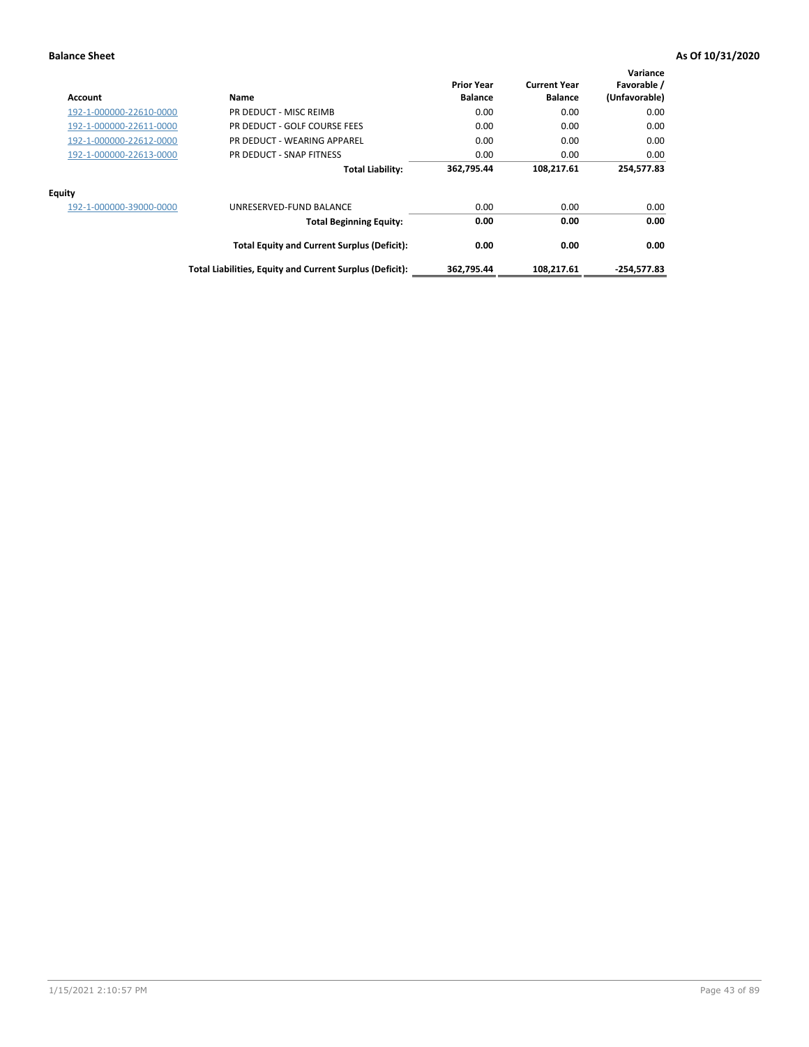| Account                 | Name                                                     | <b>Prior Year</b><br><b>Balance</b> | <b>Current Year</b><br><b>Balance</b> | Variance<br>Favorable /<br>(Unfavorable) |
|-------------------------|----------------------------------------------------------|-------------------------------------|---------------------------------------|------------------------------------------|
| 192-1-000000-22610-0000 | PR DEDUCT - MISC REIMB                                   | 0.00                                | 0.00                                  | 0.00                                     |
| 192-1-000000-22611-0000 | PR DEDUCT - GOLF COURSE FEES                             | 0.00                                | 0.00                                  | 0.00                                     |
| 192-1-000000-22612-0000 | PR DEDUCT - WEARING APPAREL                              | 0.00                                | 0.00                                  | 0.00                                     |
| 192-1-000000-22613-0000 | PR DEDUCT - SNAP FITNESS                                 | 0.00                                | 0.00                                  | 0.00                                     |
|                         | <b>Total Liability:</b>                                  | 362,795.44                          | 108,217.61                            | 254,577.83                               |
| Equity                  |                                                          |                                     |                                       |                                          |
| 192-1-000000-39000-0000 | UNRESERVED-FUND BALANCE                                  | 0.00                                | 0.00                                  | 0.00                                     |
|                         | <b>Total Beginning Equity:</b>                           | 0.00                                | 0.00                                  | 0.00                                     |
|                         | <b>Total Equity and Current Surplus (Deficit):</b>       | 0.00                                | 0.00                                  | 0.00                                     |
|                         | Total Liabilities, Equity and Current Surplus (Deficit): | 362,795.44                          | 108,217.61                            | $-254,577.83$                            |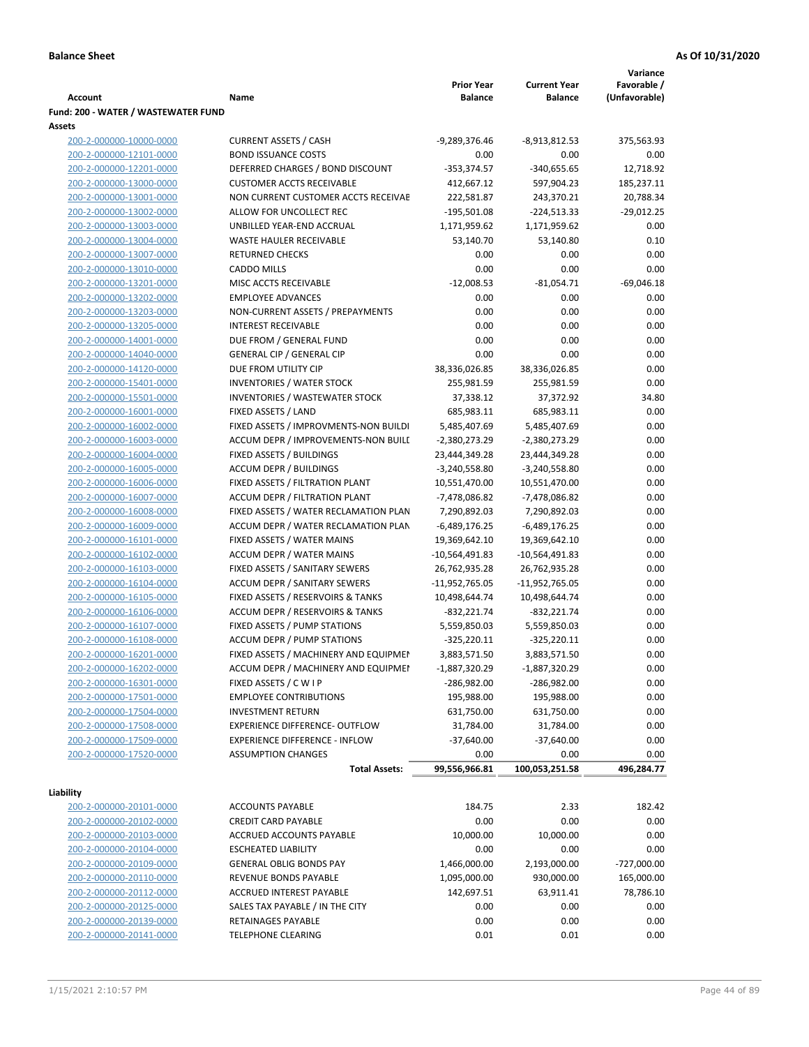|                                     |                                            |                   |                     | Variance      |
|-------------------------------------|--------------------------------------------|-------------------|---------------------|---------------|
|                                     |                                            | <b>Prior Year</b> | <b>Current Year</b> | Favorable /   |
| <b>Account</b>                      | Name                                       | <b>Balance</b>    | <b>Balance</b>      | (Unfavorable) |
| Fund: 200 - WATER / WASTEWATER FUND |                                            |                   |                     |               |
| Assets                              |                                            |                   |                     |               |
| 200-2-000000-10000-0000             | <b>CURRENT ASSETS / CASH</b>               | -9,289,376.46     | -8,913,812.53       | 375,563.93    |
| 200-2-000000-12101-0000             | <b>BOND ISSUANCE COSTS</b>                 | 0.00              | 0.00                | 0.00          |
| 200-2-000000-12201-0000             | DEFERRED CHARGES / BOND DISCOUNT           | $-353,374.57$     | $-340,655.65$       | 12,718.92     |
| 200-2-000000-13000-0000             | <b>CUSTOMER ACCTS RECEIVABLE</b>           | 412,667.12        | 597,904.23          | 185,237.11    |
| 200-2-000000-13001-0000             | NON CURRENT CUSTOMER ACCTS RECEIVAE        | 222,581.87        | 243,370.21          | 20,788.34     |
| 200-2-000000-13002-0000             | ALLOW FOR UNCOLLECT REC                    | $-195,501.08$     | $-224,513.33$       | $-29,012.25$  |
| 200-2-000000-13003-0000             | UNBILLED YEAR-END ACCRUAL                  | 1,171,959.62      | 1,171,959.62        | 0.00          |
| 200-2-000000-13004-0000             | <b>WASTE HAULER RECEIVABLE</b>             | 53,140.70         | 53,140.80           | 0.10          |
| 200-2-000000-13007-0000             | <b>RETURNED CHECKS</b>                     | 0.00              | 0.00                | 0.00          |
| 200-2-000000-13010-0000             | <b>CADDO MILLS</b>                         | 0.00              | 0.00                | 0.00          |
| 200-2-000000-13201-0000             | MISC ACCTS RECEIVABLE                      | $-12,008.53$      | $-81,054.71$        | $-69,046.18$  |
| 200-2-000000-13202-0000             | <b>EMPLOYEE ADVANCES</b>                   | 0.00              | 0.00                | 0.00          |
| 200-2-000000-13203-0000             | NON-CURRENT ASSETS / PREPAYMENTS           | 0.00              | 0.00                | 0.00          |
| 200-2-000000-13205-0000             | <b>INTEREST RECEIVABLE</b>                 | 0.00              | 0.00                | 0.00          |
| 200-2-000000-14001-0000             | DUE FROM / GENERAL FUND                    | 0.00              | 0.00                | 0.00          |
| 200-2-000000-14040-0000             | <b>GENERAL CIP / GENERAL CIP</b>           | 0.00              | 0.00                | 0.00          |
| 200-2-000000-14120-0000             | DUE FROM UTILITY CIP                       | 38,336,026.85     | 38,336,026.85       | 0.00          |
| 200-2-000000-15401-0000             | <b>INVENTORIES / WATER STOCK</b>           | 255,981.59        | 255,981.59          | 0.00          |
| 200-2-000000-15501-0000             | <b>INVENTORIES / WASTEWATER STOCK</b>      | 37,338.12         | 37,372.92           | 34.80         |
| 200-2-000000-16001-0000             | FIXED ASSETS / LAND                        | 685,983.11        | 685,983.11          | 0.00          |
| 200-2-000000-16002-0000             | FIXED ASSETS / IMPROVMENTS-NON BUILDI      | 5,485,407.69      | 5,485,407.69        | 0.00          |
| 200-2-000000-16003-0000             | ACCUM DEPR / IMPROVEMENTS-NON BUILI        | $-2,380,273.29$   | -2,380,273.29       | 0.00          |
| 200-2-000000-16004-0000             | FIXED ASSETS / BUILDINGS                   | 23,444,349.28     | 23,444,349.28       | 0.00          |
| 200-2-000000-16005-0000             | <b>ACCUM DEPR / BUILDINGS</b>              | $-3,240,558.80$   | $-3,240,558.80$     | 0.00          |
| 200-2-000000-16006-0000             | FIXED ASSETS / FILTRATION PLANT            | 10,551,470.00     | 10,551,470.00       | 0.00          |
| 200-2-000000-16007-0000             | ACCUM DEPR / FILTRATION PLANT              | -7,478,086.82     | -7,478,086.82       | 0.00          |
| 200-2-000000-16008-0000             | FIXED ASSETS / WATER RECLAMATION PLAN      | 7,290,892.03      | 7,290,892.03        | 0.00          |
| 200-2-000000-16009-0000             | ACCUM DEPR / WATER RECLAMATION PLAN        | $-6,489,176.25$   | $-6,489,176.25$     | 0.00          |
| 200-2-000000-16101-0000             | FIXED ASSETS / WATER MAINS                 | 19,369,642.10     | 19,369,642.10       | 0.00          |
| 200-2-000000-16102-0000             | <b>ACCUM DEPR / WATER MAINS</b>            | -10,564,491.83    | -10,564,491.83      | 0.00          |
| 200-2-000000-16103-0000             | FIXED ASSETS / SANITARY SEWERS             | 26,762,935.28     | 26,762,935.28       | 0.00          |
| 200-2-000000-16104-0000             | <b>ACCUM DEPR / SANITARY SEWERS</b>        | -11,952,765.05    | -11,952,765.05      | 0.00          |
| 200-2-000000-16105-0000             | FIXED ASSETS / RESERVOIRS & TANKS          | 10,498,644.74     | 10,498,644.74       | 0.00          |
| 200-2-000000-16106-0000             | <b>ACCUM DEPR / RESERVOIRS &amp; TANKS</b> | $-832,221.74$     | $-832,221.74$       | 0.00          |
| 200-2-000000-16107-0000             | FIXED ASSETS / PUMP STATIONS               | 5,559,850.03      | 5,559,850.03        | 0.00          |
| 200-2-000000-16108-0000             | <b>ACCUM DEPR / PUMP STATIONS</b>          | $-325,220.11$     | $-325,220.11$       | 0.00          |
| 200-2-000000-16201-0000             | FIXED ASSETS / MACHINERY AND EQUIPMEN      | 3,883,571.50      | 3,883,571.50        | 0.00          |
| 200-2-000000-16202-0000             | ACCUM DEPR / MACHINERY AND EQUIPMEI        | $-1,887,320.29$   | $-1,887,320.29$     | 0.00          |
| 200-2-000000-16301-0000             | FIXED ASSETS / C W I P                     | $-286,982.00$     | -286,982.00         | 0.00          |
| 200-2-000000-17501-0000             | <b>EMPLOYEE CONTRIBUTIONS</b>              | 195,988.00        | 195,988.00          | 0.00          |
| 200-2-000000-17504-0000             | <b>INVESTMENT RETURN</b>                   | 631,750.00        | 631,750.00          | 0.00          |
| 200-2-000000-17508-0000             | EXPERIENCE DIFFERENCE- OUTFLOW             | 31,784.00         | 31,784.00           | 0.00          |
| 200-2-000000-17509-0000             | <b>EXPERIENCE DIFFERENCE - INFLOW</b>      | $-37,640.00$      | $-37,640.00$        | 0.00          |
| 200-2-000000-17520-0000             | <b>ASSUMPTION CHANGES</b>                  | 0.00              | 0.00                | 0.00          |
|                                     | <b>Total Assets:</b>                       | 99,556,966.81     | 100,053,251.58      | 496,284.77    |
|                                     |                                            |                   |                     |               |
| Liability                           |                                            |                   |                     |               |
| 200-2-000000-20101-0000             | <b>ACCOUNTS PAYABLE</b>                    | 184.75            | 2.33                | 182.42        |
| 200-2-000000-20102-0000             | <b>CREDIT CARD PAYABLE</b>                 | 0.00              | 0.00                | 0.00          |
| 200-2-000000-20103-0000             | ACCRUED ACCOUNTS PAYABLE                   | 10,000.00         | 10,000.00           | 0.00          |
| 200-2-000000-20104-0000             | <b>ESCHEATED LIABILITY</b>                 | 0.00              | 0.00                | 0.00          |
| 200-2-000000-20109-0000             | <b>GENERAL OBLIG BONDS PAY</b>             | 1,466,000.00      | 2,193,000.00        | $-727,000.00$ |
| 200-2-000000-20110-0000             | REVENUE BONDS PAYABLE                      | 1,095,000.00      | 930,000.00          | 165,000.00    |
| 200-2-000000-20112-0000             | ACCRUED INTEREST PAYABLE                   | 142,697.51        | 63,911.41           | 78,786.10     |
| 200-2-000000-20125-0000             | SALES TAX PAYABLE / IN THE CITY            | 0.00              | 0.00                | 0.00          |
| 200-2-000000-20139-0000             | RETAINAGES PAYABLE                         | 0.00              | 0.00                | 0.00          |
| 200-2-000000-20141-0000             | <b>TELEPHONE CLEARING</b>                  | 0.01              | 0.01                | 0.00          |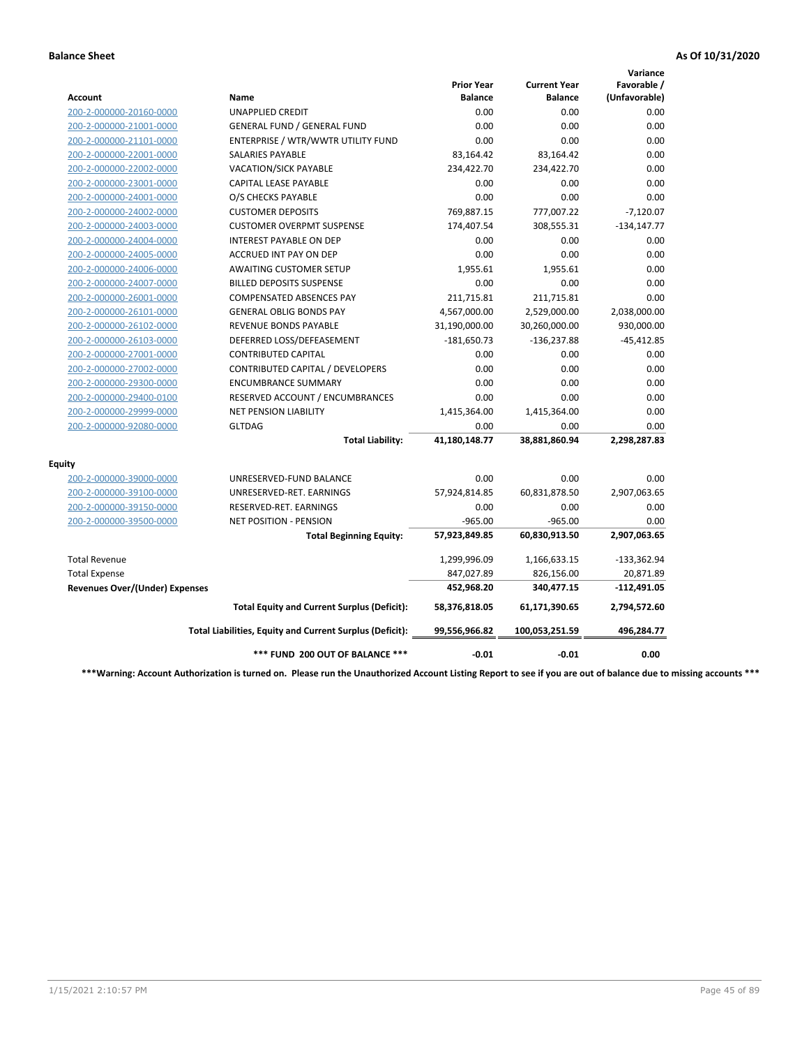|                                       |                                                          |                                     |                                       | Variance                     |
|---------------------------------------|----------------------------------------------------------|-------------------------------------|---------------------------------------|------------------------------|
| Account                               | <b>Name</b>                                              | <b>Prior Year</b><br><b>Balance</b> | <b>Current Year</b><br><b>Balance</b> | Favorable /<br>(Unfavorable) |
| 200-2-000000-20160-0000               | <b>UNAPPLIED CREDIT</b>                                  | 0.00                                | 0.00                                  | 0.00                         |
| 200-2-000000-21001-0000               | <b>GENERAL FUND / GENERAL FUND</b>                       | 0.00                                | 0.00                                  | 0.00                         |
| 200-2-000000-21101-0000               | ENTERPRISE / WTR/WWTR UTILITY FUND                       | 0.00                                | 0.00                                  | 0.00                         |
| 200-2-000000-22001-0000               | <b>SALARIES PAYABLE</b>                                  | 83,164.42                           | 83,164.42                             | 0.00                         |
| 200-2-000000-22002-0000               | VACATION/SICK PAYABLE                                    | 234,422.70                          | 234,422.70                            | 0.00                         |
| 200-2-000000-23001-0000               | CAPITAL LEASE PAYABLE                                    | 0.00                                | 0.00                                  | 0.00                         |
| 200-2-000000-24001-0000               | O/S CHECKS PAYABLE                                       | 0.00                                | 0.00                                  | 0.00                         |
| 200-2-000000-24002-0000               | <b>CUSTOMER DEPOSITS</b>                                 | 769,887.15                          | 777,007.22                            | $-7,120.07$                  |
| 200-2-000000-24003-0000               | <b>CUSTOMER OVERPMT SUSPENSE</b>                         | 174,407.54                          | 308,555.31                            | $-134,147.77$                |
| 200-2-000000-24004-0000               | <b>INTEREST PAYABLE ON DEP</b>                           | 0.00                                | 0.00                                  | 0.00                         |
| 200-2-000000-24005-0000               | <b>ACCRUED INT PAY ON DEP</b>                            | 0.00                                | 0.00                                  | 0.00                         |
| 200-2-000000-24006-0000               | <b>AWAITING CUSTOMER SETUP</b>                           | 1,955.61                            | 1,955.61                              | 0.00                         |
| 200-2-000000-24007-0000               | <b>BILLED DEPOSITS SUSPENSE</b>                          | 0.00                                | 0.00                                  | 0.00                         |
| 200-2-000000-26001-0000               | <b>COMPENSATED ABSENCES PAY</b>                          | 211,715.81                          | 211,715.81                            | 0.00                         |
| 200-2-000000-26101-0000               | <b>GENERAL OBLIG BONDS PAY</b>                           | 4,567,000.00                        | 2,529,000.00                          | 2,038,000.00                 |
| 200-2-000000-26102-0000               | REVENUE BONDS PAYABLE                                    | 31,190,000.00                       | 30,260,000.00                         | 930,000.00                   |
| 200-2-000000-26103-0000               | DEFERRED LOSS/DEFEASEMENT                                | $-181,650.73$                       | $-136,237.88$                         | $-45,412.85$                 |
| 200-2-000000-27001-0000               | <b>CONTRIBUTED CAPITAL</b>                               | 0.00                                | 0.00                                  | 0.00                         |
| 200-2-000000-27002-0000               | CONTRIBUTED CAPITAL / DEVELOPERS                         | 0.00                                | 0.00                                  | 0.00                         |
| 200-2-000000-29300-0000               | <b>ENCUMBRANCE SUMMARY</b>                               | 0.00                                | 0.00                                  | 0.00                         |
| 200-2-000000-29400-0100               | RESERVED ACCOUNT / ENCUMBRANCES                          | 0.00                                | 0.00                                  | 0.00                         |
| 200-2-000000-29999-0000               | <b>NET PENSION LIABILITY</b>                             | 1,415,364.00                        | 1,415,364.00                          | 0.00                         |
| 200-2-000000-92080-0000               | <b>GLTDAG</b>                                            | 0.00                                | 0.00                                  | 0.00                         |
|                                       | <b>Total Liability:</b>                                  | 41,180,148.77                       | 38,881,860.94                         | 2,298,287.83                 |
| <b>Equity</b>                         |                                                          |                                     |                                       |                              |
| 200-2-000000-39000-0000               | UNRESERVED-FUND BALANCE                                  | 0.00                                | 0.00                                  | 0.00                         |
| 200-2-000000-39100-0000               | UNRESERVED-RET. EARNINGS                                 | 57,924,814.85                       | 60,831,878.50                         | 2,907,063.65                 |
| 200-2-000000-39150-0000               | RESERVED-RET. EARNINGS                                   | 0.00                                | 0.00                                  | 0.00                         |
| 200-2-000000-39500-0000               | <b>NET POSITION - PENSION</b>                            | $-965.00$                           | $-965.00$                             | 0.00                         |
|                                       | <b>Total Beginning Equity:</b>                           | 57,923,849.85                       | 60,830,913.50                         | 2,907,063.65                 |
| <b>Total Revenue</b>                  |                                                          | 1,299,996.09                        | 1,166,633.15                          | $-133,362.94$                |
| <b>Total Expense</b>                  |                                                          | 847,027.89                          | 826,156.00                            | 20,871.89                    |
| <b>Revenues Over/(Under) Expenses</b> |                                                          | 452,968.20                          | 340,477.15                            | $-112,491.05$                |
|                                       | <b>Total Equity and Current Surplus (Deficit):</b>       | 58,376,818.05                       | 61,171,390.65                         | 2,794,572.60                 |
|                                       | Total Liabilities, Equity and Current Surplus (Deficit): | 99,556,966.82                       | 100,053,251.59                        | 496,284.77                   |
|                                       | *** FUND 200 OUT OF BALANCE ***                          | $-0.01$                             | $-0.01$                               | 0.00                         |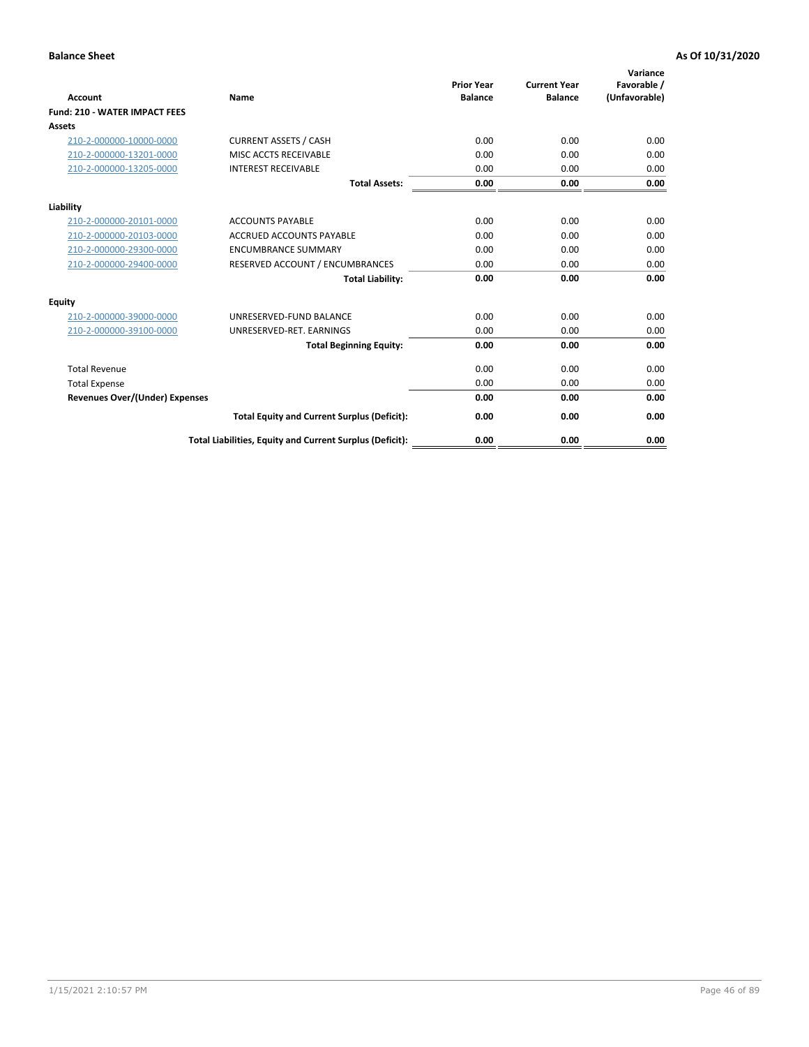| <b>Account</b>                        | <b>Name</b>                                              | <b>Prior Year</b><br><b>Balance</b> | <b>Current Year</b><br><b>Balance</b> | Variance<br>Favorable /<br>(Unfavorable) |
|---------------------------------------|----------------------------------------------------------|-------------------------------------|---------------------------------------|------------------------------------------|
| <b>Fund: 210 - WATER IMPACT FEES</b>  |                                                          |                                     |                                       |                                          |
| <b>Assets</b>                         |                                                          |                                     |                                       |                                          |
| 210-2-000000-10000-0000               | <b>CURRENT ASSETS / CASH</b>                             | 0.00                                | 0.00                                  | 0.00                                     |
| 210-2-000000-13201-0000               | MISC ACCTS RECEIVABLE                                    | 0.00                                | 0.00                                  | 0.00                                     |
| 210-2-000000-13205-0000               | <b>INTEREST RECEIVABLE</b>                               | 0.00                                | 0.00                                  | 0.00                                     |
|                                       | <b>Total Assets:</b>                                     | 0.00                                | 0.00                                  | 0.00                                     |
| Liability                             |                                                          |                                     |                                       |                                          |
| 210-2-000000-20101-0000               | <b>ACCOUNTS PAYABLE</b>                                  | 0.00                                | 0.00                                  | 0.00                                     |
| 210-2-000000-20103-0000               | <b>ACCRUED ACCOUNTS PAYABLE</b>                          | 0.00                                | 0.00                                  | 0.00                                     |
| 210-2-000000-29300-0000               | <b>ENCUMBRANCE SUMMARY</b>                               | 0.00                                | 0.00                                  | 0.00                                     |
| 210-2-000000-29400-0000               | RESERVED ACCOUNT / ENCUMBRANCES                          | 0.00                                | 0.00                                  | 0.00                                     |
|                                       | <b>Total Liability:</b>                                  | 0.00                                | 0.00                                  | 0.00                                     |
| <b>Equity</b>                         |                                                          |                                     |                                       |                                          |
| 210-2-000000-39000-0000               | UNRESERVED-FUND BALANCE                                  | 0.00                                | 0.00                                  | 0.00                                     |
| 210-2-000000-39100-0000               | UNRESERVED-RET. EARNINGS                                 | 0.00                                | 0.00                                  | 0.00                                     |
|                                       | <b>Total Beginning Equity:</b>                           | 0.00                                | 0.00                                  | 0.00                                     |
| <b>Total Revenue</b>                  |                                                          | 0.00                                | 0.00                                  | 0.00                                     |
| <b>Total Expense</b>                  |                                                          | 0.00                                | 0.00                                  | 0.00                                     |
| <b>Revenues Over/(Under) Expenses</b> |                                                          | 0.00                                | 0.00                                  | 0.00                                     |
|                                       | <b>Total Equity and Current Surplus (Deficit):</b>       | 0.00                                | 0.00                                  | 0.00                                     |
|                                       | Total Liabilities, Equity and Current Surplus (Deficit): | 0.00                                | 0.00                                  | 0.00                                     |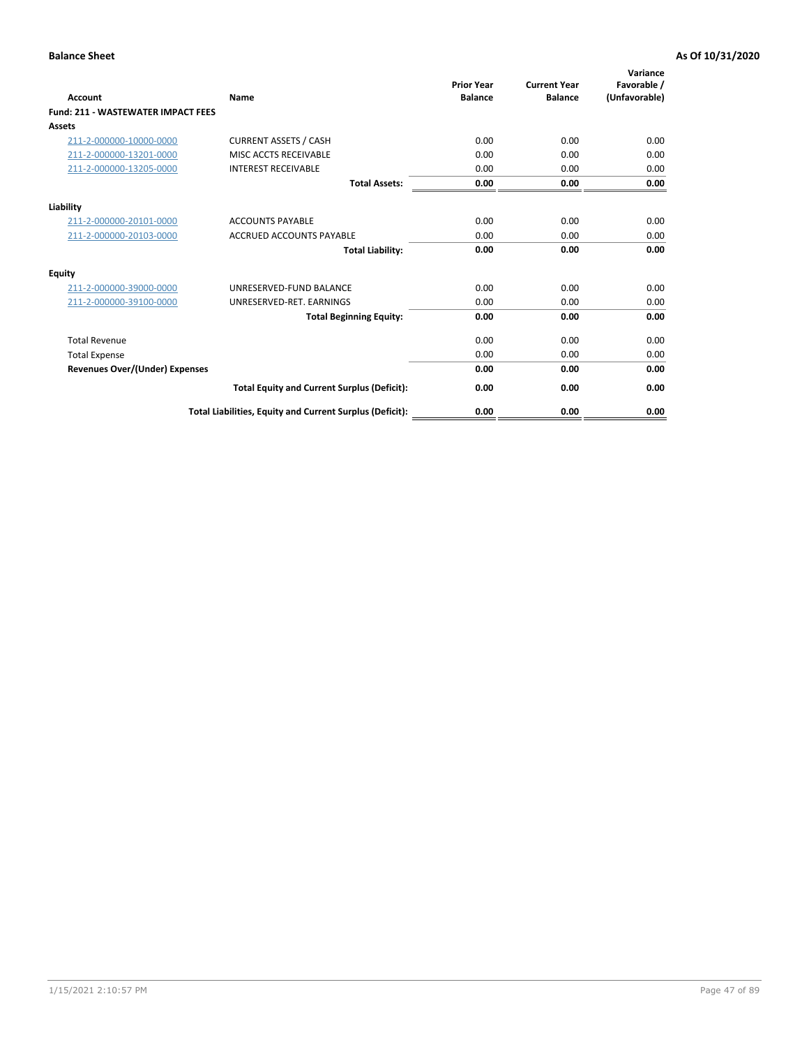| <b>Account</b>                        | <b>Name</b>                                              | <b>Prior Year</b><br><b>Balance</b> | <b>Current Year</b><br><b>Balance</b> | Variance<br>Favorable /<br>(Unfavorable) |
|---------------------------------------|----------------------------------------------------------|-------------------------------------|---------------------------------------|------------------------------------------|
| Fund: 211 - WASTEWATER IMPACT FEES    |                                                          |                                     |                                       |                                          |
| <b>Assets</b>                         |                                                          |                                     |                                       |                                          |
| 211-2-000000-10000-0000               | <b>CURRENT ASSETS / CASH</b>                             | 0.00                                | 0.00                                  | 0.00                                     |
| 211-2-000000-13201-0000               | MISC ACCTS RECEIVABLE                                    | 0.00                                | 0.00                                  | 0.00                                     |
| 211-2-000000-13205-0000               | <b>INTEREST RECEIVABLE</b>                               | 0.00                                | 0.00                                  | 0.00                                     |
|                                       | <b>Total Assets:</b>                                     | 0.00                                | 0.00                                  | 0.00                                     |
| Liability                             |                                                          |                                     |                                       |                                          |
| 211-2-000000-20101-0000               | <b>ACCOUNTS PAYABLE</b>                                  | 0.00                                | 0.00                                  | 0.00                                     |
| 211-2-000000-20103-0000               | <b>ACCRUED ACCOUNTS PAYABLE</b>                          | 0.00                                | 0.00                                  | 0.00                                     |
|                                       | <b>Total Liability:</b>                                  | 0.00                                | 0.00                                  | 0.00                                     |
| <b>Equity</b>                         |                                                          |                                     |                                       |                                          |
| 211-2-000000-39000-0000               | UNRESERVED-FUND BALANCE                                  | 0.00                                | 0.00                                  | 0.00                                     |
| 211-2-000000-39100-0000               | UNRESERVED-RET. EARNINGS                                 | 0.00                                | 0.00                                  | 0.00                                     |
|                                       | <b>Total Beginning Equity:</b>                           | 0.00                                | 0.00                                  | 0.00                                     |
| <b>Total Revenue</b>                  |                                                          | 0.00                                | 0.00                                  | 0.00                                     |
| <b>Total Expense</b>                  |                                                          | 0.00                                | 0.00                                  | 0.00                                     |
| <b>Revenues Over/(Under) Expenses</b> |                                                          | 0.00                                | 0.00                                  | 0.00                                     |
|                                       | <b>Total Equity and Current Surplus (Deficit):</b>       | 0.00                                | 0.00                                  | 0.00                                     |
|                                       | Total Liabilities, Equity and Current Surplus (Deficit): | 0.00                                | 0.00                                  | 0.00                                     |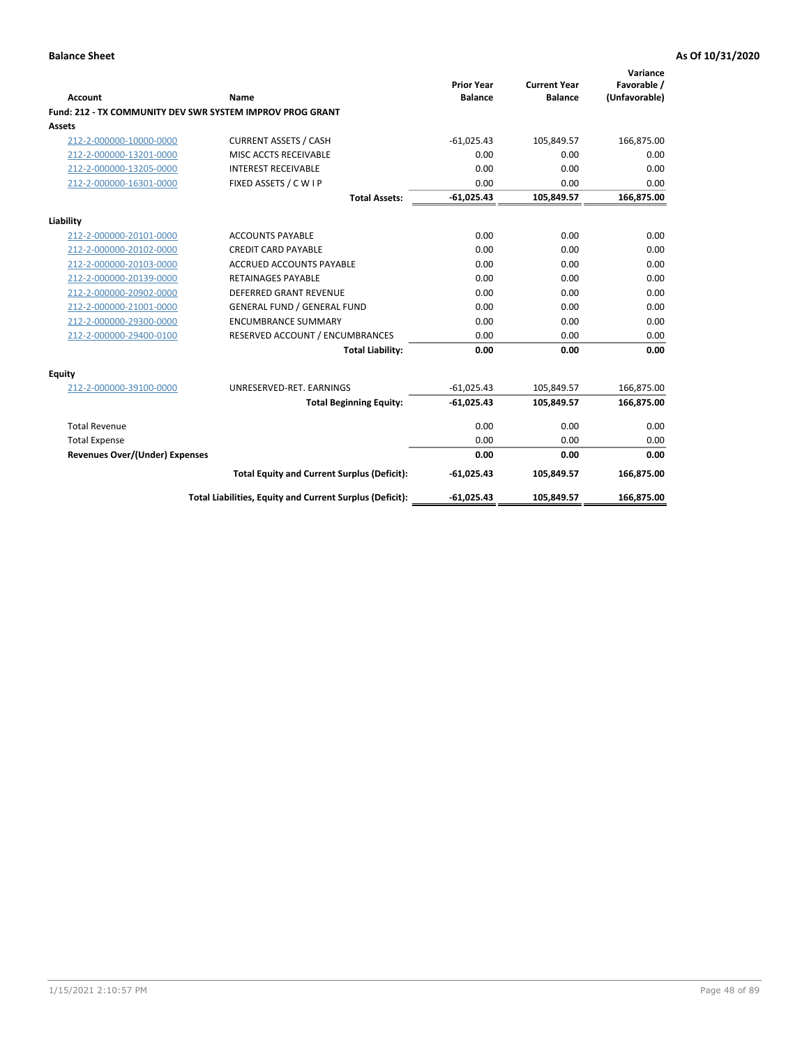| <b>Account</b>                 | <b>Name</b>                                               | <b>Prior Year</b><br><b>Balance</b> | <b>Current Year</b><br><b>Balance</b> | Variance<br>Favorable /<br>(Unfavorable) |
|--------------------------------|-----------------------------------------------------------|-------------------------------------|---------------------------------------|------------------------------------------|
|                                | Fund: 212 - TX COMMUNITY DEV SWR SYSTEM IMPROV PROG GRANT |                                     |                                       |                                          |
| <b>Assets</b>                  |                                                           |                                     |                                       |                                          |
| 212-2-000000-10000-0000        | <b>CURRENT ASSETS / CASH</b>                              | $-61,025.43$                        | 105,849.57                            | 166,875.00                               |
| 212-2-000000-13201-0000        | MISC ACCTS RECEIVABLE                                     | 0.00                                | 0.00                                  | 0.00                                     |
| 212-2-000000-13205-0000        | <b>INTEREST RECEIVABLE</b>                                | 0.00                                | 0.00                                  | 0.00                                     |
| 212-2-000000-16301-0000        | FIXED ASSETS / C W I P                                    | 0.00                                | 0.00                                  | 0.00                                     |
|                                | <b>Total Assets:</b>                                      | $-61,025.43$                        | 105,849.57                            | 166,875.00                               |
| Liability                      |                                                           |                                     |                                       |                                          |
| 212-2-000000-20101-0000        | <b>ACCOUNTS PAYABLE</b>                                   | 0.00                                | 0.00                                  | 0.00                                     |
| 212-2-000000-20102-0000        | <b>CREDIT CARD PAYABLE</b>                                | 0.00                                | 0.00                                  | 0.00                                     |
| 212-2-000000-20103-0000        | <b>ACCRUED ACCOUNTS PAYABLE</b>                           | 0.00                                | 0.00                                  | 0.00                                     |
| 212-2-000000-20139-0000        | <b>RETAINAGES PAYABLE</b>                                 | 0.00                                | 0.00                                  | 0.00                                     |
| 212-2-000000-20902-0000        | <b>DEFERRED GRANT REVENUE</b>                             | 0.00                                | 0.00                                  | 0.00                                     |
| 212-2-000000-21001-0000        | <b>GENERAL FUND / GENERAL FUND</b>                        | 0.00                                | 0.00                                  | 0.00                                     |
| 212-2-000000-29300-0000        | <b>ENCUMBRANCE SUMMARY</b>                                | 0.00                                | 0.00                                  | 0.00                                     |
| 212-2-000000-29400-0100        | RESERVED ACCOUNT / ENCUMBRANCES                           | 0.00                                | 0.00                                  | 0.00                                     |
|                                | <b>Total Liability:</b>                                   | 0.00                                | 0.00                                  | 0.00                                     |
| <b>Equity</b>                  |                                                           |                                     |                                       |                                          |
| 212-2-000000-39100-0000        | UNRESERVED-RET. EARNINGS                                  | $-61,025.43$                        | 105,849.57                            | 166,875.00                               |
|                                | <b>Total Beginning Equity:</b>                            | $-61,025.43$                        | 105,849.57                            | 166,875.00                               |
| <b>Total Revenue</b>           |                                                           | 0.00                                | 0.00                                  | 0.00                                     |
| <b>Total Expense</b>           |                                                           | 0.00                                | 0.00                                  | 0.00                                     |
| Revenues Over/(Under) Expenses |                                                           | 0.00                                | 0.00                                  | 0.00                                     |
|                                | <b>Total Equity and Current Surplus (Deficit):</b>        | $-61,025.43$                        | 105,849.57                            | 166,875.00                               |
|                                | Total Liabilities, Equity and Current Surplus (Deficit):  | $-61,025.43$                        | 105,849.57                            | 166,875.00                               |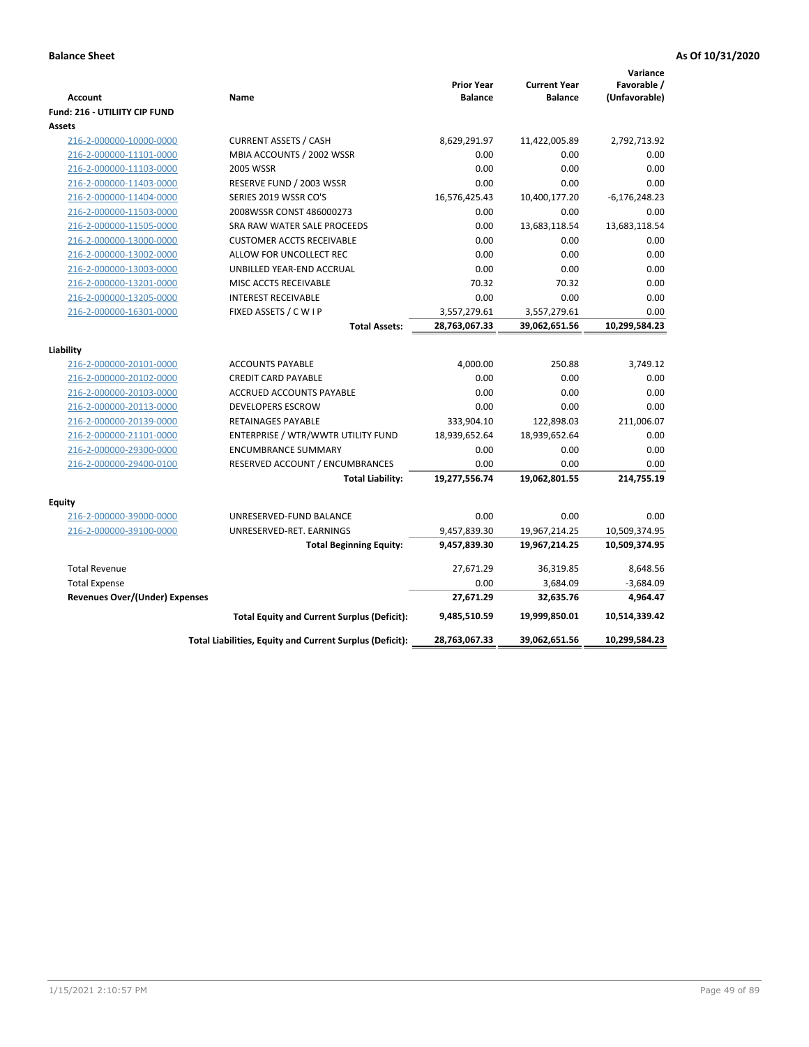| <b>Account</b><br>Fund: 216 - UTILIITY CIP FUND | <b>Name</b>                                              | <b>Prior Year</b><br><b>Balance</b> | <b>Current Year</b><br><b>Balance</b> | Variance<br>Favorable /<br>(Unfavorable) |
|-------------------------------------------------|----------------------------------------------------------|-------------------------------------|---------------------------------------|------------------------------------------|
| <b>Assets</b>                                   |                                                          |                                     |                                       |                                          |
| 216-2-000000-10000-0000                         | <b>CURRENT ASSETS / CASH</b>                             | 8,629,291.97                        | 11,422,005.89                         | 2,792,713.92                             |
| 216-2-000000-11101-0000                         | MBIA ACCOUNTS / 2002 WSSR                                | 0.00                                | 0.00                                  | 0.00                                     |
| 216-2-000000-11103-0000                         | 2005 WSSR                                                | 0.00                                | 0.00                                  | 0.00                                     |
| 216-2-000000-11403-0000                         | RESERVE FUND / 2003 WSSR                                 | 0.00                                | 0.00                                  | 0.00                                     |
| 216-2-000000-11404-0000                         | SERIES 2019 WSSR CO'S                                    | 16,576,425.43                       | 10,400,177.20                         | $-6,176,248.23$                          |
| 216-2-000000-11503-0000                         | 2008WSSR CONST 486000273                                 | 0.00                                | 0.00                                  | 0.00                                     |
| 216-2-000000-11505-0000                         | SRA RAW WATER SALE PROCEEDS                              | 0.00                                | 13,683,118.54                         | 13,683,118.54                            |
| 216-2-000000-13000-0000                         | <b>CUSTOMER ACCTS RECEIVABLE</b>                         | 0.00                                | 0.00                                  | 0.00                                     |
| 216-2-000000-13002-0000                         | ALLOW FOR UNCOLLECT REC                                  | 0.00                                | 0.00                                  | 0.00                                     |
| 216-2-000000-13003-0000                         | UNBILLED YEAR-END ACCRUAL                                | 0.00                                | 0.00                                  | 0.00                                     |
| 216-2-000000-13201-0000                         | MISC ACCTS RECEIVABLE                                    | 70.32                               | 70.32                                 | 0.00                                     |
| 216-2-000000-13205-0000                         | <b>INTEREST RECEIVABLE</b>                               | 0.00                                | 0.00                                  | 0.00                                     |
| 216-2-000000-16301-0000                         | FIXED ASSETS / C W I P                                   | 3,557,279.61                        | 3,557,279.61                          | 0.00                                     |
|                                                 | <b>Total Assets:</b>                                     | 28,763,067.33                       | 39,062,651.56                         | 10,299,584.23                            |
| Liability                                       |                                                          |                                     |                                       |                                          |
| 216-2-000000-20101-0000                         | <b>ACCOUNTS PAYABLE</b>                                  | 4,000.00                            | 250.88                                | 3,749.12                                 |
| 216-2-000000-20102-0000                         | <b>CREDIT CARD PAYABLE</b>                               | 0.00                                | 0.00                                  | 0.00                                     |
| 216-2-000000-20103-0000                         | ACCRUED ACCOUNTS PAYABLE                                 | 0.00                                | 0.00                                  | 0.00                                     |
| 216-2-000000-20113-0000                         | <b>DEVELOPERS ESCROW</b>                                 | 0.00                                | 0.00                                  | 0.00                                     |
| 216-2-000000-20139-0000                         | <b>RETAINAGES PAYABLE</b>                                | 333,904.10                          | 122,898.03                            | 211,006.07                               |
| 216-2-000000-21101-0000                         | ENTERPRISE / WTR/WWTR UTILITY FUND                       | 18,939,652.64                       | 18,939,652.64                         | 0.00                                     |
| 216-2-000000-29300-0000                         | <b>ENCUMBRANCE SUMMARY</b>                               | 0.00                                | 0.00                                  | 0.00                                     |
| 216-2-000000-29400-0100                         | RESERVED ACCOUNT / ENCUMBRANCES                          | 0.00                                | 0.00                                  | 0.00                                     |
|                                                 | <b>Total Liability:</b>                                  | 19,277,556.74                       | 19,062,801.55                         | 214,755.19                               |
| <b>Equity</b>                                   |                                                          |                                     |                                       |                                          |
| 216-2-000000-39000-0000                         | UNRESERVED-FUND BALANCE                                  | 0.00                                | 0.00                                  | 0.00                                     |
| 216-2-000000-39100-0000                         | UNRESERVED-RET. EARNINGS                                 | 9,457,839.30                        | 19,967,214.25                         | 10,509,374.95                            |
|                                                 | <b>Total Beginning Equity:</b>                           | 9,457,839.30                        | 19,967,214.25                         | 10,509,374.95                            |
| <b>Total Revenue</b>                            |                                                          | 27,671.29                           | 36,319.85                             | 8,648.56                                 |
| <b>Total Expense</b>                            |                                                          | 0.00                                | 3,684.09                              | $-3,684.09$                              |
| Revenues Over/(Under) Expenses                  |                                                          | 27,671.29                           | 32,635.76                             | 4,964.47                                 |
|                                                 | <b>Total Equity and Current Surplus (Deficit):</b>       | 9,485,510.59                        | 19,999,850.01                         | 10,514,339.42                            |
|                                                 | Total Liabilities, Equity and Current Surplus (Deficit): | 28,763,067.33                       | 39,062,651.56                         | 10,299,584.23                            |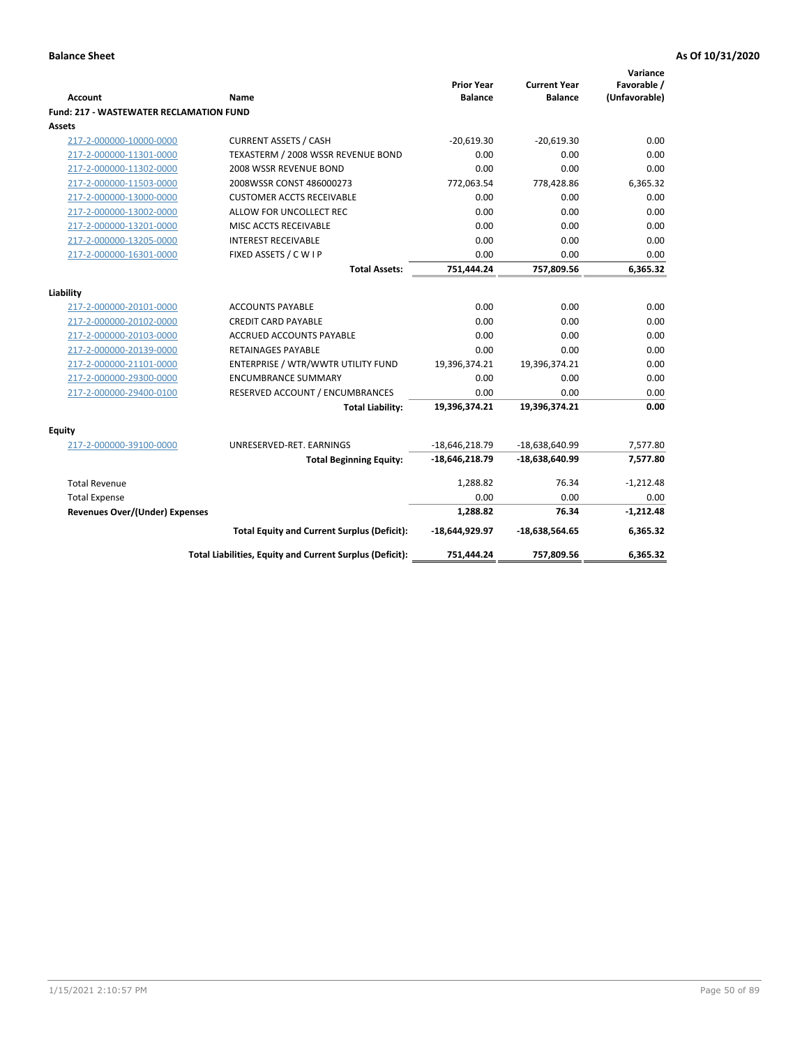| <b>Account</b>                                 | Name                                                     | <b>Prior Year</b><br><b>Balance</b> | <b>Current Year</b><br><b>Balance</b> | Variance<br>Favorable /<br>(Unfavorable) |
|------------------------------------------------|----------------------------------------------------------|-------------------------------------|---------------------------------------|------------------------------------------|
| <b>Fund: 217 - WASTEWATER RECLAMATION FUND</b> |                                                          |                                     |                                       |                                          |
| Assets                                         |                                                          |                                     |                                       |                                          |
| 217-2-000000-10000-0000                        | <b>CURRENT ASSETS / CASH</b>                             | $-20.619.30$                        | $-20.619.30$                          | 0.00                                     |
| 217-2-000000-11301-0000                        | TEXASTERM / 2008 WSSR REVENUE BOND                       | 0.00                                | 0.00                                  | 0.00                                     |
| 217-2-000000-11302-0000                        | 2008 WSSR REVENUE BOND                                   | 0.00                                | 0.00                                  | 0.00                                     |
| 217-2-000000-11503-0000                        | 2008WSSR CONST 486000273                                 | 772,063.54                          | 778,428.86                            | 6,365.32                                 |
| 217-2-000000-13000-0000                        | <b>CUSTOMER ACCTS RECEIVABLE</b>                         | 0.00                                | 0.00                                  | 0.00                                     |
| 217-2-000000-13002-0000                        | ALLOW FOR UNCOLLECT REC                                  | 0.00                                | 0.00                                  | 0.00                                     |
| 217-2-000000-13201-0000                        | MISC ACCTS RECEIVABLE                                    | 0.00                                | 0.00                                  | 0.00                                     |
| 217-2-000000-13205-0000                        | <b>INTEREST RECEIVABLE</b>                               | 0.00                                | 0.00                                  | 0.00                                     |
| 217-2-000000-16301-0000                        | FIXED ASSETS / C W I P                                   | 0.00                                | 0.00                                  | 0.00                                     |
|                                                | <b>Total Assets:</b>                                     | 751,444.24                          | 757,809.56                            | 6,365.32                                 |
|                                                |                                                          |                                     |                                       |                                          |
| Liability                                      |                                                          |                                     |                                       |                                          |
| 217-2-000000-20101-0000                        | <b>ACCOUNTS PAYABLE</b>                                  | 0.00                                | 0.00                                  | 0.00                                     |
| 217-2-000000-20102-0000                        | <b>CREDIT CARD PAYABLE</b>                               | 0.00                                | 0.00                                  | 0.00                                     |
| 217-2-000000-20103-0000                        | <b>ACCRUED ACCOUNTS PAYABLE</b>                          | 0.00                                | 0.00                                  | 0.00                                     |
| 217-2-000000-20139-0000                        | <b>RETAINAGES PAYABLE</b>                                | 0.00                                | 0.00                                  | 0.00                                     |
| 217-2-000000-21101-0000                        | ENTERPRISE / WTR/WWTR UTILITY FUND                       | 19,396,374.21                       | 19,396,374.21                         | 0.00                                     |
| 217-2-000000-29300-0000                        | <b>ENCUMBRANCE SUMMARY</b>                               | 0.00                                | 0.00                                  | 0.00                                     |
| 217-2-000000-29400-0100                        | RESERVED ACCOUNT / ENCUMBRANCES                          | 0.00                                | 0.00                                  | 0.00                                     |
|                                                | <b>Total Liability:</b>                                  | 19,396,374.21                       | 19,396,374.21                         | 0.00                                     |
| <b>Equity</b>                                  |                                                          |                                     |                                       |                                          |
| 217-2-000000-39100-0000                        | UNRESERVED-RET. EARNINGS                                 | $-18,646,218.79$                    | $-18,638,640.99$                      | 7,577.80                                 |
|                                                | <b>Total Beginning Equity:</b>                           | $-18,646,218.79$                    | $-18,638,640.99$                      | 7,577.80                                 |
| <b>Total Revenue</b>                           |                                                          | 1,288.82                            | 76.34                                 | $-1,212.48$                              |
| <b>Total Expense</b>                           |                                                          | 0.00                                | 0.00                                  | 0.00                                     |
| <b>Revenues Over/(Under) Expenses</b>          |                                                          | 1,288.82                            | 76.34                                 | $-1,212.48$                              |
|                                                | <b>Total Equity and Current Surplus (Deficit):</b>       | -18,644,929.97                      | $-18,638,564.65$                      | 6,365.32                                 |
|                                                | Total Liabilities, Equity and Current Surplus (Deficit): | 751,444.24                          | 757,809.56                            | 6.365.32                                 |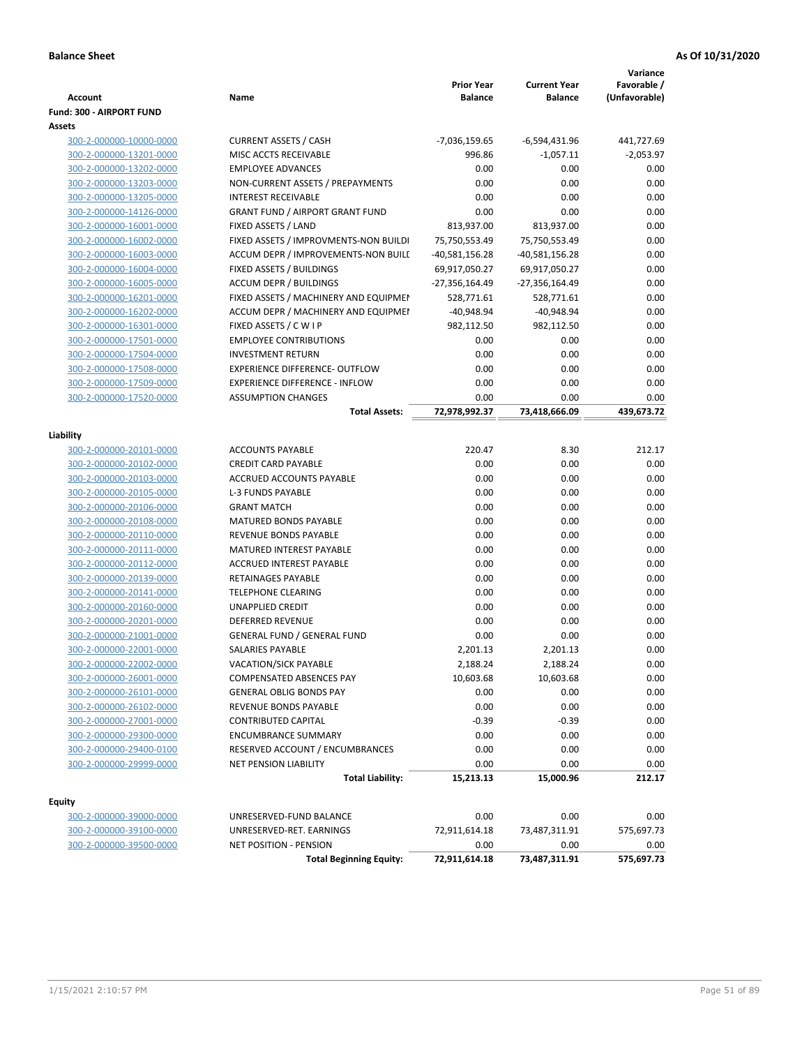| <b>Account</b>                                     | Name                                                   | <b>Prior Year</b><br><b>Balance</b> | <b>Current Year</b><br><b>Balance</b> | Variance<br>Favorable /<br>(Unfavorable) |
|----------------------------------------------------|--------------------------------------------------------|-------------------------------------|---------------------------------------|------------------------------------------|
| <b>Fund: 300 - AIRPORT FUND</b>                    |                                                        |                                     |                                       |                                          |
| Assets                                             |                                                        |                                     |                                       |                                          |
| 300-2-000000-10000-0000                            | <b>CURRENT ASSETS / CASH</b>                           | -7,036,159.65                       | -6,594,431.96                         | 441,727.69                               |
| 300-2-000000-13201-0000                            | MISC ACCTS RECEIVABLE                                  | 996.86                              | $-1,057.11$                           | $-2,053.97$                              |
| 300-2-000000-13202-0000                            | <b>EMPLOYEE ADVANCES</b>                               | 0.00                                | 0.00                                  | 0.00                                     |
| 300-2-000000-13203-0000                            | NON-CURRENT ASSETS / PREPAYMENTS                       | 0.00                                | 0.00                                  | 0.00                                     |
| 300-2-000000-13205-0000                            | <b>INTEREST RECEIVABLE</b>                             | 0.00                                | 0.00                                  | 0.00                                     |
| 300-2-000000-14126-0000                            | <b>GRANT FUND / AIRPORT GRANT FUND</b>                 | 0.00                                | 0.00                                  | 0.00                                     |
| 300-2-000000-16001-0000                            | FIXED ASSETS / LAND                                    | 813,937.00                          | 813,937.00                            | 0.00                                     |
| 300-2-000000-16002-0000                            | FIXED ASSETS / IMPROVMENTS-NON BUILDI                  | 75,750,553.49                       | 75,750,553.49                         | 0.00                                     |
| 300-2-000000-16003-0000                            | ACCUM DEPR / IMPROVEMENTS-NON BUILI                    | -40,581,156.28                      | -40,581,156.28                        | 0.00                                     |
| 300-2-000000-16004-0000                            | FIXED ASSETS / BUILDINGS                               | 69,917,050.27                       | 69,917,050.27                         | 0.00                                     |
| 300-2-000000-16005-0000                            | <b>ACCUM DEPR / BUILDINGS</b>                          | -27,356,164.49                      | -27,356,164.49                        | 0.00                                     |
| 300-2-000000-16201-0000                            | FIXED ASSETS / MACHINERY AND EQUIPMEN                  | 528,771.61                          | 528,771.61                            | 0.00                                     |
| 300-2-000000-16202-0000                            | ACCUM DEPR / MACHINERY AND EQUIPMEI                    | $-40,948.94$                        | $-40,948.94$                          | 0.00                                     |
| 300-2-000000-16301-0000                            | FIXED ASSETS / C W I P                                 | 982,112.50                          | 982,112.50                            | 0.00                                     |
| 300-2-000000-17501-0000                            | <b>EMPLOYEE CONTRIBUTIONS</b>                          | 0.00                                | 0.00                                  | 0.00                                     |
| 300-2-000000-17504-0000                            | <b>INVESTMENT RETURN</b>                               | 0.00                                | 0.00                                  | 0.00                                     |
| 300-2-000000-17508-0000                            | <b>EXPERIENCE DIFFERENCE- OUTFLOW</b>                  | 0.00                                | 0.00                                  | 0.00                                     |
| 300-2-000000-17509-0000                            | <b>EXPERIENCE DIFFERENCE - INFLOW</b>                  | 0.00                                | 0.00                                  | 0.00                                     |
| 300-2-000000-17520-0000                            | <b>ASSUMPTION CHANGES</b>                              | 0.00                                | 0.00                                  | 0.00                                     |
|                                                    | <b>Total Assets:</b>                                   | 72,978,992.37                       | 73,418,666.09                         | 439,673.72                               |
|                                                    |                                                        |                                     |                                       |                                          |
| Liability                                          |                                                        |                                     |                                       |                                          |
| 300-2-000000-20101-0000                            | <b>ACCOUNTS PAYABLE</b>                                | 220.47                              | 8.30                                  | 212.17                                   |
| 300-2-000000-20102-0000                            | <b>CREDIT CARD PAYABLE</b><br>ACCRUED ACCOUNTS PAYABLE | 0.00<br>0.00                        | 0.00<br>0.00                          | 0.00<br>0.00                             |
| 300-2-000000-20103-0000                            | L-3 FUNDS PAYABLE                                      | 0.00                                | 0.00                                  | 0.00                                     |
| 300-2-000000-20105-0000<br>300-2-000000-20106-0000 | <b>GRANT MATCH</b>                                     | 0.00                                | 0.00                                  | 0.00                                     |
| 300-2-000000-20108-0000                            | <b>MATURED BONDS PAYABLE</b>                           | 0.00                                | 0.00                                  | 0.00                                     |
| 300-2-000000-20110-0000                            | REVENUE BONDS PAYABLE                                  | 0.00                                | 0.00                                  | 0.00                                     |
| 300-2-000000-20111-0000                            | MATURED INTEREST PAYABLE                               | 0.00                                | 0.00                                  | 0.00                                     |
| 300-2-000000-20112-0000                            | <b>ACCRUED INTEREST PAYABLE</b>                        | 0.00                                | 0.00                                  | 0.00                                     |
| 300-2-000000-20139-0000                            | RETAINAGES PAYABLE                                     | 0.00                                | 0.00                                  | 0.00                                     |
| 300-2-000000-20141-0000                            | <b>TELEPHONE CLEARING</b>                              | 0.00                                | 0.00                                  | 0.00                                     |
| 300-2-000000-20160-0000                            | <b>UNAPPLIED CREDIT</b>                                | 0.00                                | 0.00                                  | 0.00                                     |
| 300-2-000000-20201-0000                            | <b>DEFERRED REVENUE</b>                                | 0.00                                | 0.00                                  | 0.00                                     |
| 300-2-000000-21001-0000                            | <b>GENERAL FUND / GENERAL FUND</b>                     | 0.00                                | 0.00                                  | 0.00                                     |
| 300-2-000000-22001-0000                            | SALARIES PAYABLE                                       | 2,201.13                            | 2,201.13                              | 0.00                                     |
| 300-2-000000-22002-0000                            | VACATION/SICK PAYABLE                                  | 2,188.24                            | 2,188.24                              | 0.00                                     |
| 300-2-000000-26001-0000                            | COMPENSATED ABSENCES PAY                               | 10,603.68                           | 10,603.68                             | 0.00                                     |
| 300-2-000000-26101-0000                            | <b>GENERAL OBLIG BONDS PAY</b>                         | 0.00                                | 0.00                                  | 0.00                                     |
| 300-2-000000-26102-0000                            | REVENUE BONDS PAYABLE                                  | 0.00                                | 0.00                                  | 0.00                                     |
| 300-2-000000-27001-0000                            | CONTRIBUTED CAPITAL                                    | $-0.39$                             | $-0.39$                               | 0.00                                     |
| 300-2-000000-29300-0000                            | <b>ENCUMBRANCE SUMMARY</b>                             | 0.00                                | 0.00                                  | 0.00                                     |
| 300-2-000000-29400-0100                            | RESERVED ACCOUNT / ENCUMBRANCES                        | 0.00                                | 0.00                                  | 0.00                                     |
| 300-2-000000-29999-0000                            | <b>NET PENSION LIABILITY</b>                           | 0.00                                | 0.00                                  | 0.00                                     |
|                                                    | <b>Total Liability:</b>                                | 15,213.13                           | 15,000.96                             | 212.17                                   |
|                                                    |                                                        |                                     |                                       |                                          |
| <b>Equity</b>                                      |                                                        |                                     |                                       |                                          |
| 300-2-000000-39000-0000                            | UNRESERVED-FUND BALANCE                                | 0.00                                | 0.00                                  | 0.00                                     |
| 300-2-000000-39100-0000                            | UNRESERVED-RET. EARNINGS                               | 72,911,614.18                       | 73,487,311.91                         | 575,697.73                               |
| 300-2-000000-39500-0000                            | NET POSITION - PENSION                                 | 0.00                                | 0.00                                  | 0.00                                     |
|                                                    | <b>Total Beginning Equity:</b>                         | 72,911,614.18                       | 73,487,311.91                         | 575,697.73                               |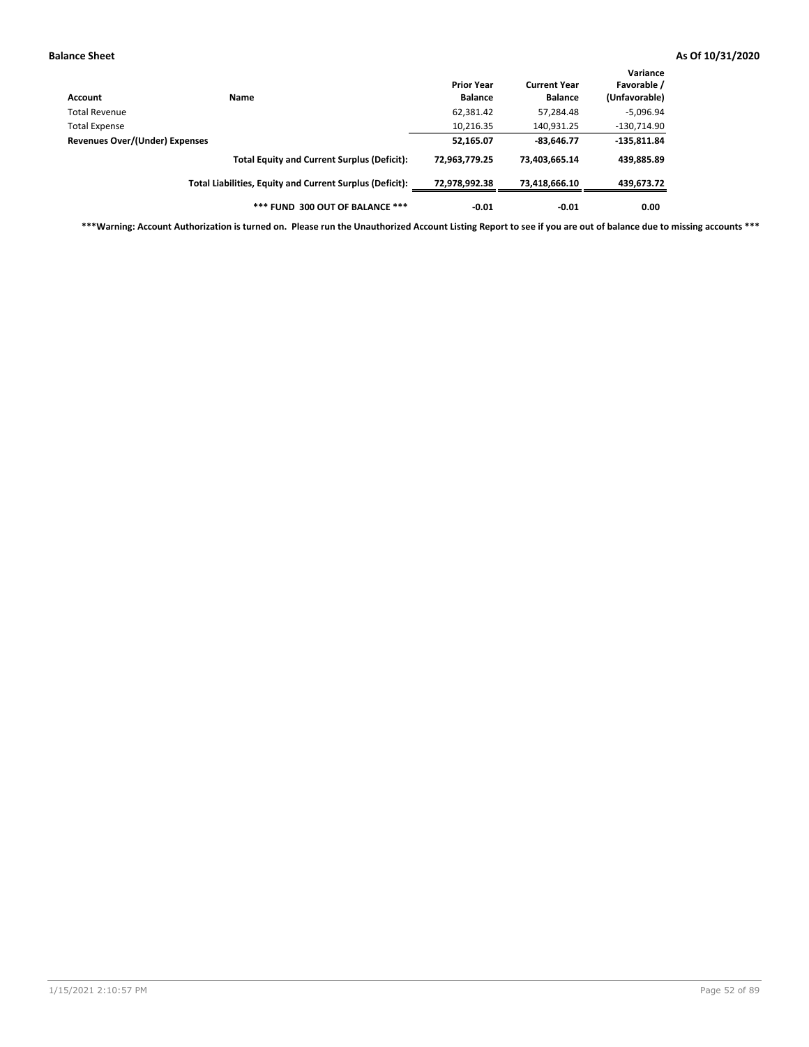| Account                        | <b>Name</b>                                              | <b>Prior Year</b><br><b>Balance</b> | <b>Current Year</b><br><b>Balance</b> | Variance<br>Favorable /<br>(Unfavorable) |
|--------------------------------|----------------------------------------------------------|-------------------------------------|---------------------------------------|------------------------------------------|
| Total Revenue                  |                                                          | 62,381.42                           | 57,284.48                             | $-5,096.94$                              |
| <b>Total Expense</b>           |                                                          | 10,216.35                           | 140,931.25                            | $-130,714.90$                            |
| Revenues Over/(Under) Expenses |                                                          | 52,165.07                           | $-83,646.77$                          | $-135,811.84$                            |
|                                | <b>Total Equity and Current Surplus (Deficit):</b>       | 72,963,779.25                       | 73,403,665.14                         | 439,885.89                               |
|                                | Total Liabilities, Equity and Current Surplus (Deficit): | 72,978,992.38                       | 73,418,666.10                         | 439,673.72                               |
|                                | *** FUND 300 OUT OF BALANCE ***                          | $-0.01$                             | $-0.01$                               | 0.00                                     |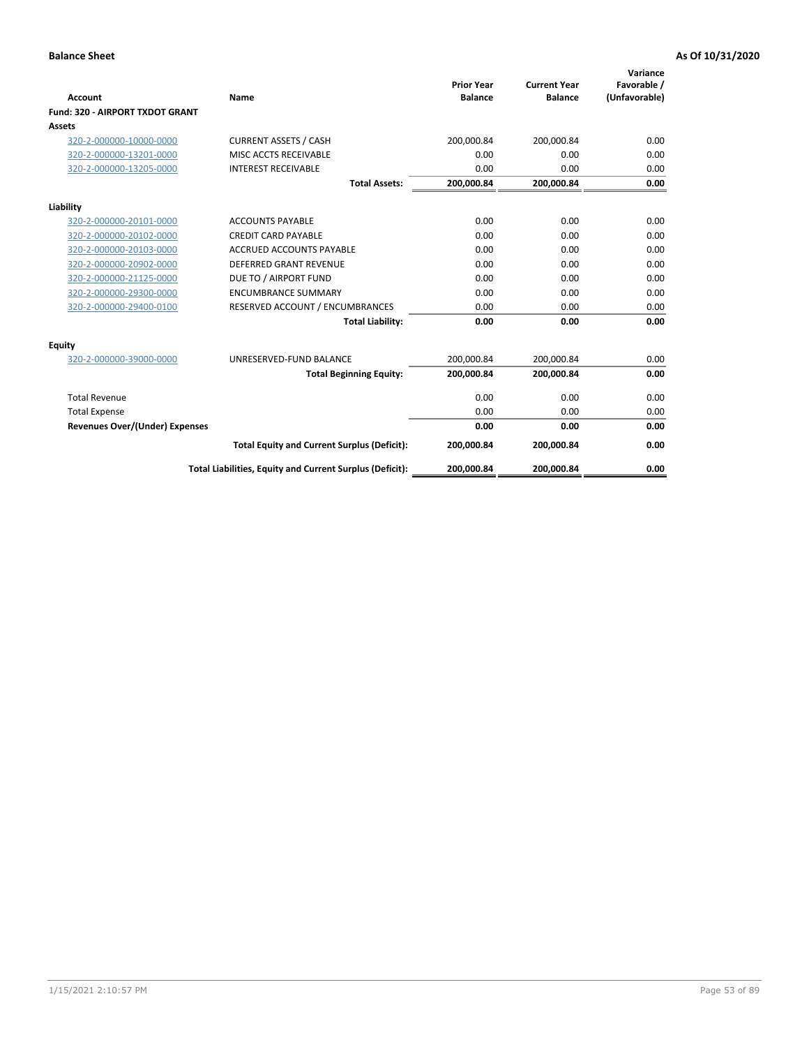|                                       |                                                          | <b>Prior Year</b> | <b>Current Year</b> | Variance<br>Favorable / |
|---------------------------------------|----------------------------------------------------------|-------------------|---------------------|-------------------------|
| <b>Account</b>                        | Name                                                     | <b>Balance</b>    | <b>Balance</b>      | (Unfavorable)           |
| Fund: 320 - AIRPORT TXDOT GRANT       |                                                          |                   |                     |                         |
| Assets                                |                                                          |                   |                     |                         |
| 320-2-000000-10000-0000               | <b>CURRENT ASSETS / CASH</b>                             | 200,000.84        | 200,000.84          | 0.00                    |
| 320-2-000000-13201-0000               | MISC ACCTS RECEIVABLE                                    | 0.00              | 0.00                | 0.00                    |
| 320-2-000000-13205-0000               | <b>INTEREST RECEIVABLE</b>                               | 0.00              | 0.00                | 0.00                    |
|                                       | <b>Total Assets:</b>                                     | 200,000.84        | 200,000.84          | 0.00                    |
| Liability                             |                                                          |                   |                     |                         |
| 320-2-000000-20101-0000               | <b>ACCOUNTS PAYABLE</b>                                  | 0.00              | 0.00                | 0.00                    |
| 320-2-000000-20102-0000               | <b>CREDIT CARD PAYABLE</b>                               | 0.00              | 0.00                | 0.00                    |
| 320-2-000000-20103-0000               | <b>ACCRUED ACCOUNTS PAYABLE</b>                          | 0.00              | 0.00                | 0.00                    |
| 320-2-000000-20902-0000               | <b>DEFERRED GRANT REVENUE</b>                            | 0.00              | 0.00                | 0.00                    |
| 320-2-000000-21125-0000               | DUE TO / AIRPORT FUND                                    | 0.00              | 0.00                | 0.00                    |
| 320-2-000000-29300-0000               | <b>ENCUMBRANCE SUMMARY</b>                               | 0.00              | 0.00                | 0.00                    |
| 320-2-000000-29400-0100               | RESERVED ACCOUNT / ENCUMBRANCES                          | 0.00              | 0.00                | 0.00                    |
|                                       | <b>Total Liability:</b>                                  | 0.00              | 0.00                | 0.00                    |
| <b>Equity</b>                         |                                                          |                   |                     |                         |
| 320-2-000000-39000-0000               | UNRESERVED-FUND BALANCE                                  | 200,000.84        | 200,000.84          | 0.00                    |
|                                       | <b>Total Beginning Equity:</b>                           | 200,000.84        | 200,000.84          | 0.00                    |
| <b>Total Revenue</b>                  |                                                          | 0.00              | 0.00                | 0.00                    |
| <b>Total Expense</b>                  |                                                          | 0.00              | 0.00                | 0.00                    |
| <b>Revenues Over/(Under) Expenses</b> |                                                          | 0.00              | 0.00                | 0.00                    |
|                                       | <b>Total Equity and Current Surplus (Deficit):</b>       | 200,000.84        | 200,000.84          | 0.00                    |
|                                       | Total Liabilities, Equity and Current Surplus (Deficit): | 200,000.84        | 200,000.84          | 0.00                    |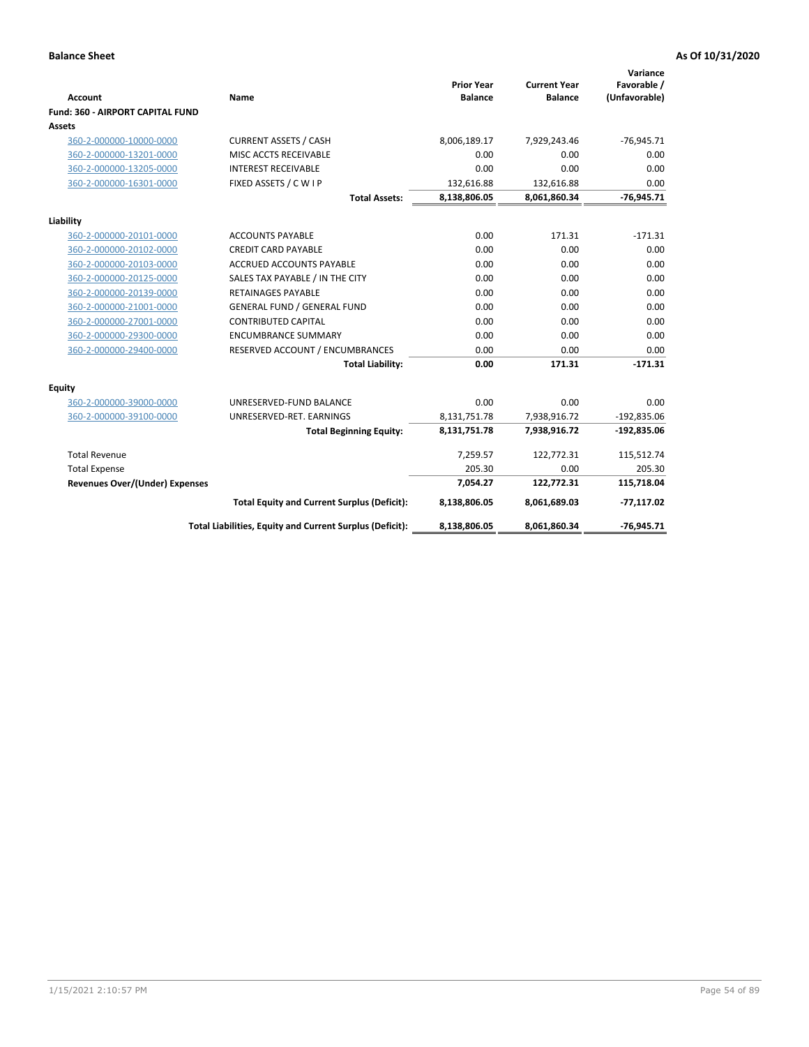| <b>Account</b>                        | Name                                                     | <b>Prior Year</b><br><b>Balance</b> | <b>Current Year</b><br><b>Balance</b> | Variance<br>Favorable /<br>(Unfavorable) |
|---------------------------------------|----------------------------------------------------------|-------------------------------------|---------------------------------------|------------------------------------------|
| Fund: 360 - AIRPORT CAPITAL FUND      |                                                          |                                     |                                       |                                          |
| <b>Assets</b>                         |                                                          |                                     |                                       |                                          |
| 360-2-000000-10000-0000               | <b>CURRENT ASSETS / CASH</b>                             | 8,006,189.17                        | 7,929,243.46                          | $-76,945.71$                             |
| 360-2-000000-13201-0000               | MISC ACCTS RECEIVABLE                                    | 0.00                                | 0.00                                  | 0.00                                     |
| 360-2-000000-13205-0000               | <b>INTEREST RECEIVABLE</b>                               | 0.00                                | 0.00                                  | 0.00                                     |
| 360-2-000000-16301-0000               | FIXED ASSETS / C W I P                                   | 132,616.88                          | 132,616.88                            | 0.00                                     |
|                                       | <b>Total Assets:</b>                                     | 8,138,806.05                        | 8,061,860.34                          | $-76,945.71$                             |
| Liability                             |                                                          |                                     |                                       |                                          |
| 360-2-000000-20101-0000               | <b>ACCOUNTS PAYABLE</b>                                  | 0.00                                | 171.31                                | $-171.31$                                |
| 360-2-000000-20102-0000               | <b>CREDIT CARD PAYABLE</b>                               | 0.00                                | 0.00                                  | 0.00                                     |
| 360-2-000000-20103-0000               | <b>ACCRUED ACCOUNTS PAYABLE</b>                          | 0.00                                | 0.00                                  | 0.00                                     |
| 360-2-000000-20125-0000               | SALES TAX PAYABLE / IN THE CITY                          | 0.00                                | 0.00                                  | 0.00                                     |
| 360-2-000000-20139-0000               | <b>RETAINAGES PAYABLE</b>                                | 0.00                                | 0.00                                  | 0.00                                     |
| 360-2-000000-21001-0000               | <b>GENERAL FUND / GENERAL FUND</b>                       | 0.00                                | 0.00                                  | 0.00                                     |
| 360-2-000000-27001-0000               | <b>CONTRIBUTED CAPITAL</b>                               | 0.00                                | 0.00                                  | 0.00                                     |
| 360-2-000000-29300-0000               | <b>ENCUMBRANCE SUMMARY</b>                               | 0.00                                | 0.00                                  | 0.00                                     |
| 360-2-000000-29400-0000               | RESERVED ACCOUNT / ENCUMBRANCES                          | 0.00                                | 0.00                                  | 0.00                                     |
|                                       | <b>Total Liability:</b>                                  | 0.00                                | 171.31                                | $-171.31$                                |
| Equity                                |                                                          |                                     |                                       |                                          |
| 360-2-000000-39000-0000               | UNRESERVED-FUND BALANCE                                  | 0.00                                | 0.00                                  | 0.00                                     |
| 360-2-000000-39100-0000               | UNRESERVED-RET. EARNINGS                                 | 8,131,751.78                        | 7,938,916.72                          | $-192,835.06$                            |
|                                       | <b>Total Beginning Equity:</b>                           | 8,131,751.78                        | 7,938,916.72                          | $-192,835.06$                            |
| <b>Total Revenue</b>                  |                                                          | 7,259.57                            | 122,772.31                            | 115,512.74                               |
| <b>Total Expense</b>                  |                                                          | 205.30                              | 0.00                                  | 205.30                                   |
| <b>Revenues Over/(Under) Expenses</b> |                                                          | 7,054.27                            | 122,772.31                            | 115,718.04                               |
|                                       | <b>Total Equity and Current Surplus (Deficit):</b>       | 8,138,806.05                        | 8,061,689.03                          | $-77,117.02$                             |
|                                       | Total Liabilities, Equity and Current Surplus (Deficit): | 8,138,806.05                        | 8,061,860.34                          | $-76,945.71$                             |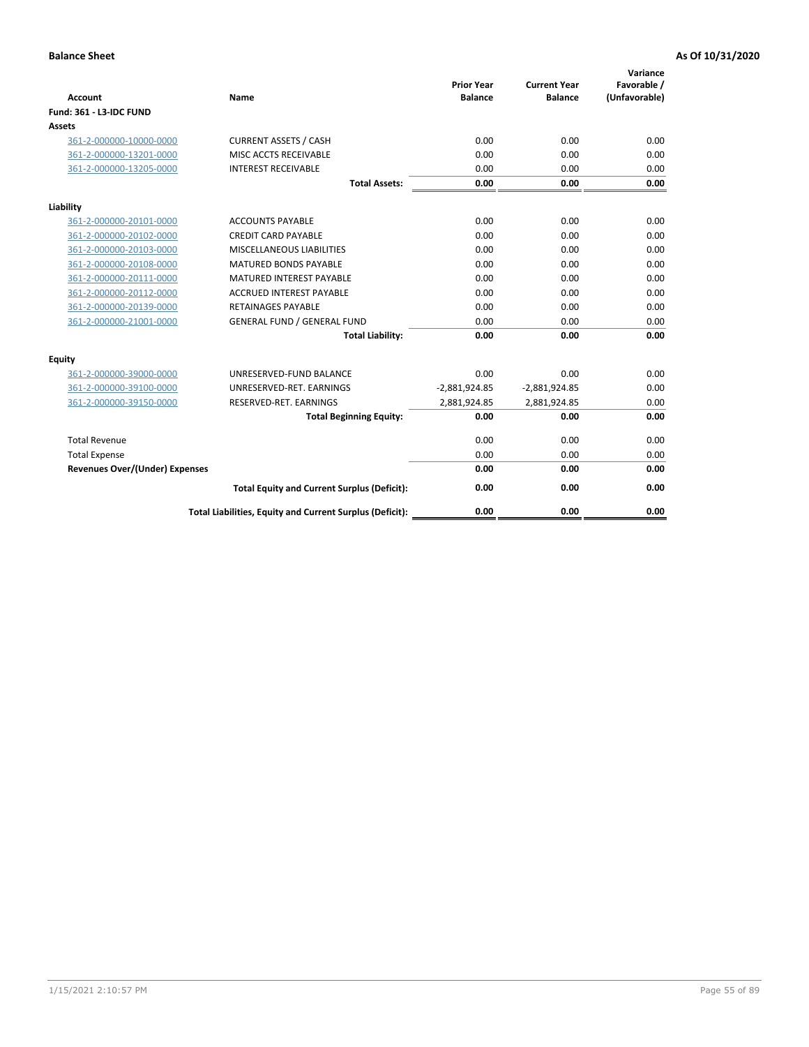| <b>Account</b>                        | Name                                                     | <b>Prior Year</b><br><b>Balance</b> | <b>Current Year</b><br><b>Balance</b> | Variance<br>Favorable /<br>(Unfavorable) |
|---------------------------------------|----------------------------------------------------------|-------------------------------------|---------------------------------------|------------------------------------------|
| Fund: 361 - L3-IDC FUND               |                                                          |                                     |                                       |                                          |
| <b>Assets</b>                         |                                                          |                                     |                                       |                                          |
| 361-2-000000-10000-0000               | <b>CURRENT ASSETS / CASH</b>                             | 0.00                                | 0.00                                  | 0.00                                     |
| 361-2-000000-13201-0000               | MISC ACCTS RECEIVABLE                                    | 0.00                                | 0.00                                  | 0.00                                     |
| 361-2-000000-13205-0000               | <b>INTEREST RECEIVABLE</b>                               | 0.00                                | 0.00                                  | 0.00                                     |
|                                       | <b>Total Assets:</b>                                     | 0.00                                | 0.00                                  | 0.00                                     |
| Liability                             |                                                          |                                     |                                       |                                          |
| 361-2-000000-20101-0000               | <b>ACCOUNTS PAYABLE</b>                                  | 0.00                                | 0.00                                  | 0.00                                     |
| 361-2-000000-20102-0000               | <b>CREDIT CARD PAYABLE</b>                               | 0.00                                | 0.00                                  | 0.00                                     |
| 361-2-000000-20103-0000               | MISCELLANEOUS LIABILITIES                                | 0.00                                | 0.00                                  | 0.00                                     |
| 361-2-000000-20108-0000               | <b>MATURED BONDS PAYABLE</b>                             | 0.00                                | 0.00                                  | 0.00                                     |
| 361-2-000000-20111-0000               | <b>MATURED INTEREST PAYABLE</b>                          | 0.00                                | 0.00                                  | 0.00                                     |
| 361-2-000000-20112-0000               | <b>ACCRUED INTEREST PAYABLE</b>                          | 0.00                                | 0.00                                  | 0.00                                     |
| 361-2-000000-20139-0000               | <b>RETAINAGES PAYABLE</b>                                | 0.00                                | 0.00                                  | 0.00                                     |
| 361-2-000000-21001-0000               | <b>GENERAL FUND / GENERAL FUND</b>                       | 0.00                                | 0.00                                  | 0.00                                     |
|                                       | <b>Total Liability:</b>                                  | 0.00                                | 0.00                                  | 0.00                                     |
| Equity                                |                                                          |                                     |                                       |                                          |
| 361-2-000000-39000-0000               | UNRESERVED-FUND BALANCE                                  | 0.00                                | 0.00                                  | 0.00                                     |
| 361-2-000000-39100-0000               | UNRESERVED-RET. EARNINGS                                 | $-2,881,924.85$                     | $-2,881,924.85$                       | 0.00                                     |
| 361-2-000000-39150-0000               | RESERVED-RET. EARNINGS                                   | 2,881,924.85                        | 2,881,924.85                          | 0.00                                     |
|                                       | <b>Total Beginning Equity:</b>                           | 0.00                                | 0.00                                  | 0.00                                     |
| <b>Total Revenue</b>                  |                                                          | 0.00                                | 0.00                                  | 0.00                                     |
| <b>Total Expense</b>                  |                                                          | 0.00                                | 0.00                                  | 0.00                                     |
| <b>Revenues Over/(Under) Expenses</b> |                                                          | 0.00                                | 0.00                                  | 0.00                                     |
|                                       | <b>Total Equity and Current Surplus (Deficit):</b>       | 0.00                                | 0.00                                  | 0.00                                     |
|                                       | Total Liabilities, Equity and Current Surplus (Deficit): | 0.00                                | 0.00                                  | 0.00                                     |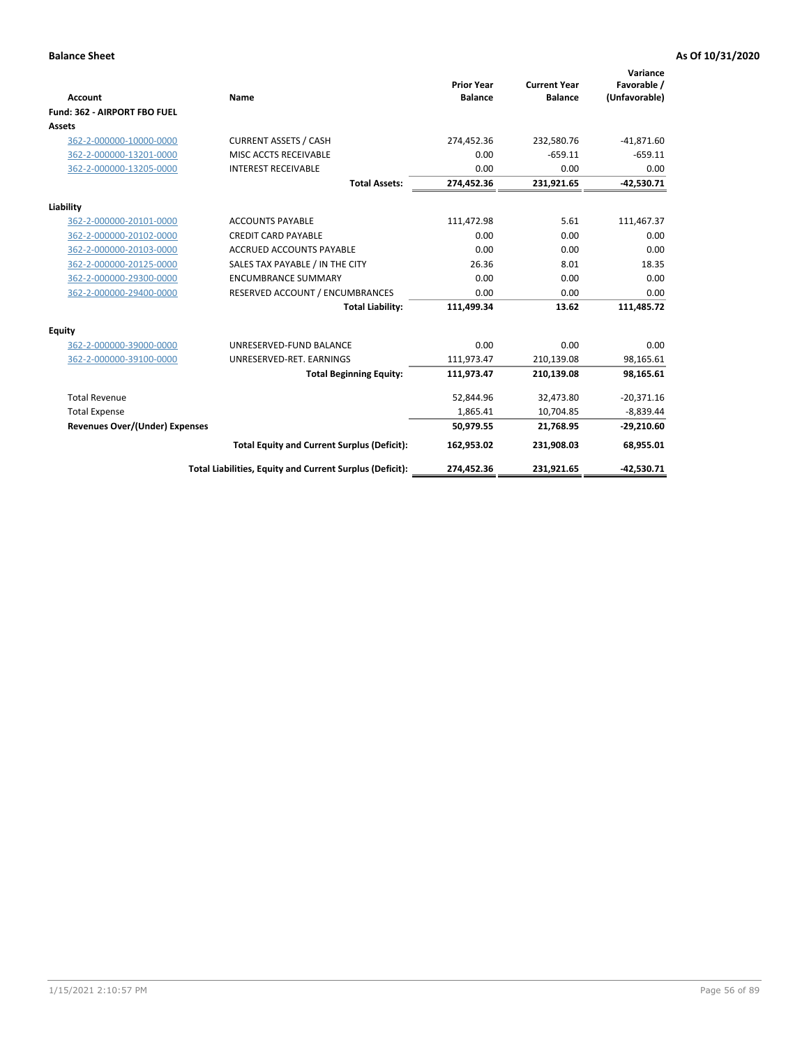|                                       |                                                          |                                     |                                       | Variance                     |
|---------------------------------------|----------------------------------------------------------|-------------------------------------|---------------------------------------|------------------------------|
| <b>Account</b>                        | Name                                                     | <b>Prior Year</b><br><b>Balance</b> | <b>Current Year</b><br><b>Balance</b> | Favorable /<br>(Unfavorable) |
| Fund: 362 - AIRPORT FBO FUEL          |                                                          |                                     |                                       |                              |
| Assets                                |                                                          |                                     |                                       |                              |
| 362-2-000000-10000-0000               | <b>CURRENT ASSETS / CASH</b>                             | 274,452.36                          | 232,580.76                            | $-41,871.60$                 |
| 362-2-000000-13201-0000               | MISC ACCTS RECEIVABLE                                    | 0.00                                | $-659.11$                             | $-659.11$                    |
| 362-2-000000-13205-0000               | <b>INTEREST RECEIVABLE</b>                               | 0.00                                | 0.00                                  | 0.00                         |
|                                       | <b>Total Assets:</b>                                     | 274,452.36                          | 231,921.65                            | $-42,530.71$                 |
| Liability                             |                                                          |                                     |                                       |                              |
| 362-2-000000-20101-0000               | <b>ACCOUNTS PAYABLE</b>                                  | 111,472.98                          | 5.61                                  | 111,467.37                   |
| 362-2-000000-20102-0000               | <b>CREDIT CARD PAYABLE</b>                               | 0.00                                | 0.00                                  | 0.00                         |
| 362-2-000000-20103-0000               | <b>ACCRUED ACCOUNTS PAYABLE</b>                          | 0.00                                | 0.00                                  | 0.00                         |
| 362-2-000000-20125-0000               | SALES TAX PAYABLE / IN THE CITY                          | 26.36                               | 8.01                                  | 18.35                        |
| 362-2-000000-29300-0000               | <b>ENCUMBRANCE SUMMARY</b>                               | 0.00                                | 0.00                                  | 0.00                         |
| 362-2-000000-29400-0000               | RESERVED ACCOUNT / ENCUMBRANCES                          | 0.00                                | 0.00                                  | 0.00                         |
|                                       | <b>Total Liability:</b>                                  | 111,499.34                          | 13.62                                 | 111,485.72                   |
| <b>Equity</b>                         |                                                          |                                     |                                       |                              |
| 362-2-000000-39000-0000               | UNRESERVED-FUND BALANCE                                  | 0.00                                | 0.00                                  | 0.00                         |
| 362-2-000000-39100-0000               | UNRESERVED-RET. EARNINGS                                 | 111,973.47                          | 210,139.08                            | 98,165.61                    |
|                                       | <b>Total Beginning Equity:</b>                           | 111,973.47                          | 210,139.08                            | 98,165.61                    |
| <b>Total Revenue</b>                  |                                                          | 52,844.96                           | 32,473.80                             | $-20,371.16$                 |
| <b>Total Expense</b>                  |                                                          | 1.865.41                            | 10,704.85                             | $-8,839.44$                  |
| <b>Revenues Over/(Under) Expenses</b> |                                                          | 50,979.55                           | 21,768.95                             | $-29,210.60$                 |
|                                       | <b>Total Equity and Current Surplus (Deficit):</b>       | 162,953.02                          | 231,908.03                            | 68,955.01                    |
|                                       | Total Liabilities, Equity and Current Surplus (Deficit): | 274,452.36                          | 231,921.65                            | $-42,530.71$                 |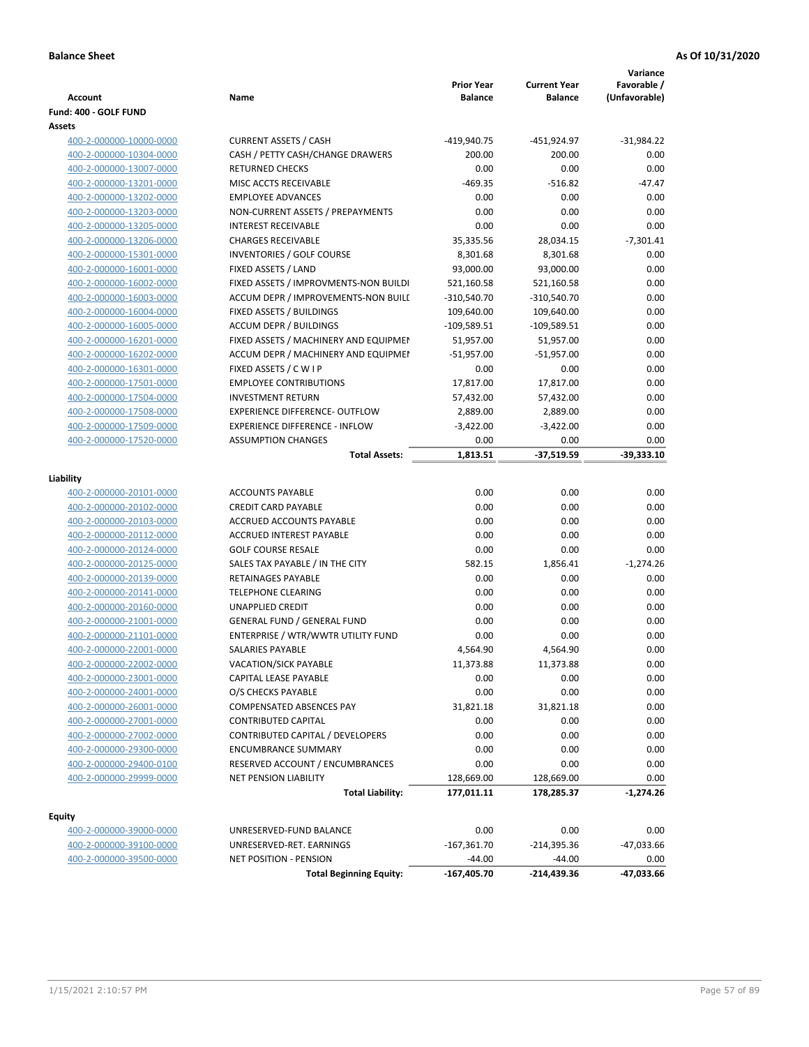| <b>Account</b>                                     | Name                                  | <b>Prior Year</b><br><b>Balance</b> | <b>Current Year</b><br><b>Balance</b> | Variance<br>Favorable /<br>(Unfavorable) |
|----------------------------------------------------|---------------------------------------|-------------------------------------|---------------------------------------|------------------------------------------|
| Fund: 400 - GOLF FUND                              |                                       |                                     |                                       |                                          |
| Assets                                             |                                       |                                     |                                       |                                          |
| 400-2-000000-10000-0000                            | <b>CURRENT ASSETS / CASH</b>          | -419,940.75                         | -451,924.97                           | $-31,984.22$                             |
| 400-2-000000-10304-0000                            | CASH / PETTY CASH/CHANGE DRAWERS      | 200.00                              | 200.00                                | 0.00                                     |
| 400-2-000000-13007-0000                            | <b>RETURNED CHECKS</b>                | 0.00                                | 0.00                                  | 0.00                                     |
| 400-2-000000-13201-0000                            | MISC ACCTS RECEIVABLE                 | $-469.35$                           | $-516.82$                             | $-47.47$                                 |
| 400-2-000000-13202-0000                            | <b>EMPLOYEE ADVANCES</b>              | 0.00                                | 0.00                                  | 0.00                                     |
| 400-2-000000-13203-0000                            | NON-CURRENT ASSETS / PREPAYMENTS      | 0.00                                | 0.00                                  | 0.00                                     |
| 400-2-000000-13205-0000                            | <b>INTEREST RECEIVABLE</b>            | 0.00                                | 0.00                                  | 0.00                                     |
| 400-2-000000-13206-0000                            | <b>CHARGES RECEIVABLE</b>             | 35,335.56                           | 28,034.15                             | $-7,301.41$                              |
| 400-2-000000-15301-0000                            | INVENTORIES / GOLF COURSE             | 8,301.68                            | 8,301.68                              | 0.00                                     |
| 400-2-000000-16001-0000                            | FIXED ASSETS / LAND                   | 93,000.00                           | 93,000.00                             | 0.00                                     |
| 400-2-000000-16002-0000                            | FIXED ASSETS / IMPROVMENTS-NON BUILDI | 521,160.58                          | 521,160.58                            | 0.00                                     |
| 400-2-000000-16003-0000                            | ACCUM DEPR / IMPROVEMENTS-NON BUILI   | $-310,540.70$                       | $-310,540.70$                         | 0.00                                     |
| 400-2-000000-16004-0000                            | FIXED ASSETS / BUILDINGS              | 109,640.00                          | 109,640.00                            | 0.00                                     |
| 400-2-000000-16005-0000                            | <b>ACCUM DEPR / BUILDINGS</b>         | $-109,589.51$                       | $-109,589.51$                         | 0.00                                     |
| 400-2-000000-16201-0000                            | FIXED ASSETS / MACHINERY AND EQUIPMEN | 51,957.00                           | 51,957.00                             | 0.00                                     |
| 400-2-000000-16202-0000                            | ACCUM DEPR / MACHINERY AND EQUIPMEI   | $-51,957.00$                        | $-51,957.00$                          | 0.00                                     |
| 400-2-000000-16301-0000                            | FIXED ASSETS / C W I P                | 0.00                                | 0.00                                  | 0.00                                     |
| 400-2-000000-17501-0000                            | <b>EMPLOYEE CONTRIBUTIONS</b>         | 17,817.00                           | 17,817.00                             | 0.00                                     |
| 400-2-000000-17504-0000                            | <b>INVESTMENT RETURN</b>              | 57,432.00                           | 57,432.00                             | 0.00                                     |
| 400-2-000000-17508-0000                            | <b>EXPERIENCE DIFFERENCE- OUTFLOW</b> | 2,889.00                            | 2,889.00                              | 0.00                                     |
| 400-2-000000-17509-0000                            | <b>EXPERIENCE DIFFERENCE - INFLOW</b> | $-3,422.00$                         | $-3,422.00$                           | 0.00                                     |
| 400-2-000000-17520-0000                            | <b>ASSUMPTION CHANGES</b>             | 0.00                                | 0.00                                  | 0.00                                     |
|                                                    | <b>Total Assets:</b>                  | 1,813.51                            | $-37,519.59$                          | $-39,333.10$                             |
| Liability                                          |                                       |                                     |                                       |                                          |
|                                                    | <b>ACCOUNTS PAYABLE</b>               | 0.00                                | 0.00                                  | 0.00                                     |
| 400-2-000000-20101-0000<br>400-2-000000-20102-0000 | <b>CREDIT CARD PAYABLE</b>            | 0.00                                | 0.00                                  | 0.00                                     |
| 400-2-000000-20103-0000                            | ACCRUED ACCOUNTS PAYABLE              | 0.00                                | 0.00                                  | 0.00                                     |
| 400-2-000000-20112-0000                            | <b>ACCRUED INTEREST PAYABLE</b>       | 0.00                                | 0.00                                  | 0.00                                     |
| 400-2-000000-20124-0000                            | <b>GOLF COURSE RESALE</b>             | 0.00                                | 0.00                                  | 0.00                                     |
| 400-2-000000-20125-0000                            | SALES TAX PAYABLE / IN THE CITY       | 582.15                              | 1,856.41                              | $-1,274.26$                              |
| 400-2-000000-20139-0000                            | RETAINAGES PAYABLE                    | 0.00                                | 0.00                                  | 0.00                                     |
| 400-2-000000-20141-0000                            | <b>TELEPHONE CLEARING</b>             | 0.00                                | 0.00                                  | 0.00                                     |
| 400-2-000000-20160-0000                            | <b>UNAPPLIED CREDIT</b>               | 0.00                                | 0.00                                  | 0.00                                     |
| 400-2-000000-21001-0000                            | <b>GENERAL FUND / GENERAL FUND</b>    | 0.00                                | 0.00                                  | 0.00                                     |
| 400-2-000000-21101-0000                            | ENTERPRISE / WTR/WWTR UTILITY FUND    | 0.00                                | 0.00                                  | 0.00                                     |
| 400-2-000000-22001-0000                            | <b>SALARIES PAYABLE</b>               | 4,564.90                            | 4,564.90                              | 0.00                                     |
| 400-2-000000-22002-0000                            | VACATION/SICK PAYABLE                 | 11,373.88                           | 11,373.88                             | 0.00                                     |
| 400-2-000000-23001-0000                            | CAPITAL LEASE PAYABLE                 | 0.00                                | 0.00                                  | 0.00                                     |
| 400-2-000000-24001-0000                            | O/S CHECKS PAYABLE                    | 0.00                                | 0.00                                  | 0.00                                     |
| 400-2-000000-26001-0000                            | COMPENSATED ABSENCES PAY              | 31,821.18                           | 31,821.18                             | 0.00                                     |
| 400-2-000000-27001-0000                            | <b>CONTRIBUTED CAPITAL</b>            | 0.00                                | 0.00                                  | 0.00                                     |
| 400-2-000000-27002-0000                            | CONTRIBUTED CAPITAL / DEVELOPERS      | 0.00                                | 0.00                                  | 0.00                                     |
| 400-2-000000-29300-0000                            | <b>ENCUMBRANCE SUMMARY</b>            | 0.00                                | 0.00                                  | 0.00                                     |
| 400-2-000000-29400-0100                            | RESERVED ACCOUNT / ENCUMBRANCES       | 0.00                                | 0.00                                  | 0.00                                     |
| 400-2-000000-29999-0000                            | <b>NET PENSION LIABILITY</b>          | 128,669.00                          | 128,669.00                            | 0.00                                     |
|                                                    | <b>Total Liability:</b>               | 177,011.11                          | 178,285.37                            | $-1,274.26$                              |
|                                                    |                                       |                                     |                                       |                                          |
| <b>Equity</b>                                      |                                       |                                     |                                       |                                          |
| 400-2-000000-39000-0000                            | UNRESERVED-FUND BALANCE               | 0.00                                | 0.00                                  | 0.00                                     |
| 400-2-000000-39100-0000                            | UNRESERVED-RET. EARNINGS              | $-167,361.70$                       | $-214,395.36$                         | -47,033.66                               |
| 400-2-000000-39500-0000                            | <b>NET POSITION - PENSION</b>         | $-44.00$                            | $-44.00$                              | 0.00                                     |
|                                                    | <b>Total Beginning Equity:</b>        | -167,405.70                         | -214,439.36                           | -47,033.66                               |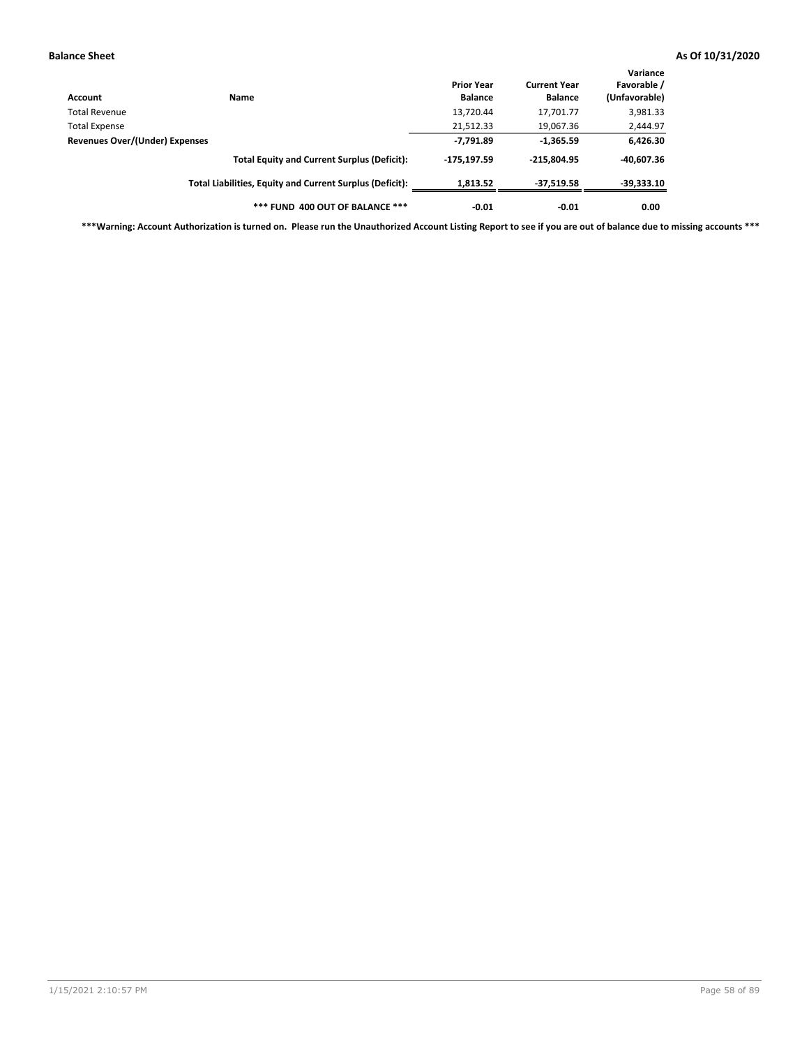| Account                        | Name                                                     | <b>Prior Year</b><br><b>Balance</b> | <b>Current Year</b><br><b>Balance</b> | Variance<br>Favorable /<br>(Unfavorable) |
|--------------------------------|----------------------------------------------------------|-------------------------------------|---------------------------------------|------------------------------------------|
| Total Revenue                  |                                                          | 13,720.44                           | 17,701.77                             | 3,981.33                                 |
| Total Expense                  |                                                          | 21,512.33                           | 19,067.36                             | 2,444.97                                 |
| Revenues Over/(Under) Expenses |                                                          | $-7,791.89$                         | $-1,365.59$                           | 6,426.30                                 |
|                                | <b>Total Equity and Current Surplus (Deficit):</b>       | $-175, 197.59$                      | $-215.804.95$                         | $-40.607.36$                             |
|                                | Total Liabilities, Equity and Current Surplus (Deficit): | 1,813.52                            | $-37,519.58$                          | $-39,333.10$                             |
|                                | *** FUND 400 OUT OF BALANCE ***                          | $-0.01$                             | $-0.01$                               | 0.00                                     |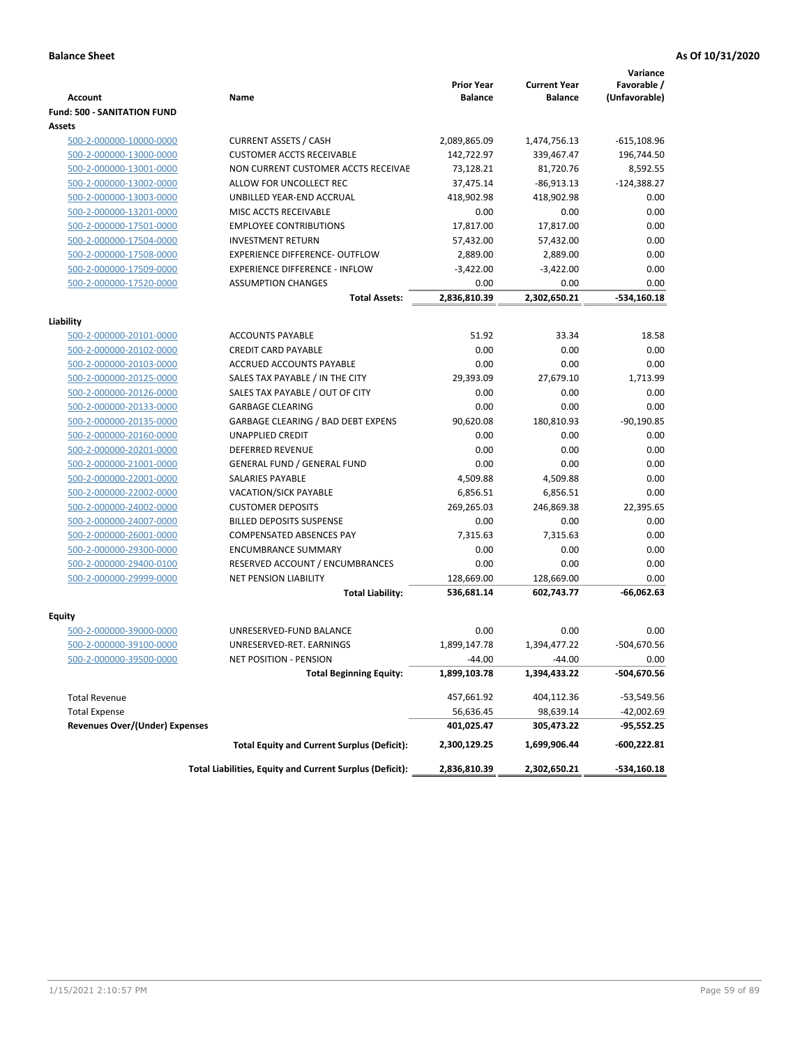|                                                    |                                                                 | <b>Prior Year</b>  | <b>Current Year</b> | Variance<br>Favorable / |
|----------------------------------------------------|-----------------------------------------------------------------|--------------------|---------------------|-------------------------|
| <b>Account</b>                                     | Name                                                            | <b>Balance</b>     | <b>Balance</b>      | (Unfavorable)           |
| <b>Fund: 500 - SANITATION FUND</b>                 |                                                                 |                    |                     |                         |
| Assets                                             |                                                                 |                    |                     |                         |
| 500-2-000000-10000-0000                            | <b>CURRENT ASSETS / CASH</b>                                    | 2,089,865.09       | 1,474,756.13        | $-615,108.96$           |
| 500-2-000000-13000-0000                            | <b>CUSTOMER ACCTS RECEIVABLE</b>                                | 142,722.97         | 339,467.47          | 196,744.50              |
| 500-2-000000-13001-0000                            | NON CURRENT CUSTOMER ACCTS RECEIVAE                             | 73,128.21          | 81,720.76           | 8,592.55                |
| 500-2-000000-13002-0000                            | ALLOW FOR UNCOLLECT REC                                         | 37,475.14          | $-86,913.13$        | $-124,388.27$           |
| 500-2-000000-13003-0000                            | UNBILLED YEAR-END ACCRUAL                                       | 418,902.98         | 418,902.98          | 0.00                    |
| 500-2-000000-13201-0000                            | MISC ACCTS RECEIVABLE                                           | 0.00               | 0.00                | 0.00                    |
| 500-2-000000-17501-0000                            | <b>EMPLOYEE CONTRIBUTIONS</b>                                   | 17,817.00          | 17,817.00           | 0.00                    |
| 500-2-000000-17504-0000                            | <b>INVESTMENT RETURN</b>                                        | 57,432.00          | 57,432.00           | 0.00                    |
| 500-2-000000-17508-0000                            | <b>EXPERIENCE DIFFERENCE- OUTFLOW</b>                           | 2,889.00           | 2,889.00            | 0.00                    |
| 500-2-000000-17509-0000                            | <b>EXPERIENCE DIFFERENCE - INFLOW</b>                           | $-3,422.00$        | $-3,422.00$         | 0.00                    |
| 500-2-000000-17520-0000                            | <b>ASSUMPTION CHANGES</b>                                       | 0.00               | 0.00                | 0.00                    |
|                                                    | <b>Total Assets:</b>                                            | 2,836,810.39       | 2,302,650.21        | $-534,160.18$           |
|                                                    |                                                                 |                    |                     |                         |
| Liability                                          |                                                                 |                    |                     |                         |
| 500-2-000000-20101-0000                            | <b>ACCOUNTS PAYABLE</b>                                         | 51.92              | 33.34               | 18.58                   |
| 500-2-000000-20102-0000                            | <b>CREDIT CARD PAYABLE</b>                                      | 0.00               | 0.00                | 0.00                    |
| 500-2-000000-20103-0000                            | ACCRUED ACCOUNTS PAYABLE                                        | 0.00               | 0.00                | 0.00                    |
| 500-2-000000-20125-0000                            | SALES TAX PAYABLE / IN THE CITY                                 | 29,393.09          | 27,679.10           | 1,713.99                |
| 500-2-000000-20126-0000                            | SALES TAX PAYABLE / OUT OF CITY                                 | 0.00               | 0.00                | 0.00                    |
| 500-2-000000-20133-0000                            | <b>GARBAGE CLEARING</b>                                         | 0.00               | 0.00                | 0.00                    |
| 500-2-000000-20135-0000                            | <b>GARBAGE CLEARING / BAD DEBT EXPENS</b>                       | 90,620.08          | 180,810.93          | $-90,190.85$            |
| 500-2-000000-20160-0000                            | UNAPPLIED CREDIT                                                | 0.00               | 0.00                | 0.00                    |
| 500-2-000000-20201-0000                            | <b>DEFERRED REVENUE</b>                                         | 0.00               | 0.00                | 0.00                    |
| 500-2-000000-21001-0000                            | <b>GENERAL FUND / GENERAL FUND</b>                              | 0.00               | 0.00                | 0.00                    |
| 500-2-000000-22001-0000                            | <b>SALARIES PAYABLE</b>                                         | 4,509.88           | 4,509.88            | 0.00                    |
| 500-2-000000-22002-0000                            | <b>VACATION/SICK PAYABLE</b><br><b>CUSTOMER DEPOSITS</b>        | 6,856.51           | 6,856.51            | 0.00<br>22,395.65       |
| 500-2-000000-24002-0000                            | <b>BILLED DEPOSITS SUSPENSE</b>                                 | 269,265.03<br>0.00 | 246,869.38<br>0.00  | 0.00                    |
| 500-2-000000-24007-0000                            |                                                                 |                    |                     |                         |
| 500-2-000000-26001-0000                            | <b>COMPENSATED ABSENCES PAY</b>                                 | 7,315.63           | 7,315.63            | 0.00                    |
| 500-2-000000-29300-0000                            | <b>ENCUMBRANCE SUMMARY</b>                                      | 0.00               | 0.00                | 0.00                    |
| 500-2-000000-29400-0100<br>500-2-000000-29999-0000 | RESERVED ACCOUNT / ENCUMBRANCES<br><b>NET PENSION LIABILITY</b> | 0.00<br>128,669.00 | 0.00<br>128,669.00  | 0.00<br>0.00            |
|                                                    |                                                                 |                    |                     |                         |
|                                                    | <b>Total Liability:</b>                                         | 536,681.14         | 602,743.77          | -66,062.63              |
| Equity                                             |                                                                 |                    |                     |                         |
| 500-2-000000-39000-0000                            | UNRESERVED-FUND BALANCE                                         | 0.00               | 0.00                | 0.00                    |
| 500-2-000000-39100-0000                            | UNRESERVED-RET. EARNINGS                                        | 1,899,147.78       | 1,394,477.22        | -504,670.56             |
| 500-2-000000-39500-0000                            | NET POSITION - PENSION                                          | $-44.00$           | $-44.00$            | 0.00                    |
|                                                    | <b>Total Beginning Equity:</b>                                  | 1,899,103.78       | 1,394,433.22        | -504,670.56             |
| <b>Total Revenue</b>                               |                                                                 | 457,661.92         | 404,112.36          | -53,549.56              |
| <b>Total Expense</b>                               |                                                                 | 56,636.45          | 98,639.14           | -42,002.69              |
| <b>Revenues Over/(Under) Expenses</b>              |                                                                 | 401,025.47         | 305,473.22          | -95,552.25              |
|                                                    | <b>Total Equity and Current Surplus (Deficit):</b>              | 2,300,129.25       | 1,699,906.44        | $-600,222.81$           |
|                                                    | Total Liabilities, Equity and Current Surplus (Deficit):        | 2,836,810.39       | 2,302,650.21        | -534,160.18             |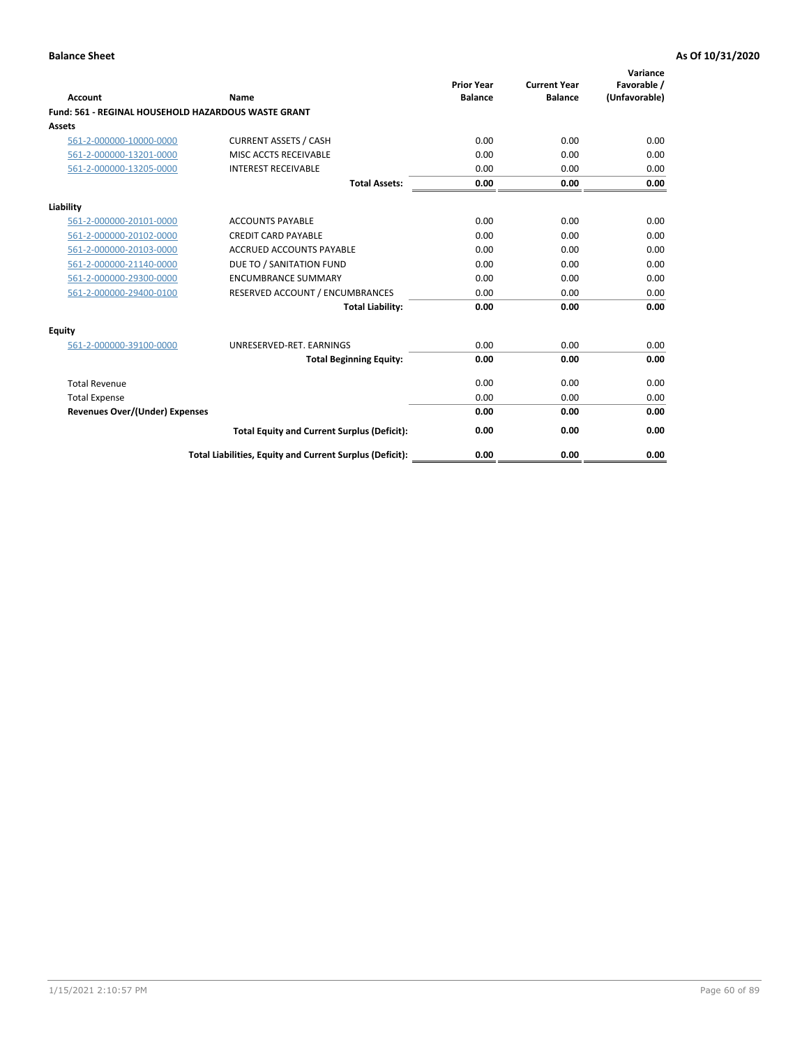| Account                                             | Name                                                     | <b>Prior Year</b><br><b>Balance</b> | <b>Current Year</b><br><b>Balance</b> | Variance<br>Favorable /<br>(Unfavorable) |
|-----------------------------------------------------|----------------------------------------------------------|-------------------------------------|---------------------------------------|------------------------------------------|
| Fund: 561 - REGINAL HOUSEHOLD HAZARDOUS WASTE GRANT |                                                          |                                     |                                       |                                          |
| <b>Assets</b>                                       |                                                          |                                     |                                       |                                          |
| 561-2-000000-10000-0000                             | <b>CURRENT ASSETS / CASH</b>                             | 0.00                                | 0.00                                  | 0.00                                     |
| 561-2-000000-13201-0000                             | MISC ACCTS RECEIVABLE                                    | 0.00                                | 0.00                                  | 0.00                                     |
| 561-2-000000-13205-0000                             | <b>INTEREST RECEIVABLE</b>                               | 0.00                                | 0.00                                  | 0.00                                     |
|                                                     | <b>Total Assets:</b>                                     | 0.00                                | 0.00                                  | 0.00                                     |
| Liability                                           |                                                          |                                     |                                       |                                          |
| 561-2-000000-20101-0000                             | <b>ACCOUNTS PAYABLE</b>                                  | 0.00                                | 0.00                                  | 0.00                                     |
| 561-2-000000-20102-0000                             | <b>CREDIT CARD PAYABLE</b>                               | 0.00                                | 0.00                                  | 0.00                                     |
| 561-2-000000-20103-0000                             | <b>ACCRUED ACCOUNTS PAYABLE</b>                          | 0.00                                | 0.00                                  | 0.00                                     |
| 561-2-000000-21140-0000                             | DUE TO / SANITATION FUND                                 | 0.00                                | 0.00                                  | 0.00                                     |
| 561-2-000000-29300-0000                             | <b>ENCUMBRANCE SUMMARY</b>                               | 0.00                                | 0.00                                  | 0.00                                     |
| 561-2-000000-29400-0100                             | RESERVED ACCOUNT / ENCUMBRANCES                          | 0.00                                | 0.00                                  | 0.00                                     |
|                                                     | <b>Total Liability:</b>                                  | 0.00                                | 0.00                                  | 0.00                                     |
| <b>Equity</b>                                       |                                                          |                                     |                                       |                                          |
| 561-2-000000-39100-0000                             | UNRESERVED-RET. EARNINGS                                 | 0.00                                | 0.00                                  | 0.00                                     |
|                                                     | <b>Total Beginning Equity:</b>                           | 0.00                                | 0.00                                  | 0.00                                     |
| <b>Total Revenue</b>                                |                                                          | 0.00                                | 0.00                                  | 0.00                                     |
| <b>Total Expense</b>                                |                                                          | 0.00                                | 0.00                                  | 0.00                                     |
| <b>Revenues Over/(Under) Expenses</b>               |                                                          | 0.00                                | 0.00                                  | 0.00                                     |
|                                                     | <b>Total Equity and Current Surplus (Deficit):</b>       | 0.00                                | 0.00                                  | 0.00                                     |
|                                                     | Total Liabilities, Equity and Current Surplus (Deficit): | 0.00                                | 0.00                                  | 0.00                                     |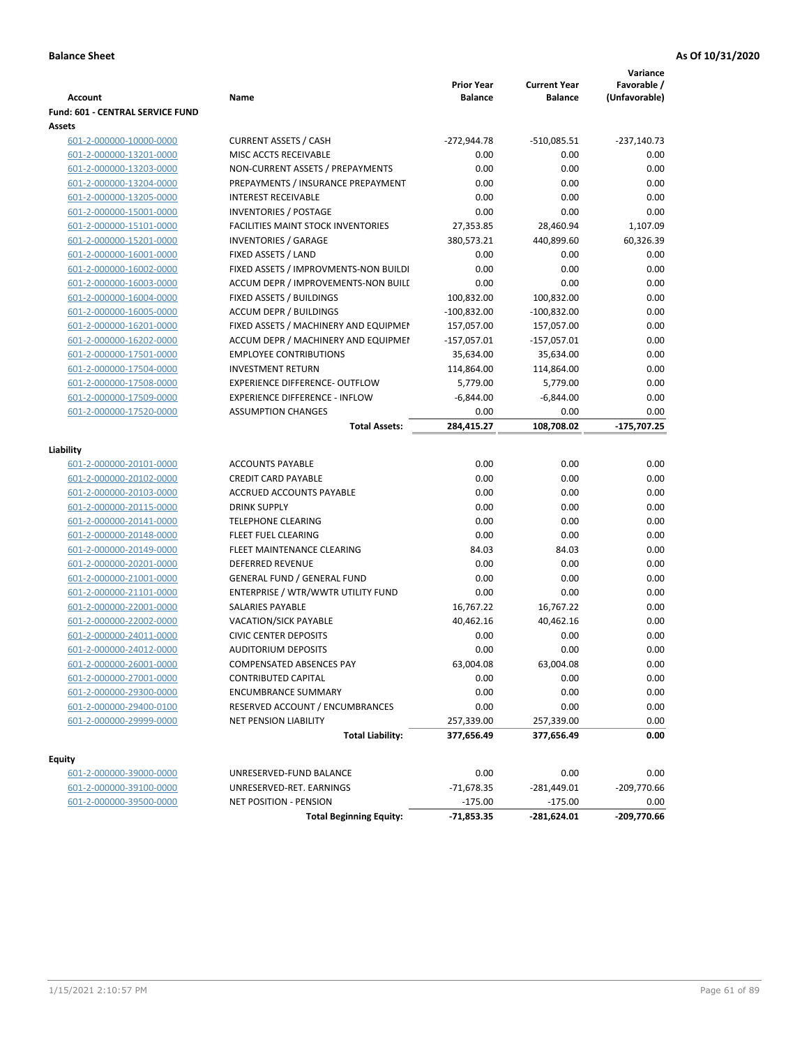| <b>Prior Year</b><br>Favorable /<br><b>Current Year</b><br>Name<br><b>Balance</b><br>(Unfavorable)<br><b>Account</b><br><b>Balance</b><br>Fund: 601 - CENTRAL SERVICE FUND<br><b>Assets</b><br>601-2-000000-10000-0000<br><b>CURRENT ASSETS / CASH</b><br>$-272,944.78$<br>$-510,085.51$<br>$-237,140.73$<br>601-2-000000-13201-0000<br>MISC ACCTS RECEIVABLE<br>0.00<br>0.00<br>0.00<br>NON-CURRENT ASSETS / PREPAYMENTS<br>0.00<br>0.00<br>0.00<br>601-2-000000-13203-0000<br>0.00<br>0.00<br>601-2-000000-13204-0000<br>PREPAYMENTS / INSURANCE PREPAYMENT<br>0.00<br>0.00<br>0.00<br><b>INTEREST RECEIVABLE</b><br>0.00<br>601-2-000000-13205-0000<br>0.00<br>0.00<br>601-2-000000-15001-0000<br><b>INVENTORIES / POSTAGE</b><br>0.00<br>601-2-000000-15101-0000<br><b>FACILITIES MAINT STOCK INVENTORIES</b><br>27,353.85<br>28,460.94<br>1,107.09<br>380,573.21<br>60,326.39<br>601-2-000000-15201-0000<br><b>INVENTORIES / GARAGE</b><br>440,899.60<br>601-2-000000-16001-0000<br>FIXED ASSETS / LAND<br>0.00<br>0.00<br>0.00<br>FIXED ASSETS / IMPROVMENTS-NON BUILDI<br>0.00<br>0.00<br>0.00<br>601-2-000000-16002-0000<br>601-2-000000-16003-0000<br>ACCUM DEPR / IMPROVEMENTS-NON BUILI<br>0.00<br>0.00<br>0.00<br>601-2-000000-16004-0000<br>FIXED ASSETS / BUILDINGS<br>100,832.00<br>100,832.00<br>0.00<br><b>ACCUM DEPR / BUILDINGS</b><br>0.00<br>601-2-000000-16005-0000<br>$-100,832.00$<br>$-100,832.00$<br>0.00<br>601-2-000000-16201-0000<br>FIXED ASSETS / MACHINERY AND EQUIPMEN<br>157,057.00<br>157,057.00<br>0.00<br>ACCUM DEPR / MACHINERY AND EQUIPMEI<br>$-157,057.01$<br>$-157,057.01$<br>601-2-000000-16202-0000<br>0.00<br>601-2-000000-17501-0000<br><b>EMPLOYEE CONTRIBUTIONS</b><br>35,634.00<br>35,634.00<br>601-2-000000-17504-0000<br><b>INVESTMENT RETURN</b><br>114,864.00<br>0.00<br>114,864.00<br>0.00<br>601-2-000000-17508-0000<br><b>EXPERIENCE DIFFERENCE- OUTFLOW</b><br>5,779.00<br>5,779.00<br>0.00<br>601-2-000000-17509-0000<br><b>EXPERIENCE DIFFERENCE - INFLOW</b><br>$-6,844.00$<br>$-6,844.00$<br>601-2-000000-17520-0000<br><b>ASSUMPTION CHANGES</b><br>0.00<br>0.00<br>0.00<br>$-175,707.25$<br>284,415.27<br>108,708.02<br><b>Total Assets:</b><br>Liability<br><b>ACCOUNTS PAYABLE</b><br>0.00<br>0.00<br>0.00<br>601-2-000000-20101-0000<br>0.00<br>0.00<br>0.00<br>601-2-000000-20102-0000<br><b>CREDIT CARD PAYABLE</b><br>0.00<br>0.00<br>0.00<br>601-2-000000-20103-0000<br>ACCRUED ACCOUNTS PAYABLE<br>0.00<br>0.00<br><b>DRINK SUPPLY</b><br>0.00<br>601-2-000000-20115-0000<br>0.00<br>0.00<br>601-2-000000-20141-0000<br><b>TELEPHONE CLEARING</b><br>0.00<br>0.00<br>601-2-000000-20148-0000<br>FLEET FUEL CLEARING<br>0.00<br>0.00<br>FLEET MAINTENANCE CLEARING<br>84.03<br>0.00<br>601-2-000000-20149-0000<br>84.03<br>0.00<br>601-2-000000-20201-0000<br><b>DEFERRED REVENUE</b><br>0.00<br>0.00<br>0.00<br>0.00<br><b>GENERAL FUND / GENERAL FUND</b><br>0.00<br>601-2-000000-21001-0000<br>601-2-000000-21101-0000<br>ENTERPRISE / WTR/WWTR UTILITY FUND<br>0.00<br>0.00<br>0.00<br>601-2-000000-22001-0000<br><b>SALARIES PAYABLE</b><br>16,767.22<br>16,767.22<br>0.00<br>0.00<br>601-2-000000-22002-0000<br>VACATION/SICK PAYABLE<br>40,462.16<br>40,462.16<br>0.00<br>601-2-000000-24011-0000<br><b>CIVIC CENTER DEPOSITS</b><br>0.00<br>0.00<br>0.00<br>0.00<br>0.00<br>601-2-000000-24012-0000<br><b>AUDITORIUM DEPOSITS</b><br>63,004.08<br>63,004.08<br>0.00<br>601-2-000000-26001-0000<br>COMPENSATED ABSENCES PAY<br>601-2-000000-27001-0000<br>0.00<br>CONTRIBUTED CAPITAL<br>0.00<br>0.00<br>0.00<br>0.00<br>0.00<br>601-2-000000-29300-0000<br><b>ENCUMBRANCE SUMMARY</b><br>0.00<br>0.00<br>601-2-000000-29400-0100<br>RESERVED ACCOUNT / ENCUMBRANCES<br>0.00<br>601-2-000000-29999-0000<br>NET PENSION LIABILITY<br>257,339.00<br>257,339.00<br>0.00<br><b>Total Liability:</b><br>377,656.49<br>377,656.49<br>0.00<br>Equity<br>UNRESERVED-FUND BALANCE<br>0.00<br>0.00<br>0.00<br>601-2-000000-39000-0000<br>$-71,678.35$<br>$-281,449.01$<br>$-209,770.66$<br>601-2-000000-39100-0000<br>UNRESERVED-RET. EARNINGS<br>$-175.00$<br>NET POSITION - PENSION<br>$-175.00$<br>0.00<br>601-2-000000-39500-0000<br>$-209,770.66$<br>$-71,853.35$<br>-281,624.01<br><b>Total Beginning Equity:</b> |  |  | Variance |
|--------------------------------------------------------------------------------------------------------------------------------------------------------------------------------------------------------------------------------------------------------------------------------------------------------------------------------------------------------------------------------------------------------------------------------------------------------------------------------------------------------------------------------------------------------------------------------------------------------------------------------------------------------------------------------------------------------------------------------------------------------------------------------------------------------------------------------------------------------------------------------------------------------------------------------------------------------------------------------------------------------------------------------------------------------------------------------------------------------------------------------------------------------------------------------------------------------------------------------------------------------------------------------------------------------------------------------------------------------------------------------------------------------------------------------------------------------------------------------------------------------------------------------------------------------------------------------------------------------------------------------------------------------------------------------------------------------------------------------------------------------------------------------------------------------------------------------------------------------------------------------------------------------------------------------------------------------------------------------------------------------------------------------------------------------------------------------------------------------------------------------------------------------------------------------------------------------------------------------------------------------------------------------------------------------------------------------------------------------------------------------------------------------------------------------------------------------------------------------------------------------------------------------------------------------------------------------------------------------------------------------------------------------------------------------------------------------------------------------------------------------------------------------------------------------------------------------------------------------------------------------------------------------------------------------------------------------------------------------------------------------------------------------------------------------------------------------------------------------------------------------------------------------------------------------------------------------------------------------------------------------------------------------------------------------------------------------------------------------------------------------------------------------------------------------------------------------------------------------------------------------------------------------------------------------------------------------------------------------------------------------------------------------------------------------------------------------------------------------------------------------------------------------------------------------------------------------------------------------------------------------------------------------------------------------------------------------------------------------------------------------------------------------------------------------------------------------------------------------------------------------------------------------------------------------------------------------------------------------------------------------------------------------------------|--|--|----------|
|                                                                                                                                                                                                                                                                                                                                                                                                                                                                                                                                                                                                                                                                                                                                                                                                                                                                                                                                                                                                                                                                                                                                                                                                                                                                                                                                                                                                                                                                                                                                                                                                                                                                                                                                                                                                                                                                                                                                                                                                                                                                                                                                                                                                                                                                                                                                                                                                                                                                                                                                                                                                                                                                                                                                                                                                                                                                                                                                                                                                                                                                                                                                                                                                                                                                                                                                                                                                                                                                                                                                                                                                                                                                                                                                                                                                                                                                                                                                                                                                                                                                                                                                                                                                                                                                                            |  |  |          |
|                                                                                                                                                                                                                                                                                                                                                                                                                                                                                                                                                                                                                                                                                                                                                                                                                                                                                                                                                                                                                                                                                                                                                                                                                                                                                                                                                                                                                                                                                                                                                                                                                                                                                                                                                                                                                                                                                                                                                                                                                                                                                                                                                                                                                                                                                                                                                                                                                                                                                                                                                                                                                                                                                                                                                                                                                                                                                                                                                                                                                                                                                                                                                                                                                                                                                                                                                                                                                                                                                                                                                                                                                                                                                                                                                                                                                                                                                                                                                                                                                                                                                                                                                                                                                                                                                            |  |  |          |
|                                                                                                                                                                                                                                                                                                                                                                                                                                                                                                                                                                                                                                                                                                                                                                                                                                                                                                                                                                                                                                                                                                                                                                                                                                                                                                                                                                                                                                                                                                                                                                                                                                                                                                                                                                                                                                                                                                                                                                                                                                                                                                                                                                                                                                                                                                                                                                                                                                                                                                                                                                                                                                                                                                                                                                                                                                                                                                                                                                                                                                                                                                                                                                                                                                                                                                                                                                                                                                                                                                                                                                                                                                                                                                                                                                                                                                                                                                                                                                                                                                                                                                                                                                                                                                                                                            |  |  |          |
|                                                                                                                                                                                                                                                                                                                                                                                                                                                                                                                                                                                                                                                                                                                                                                                                                                                                                                                                                                                                                                                                                                                                                                                                                                                                                                                                                                                                                                                                                                                                                                                                                                                                                                                                                                                                                                                                                                                                                                                                                                                                                                                                                                                                                                                                                                                                                                                                                                                                                                                                                                                                                                                                                                                                                                                                                                                                                                                                                                                                                                                                                                                                                                                                                                                                                                                                                                                                                                                                                                                                                                                                                                                                                                                                                                                                                                                                                                                                                                                                                                                                                                                                                                                                                                                                                            |  |  |          |
|                                                                                                                                                                                                                                                                                                                                                                                                                                                                                                                                                                                                                                                                                                                                                                                                                                                                                                                                                                                                                                                                                                                                                                                                                                                                                                                                                                                                                                                                                                                                                                                                                                                                                                                                                                                                                                                                                                                                                                                                                                                                                                                                                                                                                                                                                                                                                                                                                                                                                                                                                                                                                                                                                                                                                                                                                                                                                                                                                                                                                                                                                                                                                                                                                                                                                                                                                                                                                                                                                                                                                                                                                                                                                                                                                                                                                                                                                                                                                                                                                                                                                                                                                                                                                                                                                            |  |  |          |
|                                                                                                                                                                                                                                                                                                                                                                                                                                                                                                                                                                                                                                                                                                                                                                                                                                                                                                                                                                                                                                                                                                                                                                                                                                                                                                                                                                                                                                                                                                                                                                                                                                                                                                                                                                                                                                                                                                                                                                                                                                                                                                                                                                                                                                                                                                                                                                                                                                                                                                                                                                                                                                                                                                                                                                                                                                                                                                                                                                                                                                                                                                                                                                                                                                                                                                                                                                                                                                                                                                                                                                                                                                                                                                                                                                                                                                                                                                                                                                                                                                                                                                                                                                                                                                                                                            |  |  |          |
|                                                                                                                                                                                                                                                                                                                                                                                                                                                                                                                                                                                                                                                                                                                                                                                                                                                                                                                                                                                                                                                                                                                                                                                                                                                                                                                                                                                                                                                                                                                                                                                                                                                                                                                                                                                                                                                                                                                                                                                                                                                                                                                                                                                                                                                                                                                                                                                                                                                                                                                                                                                                                                                                                                                                                                                                                                                                                                                                                                                                                                                                                                                                                                                                                                                                                                                                                                                                                                                                                                                                                                                                                                                                                                                                                                                                                                                                                                                                                                                                                                                                                                                                                                                                                                                                                            |  |  |          |
|                                                                                                                                                                                                                                                                                                                                                                                                                                                                                                                                                                                                                                                                                                                                                                                                                                                                                                                                                                                                                                                                                                                                                                                                                                                                                                                                                                                                                                                                                                                                                                                                                                                                                                                                                                                                                                                                                                                                                                                                                                                                                                                                                                                                                                                                                                                                                                                                                                                                                                                                                                                                                                                                                                                                                                                                                                                                                                                                                                                                                                                                                                                                                                                                                                                                                                                                                                                                                                                                                                                                                                                                                                                                                                                                                                                                                                                                                                                                                                                                                                                                                                                                                                                                                                                                                            |  |  |          |
|                                                                                                                                                                                                                                                                                                                                                                                                                                                                                                                                                                                                                                                                                                                                                                                                                                                                                                                                                                                                                                                                                                                                                                                                                                                                                                                                                                                                                                                                                                                                                                                                                                                                                                                                                                                                                                                                                                                                                                                                                                                                                                                                                                                                                                                                                                                                                                                                                                                                                                                                                                                                                                                                                                                                                                                                                                                                                                                                                                                                                                                                                                                                                                                                                                                                                                                                                                                                                                                                                                                                                                                                                                                                                                                                                                                                                                                                                                                                                                                                                                                                                                                                                                                                                                                                                            |  |  |          |
|                                                                                                                                                                                                                                                                                                                                                                                                                                                                                                                                                                                                                                                                                                                                                                                                                                                                                                                                                                                                                                                                                                                                                                                                                                                                                                                                                                                                                                                                                                                                                                                                                                                                                                                                                                                                                                                                                                                                                                                                                                                                                                                                                                                                                                                                                                                                                                                                                                                                                                                                                                                                                                                                                                                                                                                                                                                                                                                                                                                                                                                                                                                                                                                                                                                                                                                                                                                                                                                                                                                                                                                                                                                                                                                                                                                                                                                                                                                                                                                                                                                                                                                                                                                                                                                                                            |  |  |          |
|                                                                                                                                                                                                                                                                                                                                                                                                                                                                                                                                                                                                                                                                                                                                                                                                                                                                                                                                                                                                                                                                                                                                                                                                                                                                                                                                                                                                                                                                                                                                                                                                                                                                                                                                                                                                                                                                                                                                                                                                                                                                                                                                                                                                                                                                                                                                                                                                                                                                                                                                                                                                                                                                                                                                                                                                                                                                                                                                                                                                                                                                                                                                                                                                                                                                                                                                                                                                                                                                                                                                                                                                                                                                                                                                                                                                                                                                                                                                                                                                                                                                                                                                                                                                                                                                                            |  |  |          |
|                                                                                                                                                                                                                                                                                                                                                                                                                                                                                                                                                                                                                                                                                                                                                                                                                                                                                                                                                                                                                                                                                                                                                                                                                                                                                                                                                                                                                                                                                                                                                                                                                                                                                                                                                                                                                                                                                                                                                                                                                                                                                                                                                                                                                                                                                                                                                                                                                                                                                                                                                                                                                                                                                                                                                                                                                                                                                                                                                                                                                                                                                                                                                                                                                                                                                                                                                                                                                                                                                                                                                                                                                                                                                                                                                                                                                                                                                                                                                                                                                                                                                                                                                                                                                                                                                            |  |  |          |
|                                                                                                                                                                                                                                                                                                                                                                                                                                                                                                                                                                                                                                                                                                                                                                                                                                                                                                                                                                                                                                                                                                                                                                                                                                                                                                                                                                                                                                                                                                                                                                                                                                                                                                                                                                                                                                                                                                                                                                                                                                                                                                                                                                                                                                                                                                                                                                                                                                                                                                                                                                                                                                                                                                                                                                                                                                                                                                                                                                                                                                                                                                                                                                                                                                                                                                                                                                                                                                                                                                                                                                                                                                                                                                                                                                                                                                                                                                                                                                                                                                                                                                                                                                                                                                                                                            |  |  |          |
|                                                                                                                                                                                                                                                                                                                                                                                                                                                                                                                                                                                                                                                                                                                                                                                                                                                                                                                                                                                                                                                                                                                                                                                                                                                                                                                                                                                                                                                                                                                                                                                                                                                                                                                                                                                                                                                                                                                                                                                                                                                                                                                                                                                                                                                                                                                                                                                                                                                                                                                                                                                                                                                                                                                                                                                                                                                                                                                                                                                                                                                                                                                                                                                                                                                                                                                                                                                                                                                                                                                                                                                                                                                                                                                                                                                                                                                                                                                                                                                                                                                                                                                                                                                                                                                                                            |  |  |          |
|                                                                                                                                                                                                                                                                                                                                                                                                                                                                                                                                                                                                                                                                                                                                                                                                                                                                                                                                                                                                                                                                                                                                                                                                                                                                                                                                                                                                                                                                                                                                                                                                                                                                                                                                                                                                                                                                                                                                                                                                                                                                                                                                                                                                                                                                                                                                                                                                                                                                                                                                                                                                                                                                                                                                                                                                                                                                                                                                                                                                                                                                                                                                                                                                                                                                                                                                                                                                                                                                                                                                                                                                                                                                                                                                                                                                                                                                                                                                                                                                                                                                                                                                                                                                                                                                                            |  |  |          |
|                                                                                                                                                                                                                                                                                                                                                                                                                                                                                                                                                                                                                                                                                                                                                                                                                                                                                                                                                                                                                                                                                                                                                                                                                                                                                                                                                                                                                                                                                                                                                                                                                                                                                                                                                                                                                                                                                                                                                                                                                                                                                                                                                                                                                                                                                                                                                                                                                                                                                                                                                                                                                                                                                                                                                                                                                                                                                                                                                                                                                                                                                                                                                                                                                                                                                                                                                                                                                                                                                                                                                                                                                                                                                                                                                                                                                                                                                                                                                                                                                                                                                                                                                                                                                                                                                            |  |  |          |
|                                                                                                                                                                                                                                                                                                                                                                                                                                                                                                                                                                                                                                                                                                                                                                                                                                                                                                                                                                                                                                                                                                                                                                                                                                                                                                                                                                                                                                                                                                                                                                                                                                                                                                                                                                                                                                                                                                                                                                                                                                                                                                                                                                                                                                                                                                                                                                                                                                                                                                                                                                                                                                                                                                                                                                                                                                                                                                                                                                                                                                                                                                                                                                                                                                                                                                                                                                                                                                                                                                                                                                                                                                                                                                                                                                                                                                                                                                                                                                                                                                                                                                                                                                                                                                                                                            |  |  |          |
|                                                                                                                                                                                                                                                                                                                                                                                                                                                                                                                                                                                                                                                                                                                                                                                                                                                                                                                                                                                                                                                                                                                                                                                                                                                                                                                                                                                                                                                                                                                                                                                                                                                                                                                                                                                                                                                                                                                                                                                                                                                                                                                                                                                                                                                                                                                                                                                                                                                                                                                                                                                                                                                                                                                                                                                                                                                                                                                                                                                                                                                                                                                                                                                                                                                                                                                                                                                                                                                                                                                                                                                                                                                                                                                                                                                                                                                                                                                                                                                                                                                                                                                                                                                                                                                                                            |  |  |          |
|                                                                                                                                                                                                                                                                                                                                                                                                                                                                                                                                                                                                                                                                                                                                                                                                                                                                                                                                                                                                                                                                                                                                                                                                                                                                                                                                                                                                                                                                                                                                                                                                                                                                                                                                                                                                                                                                                                                                                                                                                                                                                                                                                                                                                                                                                                                                                                                                                                                                                                                                                                                                                                                                                                                                                                                                                                                                                                                                                                                                                                                                                                                                                                                                                                                                                                                                                                                                                                                                                                                                                                                                                                                                                                                                                                                                                                                                                                                                                                                                                                                                                                                                                                                                                                                                                            |  |  |          |
|                                                                                                                                                                                                                                                                                                                                                                                                                                                                                                                                                                                                                                                                                                                                                                                                                                                                                                                                                                                                                                                                                                                                                                                                                                                                                                                                                                                                                                                                                                                                                                                                                                                                                                                                                                                                                                                                                                                                                                                                                                                                                                                                                                                                                                                                                                                                                                                                                                                                                                                                                                                                                                                                                                                                                                                                                                                                                                                                                                                                                                                                                                                                                                                                                                                                                                                                                                                                                                                                                                                                                                                                                                                                                                                                                                                                                                                                                                                                                                                                                                                                                                                                                                                                                                                                                            |  |  |          |
|                                                                                                                                                                                                                                                                                                                                                                                                                                                                                                                                                                                                                                                                                                                                                                                                                                                                                                                                                                                                                                                                                                                                                                                                                                                                                                                                                                                                                                                                                                                                                                                                                                                                                                                                                                                                                                                                                                                                                                                                                                                                                                                                                                                                                                                                                                                                                                                                                                                                                                                                                                                                                                                                                                                                                                                                                                                                                                                                                                                                                                                                                                                                                                                                                                                                                                                                                                                                                                                                                                                                                                                                                                                                                                                                                                                                                                                                                                                                                                                                                                                                                                                                                                                                                                                                                            |  |  |          |
|                                                                                                                                                                                                                                                                                                                                                                                                                                                                                                                                                                                                                                                                                                                                                                                                                                                                                                                                                                                                                                                                                                                                                                                                                                                                                                                                                                                                                                                                                                                                                                                                                                                                                                                                                                                                                                                                                                                                                                                                                                                                                                                                                                                                                                                                                                                                                                                                                                                                                                                                                                                                                                                                                                                                                                                                                                                                                                                                                                                                                                                                                                                                                                                                                                                                                                                                                                                                                                                                                                                                                                                                                                                                                                                                                                                                                                                                                                                                                                                                                                                                                                                                                                                                                                                                                            |  |  |          |
|                                                                                                                                                                                                                                                                                                                                                                                                                                                                                                                                                                                                                                                                                                                                                                                                                                                                                                                                                                                                                                                                                                                                                                                                                                                                                                                                                                                                                                                                                                                                                                                                                                                                                                                                                                                                                                                                                                                                                                                                                                                                                                                                                                                                                                                                                                                                                                                                                                                                                                                                                                                                                                                                                                                                                                                                                                                                                                                                                                                                                                                                                                                                                                                                                                                                                                                                                                                                                                                                                                                                                                                                                                                                                                                                                                                                                                                                                                                                                                                                                                                                                                                                                                                                                                                                                            |  |  |          |
|                                                                                                                                                                                                                                                                                                                                                                                                                                                                                                                                                                                                                                                                                                                                                                                                                                                                                                                                                                                                                                                                                                                                                                                                                                                                                                                                                                                                                                                                                                                                                                                                                                                                                                                                                                                                                                                                                                                                                                                                                                                                                                                                                                                                                                                                                                                                                                                                                                                                                                                                                                                                                                                                                                                                                                                                                                                                                                                                                                                                                                                                                                                                                                                                                                                                                                                                                                                                                                                                                                                                                                                                                                                                                                                                                                                                                                                                                                                                                                                                                                                                                                                                                                                                                                                                                            |  |  |          |
|                                                                                                                                                                                                                                                                                                                                                                                                                                                                                                                                                                                                                                                                                                                                                                                                                                                                                                                                                                                                                                                                                                                                                                                                                                                                                                                                                                                                                                                                                                                                                                                                                                                                                                                                                                                                                                                                                                                                                                                                                                                                                                                                                                                                                                                                                                                                                                                                                                                                                                                                                                                                                                                                                                                                                                                                                                                                                                                                                                                                                                                                                                                                                                                                                                                                                                                                                                                                                                                                                                                                                                                                                                                                                                                                                                                                                                                                                                                                                                                                                                                                                                                                                                                                                                                                                            |  |  |          |
|                                                                                                                                                                                                                                                                                                                                                                                                                                                                                                                                                                                                                                                                                                                                                                                                                                                                                                                                                                                                                                                                                                                                                                                                                                                                                                                                                                                                                                                                                                                                                                                                                                                                                                                                                                                                                                                                                                                                                                                                                                                                                                                                                                                                                                                                                                                                                                                                                                                                                                                                                                                                                                                                                                                                                                                                                                                                                                                                                                                                                                                                                                                                                                                                                                                                                                                                                                                                                                                                                                                                                                                                                                                                                                                                                                                                                                                                                                                                                                                                                                                                                                                                                                                                                                                                                            |  |  |          |
|                                                                                                                                                                                                                                                                                                                                                                                                                                                                                                                                                                                                                                                                                                                                                                                                                                                                                                                                                                                                                                                                                                                                                                                                                                                                                                                                                                                                                                                                                                                                                                                                                                                                                                                                                                                                                                                                                                                                                                                                                                                                                                                                                                                                                                                                                                                                                                                                                                                                                                                                                                                                                                                                                                                                                                                                                                                                                                                                                                                                                                                                                                                                                                                                                                                                                                                                                                                                                                                                                                                                                                                                                                                                                                                                                                                                                                                                                                                                                                                                                                                                                                                                                                                                                                                                                            |  |  |          |
|                                                                                                                                                                                                                                                                                                                                                                                                                                                                                                                                                                                                                                                                                                                                                                                                                                                                                                                                                                                                                                                                                                                                                                                                                                                                                                                                                                                                                                                                                                                                                                                                                                                                                                                                                                                                                                                                                                                                                                                                                                                                                                                                                                                                                                                                                                                                                                                                                                                                                                                                                                                                                                                                                                                                                                                                                                                                                                                                                                                                                                                                                                                                                                                                                                                                                                                                                                                                                                                                                                                                                                                                                                                                                                                                                                                                                                                                                                                                                                                                                                                                                                                                                                                                                                                                                            |  |  |          |
|                                                                                                                                                                                                                                                                                                                                                                                                                                                                                                                                                                                                                                                                                                                                                                                                                                                                                                                                                                                                                                                                                                                                                                                                                                                                                                                                                                                                                                                                                                                                                                                                                                                                                                                                                                                                                                                                                                                                                                                                                                                                                                                                                                                                                                                                                                                                                                                                                                                                                                                                                                                                                                                                                                                                                                                                                                                                                                                                                                                                                                                                                                                                                                                                                                                                                                                                                                                                                                                                                                                                                                                                                                                                                                                                                                                                                                                                                                                                                                                                                                                                                                                                                                                                                                                                                            |  |  |          |
|                                                                                                                                                                                                                                                                                                                                                                                                                                                                                                                                                                                                                                                                                                                                                                                                                                                                                                                                                                                                                                                                                                                                                                                                                                                                                                                                                                                                                                                                                                                                                                                                                                                                                                                                                                                                                                                                                                                                                                                                                                                                                                                                                                                                                                                                                                                                                                                                                                                                                                                                                                                                                                                                                                                                                                                                                                                                                                                                                                                                                                                                                                                                                                                                                                                                                                                                                                                                                                                                                                                                                                                                                                                                                                                                                                                                                                                                                                                                                                                                                                                                                                                                                                                                                                                                                            |  |  |          |
|                                                                                                                                                                                                                                                                                                                                                                                                                                                                                                                                                                                                                                                                                                                                                                                                                                                                                                                                                                                                                                                                                                                                                                                                                                                                                                                                                                                                                                                                                                                                                                                                                                                                                                                                                                                                                                                                                                                                                                                                                                                                                                                                                                                                                                                                                                                                                                                                                                                                                                                                                                                                                                                                                                                                                                                                                                                                                                                                                                                                                                                                                                                                                                                                                                                                                                                                                                                                                                                                                                                                                                                                                                                                                                                                                                                                                                                                                                                                                                                                                                                                                                                                                                                                                                                                                            |  |  |          |
|                                                                                                                                                                                                                                                                                                                                                                                                                                                                                                                                                                                                                                                                                                                                                                                                                                                                                                                                                                                                                                                                                                                                                                                                                                                                                                                                                                                                                                                                                                                                                                                                                                                                                                                                                                                                                                                                                                                                                                                                                                                                                                                                                                                                                                                                                                                                                                                                                                                                                                                                                                                                                                                                                                                                                                                                                                                                                                                                                                                                                                                                                                                                                                                                                                                                                                                                                                                                                                                                                                                                                                                                                                                                                                                                                                                                                                                                                                                                                                                                                                                                                                                                                                                                                                                                                            |  |  |          |
|                                                                                                                                                                                                                                                                                                                                                                                                                                                                                                                                                                                                                                                                                                                                                                                                                                                                                                                                                                                                                                                                                                                                                                                                                                                                                                                                                                                                                                                                                                                                                                                                                                                                                                                                                                                                                                                                                                                                                                                                                                                                                                                                                                                                                                                                                                                                                                                                                                                                                                                                                                                                                                                                                                                                                                                                                                                                                                                                                                                                                                                                                                                                                                                                                                                                                                                                                                                                                                                                                                                                                                                                                                                                                                                                                                                                                                                                                                                                                                                                                                                                                                                                                                                                                                                                                            |  |  |          |
|                                                                                                                                                                                                                                                                                                                                                                                                                                                                                                                                                                                                                                                                                                                                                                                                                                                                                                                                                                                                                                                                                                                                                                                                                                                                                                                                                                                                                                                                                                                                                                                                                                                                                                                                                                                                                                                                                                                                                                                                                                                                                                                                                                                                                                                                                                                                                                                                                                                                                                                                                                                                                                                                                                                                                                                                                                                                                                                                                                                                                                                                                                                                                                                                                                                                                                                                                                                                                                                                                                                                                                                                                                                                                                                                                                                                                                                                                                                                                                                                                                                                                                                                                                                                                                                                                            |  |  |          |
|                                                                                                                                                                                                                                                                                                                                                                                                                                                                                                                                                                                                                                                                                                                                                                                                                                                                                                                                                                                                                                                                                                                                                                                                                                                                                                                                                                                                                                                                                                                                                                                                                                                                                                                                                                                                                                                                                                                                                                                                                                                                                                                                                                                                                                                                                                                                                                                                                                                                                                                                                                                                                                                                                                                                                                                                                                                                                                                                                                                                                                                                                                                                                                                                                                                                                                                                                                                                                                                                                                                                                                                                                                                                                                                                                                                                                                                                                                                                                                                                                                                                                                                                                                                                                                                                                            |  |  |          |
|                                                                                                                                                                                                                                                                                                                                                                                                                                                                                                                                                                                                                                                                                                                                                                                                                                                                                                                                                                                                                                                                                                                                                                                                                                                                                                                                                                                                                                                                                                                                                                                                                                                                                                                                                                                                                                                                                                                                                                                                                                                                                                                                                                                                                                                                                                                                                                                                                                                                                                                                                                                                                                                                                                                                                                                                                                                                                                                                                                                                                                                                                                                                                                                                                                                                                                                                                                                                                                                                                                                                                                                                                                                                                                                                                                                                                                                                                                                                                                                                                                                                                                                                                                                                                                                                                            |  |  |          |
|                                                                                                                                                                                                                                                                                                                                                                                                                                                                                                                                                                                                                                                                                                                                                                                                                                                                                                                                                                                                                                                                                                                                                                                                                                                                                                                                                                                                                                                                                                                                                                                                                                                                                                                                                                                                                                                                                                                                                                                                                                                                                                                                                                                                                                                                                                                                                                                                                                                                                                                                                                                                                                                                                                                                                                                                                                                                                                                                                                                                                                                                                                                                                                                                                                                                                                                                                                                                                                                                                                                                                                                                                                                                                                                                                                                                                                                                                                                                                                                                                                                                                                                                                                                                                                                                                            |  |  |          |
|                                                                                                                                                                                                                                                                                                                                                                                                                                                                                                                                                                                                                                                                                                                                                                                                                                                                                                                                                                                                                                                                                                                                                                                                                                                                                                                                                                                                                                                                                                                                                                                                                                                                                                                                                                                                                                                                                                                                                                                                                                                                                                                                                                                                                                                                                                                                                                                                                                                                                                                                                                                                                                                                                                                                                                                                                                                                                                                                                                                                                                                                                                                                                                                                                                                                                                                                                                                                                                                                                                                                                                                                                                                                                                                                                                                                                                                                                                                                                                                                                                                                                                                                                                                                                                                                                            |  |  |          |
|                                                                                                                                                                                                                                                                                                                                                                                                                                                                                                                                                                                                                                                                                                                                                                                                                                                                                                                                                                                                                                                                                                                                                                                                                                                                                                                                                                                                                                                                                                                                                                                                                                                                                                                                                                                                                                                                                                                                                                                                                                                                                                                                                                                                                                                                                                                                                                                                                                                                                                                                                                                                                                                                                                                                                                                                                                                                                                                                                                                                                                                                                                                                                                                                                                                                                                                                                                                                                                                                                                                                                                                                                                                                                                                                                                                                                                                                                                                                                                                                                                                                                                                                                                                                                                                                                            |  |  |          |
|                                                                                                                                                                                                                                                                                                                                                                                                                                                                                                                                                                                                                                                                                                                                                                                                                                                                                                                                                                                                                                                                                                                                                                                                                                                                                                                                                                                                                                                                                                                                                                                                                                                                                                                                                                                                                                                                                                                                                                                                                                                                                                                                                                                                                                                                                                                                                                                                                                                                                                                                                                                                                                                                                                                                                                                                                                                                                                                                                                                                                                                                                                                                                                                                                                                                                                                                                                                                                                                                                                                                                                                                                                                                                                                                                                                                                                                                                                                                                                                                                                                                                                                                                                                                                                                                                            |  |  |          |
|                                                                                                                                                                                                                                                                                                                                                                                                                                                                                                                                                                                                                                                                                                                                                                                                                                                                                                                                                                                                                                                                                                                                                                                                                                                                                                                                                                                                                                                                                                                                                                                                                                                                                                                                                                                                                                                                                                                                                                                                                                                                                                                                                                                                                                                                                                                                                                                                                                                                                                                                                                                                                                                                                                                                                                                                                                                                                                                                                                                                                                                                                                                                                                                                                                                                                                                                                                                                                                                                                                                                                                                                                                                                                                                                                                                                                                                                                                                                                                                                                                                                                                                                                                                                                                                                                            |  |  |          |
|                                                                                                                                                                                                                                                                                                                                                                                                                                                                                                                                                                                                                                                                                                                                                                                                                                                                                                                                                                                                                                                                                                                                                                                                                                                                                                                                                                                                                                                                                                                                                                                                                                                                                                                                                                                                                                                                                                                                                                                                                                                                                                                                                                                                                                                                                                                                                                                                                                                                                                                                                                                                                                                                                                                                                                                                                                                                                                                                                                                                                                                                                                                                                                                                                                                                                                                                                                                                                                                                                                                                                                                                                                                                                                                                                                                                                                                                                                                                                                                                                                                                                                                                                                                                                                                                                            |  |  |          |
|                                                                                                                                                                                                                                                                                                                                                                                                                                                                                                                                                                                                                                                                                                                                                                                                                                                                                                                                                                                                                                                                                                                                                                                                                                                                                                                                                                                                                                                                                                                                                                                                                                                                                                                                                                                                                                                                                                                                                                                                                                                                                                                                                                                                                                                                                                                                                                                                                                                                                                                                                                                                                                                                                                                                                                                                                                                                                                                                                                                                                                                                                                                                                                                                                                                                                                                                                                                                                                                                                                                                                                                                                                                                                                                                                                                                                                                                                                                                                                                                                                                                                                                                                                                                                                                                                            |  |  |          |
|                                                                                                                                                                                                                                                                                                                                                                                                                                                                                                                                                                                                                                                                                                                                                                                                                                                                                                                                                                                                                                                                                                                                                                                                                                                                                                                                                                                                                                                                                                                                                                                                                                                                                                                                                                                                                                                                                                                                                                                                                                                                                                                                                                                                                                                                                                                                                                                                                                                                                                                                                                                                                                                                                                                                                                                                                                                                                                                                                                                                                                                                                                                                                                                                                                                                                                                                                                                                                                                                                                                                                                                                                                                                                                                                                                                                                                                                                                                                                                                                                                                                                                                                                                                                                                                                                            |  |  |          |
|                                                                                                                                                                                                                                                                                                                                                                                                                                                                                                                                                                                                                                                                                                                                                                                                                                                                                                                                                                                                                                                                                                                                                                                                                                                                                                                                                                                                                                                                                                                                                                                                                                                                                                                                                                                                                                                                                                                                                                                                                                                                                                                                                                                                                                                                                                                                                                                                                                                                                                                                                                                                                                                                                                                                                                                                                                                                                                                                                                                                                                                                                                                                                                                                                                                                                                                                                                                                                                                                                                                                                                                                                                                                                                                                                                                                                                                                                                                                                                                                                                                                                                                                                                                                                                                                                            |  |  |          |
|                                                                                                                                                                                                                                                                                                                                                                                                                                                                                                                                                                                                                                                                                                                                                                                                                                                                                                                                                                                                                                                                                                                                                                                                                                                                                                                                                                                                                                                                                                                                                                                                                                                                                                                                                                                                                                                                                                                                                                                                                                                                                                                                                                                                                                                                                                                                                                                                                                                                                                                                                                                                                                                                                                                                                                                                                                                                                                                                                                                                                                                                                                                                                                                                                                                                                                                                                                                                                                                                                                                                                                                                                                                                                                                                                                                                                                                                                                                                                                                                                                                                                                                                                                                                                                                                                            |  |  |          |
|                                                                                                                                                                                                                                                                                                                                                                                                                                                                                                                                                                                                                                                                                                                                                                                                                                                                                                                                                                                                                                                                                                                                                                                                                                                                                                                                                                                                                                                                                                                                                                                                                                                                                                                                                                                                                                                                                                                                                                                                                                                                                                                                                                                                                                                                                                                                                                                                                                                                                                                                                                                                                                                                                                                                                                                                                                                                                                                                                                                                                                                                                                                                                                                                                                                                                                                                                                                                                                                                                                                                                                                                                                                                                                                                                                                                                                                                                                                                                                                                                                                                                                                                                                                                                                                                                            |  |  |          |
|                                                                                                                                                                                                                                                                                                                                                                                                                                                                                                                                                                                                                                                                                                                                                                                                                                                                                                                                                                                                                                                                                                                                                                                                                                                                                                                                                                                                                                                                                                                                                                                                                                                                                                                                                                                                                                                                                                                                                                                                                                                                                                                                                                                                                                                                                                                                                                                                                                                                                                                                                                                                                                                                                                                                                                                                                                                                                                                                                                                                                                                                                                                                                                                                                                                                                                                                                                                                                                                                                                                                                                                                                                                                                                                                                                                                                                                                                                                                                                                                                                                                                                                                                                                                                                                                                            |  |  |          |
|                                                                                                                                                                                                                                                                                                                                                                                                                                                                                                                                                                                                                                                                                                                                                                                                                                                                                                                                                                                                                                                                                                                                                                                                                                                                                                                                                                                                                                                                                                                                                                                                                                                                                                                                                                                                                                                                                                                                                                                                                                                                                                                                                                                                                                                                                                                                                                                                                                                                                                                                                                                                                                                                                                                                                                                                                                                                                                                                                                                                                                                                                                                                                                                                                                                                                                                                                                                                                                                                                                                                                                                                                                                                                                                                                                                                                                                                                                                                                                                                                                                                                                                                                                                                                                                                                            |  |  |          |
|                                                                                                                                                                                                                                                                                                                                                                                                                                                                                                                                                                                                                                                                                                                                                                                                                                                                                                                                                                                                                                                                                                                                                                                                                                                                                                                                                                                                                                                                                                                                                                                                                                                                                                                                                                                                                                                                                                                                                                                                                                                                                                                                                                                                                                                                                                                                                                                                                                                                                                                                                                                                                                                                                                                                                                                                                                                                                                                                                                                                                                                                                                                                                                                                                                                                                                                                                                                                                                                                                                                                                                                                                                                                                                                                                                                                                                                                                                                                                                                                                                                                                                                                                                                                                                                                                            |  |  |          |
|                                                                                                                                                                                                                                                                                                                                                                                                                                                                                                                                                                                                                                                                                                                                                                                                                                                                                                                                                                                                                                                                                                                                                                                                                                                                                                                                                                                                                                                                                                                                                                                                                                                                                                                                                                                                                                                                                                                                                                                                                                                                                                                                                                                                                                                                                                                                                                                                                                                                                                                                                                                                                                                                                                                                                                                                                                                                                                                                                                                                                                                                                                                                                                                                                                                                                                                                                                                                                                                                                                                                                                                                                                                                                                                                                                                                                                                                                                                                                                                                                                                                                                                                                                                                                                                                                            |  |  |          |
|                                                                                                                                                                                                                                                                                                                                                                                                                                                                                                                                                                                                                                                                                                                                                                                                                                                                                                                                                                                                                                                                                                                                                                                                                                                                                                                                                                                                                                                                                                                                                                                                                                                                                                                                                                                                                                                                                                                                                                                                                                                                                                                                                                                                                                                                                                                                                                                                                                                                                                                                                                                                                                                                                                                                                                                                                                                                                                                                                                                                                                                                                                                                                                                                                                                                                                                                                                                                                                                                                                                                                                                                                                                                                                                                                                                                                                                                                                                                                                                                                                                                                                                                                                                                                                                                                            |  |  |          |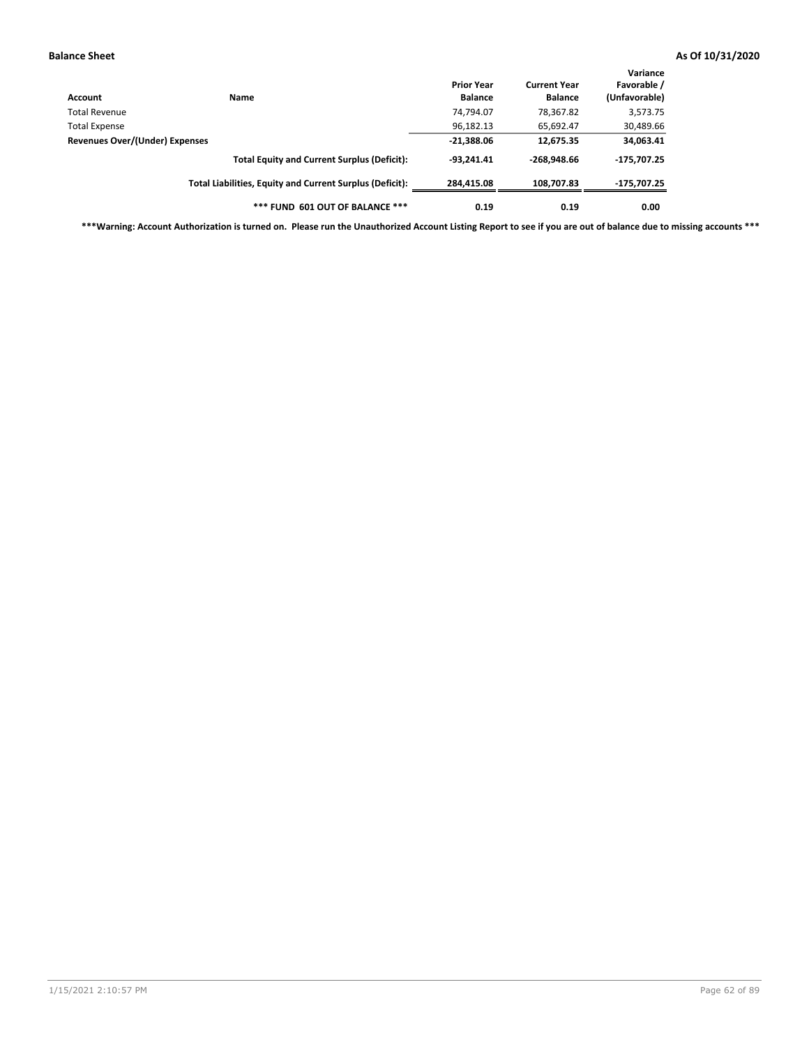| Account                        | Name                                                     | <b>Prior Year</b><br><b>Balance</b> | <b>Current Year</b><br><b>Balance</b> | Variance<br>Favorable /<br>(Unfavorable) |
|--------------------------------|----------------------------------------------------------|-------------------------------------|---------------------------------------|------------------------------------------|
| Total Revenue                  |                                                          | 74,794.07                           | 78,367.82                             | 3,573.75                                 |
| Total Expense                  |                                                          | 96,182.13                           | 65,692.47                             | 30,489.66                                |
| Revenues Over/(Under) Expenses |                                                          | $-21,388.06$                        | 12,675.35                             | 34,063.41                                |
|                                | <b>Total Equity and Current Surplus (Deficit):</b>       | $-93.241.41$                        | $-268.948.66$                         | -175,707.25                              |
|                                | Total Liabilities, Equity and Current Surplus (Deficit): | 284,415.08                          | 108.707.83                            | -175,707.25                              |
|                                | *** FUND 601 OUT OF BALANCE ***                          | 0.19                                | 0.19                                  | 0.00                                     |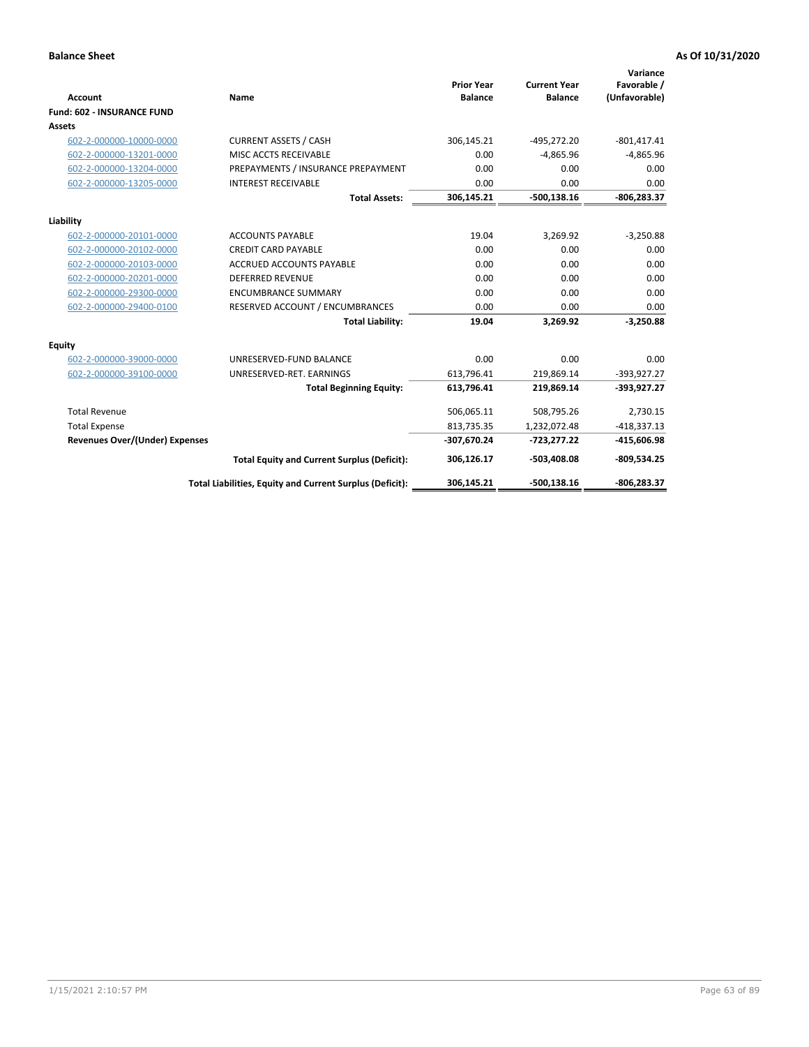| <b>Account</b>                        | Name                                                     | <b>Prior Year</b><br><b>Balance</b> | <b>Current Year</b><br><b>Balance</b> | Variance<br>Favorable /<br>(Unfavorable) |
|---------------------------------------|----------------------------------------------------------|-------------------------------------|---------------------------------------|------------------------------------------|
| <b>Fund: 602 - INSURANCE FUND</b>     |                                                          |                                     |                                       |                                          |
| <b>Assets</b>                         |                                                          |                                     |                                       |                                          |
| 602-2-000000-10000-0000               | <b>CURRENT ASSETS / CASH</b>                             | 306,145.21                          | $-495,272.20$                         | $-801,417.41$                            |
| 602-2-000000-13201-0000               | MISC ACCTS RECEIVABLE                                    | 0.00                                | $-4.865.96$                           | $-4,865.96$                              |
| 602-2-000000-13204-0000               | PREPAYMENTS / INSURANCE PREPAYMENT                       | 0.00                                | 0.00                                  | 0.00                                     |
| 602-2-000000-13205-0000               | <b>INTEREST RECEIVABLE</b>                               | 0.00                                | 0.00                                  | 0.00                                     |
|                                       | <b>Total Assets:</b>                                     | 306,145.21                          | $-500,138.16$                         | -806,283.37                              |
| Liability                             |                                                          |                                     |                                       |                                          |
| 602-2-000000-20101-0000               | <b>ACCOUNTS PAYABLE</b>                                  | 19.04                               | 3,269.92                              | $-3,250.88$                              |
| 602-2-000000-20102-0000               | <b>CREDIT CARD PAYABLE</b>                               | 0.00                                | 0.00                                  | 0.00                                     |
| 602-2-000000-20103-0000               | <b>ACCRUED ACCOUNTS PAYABLE</b>                          | 0.00                                | 0.00                                  | 0.00                                     |
| 602-2-000000-20201-0000               | <b>DEFERRED REVENUE</b>                                  | 0.00                                | 0.00                                  | 0.00                                     |
| 602-2-000000-29300-0000               | <b>ENCUMBRANCE SUMMARY</b>                               | 0.00                                | 0.00                                  | 0.00                                     |
| 602-2-000000-29400-0100               | RESERVED ACCOUNT / ENCUMBRANCES                          | 0.00                                | 0.00                                  | 0.00                                     |
|                                       | <b>Total Liability:</b>                                  | 19.04                               | 3,269.92                              | $-3,250.88$                              |
| <b>Equity</b>                         |                                                          |                                     |                                       |                                          |
| 602-2-000000-39000-0000               | UNRESERVED-FUND BALANCE                                  | 0.00                                | 0.00                                  | 0.00                                     |
| 602-2-000000-39100-0000               | UNRESERVED-RET. EARNINGS                                 | 613,796.41                          | 219,869.14                            | $-393,927.27$                            |
|                                       | <b>Total Beginning Equity:</b>                           | 613,796.41                          | 219,869.14                            | -393,927.27                              |
| <b>Total Revenue</b>                  |                                                          | 506,065.11                          | 508,795.26                            | 2,730.15                                 |
| <b>Total Expense</b>                  |                                                          | 813,735.35                          | 1,232,072.48                          | $-418,337.13$                            |
| <b>Revenues Over/(Under) Expenses</b> |                                                          | -307,670.24                         | $-723,277.22$                         | -415,606.98                              |
|                                       | <b>Total Equity and Current Surplus (Deficit):</b>       | 306,126.17                          | -503,408.08                           | $-809,534.25$                            |
|                                       | Total Liabilities, Equity and Current Surplus (Deficit): | 306,145.21                          | $-500, 138.16$                        | -806.283.37                              |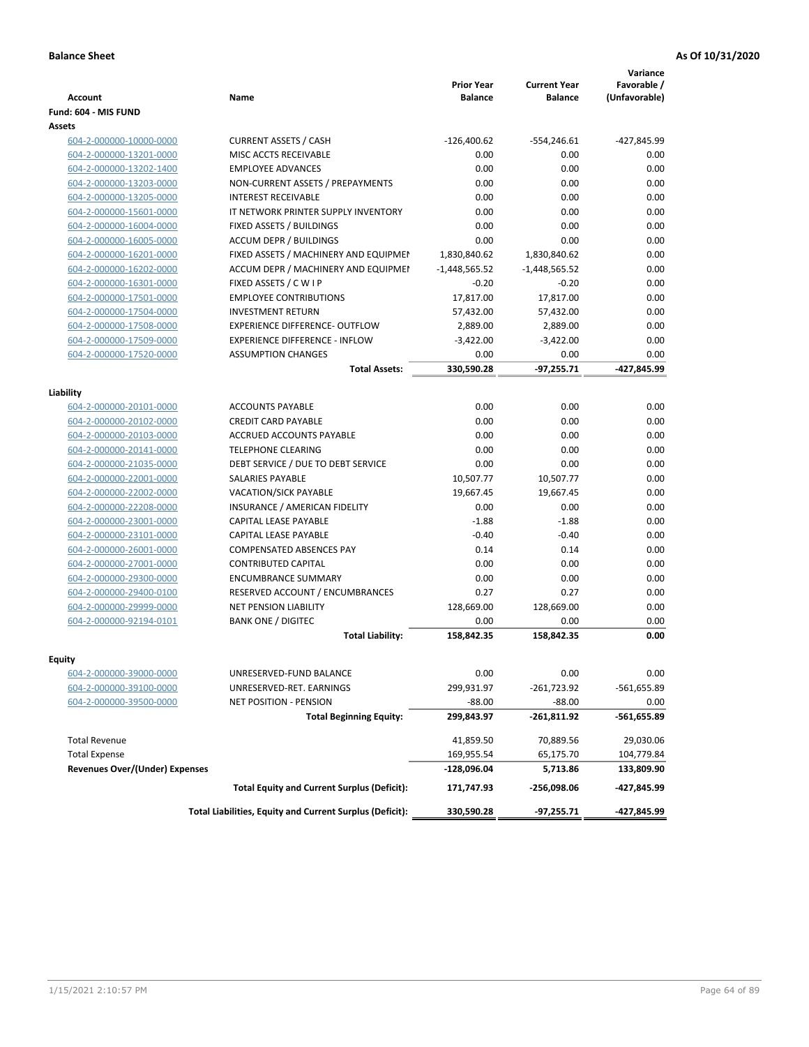| Fund: 604 - MIS FUND<br>Assets<br><b>CURRENT ASSETS / CASH</b><br>$-126,400.62$<br>604-2-000000-10000-0000<br>$-554,246.61$<br>604-2-000000-13201-0000<br>MISC ACCTS RECEIVABLE<br>0.00<br>0.00<br>0.00<br><b>EMPLOYEE ADVANCES</b><br>0.00<br>604-2-000000-13202-1400<br>604-2-000000-13203-0000<br>NON-CURRENT ASSETS / PREPAYMENTS<br>0.00<br>0.00<br><b>INTEREST RECEIVABLE</b><br>0.00<br>0.00<br>604-2-000000-13205-0000<br>604-2-000000-15601-0000<br>IT NETWORK PRINTER SUPPLY INVENTORY<br>0.00<br>0.00<br>0.00<br>604-2-000000-16004-0000<br>FIXED ASSETS / BUILDINGS<br>0.00<br>0.00<br>604-2-000000-16005-0000<br><b>ACCUM DEPR / BUILDINGS</b><br>0.00<br>FIXED ASSETS / MACHINERY AND EQUIPMEN<br>1,830,840.62<br>604-2-000000-16201-0000<br>1,830,840.62<br>ACCUM DEPR / MACHINERY AND EQUIPMEI<br>$-1,448,565.52$<br>$-1,448,565.52$<br>604-2-000000-16202-0000<br>FIXED ASSETS / C W I P<br>$-0.20$<br>$-0.20$<br>604-2-000000-16301-0000<br>604-2-000000-17501-0000<br><b>EMPLOYEE CONTRIBUTIONS</b><br>17,817.00<br>17,817.00<br><b>INVESTMENT RETURN</b><br>57,432.00<br>57,432.00<br>604-2-000000-17504-0000<br><b>EXPERIENCE DIFFERENCE- OUTFLOW</b><br>604-2-000000-17508-0000<br>2,889.00<br>2,889.00<br><b>EXPERIENCE DIFFERENCE - INFLOW</b><br>604-2-000000-17509-0000<br>$-3,422.00$<br>$-3,422.00$<br>604-2-000000-17520-0000<br><b>ASSUMPTION CHANGES</b><br>0.00<br>0.00<br>330,590.28<br>$-97,255.71$<br><b>Total Assets:</b> | Variance<br>Favorable /<br>(Unfavorable) |
|---------------------------------------------------------------------------------------------------------------------------------------------------------------------------------------------------------------------------------------------------------------------------------------------------------------------------------------------------------------------------------------------------------------------------------------------------------------------------------------------------------------------------------------------------------------------------------------------------------------------------------------------------------------------------------------------------------------------------------------------------------------------------------------------------------------------------------------------------------------------------------------------------------------------------------------------------------------------------------------------------------------------------------------------------------------------------------------------------------------------------------------------------------------------------------------------------------------------------------------------------------------------------------------------------------------------------------------------------------------------------------------------------------------------------------------------------------------|------------------------------------------|
|                                                                                                                                                                                                                                                                                                                                                                                                                                                                                                                                                                                                                                                                                                                                                                                                                                                                                                                                                                                                                                                                                                                                                                                                                                                                                                                                                                                                                                                               |                                          |
|                                                                                                                                                                                                                                                                                                                                                                                                                                                                                                                                                                                                                                                                                                                                                                                                                                                                                                                                                                                                                                                                                                                                                                                                                                                                                                                                                                                                                                                               |                                          |
| Liability                                                                                                                                                                                                                                                                                                                                                                                                                                                                                                                                                                                                                                                                                                                                                                                                                                                                                                                                                                                                                                                                                                                                                                                                                                                                                                                                                                                                                                                     | -427,845.99                              |
|                                                                                                                                                                                                                                                                                                                                                                                                                                                                                                                                                                                                                                                                                                                                                                                                                                                                                                                                                                                                                                                                                                                                                                                                                                                                                                                                                                                                                                                               | 0.00                                     |
|                                                                                                                                                                                                                                                                                                                                                                                                                                                                                                                                                                                                                                                                                                                                                                                                                                                                                                                                                                                                                                                                                                                                                                                                                                                                                                                                                                                                                                                               | 0.00                                     |
|                                                                                                                                                                                                                                                                                                                                                                                                                                                                                                                                                                                                                                                                                                                                                                                                                                                                                                                                                                                                                                                                                                                                                                                                                                                                                                                                                                                                                                                               | 0.00                                     |
|                                                                                                                                                                                                                                                                                                                                                                                                                                                                                                                                                                                                                                                                                                                                                                                                                                                                                                                                                                                                                                                                                                                                                                                                                                                                                                                                                                                                                                                               | 0.00                                     |
|                                                                                                                                                                                                                                                                                                                                                                                                                                                                                                                                                                                                                                                                                                                                                                                                                                                                                                                                                                                                                                                                                                                                                                                                                                                                                                                                                                                                                                                               | 0.00                                     |
|                                                                                                                                                                                                                                                                                                                                                                                                                                                                                                                                                                                                                                                                                                                                                                                                                                                                                                                                                                                                                                                                                                                                                                                                                                                                                                                                                                                                                                                               | 0.00                                     |
|                                                                                                                                                                                                                                                                                                                                                                                                                                                                                                                                                                                                                                                                                                                                                                                                                                                                                                                                                                                                                                                                                                                                                                                                                                                                                                                                                                                                                                                               | 0.00                                     |
|                                                                                                                                                                                                                                                                                                                                                                                                                                                                                                                                                                                                                                                                                                                                                                                                                                                                                                                                                                                                                                                                                                                                                                                                                                                                                                                                                                                                                                                               | 0.00                                     |
|                                                                                                                                                                                                                                                                                                                                                                                                                                                                                                                                                                                                                                                                                                                                                                                                                                                                                                                                                                                                                                                                                                                                                                                                                                                                                                                                                                                                                                                               | 0.00                                     |
|                                                                                                                                                                                                                                                                                                                                                                                                                                                                                                                                                                                                                                                                                                                                                                                                                                                                                                                                                                                                                                                                                                                                                                                                                                                                                                                                                                                                                                                               | 0.00                                     |
|                                                                                                                                                                                                                                                                                                                                                                                                                                                                                                                                                                                                                                                                                                                                                                                                                                                                                                                                                                                                                                                                                                                                                                                                                                                                                                                                                                                                                                                               | 0.00                                     |
|                                                                                                                                                                                                                                                                                                                                                                                                                                                                                                                                                                                                                                                                                                                                                                                                                                                                                                                                                                                                                                                                                                                                                                                                                                                                                                                                                                                                                                                               | 0.00                                     |
|                                                                                                                                                                                                                                                                                                                                                                                                                                                                                                                                                                                                                                                                                                                                                                                                                                                                                                                                                                                                                                                                                                                                                                                                                                                                                                                                                                                                                                                               | 0.00                                     |
|                                                                                                                                                                                                                                                                                                                                                                                                                                                                                                                                                                                                                                                                                                                                                                                                                                                                                                                                                                                                                                                                                                                                                                                                                                                                                                                                                                                                                                                               | 0.00                                     |
|                                                                                                                                                                                                                                                                                                                                                                                                                                                                                                                                                                                                                                                                                                                                                                                                                                                                                                                                                                                                                                                                                                                                                                                                                                                                                                                                                                                                                                                               | 0.00                                     |
|                                                                                                                                                                                                                                                                                                                                                                                                                                                                                                                                                                                                                                                                                                                                                                                                                                                                                                                                                                                                                                                                                                                                                                                                                                                                                                                                                                                                                                                               | -427,845.99                              |
|                                                                                                                                                                                                                                                                                                                                                                                                                                                                                                                                                                                                                                                                                                                                                                                                                                                                                                                                                                                                                                                                                                                                                                                                                                                                                                                                                                                                                                                               |                                          |
|                                                                                                                                                                                                                                                                                                                                                                                                                                                                                                                                                                                                                                                                                                                                                                                                                                                                                                                                                                                                                                                                                                                                                                                                                                                                                                                                                                                                                                                               |                                          |
| 0.00<br><b>ACCOUNTS PAYABLE</b><br>0.00<br>604-2-000000-20101-0000                                                                                                                                                                                                                                                                                                                                                                                                                                                                                                                                                                                                                                                                                                                                                                                                                                                                                                                                                                                                                                                                                                                                                                                                                                                                                                                                                                                            | 0.00                                     |
| <b>CREDIT CARD PAYABLE</b><br>0.00<br>0.00<br>604-2-000000-20102-0000                                                                                                                                                                                                                                                                                                                                                                                                                                                                                                                                                                                                                                                                                                                                                                                                                                                                                                                                                                                                                                                                                                                                                                                                                                                                                                                                                                                         | 0.00                                     |
| ACCRUED ACCOUNTS PAYABLE<br>0.00<br>0.00<br>604-2-000000-20103-0000                                                                                                                                                                                                                                                                                                                                                                                                                                                                                                                                                                                                                                                                                                                                                                                                                                                                                                                                                                                                                                                                                                                                                                                                                                                                                                                                                                                           | 0.00                                     |
| 604-2-000000-20141-0000<br><b>TELEPHONE CLEARING</b><br>0.00<br>0.00                                                                                                                                                                                                                                                                                                                                                                                                                                                                                                                                                                                                                                                                                                                                                                                                                                                                                                                                                                                                                                                                                                                                                                                                                                                                                                                                                                                          | 0.00                                     |
| 0.00<br>604-2-000000-21035-0000<br>DEBT SERVICE / DUE TO DEBT SERVICE<br>0.00                                                                                                                                                                                                                                                                                                                                                                                                                                                                                                                                                                                                                                                                                                                                                                                                                                                                                                                                                                                                                                                                                                                                                                                                                                                                                                                                                                                 | 0.00                                     |
| <b>SALARIES PAYABLE</b><br>10,507.77<br>604-2-000000-22001-0000<br>10,507.77                                                                                                                                                                                                                                                                                                                                                                                                                                                                                                                                                                                                                                                                                                                                                                                                                                                                                                                                                                                                                                                                                                                                                                                                                                                                                                                                                                                  | 0.00                                     |
| 604-2-000000-22002-0000<br><b>VACATION/SICK PAYABLE</b><br>19,667.45<br>19,667.45                                                                                                                                                                                                                                                                                                                                                                                                                                                                                                                                                                                                                                                                                                                                                                                                                                                                                                                                                                                                                                                                                                                                                                                                                                                                                                                                                                             | 0.00                                     |
| INSURANCE / AMERICAN FIDELITY<br>0.00<br>0.00<br>604-2-000000-22208-0000                                                                                                                                                                                                                                                                                                                                                                                                                                                                                                                                                                                                                                                                                                                                                                                                                                                                                                                                                                                                                                                                                                                                                                                                                                                                                                                                                                                      | 0.00                                     |
| 604-2-000000-23001-0000<br>CAPITAL LEASE PAYABLE<br>$-1.88$<br>$-1.88$                                                                                                                                                                                                                                                                                                                                                                                                                                                                                                                                                                                                                                                                                                                                                                                                                                                                                                                                                                                                                                                                                                                                                                                                                                                                                                                                                                                        | 0.00                                     |
| $-0.40$<br>604-2-000000-23101-0000<br>CAPITAL LEASE PAYABLE<br>$-0.40$                                                                                                                                                                                                                                                                                                                                                                                                                                                                                                                                                                                                                                                                                                                                                                                                                                                                                                                                                                                                                                                                                                                                                                                                                                                                                                                                                                                        | 0.00                                     |
| <b>COMPENSATED ABSENCES PAY</b><br>0.14<br>0.14<br>604-2-000000-26001-0000                                                                                                                                                                                                                                                                                                                                                                                                                                                                                                                                                                                                                                                                                                                                                                                                                                                                                                                                                                                                                                                                                                                                                                                                                                                                                                                                                                                    | 0.00                                     |
| <b>CONTRIBUTED CAPITAL</b><br>0.00<br>0.00<br>604-2-000000-27001-0000                                                                                                                                                                                                                                                                                                                                                                                                                                                                                                                                                                                                                                                                                                                                                                                                                                                                                                                                                                                                                                                                                                                                                                                                                                                                                                                                                                                         | 0.00                                     |
| <b>ENCUMBRANCE SUMMARY</b><br>0.00<br>0.00<br>604-2-000000-29300-0000                                                                                                                                                                                                                                                                                                                                                                                                                                                                                                                                                                                                                                                                                                                                                                                                                                                                                                                                                                                                                                                                                                                                                                                                                                                                                                                                                                                         | 0.00                                     |
| 0.27<br>604-2-000000-29400-0100<br>RESERVED ACCOUNT / ENCUMBRANCES<br>0.27                                                                                                                                                                                                                                                                                                                                                                                                                                                                                                                                                                                                                                                                                                                                                                                                                                                                                                                                                                                                                                                                                                                                                                                                                                                                                                                                                                                    | 0.00                                     |
| 604-2-000000-29999-0000<br>NET PENSION LIABILITY<br>128,669.00<br>128,669.00                                                                                                                                                                                                                                                                                                                                                                                                                                                                                                                                                                                                                                                                                                                                                                                                                                                                                                                                                                                                                                                                                                                                                                                                                                                                                                                                                                                  | 0.00                                     |
| <b>BANK ONE / DIGITEC</b><br>604-2-000000-92194-0101<br>0.00<br>0.00                                                                                                                                                                                                                                                                                                                                                                                                                                                                                                                                                                                                                                                                                                                                                                                                                                                                                                                                                                                                                                                                                                                                                                                                                                                                                                                                                                                          | 0.00                                     |
| <b>Total Liability:</b><br>158,842.35<br>158,842.35                                                                                                                                                                                                                                                                                                                                                                                                                                                                                                                                                                                                                                                                                                                                                                                                                                                                                                                                                                                                                                                                                                                                                                                                                                                                                                                                                                                                           | 0.00                                     |
| Equity                                                                                                                                                                                                                                                                                                                                                                                                                                                                                                                                                                                                                                                                                                                                                                                                                                                                                                                                                                                                                                                                                                                                                                                                                                                                                                                                                                                                                                                        |                                          |
| 604-2-000000-39000-0000<br>UNRESERVED-FUND BALANCE<br>0.00<br>0.00                                                                                                                                                                                                                                                                                                                                                                                                                                                                                                                                                                                                                                                                                                                                                                                                                                                                                                                                                                                                                                                                                                                                                                                                                                                                                                                                                                                            | 0.00                                     |
| 299,931.97<br>$-261,723.92$<br>604-2-000000-39100-0000<br>UNRESERVED-RET. EARNINGS                                                                                                                                                                                                                                                                                                                                                                                                                                                                                                                                                                                                                                                                                                                                                                                                                                                                                                                                                                                                                                                                                                                                                                                                                                                                                                                                                                            | -561,655.89                              |
| 604-2-000000-39500-0000<br>$-88.00$<br>$-88.00$<br>NET POSITION - PENSION                                                                                                                                                                                                                                                                                                                                                                                                                                                                                                                                                                                                                                                                                                                                                                                                                                                                                                                                                                                                                                                                                                                                                                                                                                                                                                                                                                                     | 0.00                                     |
| <b>Total Beginning Equity:</b><br>299,843.97<br>-261,811.92                                                                                                                                                                                                                                                                                                                                                                                                                                                                                                                                                                                                                                                                                                                                                                                                                                                                                                                                                                                                                                                                                                                                                                                                                                                                                                                                                                                                   | -561,655.89                              |
| <b>Total Revenue</b><br>41,859.50<br>70,889.56                                                                                                                                                                                                                                                                                                                                                                                                                                                                                                                                                                                                                                                                                                                                                                                                                                                                                                                                                                                                                                                                                                                                                                                                                                                                                                                                                                                                                | 29,030.06                                |
| <b>Total Expense</b><br>169,955.54<br>65,175.70                                                                                                                                                                                                                                                                                                                                                                                                                                                                                                                                                                                                                                                                                                                                                                                                                                                                                                                                                                                                                                                                                                                                                                                                                                                                                                                                                                                                               | 104,779.84                               |
| <b>Revenues Over/(Under) Expenses</b><br>-128,096.04<br>5,713.86                                                                                                                                                                                                                                                                                                                                                                                                                                                                                                                                                                                                                                                                                                                                                                                                                                                                                                                                                                                                                                                                                                                                                                                                                                                                                                                                                                                              | 133,809.90                               |
| <b>Total Equity and Current Surplus (Deficit):</b><br>171,747.93<br>-256,098.06                                                                                                                                                                                                                                                                                                                                                                                                                                                                                                                                                                                                                                                                                                                                                                                                                                                                                                                                                                                                                                                                                                                                                                                                                                                                                                                                                                               | -427,845.99                              |
| Total Liabilities, Equity and Current Surplus (Deficit):<br>330,590.28<br>-97,255.71                                                                                                                                                                                                                                                                                                                                                                                                                                                                                                                                                                                                                                                                                                                                                                                                                                                                                                                                                                                                                                                                                                                                                                                                                                                                                                                                                                          | -427,845.99                              |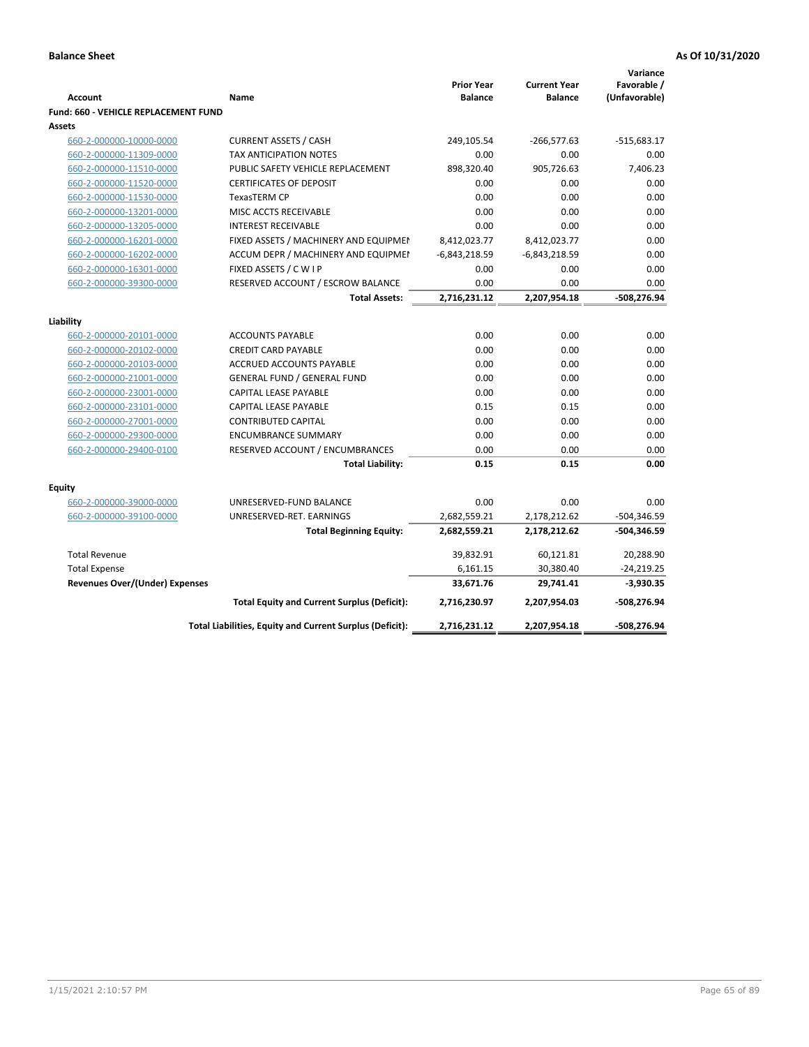|                                             |                                                          |                   |                     | Variance      |
|---------------------------------------------|----------------------------------------------------------|-------------------|---------------------|---------------|
|                                             |                                                          | <b>Prior Year</b> | <b>Current Year</b> | Favorable /   |
| <b>Account</b>                              | <b>Name</b>                                              | <b>Balance</b>    | <b>Balance</b>      | (Unfavorable) |
| <b>Fund: 660 - VEHICLE REPLACEMENT FUND</b> |                                                          |                   |                     |               |
| Assets                                      |                                                          |                   |                     |               |
| 660-2-000000-10000-0000                     | <b>CURRENT ASSETS / CASH</b>                             | 249,105.54        | $-266,577.63$       | $-515,683.17$ |
| 660-2-000000-11309-0000                     | <b>TAX ANTICIPATION NOTES</b>                            | 0.00              | 0.00                | 0.00          |
| 660-2-000000-11510-0000                     | PUBLIC SAFETY VEHICLE REPLACEMENT                        | 898,320.40        | 905,726.63          | 7,406.23      |
| 660-2-000000-11520-0000                     | <b>CERTIFICATES OF DEPOSIT</b>                           | 0.00              | 0.00                | 0.00          |
| 660-2-000000-11530-0000                     | TexasTERM CP                                             | 0.00              | 0.00                | 0.00          |
| 660-2-000000-13201-0000                     | MISC ACCTS RECEIVABLE                                    | 0.00              | 0.00                | 0.00          |
| 660-2-000000-13205-0000                     | <b>INTEREST RECEIVABLE</b>                               | 0.00              | 0.00                | 0.00          |
| 660-2-000000-16201-0000                     | FIXED ASSETS / MACHINERY AND EQUIPMEN                    | 8,412,023.77      | 8,412,023.77        | 0.00          |
| 660-2-000000-16202-0000                     | ACCUM DEPR / MACHINERY AND EQUIPMEI                      | $-6,843,218.59$   | $-6,843,218.59$     | 0.00          |
| 660-2-000000-16301-0000                     | FIXED ASSETS / C W I P                                   | 0.00              | 0.00                | 0.00          |
| 660-2-000000-39300-0000                     | RESERVED ACCOUNT / ESCROW BALANCE                        | 0.00              | 0.00                | 0.00          |
|                                             | <b>Total Assets:</b>                                     | 2,716,231.12      | 2,207,954.18        | -508,276.94   |
| Liability                                   |                                                          |                   |                     |               |
| 660-2-000000-20101-0000                     | <b>ACCOUNTS PAYABLE</b>                                  | 0.00              | 0.00                | 0.00          |
| 660-2-000000-20102-0000                     | <b>CREDIT CARD PAYABLE</b>                               | 0.00              | 0.00                | 0.00          |
| 660-2-000000-20103-0000                     | <b>ACCRUED ACCOUNTS PAYABLE</b>                          | 0.00              | 0.00                | 0.00          |
| 660-2-000000-21001-0000                     | <b>GENERAL FUND / GENERAL FUND</b>                       | 0.00              | 0.00                | 0.00          |
| 660-2-000000-23001-0000                     | CAPITAL LEASE PAYABLE                                    | 0.00              | 0.00                | 0.00          |
| 660-2-000000-23101-0000                     | <b>CAPITAL LEASE PAYABLE</b>                             | 0.15              | 0.15                | 0.00          |
| 660-2-000000-27001-0000                     | <b>CONTRIBUTED CAPITAL</b>                               | 0.00              | 0.00                | 0.00          |
| 660-2-000000-29300-0000                     | <b>ENCUMBRANCE SUMMARY</b>                               | 0.00              | 0.00                | 0.00          |
| 660-2-000000-29400-0100                     | RESERVED ACCOUNT / ENCUMBRANCES                          | 0.00              | 0.00                | 0.00          |
|                                             | <b>Total Liability:</b>                                  | 0.15              | 0.15                | 0.00          |
|                                             |                                                          |                   |                     |               |
| <b>Equity</b>                               |                                                          |                   |                     |               |
| 660-2-000000-39000-0000                     | UNRESERVED-FUND BALANCE                                  | 0.00              | 0.00                | 0.00          |
| 660-2-000000-39100-0000                     | UNRESERVED-RET. EARNINGS                                 | 2,682,559.21      | 2,178,212.62        | $-504,346.59$ |
|                                             | <b>Total Beginning Equity:</b>                           | 2,682,559.21      | 2,178,212.62        | $-504,346.59$ |
| <b>Total Revenue</b>                        |                                                          | 39,832.91         | 60,121.81           | 20,288.90     |
| <b>Total Expense</b>                        |                                                          | 6,161.15          | 30,380.40           | $-24,219.25$  |
| Revenues Over/(Under) Expenses              |                                                          | 33,671.76         | 29,741.41           | $-3,930.35$   |
|                                             | <b>Total Equity and Current Surplus (Deficit):</b>       | 2,716,230.97      | 2,207,954.03        | -508,276.94   |
|                                             | Total Liabilities, Equity and Current Surplus (Deficit): | 2,716,231.12      | 2,207,954.18        | -508,276.94   |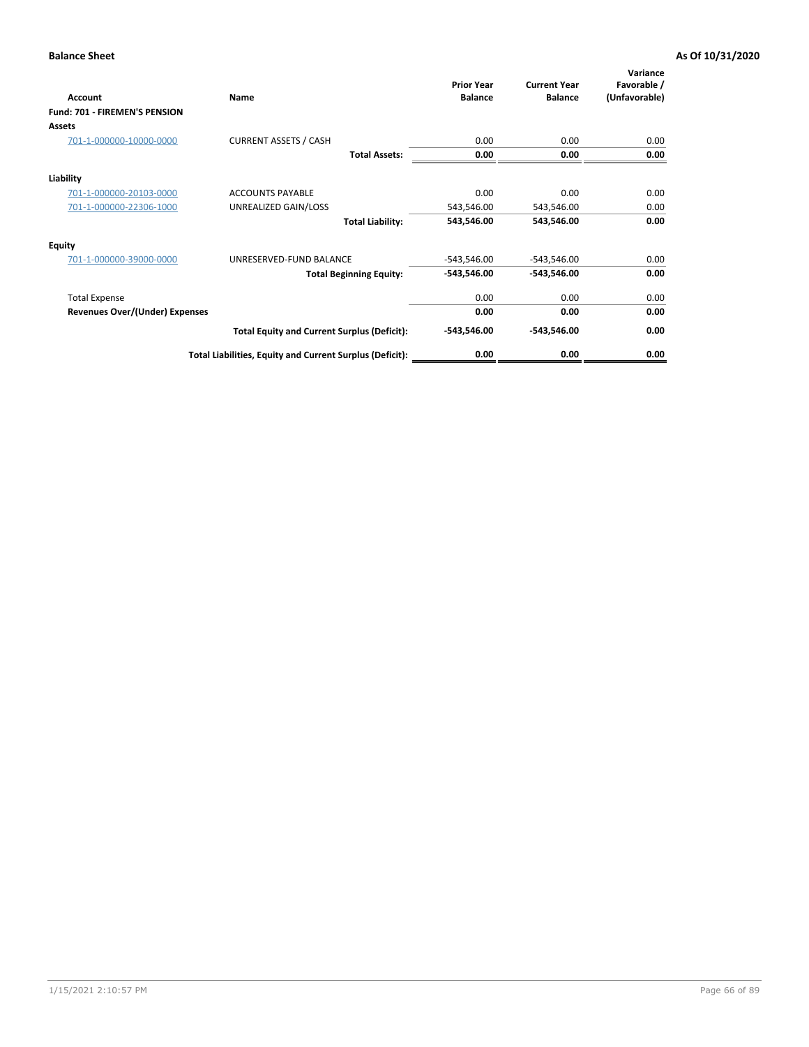| Account                               | Name                                                     | <b>Prior Year</b><br><b>Balance</b> | <b>Current Year</b><br><b>Balance</b> | Variance<br>Favorable /<br>(Unfavorable) |
|---------------------------------------|----------------------------------------------------------|-------------------------------------|---------------------------------------|------------------------------------------|
| Fund: 701 - FIREMEN'S PENSION         |                                                          |                                     |                                       |                                          |
| <b>Assets</b>                         |                                                          |                                     |                                       |                                          |
| 701-1-000000-10000-0000               | <b>CURRENT ASSETS / CASH</b>                             | 0.00                                | 0.00                                  | 0.00                                     |
|                                       | <b>Total Assets:</b>                                     | 0.00                                | 0.00                                  | 0.00                                     |
| Liability                             |                                                          |                                     |                                       |                                          |
| 701-1-000000-20103-0000               | <b>ACCOUNTS PAYABLE</b>                                  | 0.00                                | 0.00                                  | 0.00                                     |
| 701-1-000000-22306-1000               | UNREALIZED GAIN/LOSS                                     | 543,546.00                          | 543,546.00                            | 0.00                                     |
|                                       | <b>Total Liability:</b>                                  | 543,546.00                          | 543,546.00                            | 0.00                                     |
| <b>Equity</b>                         |                                                          |                                     |                                       |                                          |
| 701-1-000000-39000-0000               | UNRESERVED-FUND BALANCE                                  | $-543,546.00$                       | $-543,546.00$                         | 0.00                                     |
|                                       | <b>Total Beginning Equity:</b>                           | $-543,546.00$                       | -543,546.00                           | 0.00                                     |
| <b>Total Expense</b>                  |                                                          | 0.00                                | 0.00                                  | 0.00                                     |
| <b>Revenues Over/(Under) Expenses</b> |                                                          | 0.00                                | 0.00                                  | 0.00                                     |
|                                       | <b>Total Equity and Current Surplus (Deficit):</b>       | $-543,546.00$                       | -543,546.00                           | 0.00                                     |
|                                       | Total Liabilities, Equity and Current Surplus (Deficit): | 0.00                                | 0.00                                  | 0.00                                     |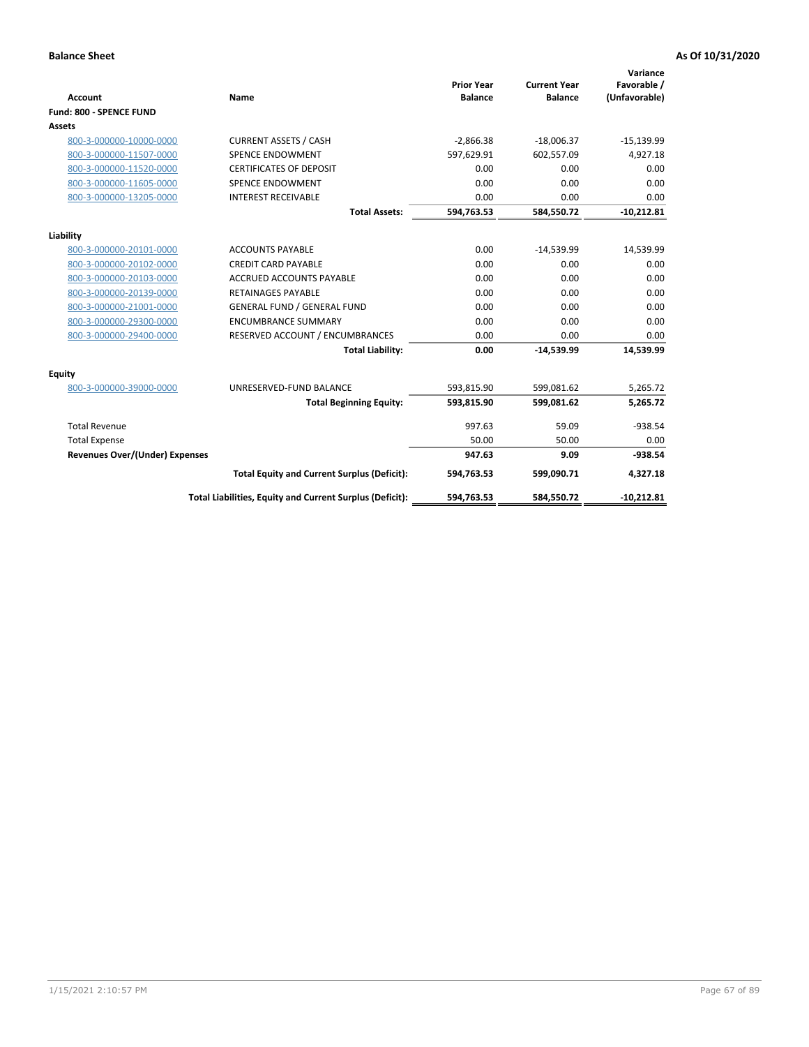|                                       |                                                          |                                     |                                       | Variance                     |
|---------------------------------------|----------------------------------------------------------|-------------------------------------|---------------------------------------|------------------------------|
| <b>Account</b>                        | <b>Name</b>                                              | <b>Prior Year</b><br><b>Balance</b> | <b>Current Year</b><br><b>Balance</b> | Favorable /<br>(Unfavorable) |
| Fund: 800 - SPENCE FUND               |                                                          |                                     |                                       |                              |
| Assets                                |                                                          |                                     |                                       |                              |
| 800-3-000000-10000-0000               | <b>CURRENT ASSETS / CASH</b>                             | $-2,866.38$                         | $-18,006.37$                          | $-15,139.99$                 |
| 800-3-000000-11507-0000               | <b>SPENCE ENDOWMENT</b>                                  | 597,629.91                          | 602.557.09                            | 4,927.18                     |
| 800-3-000000-11520-0000               | <b>CERTIFICATES OF DEPOSIT</b>                           | 0.00                                | 0.00                                  | 0.00                         |
| 800-3-000000-11605-0000               | <b>SPENCE ENDOWMENT</b>                                  | 0.00                                | 0.00                                  | 0.00                         |
| 800-3-000000-13205-0000               | <b>INTEREST RECEIVABLE</b>                               | 0.00                                | 0.00                                  | 0.00                         |
|                                       | <b>Total Assets:</b>                                     | 594,763.53                          | 584,550.72                            | $-10,212.81$                 |
|                                       |                                                          |                                     |                                       |                              |
| Liability                             |                                                          |                                     |                                       |                              |
| 800-3-000000-20101-0000               | <b>ACCOUNTS PAYABLE</b>                                  | 0.00                                | $-14,539.99$                          | 14,539.99                    |
| 800-3-000000-20102-0000               | <b>CREDIT CARD PAYABLE</b>                               | 0.00                                | 0.00                                  | 0.00                         |
| 800-3-000000-20103-0000               | <b>ACCRUED ACCOUNTS PAYABLE</b>                          | 0.00                                | 0.00                                  | 0.00                         |
| 800-3-000000-20139-0000               | <b>RETAINAGES PAYABLE</b>                                | 0.00                                | 0.00                                  | 0.00                         |
| 800-3-000000-21001-0000               | <b>GENERAL FUND / GENERAL FUND</b>                       | 0.00                                | 0.00                                  | 0.00                         |
| 800-3-000000-29300-0000               | <b>ENCUMBRANCE SUMMARY</b>                               | 0.00                                | 0.00                                  | 0.00                         |
| 800-3-000000-29400-0000               | RESERVED ACCOUNT / ENCUMBRANCES                          | 0.00                                | 0.00                                  | 0.00                         |
|                                       | <b>Total Liability:</b>                                  | 0.00                                | $-14,539.99$                          | 14,539.99                    |
| <b>Equity</b>                         |                                                          |                                     |                                       |                              |
| 800-3-000000-39000-0000               | UNRESERVED-FUND BALANCE                                  | 593,815.90                          | 599,081.62                            | 5,265.72                     |
|                                       | <b>Total Beginning Equity:</b>                           | 593,815.90                          | 599,081.62                            | 5,265.72                     |
| <b>Total Revenue</b>                  |                                                          | 997.63                              | 59.09                                 | $-938.54$                    |
| <b>Total Expense</b>                  |                                                          | 50.00                               | 50.00                                 | 0.00                         |
| <b>Revenues Over/(Under) Expenses</b> |                                                          | 947.63                              | 9.09                                  | $-938.54$                    |
|                                       | <b>Total Equity and Current Surplus (Deficit):</b>       | 594,763.53                          | 599,090.71                            | 4,327.18                     |
|                                       | Total Liabilities, Equity and Current Surplus (Deficit): | 594,763.53                          | 584,550.72                            | $-10,212.81$                 |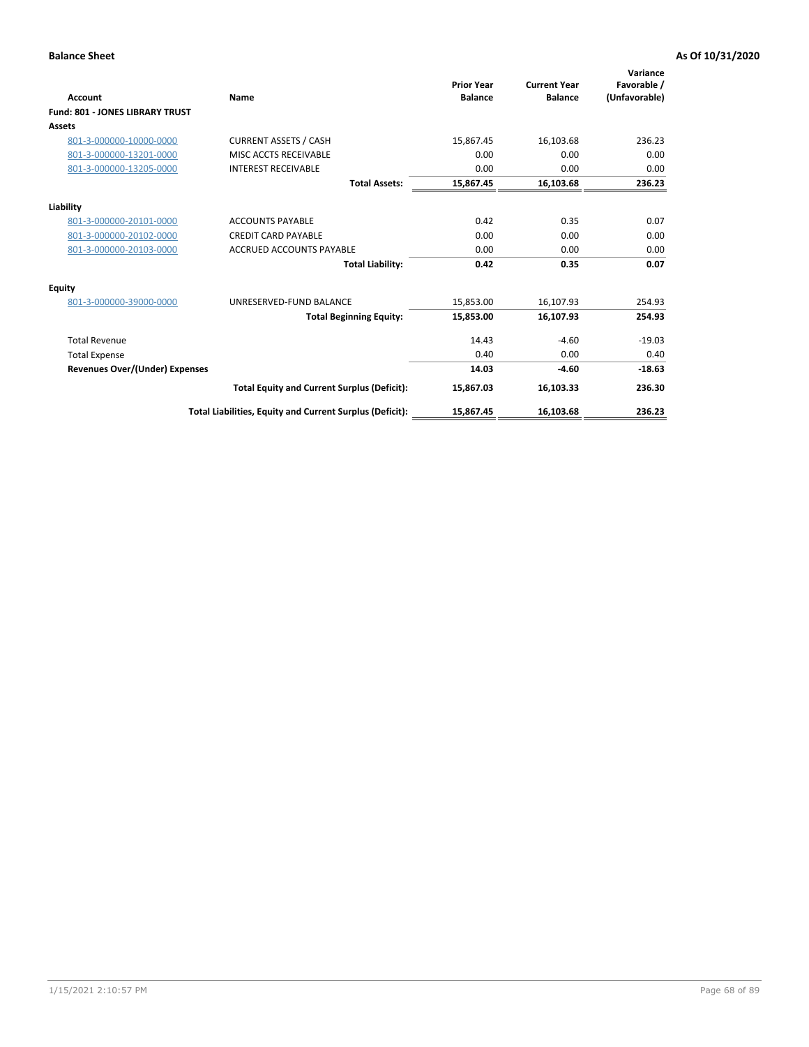| <b>Account</b>                         | Name                                                     | <b>Prior Year</b><br><b>Balance</b> | <b>Current Year</b><br><b>Balance</b> | Variance<br>Favorable /<br>(Unfavorable) |
|----------------------------------------|----------------------------------------------------------|-------------------------------------|---------------------------------------|------------------------------------------|
| <b>Fund: 801 - JONES LIBRARY TRUST</b> |                                                          |                                     |                                       |                                          |
| Assets                                 |                                                          |                                     |                                       |                                          |
| 801-3-000000-10000-0000                | <b>CURRENT ASSETS / CASH</b>                             | 15,867.45                           | 16,103.68                             | 236.23                                   |
| 801-3-000000-13201-0000                | MISC ACCTS RECEIVABLE                                    | 0.00                                | 0.00                                  | 0.00                                     |
| 801-3-000000-13205-0000                | <b>INTEREST RECEIVABLE</b>                               | 0.00                                | 0.00                                  | 0.00                                     |
|                                        | <b>Total Assets:</b>                                     | 15,867.45                           | 16,103.68                             | 236.23                                   |
| Liability                              |                                                          |                                     |                                       |                                          |
| 801-3-000000-20101-0000                | <b>ACCOUNTS PAYABLE</b>                                  | 0.42                                | 0.35                                  | 0.07                                     |
| 801-3-000000-20102-0000                | <b>CREDIT CARD PAYABLE</b>                               | 0.00                                | 0.00                                  | 0.00                                     |
| 801-3-000000-20103-0000                | <b>ACCRUED ACCOUNTS PAYABLE</b>                          | 0.00                                | 0.00                                  | 0.00                                     |
|                                        | <b>Total Liability:</b>                                  | 0.42                                | 0.35                                  | 0.07                                     |
| Equity                                 |                                                          |                                     |                                       |                                          |
| 801-3-000000-39000-0000                | UNRESERVED-FUND BALANCE                                  | 15,853.00                           | 16,107.93                             | 254.93                                   |
|                                        | <b>Total Beginning Equity:</b>                           | 15,853.00                           | 16,107.93                             | 254.93                                   |
| <b>Total Revenue</b>                   |                                                          | 14.43                               | $-4.60$                               | $-19.03$                                 |
| <b>Total Expense</b>                   |                                                          | 0.40                                | 0.00                                  | 0.40                                     |
| <b>Revenues Over/(Under) Expenses</b>  |                                                          | 14.03                               | $-4.60$                               | $-18.63$                                 |
|                                        | <b>Total Equity and Current Surplus (Deficit):</b>       | 15,867.03                           | 16,103.33                             | 236.30                                   |
|                                        | Total Liabilities, Equity and Current Surplus (Deficit): | 15,867.45                           | 16,103.68                             | 236.23                                   |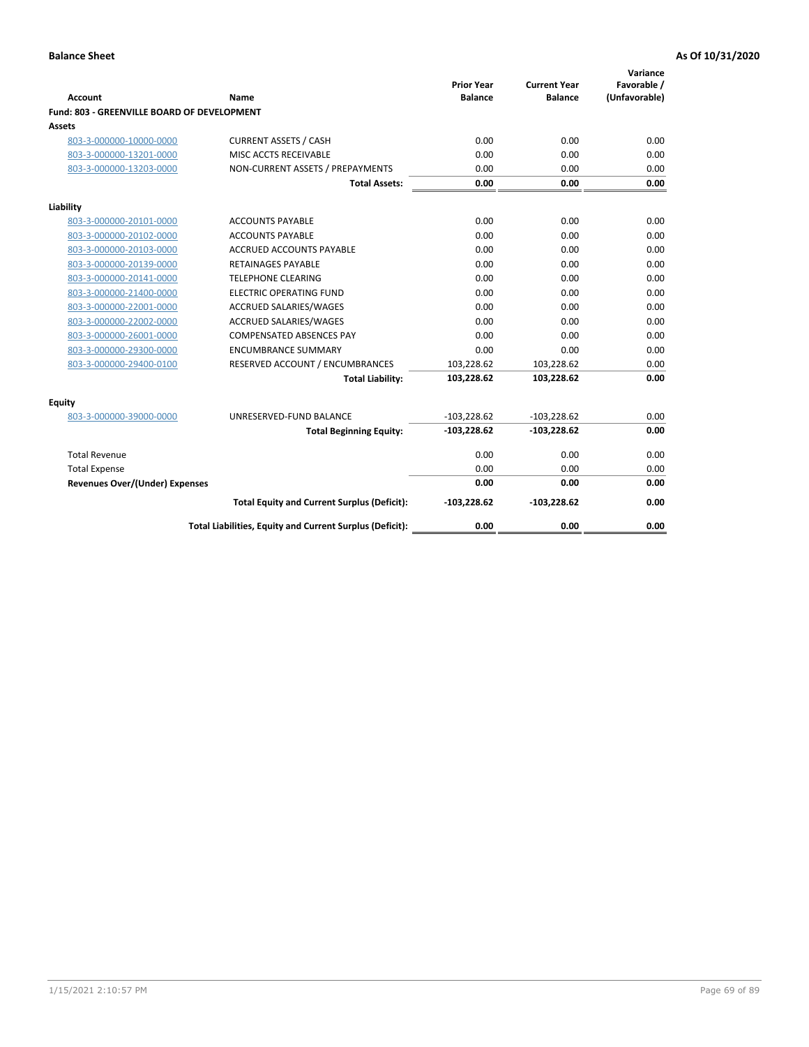| <b>Account</b>                              | Name                                                     | <b>Prior Year</b><br><b>Balance</b> | <b>Current Year</b><br><b>Balance</b> | Variance<br>Favorable /<br>(Unfavorable) |
|---------------------------------------------|----------------------------------------------------------|-------------------------------------|---------------------------------------|------------------------------------------|
| Fund: 803 - GREENVILLE BOARD OF DEVELOPMENT |                                                          |                                     |                                       |                                          |
| <b>Assets</b>                               |                                                          |                                     |                                       |                                          |
| 803-3-000000-10000-0000                     | <b>CURRENT ASSETS / CASH</b>                             | 0.00                                | 0.00                                  | 0.00                                     |
| 803-3-000000-13201-0000                     | MISC ACCTS RECEIVABLE                                    | 0.00                                | 0.00                                  | 0.00                                     |
| 803-3-000000-13203-0000                     | NON-CURRENT ASSETS / PREPAYMENTS                         | 0.00                                | 0.00                                  | 0.00                                     |
|                                             | <b>Total Assets:</b>                                     | 0.00                                | 0.00                                  | 0.00                                     |
| Liability                                   |                                                          |                                     |                                       |                                          |
| 803-3-000000-20101-0000                     | <b>ACCOUNTS PAYABLE</b>                                  | 0.00                                | 0.00                                  | 0.00                                     |
| 803-3-000000-20102-0000                     | <b>ACCOUNTS PAYABLE</b>                                  | 0.00                                | 0.00                                  | 0.00                                     |
| 803-3-000000-20103-0000                     | <b>ACCRUED ACCOUNTS PAYABLE</b>                          | 0.00                                | 0.00                                  | 0.00                                     |
| 803-3-000000-20139-0000                     | <b>RETAINAGES PAYABLE</b>                                | 0.00                                | 0.00                                  | 0.00                                     |
| 803-3-000000-20141-0000                     | <b>TELEPHONE CLEARING</b>                                | 0.00                                | 0.00                                  | 0.00                                     |
| 803-3-000000-21400-0000                     | <b>ELECTRIC OPERATING FUND</b>                           | 0.00                                | 0.00                                  | 0.00                                     |
| 803-3-000000-22001-0000                     | ACCRUED SALARIES/WAGES                                   | 0.00                                | 0.00                                  | 0.00                                     |
| 803-3-000000-22002-0000                     | <b>ACCRUED SALARIES/WAGES</b>                            | 0.00                                | 0.00                                  | 0.00                                     |
| 803-3-000000-26001-0000                     | <b>COMPENSATED ABSENCES PAY</b>                          | 0.00                                | 0.00                                  | 0.00                                     |
| 803-3-000000-29300-0000                     | <b>ENCUMBRANCE SUMMARY</b>                               | 0.00                                | 0.00                                  | 0.00                                     |
| 803-3-000000-29400-0100                     | RESERVED ACCOUNT / ENCUMBRANCES                          | 103,228.62                          | 103,228.62                            | 0.00                                     |
|                                             | <b>Total Liability:</b>                                  | 103,228.62                          | 103,228.62                            | 0.00                                     |
| Equity                                      |                                                          |                                     |                                       |                                          |
| 803-3-000000-39000-0000                     | UNRESERVED-FUND BALANCE                                  | $-103,228.62$                       | $-103,228.62$                         | 0.00                                     |
|                                             | <b>Total Beginning Equity:</b>                           | $-103,228.62$                       | $-103,228.62$                         | 0.00                                     |
| <b>Total Revenue</b>                        |                                                          | 0.00                                | 0.00                                  | 0.00                                     |
| <b>Total Expense</b>                        |                                                          | 0.00                                | 0.00                                  | 0.00                                     |
| <b>Revenues Over/(Under) Expenses</b>       |                                                          | 0.00                                | 0.00                                  | 0.00                                     |
|                                             | <b>Total Equity and Current Surplus (Deficit):</b>       | $-103,228.62$                       | $-103,228.62$                         | 0.00                                     |
|                                             | Total Liabilities, Equity and Current Surplus (Deficit): | 0.00                                | 0.00                                  | 0.00                                     |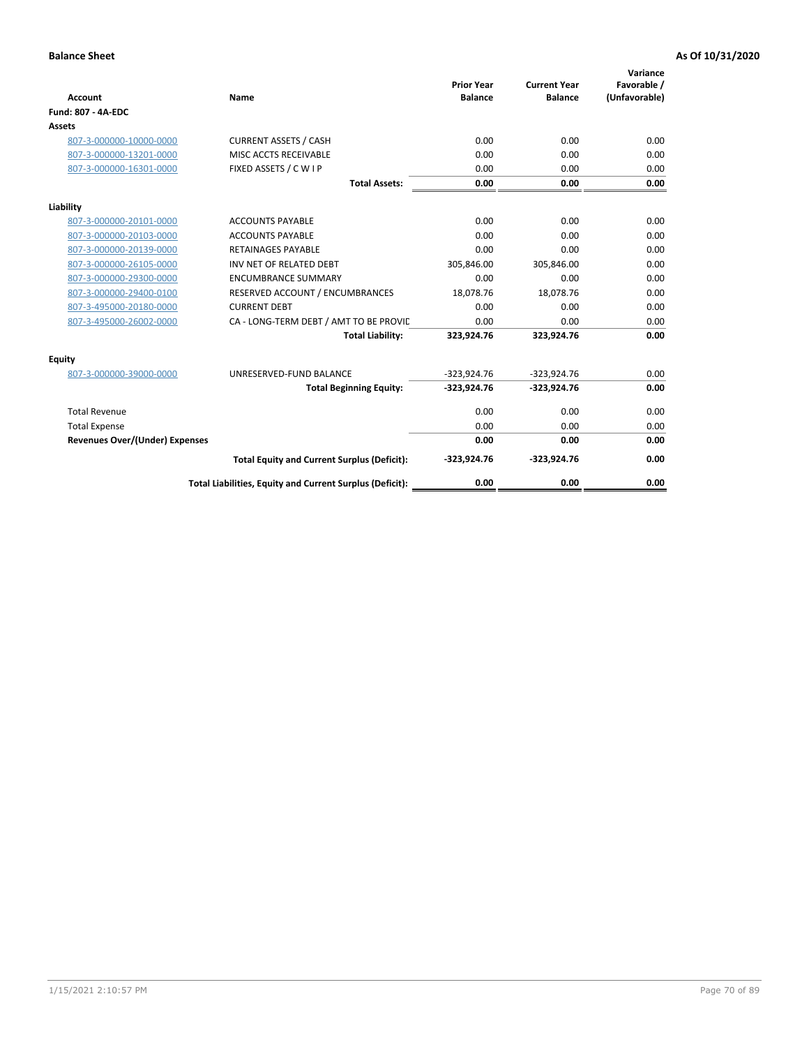| <b>Account</b>                        | Name                                                     | <b>Prior Year</b><br><b>Balance</b> | <b>Current Year</b><br><b>Balance</b> | Variance<br>Favorable /<br>(Unfavorable) |
|---------------------------------------|----------------------------------------------------------|-------------------------------------|---------------------------------------|------------------------------------------|
| <b>Fund: 807 - 4A-EDC</b>             |                                                          |                                     |                                       |                                          |
| <b>Assets</b>                         |                                                          |                                     |                                       |                                          |
| 807-3-000000-10000-0000               | <b>CURRENT ASSETS / CASH</b>                             | 0.00                                | 0.00                                  | 0.00                                     |
| 807-3-000000-13201-0000               | MISC ACCTS RECEIVABLE                                    | 0.00                                | 0.00                                  | 0.00                                     |
| 807-3-000000-16301-0000               | FIXED ASSETS / C W I P                                   | 0.00                                | 0.00                                  | 0.00                                     |
|                                       | <b>Total Assets:</b>                                     | 0.00                                | 0.00                                  | 0.00                                     |
| Liability                             |                                                          |                                     |                                       |                                          |
| 807-3-000000-20101-0000               | <b>ACCOUNTS PAYABLE</b>                                  | 0.00                                | 0.00                                  | 0.00                                     |
| 807-3-000000-20103-0000               | <b>ACCOUNTS PAYABLE</b>                                  | 0.00                                | 0.00                                  | 0.00                                     |
| 807-3-000000-20139-0000               | <b>RETAINAGES PAYABLE</b>                                | 0.00                                | 0.00                                  | 0.00                                     |
| 807-3-000000-26105-0000               | INV NET OF RELATED DEBT                                  | 305,846.00                          | 305,846.00                            | 0.00                                     |
| 807-3-000000-29300-0000               | <b>ENCUMBRANCE SUMMARY</b>                               | 0.00                                | 0.00                                  | 0.00                                     |
| 807-3-000000-29400-0100               | RESERVED ACCOUNT / ENCUMBRANCES                          | 18,078.76                           | 18,078.76                             | 0.00                                     |
| 807-3-495000-20180-0000               | <b>CURRENT DEBT</b>                                      | 0.00                                | 0.00                                  | 0.00                                     |
| 807-3-495000-26002-0000               | CA - LONG-TERM DEBT / AMT TO BE PROVIL                   | 0.00                                | 0.00                                  | 0.00                                     |
|                                       | <b>Total Liability:</b>                                  | 323,924.76                          | 323,924.76                            | 0.00                                     |
| Equity                                |                                                          |                                     |                                       |                                          |
| 807-3-000000-39000-0000               | UNRESERVED-FUND BALANCE                                  | $-323,924.76$                       | $-323,924.76$                         | 0.00                                     |
|                                       | <b>Total Beginning Equity:</b>                           | $-323,924.76$                       | $-323,924.76$                         | 0.00                                     |
| <b>Total Revenue</b>                  |                                                          | 0.00                                | 0.00                                  | 0.00                                     |
| <b>Total Expense</b>                  |                                                          | 0.00                                | 0.00                                  | 0.00                                     |
| <b>Revenues Over/(Under) Expenses</b> |                                                          | 0.00                                | 0.00                                  | 0.00                                     |
|                                       | <b>Total Equity and Current Surplus (Deficit):</b>       | $-323,924.76$                       | $-323,924.76$                         | 0.00                                     |
|                                       | Total Liabilities, Equity and Current Surplus (Deficit): | 0.00                                | 0.00                                  | 0.00                                     |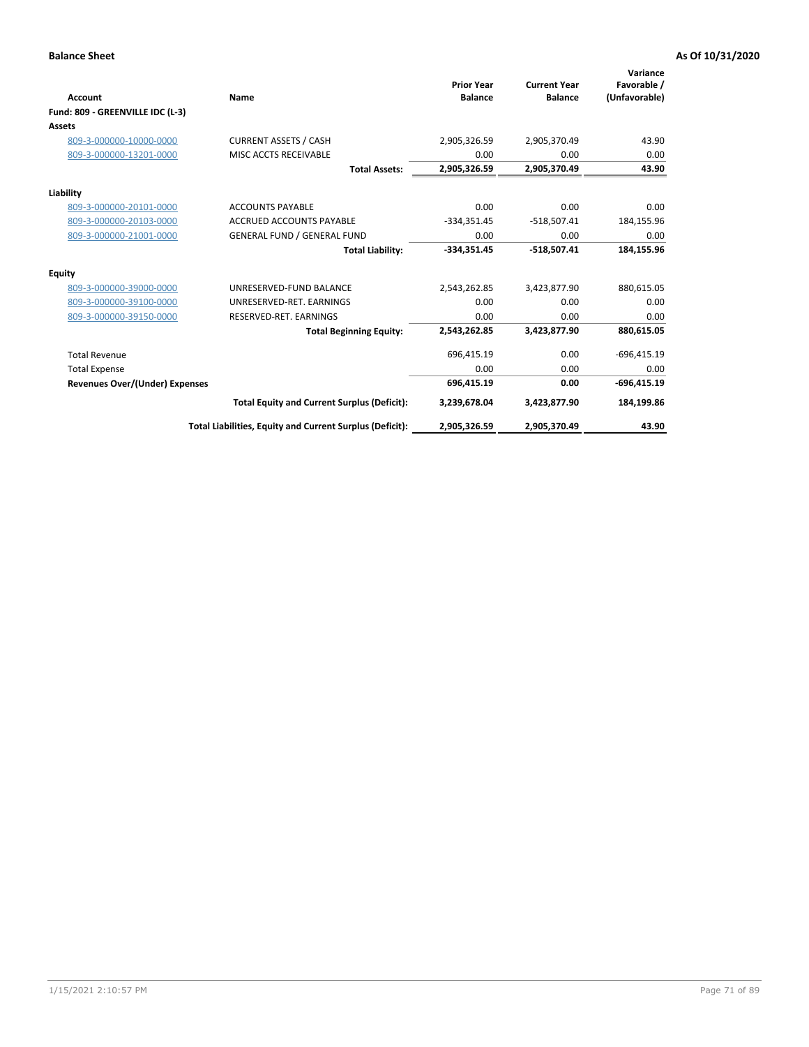| Account                               | Name                                                     | <b>Prior Year</b><br><b>Balance</b> | <b>Current Year</b><br><b>Balance</b> | Variance<br>Favorable /<br>(Unfavorable) |
|---------------------------------------|----------------------------------------------------------|-------------------------------------|---------------------------------------|------------------------------------------|
|                                       |                                                          |                                     |                                       |                                          |
| Fund: 809 - GREENVILLE IDC (L-3)      |                                                          |                                     |                                       |                                          |
| <b>Assets</b>                         |                                                          |                                     |                                       |                                          |
| 809-3-000000-10000-0000               | <b>CURRENT ASSETS / CASH</b>                             | 2,905,326.59                        | 2,905,370.49                          | 43.90                                    |
| 809-3-000000-13201-0000               | MISC ACCTS RECEIVABLE                                    | 0.00                                | 0.00                                  | 0.00                                     |
|                                       | <b>Total Assets:</b>                                     | 2,905,326.59                        | 2,905,370.49                          | 43.90                                    |
| Liability                             |                                                          |                                     |                                       |                                          |
| 809-3-000000-20101-0000               | <b>ACCOUNTS PAYABLE</b>                                  | 0.00                                | 0.00                                  | 0.00                                     |
| 809-3-000000-20103-0000               | <b>ACCRUED ACCOUNTS PAYABLE</b>                          | $-334,351.45$                       | $-518,507.41$                         | 184,155.96                               |
| 809-3-000000-21001-0000               | <b>GENERAL FUND / GENERAL FUND</b>                       | 0.00                                | 0.00                                  | 0.00                                     |
|                                       | <b>Total Liability:</b>                                  | $-334,351.45$                       | $-518,507.41$                         | 184,155.96                               |
| <b>Equity</b>                         |                                                          |                                     |                                       |                                          |
| 809-3-000000-39000-0000               | UNRESERVED-FUND BALANCE                                  | 2,543,262.85                        | 3,423,877.90                          | 880,615.05                               |
| 809-3-000000-39100-0000               | UNRESERVED-RET, EARNINGS                                 | 0.00                                | 0.00                                  | 0.00                                     |
| 809-3-000000-39150-0000               | RESERVED-RET. EARNINGS                                   | 0.00                                | 0.00                                  | 0.00                                     |
|                                       | <b>Total Beginning Equity:</b>                           | 2,543,262.85                        | 3,423,877.90                          | 880,615.05                               |
| <b>Total Revenue</b>                  |                                                          | 696,415.19                          | 0.00                                  | $-696,415.19$                            |
| <b>Total Expense</b>                  |                                                          | 0.00                                | 0.00                                  | 0.00                                     |
| <b>Revenues Over/(Under) Expenses</b> |                                                          | 696,415.19                          | 0.00                                  | $-696,415.19$                            |
|                                       | <b>Total Equity and Current Surplus (Deficit):</b>       | 3,239,678.04                        | 3,423,877.90                          | 184,199.86                               |
|                                       | Total Liabilities, Equity and Current Surplus (Deficit): | 2,905,326.59                        | 2,905,370.49                          | 43.90                                    |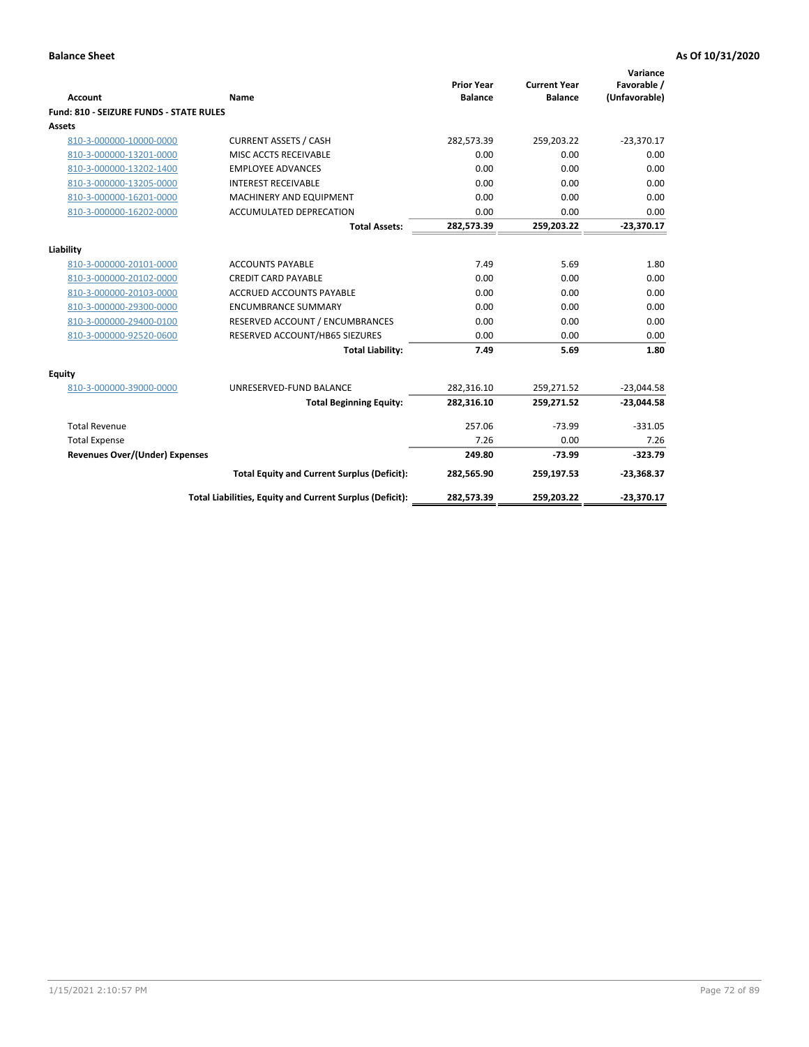| <b>Account</b>                                     | Name                                                          | <b>Prior Year</b><br><b>Balance</b> | <b>Current Year</b><br><b>Balance</b> | Variance<br>Favorable /<br>(Unfavorable) |
|----------------------------------------------------|---------------------------------------------------------------|-------------------------------------|---------------------------------------|------------------------------------------|
| Fund: 810 - SEIZURE FUNDS - STATE RULES            |                                                               |                                     |                                       |                                          |
| <b>Assets</b>                                      |                                                               |                                     |                                       |                                          |
| 810-3-000000-10000-0000                            | <b>CURRENT ASSETS / CASH</b>                                  | 282,573.39                          | 259,203.22                            | $-23,370.17$                             |
| 810-3-000000-13201-0000                            | MISC ACCTS RECEIVABLE                                         | 0.00                                | 0.00                                  | 0.00                                     |
| 810-3-000000-13202-1400                            | <b>EMPLOYEE ADVANCES</b>                                      | 0.00                                | 0.00                                  | 0.00                                     |
| 810-3-000000-13205-0000                            | <b>INTEREST RECEIVABLE</b>                                    | 0.00                                | 0.00                                  | 0.00                                     |
| 810-3-000000-16201-0000                            | MACHINERY AND EQUIPMENT                                       | 0.00                                | 0.00                                  | 0.00                                     |
| 810-3-000000-16202-0000                            | ACCUMULATED DEPRECATION                                       | 0.00                                | 0.00                                  | 0.00                                     |
|                                                    | <b>Total Assets:</b>                                          | 282,573.39                          | 259,203.22                            | $-23,370.17$                             |
|                                                    |                                                               |                                     |                                       |                                          |
| Liability                                          |                                                               | 7.49                                | 5.69                                  |                                          |
| 810-3-000000-20101-0000                            | <b>ACCOUNTS PAYABLE</b>                                       |                                     |                                       | 1.80                                     |
| 810-3-000000-20102-0000<br>810-3-000000-20103-0000 | <b>CREDIT CARD PAYABLE</b><br><b>ACCRUED ACCOUNTS PAYABLE</b> | 0.00<br>0.00                        | 0.00<br>0.00                          | 0.00<br>0.00                             |
|                                                    |                                                               |                                     |                                       |                                          |
| 810-3-000000-29300-0000                            | <b>ENCUMBRANCE SUMMARY</b>                                    | 0.00                                | 0.00                                  | 0.00                                     |
| 810-3-000000-29400-0100                            | RESERVED ACCOUNT / ENCUMBRANCES                               | 0.00                                | 0.00                                  | 0.00                                     |
| 810-3-000000-92520-0600                            | RESERVED ACCOUNT/HB65 SIEZURES                                | 0.00                                | 0.00                                  | 0.00                                     |
|                                                    | <b>Total Liability:</b>                                       | 7.49                                | 5.69                                  | 1.80                                     |
| <b>Equity</b>                                      |                                                               |                                     |                                       |                                          |
| 810-3-000000-39000-0000                            | UNRESERVED-FUND BALANCE                                       | 282,316.10                          | 259,271.52                            | $-23,044.58$                             |
|                                                    | <b>Total Beginning Equity:</b>                                | 282,316.10                          | 259,271.52                            | $-23,044.58$                             |
| <b>Total Revenue</b>                               |                                                               | 257.06                              | $-73.99$                              | $-331.05$                                |
| <b>Total Expense</b>                               |                                                               | 7.26                                | 0.00                                  | 7.26                                     |
| <b>Revenues Over/(Under) Expenses</b>              |                                                               | 249.80                              | $-73.99$                              | $-323.79$                                |
|                                                    | <b>Total Equity and Current Surplus (Deficit):</b>            | 282,565.90                          | 259,197.53                            | $-23,368.37$                             |
|                                                    | Total Liabilities, Equity and Current Surplus (Deficit):      | 282,573.39                          | 259,203.22                            | $-23,370.17$                             |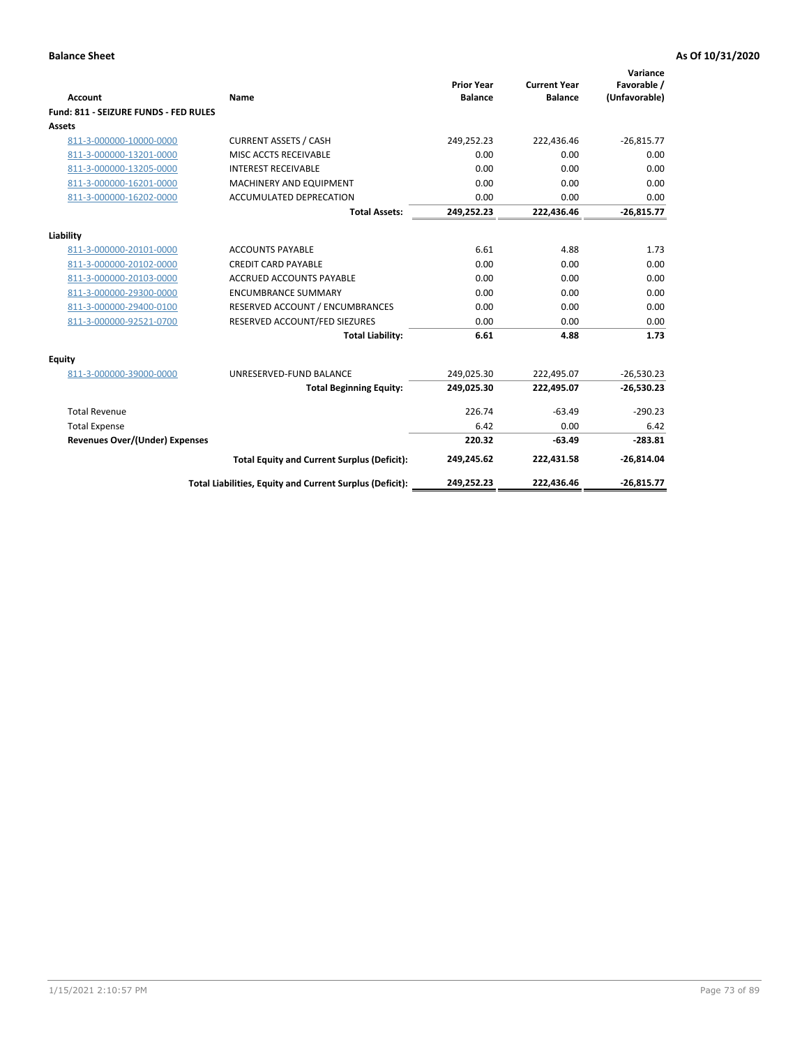| <b>Account</b>                        | Name                                                     | <b>Prior Year</b><br><b>Balance</b> | <b>Current Year</b><br><b>Balance</b> | Variance<br>Favorable /<br>(Unfavorable) |
|---------------------------------------|----------------------------------------------------------|-------------------------------------|---------------------------------------|------------------------------------------|
| Fund: 811 - SEIZURE FUNDS - FED RULES |                                                          |                                     |                                       |                                          |
| <b>Assets</b>                         |                                                          |                                     |                                       |                                          |
| 811-3-000000-10000-0000               | <b>CURRENT ASSETS / CASH</b>                             | 249,252.23                          | 222,436.46                            | $-26,815.77$                             |
| 811-3-000000-13201-0000               | MISC ACCTS RECEIVABLE                                    | 0.00                                | 0.00                                  | 0.00                                     |
| 811-3-000000-13205-0000               | <b>INTEREST RECEIVABLE</b>                               | 0.00                                | 0.00                                  | 0.00                                     |
| 811-3-000000-16201-0000               | <b>MACHINERY AND EQUIPMENT</b>                           | 0.00                                | 0.00                                  | 0.00                                     |
| 811-3-000000-16202-0000               | <b>ACCUMULATED DEPRECATION</b>                           | 0.00                                | 0.00                                  | 0.00                                     |
|                                       | <b>Total Assets:</b>                                     | 249,252.23                          | 222,436.46                            | $-26,815.77$                             |
| Liability                             |                                                          |                                     |                                       |                                          |
| 811-3-000000-20101-0000               | <b>ACCOUNTS PAYABLE</b>                                  | 6.61                                | 4.88                                  | 1.73                                     |
| 811-3-000000-20102-0000               | <b>CREDIT CARD PAYABLE</b>                               | 0.00                                | 0.00                                  | 0.00                                     |
| 811-3-000000-20103-0000               | <b>ACCRUED ACCOUNTS PAYABLE</b>                          | 0.00                                | 0.00                                  | 0.00                                     |
| 811-3-000000-29300-0000               | <b>ENCUMBRANCE SUMMARY</b>                               | 0.00                                | 0.00                                  | 0.00                                     |
| 811-3-000000-29400-0100               | RESERVED ACCOUNT / ENCUMBRANCES                          | 0.00                                | 0.00                                  | 0.00                                     |
| 811-3-000000-92521-0700               | RESERVED ACCOUNT/FED SIEZURES                            | 0.00                                | 0.00                                  | 0.00                                     |
|                                       | <b>Total Liability:</b>                                  | 6.61                                | 4.88                                  | 1.73                                     |
| Equity                                |                                                          |                                     |                                       |                                          |
| 811-3-000000-39000-0000               | UNRESERVED-FUND BALANCE                                  | 249,025.30                          | 222,495.07                            | $-26,530.23$                             |
|                                       | <b>Total Beginning Equity:</b>                           | 249,025.30                          | 222,495.07                            | $-26,530.23$                             |
| <b>Total Revenue</b>                  |                                                          | 226.74                              | $-63.49$                              | $-290.23$                                |
| <b>Total Expense</b>                  |                                                          | 6.42                                | 0.00                                  | 6.42                                     |
| <b>Revenues Over/(Under) Expenses</b> |                                                          | 220.32                              | $-63.49$                              | $-283.81$                                |
|                                       | <b>Total Equity and Current Surplus (Deficit):</b>       | 249,245.62                          | 222,431.58                            | $-26,814.04$                             |
|                                       | Total Liabilities, Equity and Current Surplus (Deficit): | 249,252.23                          | 222,436.46                            | $-26,815.77$                             |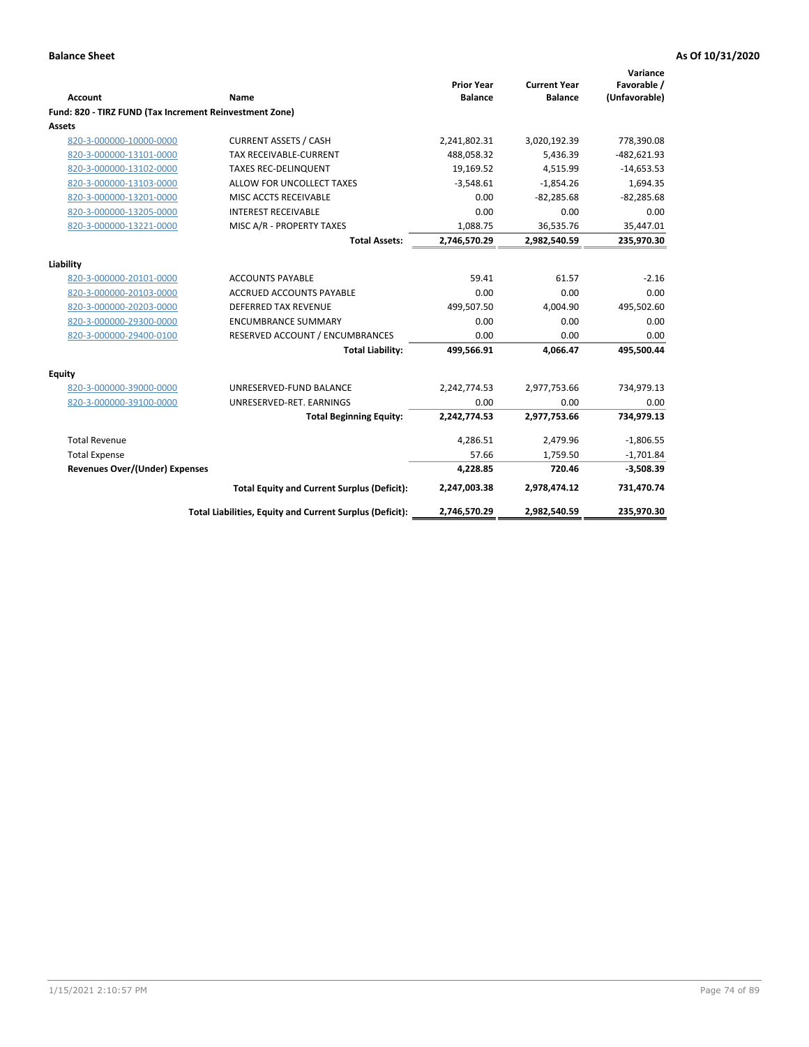|                                                         |                                                          | <b>Prior Year</b> | <b>Current Year</b> | Variance<br>Favorable / |
|---------------------------------------------------------|----------------------------------------------------------|-------------------|---------------------|-------------------------|
| <b>Account</b>                                          | Name                                                     | <b>Balance</b>    | <b>Balance</b>      | (Unfavorable)           |
| Fund: 820 - TIRZ FUND (Tax Increment Reinvestment Zone) |                                                          |                   |                     |                         |
| Assets                                                  |                                                          |                   |                     |                         |
| 820-3-000000-10000-0000                                 | <b>CURRENT ASSETS / CASH</b>                             | 2,241,802.31      | 3,020,192.39        | 778,390.08              |
| 820-3-000000-13101-0000                                 | <b>TAX RECEIVABLE-CURRENT</b>                            | 488,058.32        | 5,436.39            | $-482,621.93$           |
| 820-3-000000-13102-0000                                 | <b>TAXES REC-DELINQUENT</b>                              | 19,169.52         | 4,515.99            | $-14,653.53$            |
| 820-3-000000-13103-0000                                 | ALLOW FOR UNCOLLECT TAXES                                | $-3,548.61$       | $-1,854.26$         | 1,694.35                |
| 820-3-000000-13201-0000                                 | MISC ACCTS RECEIVABLE                                    | 0.00              | $-82,285.68$        | $-82,285.68$            |
| 820-3-000000-13205-0000                                 | <b>INTEREST RECEIVABLE</b>                               | 0.00              | 0.00                | 0.00                    |
| 820-3-000000-13221-0000                                 | MISC A/R - PROPERTY TAXES                                | 1,088.75          | 36,535.76           | 35,447.01               |
|                                                         | <b>Total Assets:</b>                                     | 2,746,570.29      | 2,982,540.59        | 235,970.30              |
| Liability                                               |                                                          |                   |                     |                         |
| 820-3-000000-20101-0000                                 | <b>ACCOUNTS PAYABLE</b>                                  | 59.41             | 61.57               | $-2.16$                 |
| 820-3-000000-20103-0000                                 | <b>ACCRUED ACCOUNTS PAYABLE</b>                          | 0.00              | 0.00                | 0.00                    |
| 820-3-000000-20203-0000                                 | <b>DEFERRED TAX REVENUE</b>                              | 499,507.50        | 4,004.90            | 495,502.60              |
| 820-3-000000-29300-0000                                 | <b>ENCUMBRANCE SUMMARY</b>                               | 0.00              | 0.00                | 0.00                    |
| 820-3-000000-29400-0100                                 | RESERVED ACCOUNT / ENCUMBRANCES                          | 0.00              | 0.00                | 0.00                    |
|                                                         | <b>Total Liability:</b>                                  | 499,566.91        | 4,066.47            | 495,500.44              |
| Equity                                                  |                                                          |                   |                     |                         |
| 820-3-000000-39000-0000                                 | UNRESERVED-FUND BALANCE                                  | 2,242,774.53      | 2,977,753.66        | 734,979.13              |
| 820-3-000000-39100-0000                                 | UNRESERVED-RET. EARNINGS                                 | 0.00              | 0.00                | 0.00                    |
|                                                         | <b>Total Beginning Equity:</b>                           | 2,242,774.53      | 2,977,753.66        | 734,979.13              |
| <b>Total Revenue</b>                                    |                                                          | 4,286.51          | 2,479.96            | $-1,806.55$             |
| <b>Total Expense</b>                                    |                                                          | 57.66             | 1,759.50            | $-1,701.84$             |
| <b>Revenues Over/(Under) Expenses</b>                   |                                                          | 4,228.85          | 720.46              | $-3,508.39$             |
|                                                         | <b>Total Equity and Current Surplus (Deficit):</b>       | 2,247,003.38      | 2,978,474.12        | 731,470.74              |
|                                                         | Total Liabilities, Equity and Current Surplus (Deficit): | 2,746,570.29      | 2,982,540.59        | 235,970.30              |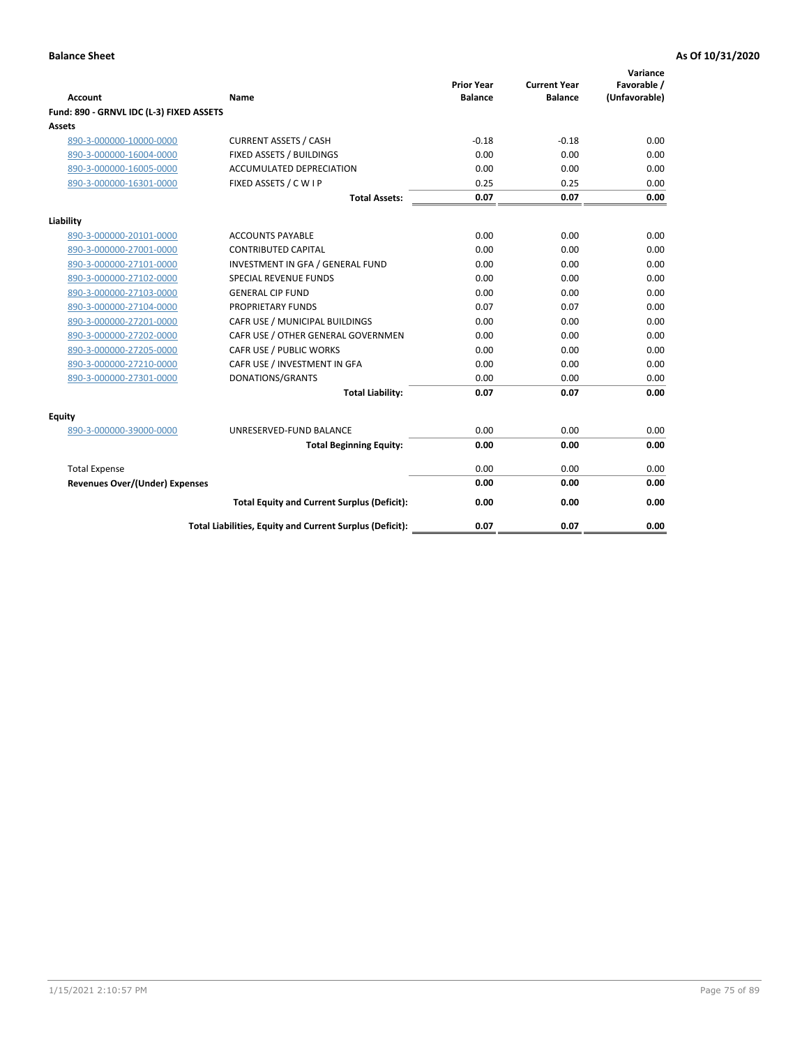| <b>Account</b>                           | Name                                                     | <b>Prior Year</b><br><b>Balance</b> | <b>Current Year</b><br><b>Balance</b> | Variance<br>Favorable /<br>(Unfavorable) |
|------------------------------------------|----------------------------------------------------------|-------------------------------------|---------------------------------------|------------------------------------------|
| Fund: 890 - GRNVL IDC (L-3) FIXED ASSETS |                                                          |                                     |                                       |                                          |
| <b>Assets</b>                            |                                                          |                                     |                                       |                                          |
| 890-3-000000-10000-0000                  | <b>CURRENT ASSETS / CASH</b>                             | $-0.18$                             | $-0.18$                               | 0.00                                     |
| 890-3-000000-16004-0000                  | FIXED ASSETS / BUILDINGS                                 | 0.00                                | 0.00                                  | 0.00                                     |
| 890-3-000000-16005-0000                  | <b>ACCUMULATED DEPRECIATION</b>                          | 0.00                                | 0.00                                  | 0.00                                     |
| 890-3-000000-16301-0000                  | FIXED ASSETS / C W I P                                   | 0.25                                | 0.25                                  | 0.00                                     |
|                                          | <b>Total Assets:</b>                                     | 0.07                                | 0.07                                  | 0.00                                     |
| Liability                                |                                                          |                                     |                                       |                                          |
| 890-3-000000-20101-0000                  | <b>ACCOUNTS PAYABLE</b>                                  | 0.00                                | 0.00                                  | 0.00                                     |
| 890-3-000000-27001-0000                  | <b>CONTRIBUTED CAPITAL</b>                               | 0.00                                | 0.00                                  | 0.00                                     |
| 890-3-000000-27101-0000                  | INVESTMENT IN GFA / GENERAL FUND                         | 0.00                                | 0.00                                  | 0.00                                     |
| 890-3-000000-27102-0000                  | <b>SPECIAL REVENUE FUNDS</b>                             | 0.00                                | 0.00                                  | 0.00                                     |
| 890-3-000000-27103-0000                  | <b>GENERAL CIP FUND</b>                                  | 0.00                                | 0.00                                  | 0.00                                     |
| 890-3-000000-27104-0000                  | PROPRIETARY FUNDS                                        | 0.07                                | 0.07                                  | 0.00                                     |
| 890-3-000000-27201-0000                  | CAFR USE / MUNICIPAL BUILDINGS                           | 0.00                                | 0.00                                  | 0.00                                     |
| 890-3-000000-27202-0000                  | CAFR USE / OTHER GENERAL GOVERNMEN                       | 0.00                                | 0.00                                  | 0.00                                     |
| 890-3-000000-27205-0000                  | CAFR USE / PUBLIC WORKS                                  | 0.00                                | 0.00                                  | 0.00                                     |
| 890-3-000000-27210-0000                  | CAFR USE / INVESTMENT IN GFA                             | 0.00                                | 0.00                                  | 0.00                                     |
| 890-3-000000-27301-0000                  | DONATIONS/GRANTS                                         | 0.00                                | 0.00                                  | 0.00                                     |
|                                          | <b>Total Liability:</b>                                  | 0.07                                | 0.07                                  | 0.00                                     |
| Equity                                   |                                                          |                                     |                                       |                                          |
| 890-3-000000-39000-0000                  | UNRESERVED-FUND BALANCE                                  | 0.00                                | 0.00                                  | 0.00                                     |
|                                          | <b>Total Beginning Equity:</b>                           | 0.00                                | 0.00                                  | 0.00                                     |
| <b>Total Expense</b>                     |                                                          | 0.00                                | 0.00                                  | 0.00                                     |
| Revenues Over/(Under) Expenses           |                                                          | 0.00                                | 0.00                                  | 0.00                                     |
|                                          | <b>Total Equity and Current Surplus (Deficit):</b>       | 0.00                                | 0.00                                  | 0.00                                     |
|                                          | Total Liabilities, Equity and Current Surplus (Deficit): | 0.07                                | 0.07                                  | 0.00                                     |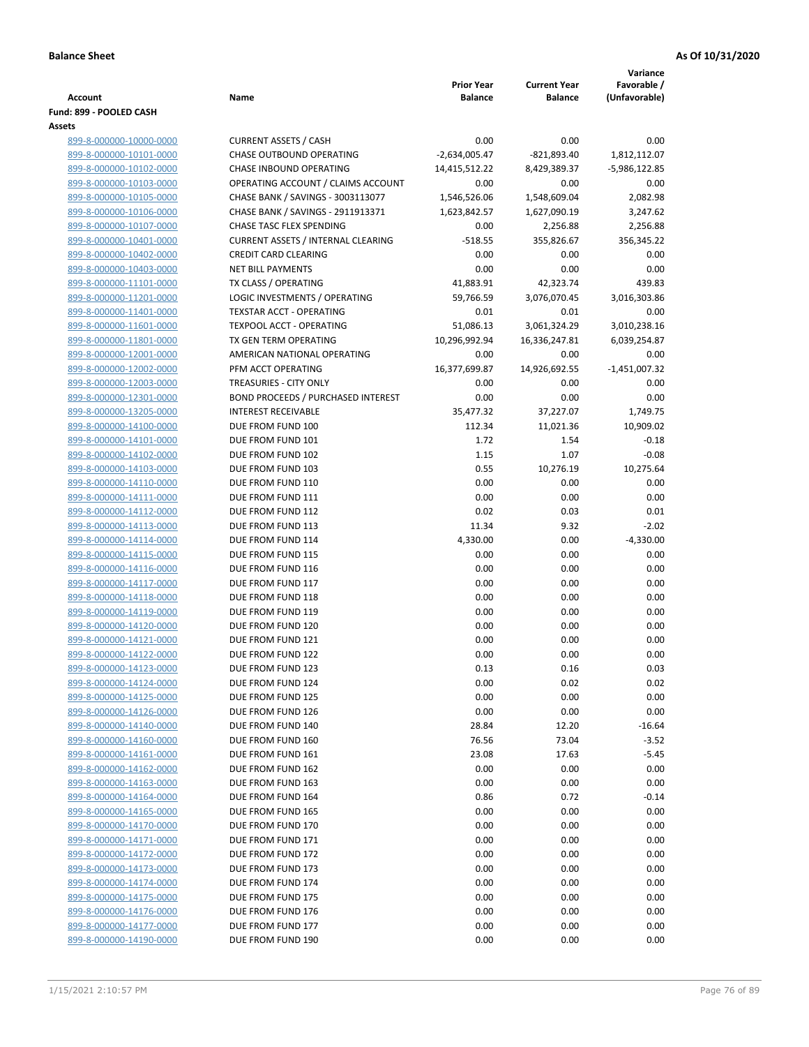|                                                    |                                                   |                                     |                                       | Variance                     |
|----------------------------------------------------|---------------------------------------------------|-------------------------------------|---------------------------------------|------------------------------|
| <b>Account</b>                                     | Name                                              | <b>Prior Year</b><br><b>Balance</b> | <b>Current Year</b><br><b>Balance</b> | Favorable /<br>(Unfavorable) |
| Fund: 899 - POOLED CASH                            |                                                   |                                     |                                       |                              |
| Assets                                             |                                                   |                                     |                                       |                              |
| 899-8-000000-10000-0000                            | <b>CURRENT ASSETS / CASH</b>                      | 0.00                                | 0.00                                  | 0.00                         |
| 899-8-000000-10101-0000                            | CHASE OUTBOUND OPERATING                          | $-2,634,005.47$                     | $-821,893.40$                         | 1,812,112.07                 |
| 899-8-000000-10102-0000                            | CHASE INBOUND OPERATING                           | 14,415,512.22                       | 8,429,389.37                          | -5,986,122.85                |
| 899-8-000000-10103-0000                            | OPERATING ACCOUNT / CLAIMS ACCOUNT                | 0.00                                | 0.00                                  | 0.00                         |
| 899-8-000000-10105-0000                            | CHASE BANK / SAVINGS - 3003113077                 | 1,546,526.06                        | 1,548,609.04                          | 2,082.98                     |
| 899-8-000000-10106-0000                            | CHASE BANK / SAVINGS - 2911913371                 | 1,623,842.57                        | 1,627,090.19                          | 3,247.62                     |
| 899-8-000000-10107-0000                            | CHASE TASC FLEX SPENDING                          | 0.00                                | 2,256.88                              | 2,256.88                     |
| 899-8-000000-10401-0000                            | <b>CURRENT ASSETS / INTERNAL CLEARING</b>         | $-518.55$                           | 355,826.67                            | 356,345.22                   |
| 899-8-000000-10402-0000                            | <b>CREDIT CARD CLEARING</b>                       | 0.00                                | 0.00                                  | 0.00                         |
| 899-8-000000-10403-0000                            | <b>NET BILL PAYMENTS</b>                          | 0.00                                | 0.00                                  | 0.00                         |
| 899-8-000000-11101-0000                            | TX CLASS / OPERATING                              | 41,883.91                           | 42,323.74                             | 439.83                       |
| 899-8-000000-11201-0000                            | LOGIC INVESTMENTS / OPERATING                     | 59,766.59                           | 3,076,070.45                          | 3,016,303.86                 |
| 899-8-000000-11401-0000                            | <b>TEXSTAR ACCT - OPERATING</b>                   | 0.01                                | 0.01                                  | 0.00                         |
| 899-8-000000-11601-0000                            | <b>TEXPOOL ACCT - OPERATING</b>                   | 51,086.13                           | 3,061,324.29                          | 3,010,238.16                 |
| 899-8-000000-11801-0000                            | TX GEN TERM OPERATING                             | 10,296,992.94                       | 16,336,247.81                         | 6,039,254.87                 |
| 899-8-000000-12001-0000                            | AMERICAN NATIONAL OPERATING<br>PFM ACCT OPERATING | 0.00                                | 0.00<br>14,926,692.55                 | 0.00<br>$-1,451,007.32$      |
| 899-8-000000-12002-0000<br>899-8-000000-12003-0000 | TREASURIES - CITY ONLY                            | 16,377,699.87<br>0.00               | 0.00                                  | 0.00                         |
| 899-8-000000-12301-0000                            | <b>BOND PROCEEDS / PURCHASED INTEREST</b>         | 0.00                                | 0.00                                  | 0.00                         |
| 899-8-000000-13205-0000                            | <b>INTEREST RECEIVABLE</b>                        | 35,477.32                           | 37,227.07                             | 1,749.75                     |
| 899-8-000000-14100-0000                            | DUE FROM FUND 100                                 | 112.34                              | 11,021.36                             | 10,909.02                    |
| 899-8-000000-14101-0000                            | DUE FROM FUND 101                                 | 1.72                                | 1.54                                  | $-0.18$                      |
| 899-8-000000-14102-0000                            | DUE FROM FUND 102                                 | 1.15                                | 1.07                                  | $-0.08$                      |
| 899-8-000000-14103-0000                            | DUE FROM FUND 103                                 | 0.55                                | 10,276.19                             | 10,275.64                    |
| 899-8-000000-14110-0000                            | DUE FROM FUND 110                                 | 0.00                                | 0.00                                  | 0.00                         |
| 899-8-000000-14111-0000                            | DUE FROM FUND 111                                 | 0.00                                | 0.00                                  | 0.00                         |
| 899-8-000000-14112-0000                            | DUE FROM FUND 112                                 | 0.02                                | 0.03                                  | 0.01                         |
| 899-8-000000-14113-0000                            | DUE FROM FUND 113                                 | 11.34                               | 9.32                                  | $-2.02$                      |
| 899-8-000000-14114-0000                            | DUE FROM FUND 114                                 | 4,330.00                            | 0.00                                  | $-4,330.00$                  |
| 899-8-000000-14115-0000                            | DUE FROM FUND 115                                 | 0.00                                | 0.00                                  | 0.00                         |
| 899-8-000000-14116-0000                            | DUE FROM FUND 116                                 | 0.00                                | 0.00                                  | 0.00                         |
| 899-8-000000-14117-0000                            | DUE FROM FUND 117                                 | 0.00                                | 0.00                                  | 0.00                         |
| 899-8-000000-14118-0000                            | DUE FROM FUND 118                                 | 0.00                                | 0.00                                  | 0.00                         |
| 899-8-000000-14119-0000                            | DUE FROM FUND 119                                 | 0.00                                | 0.00                                  | 0.00                         |
| 899-8-000000-14120-0000                            | DUE FROM FUND 120                                 | 0.00                                | 0.00                                  | 0.00                         |
| 899-8-000000-14121-0000                            | DUE FROM FUND 121                                 | 0.00                                | 0.00                                  | 0.00                         |
| 899-8-000000-14122-0000                            | DUE FROM FUND 122                                 | 0.00                                | 0.00                                  | 0.00                         |
| 899-8-000000-14123-0000                            | DUE FROM FUND 123                                 | 0.13                                | 0.16                                  | 0.03                         |
| 899-8-000000-14124-0000                            | DUE FROM FUND 124                                 | 0.00                                | 0.02                                  | 0.02                         |
| 899-8-000000-14125-0000                            | DUE FROM FUND 125                                 | 0.00                                | 0.00                                  | 0.00                         |
| 899-8-000000-14126-0000<br>899-8-000000-14140-0000 | DUE FROM FUND 126<br>DUE FROM FUND 140            | 0.00<br>28.84                       | 0.00<br>12.20                         | 0.00<br>$-16.64$             |
| 899-8-000000-14160-0000                            | DUE FROM FUND 160                                 | 76.56                               | 73.04                                 | $-3.52$                      |
| 899-8-000000-14161-0000                            | DUE FROM FUND 161                                 | 23.08                               | 17.63                                 | $-5.45$                      |
| 899-8-000000-14162-0000                            | DUE FROM FUND 162                                 | 0.00                                | 0.00                                  | 0.00                         |
| 899-8-000000-14163-0000                            | DUE FROM FUND 163                                 | 0.00                                | 0.00                                  | 0.00                         |
| 899-8-000000-14164-0000                            | DUE FROM FUND 164                                 | 0.86                                | 0.72                                  | $-0.14$                      |
| 899-8-000000-14165-0000                            | DUE FROM FUND 165                                 | 0.00                                | 0.00                                  | 0.00                         |
| 899-8-000000-14170-0000                            | DUE FROM FUND 170                                 | 0.00                                | 0.00                                  | 0.00                         |
| 899-8-000000-14171-0000                            | DUE FROM FUND 171                                 | 0.00                                | 0.00                                  | 0.00                         |
| 899-8-000000-14172-0000                            | DUE FROM FUND 172                                 | 0.00                                | 0.00                                  | 0.00                         |
| 899-8-000000-14173-0000                            | DUE FROM FUND 173                                 | 0.00                                | 0.00                                  | 0.00                         |
| 899-8-000000-14174-0000                            | DUE FROM FUND 174                                 | 0.00                                | 0.00                                  | 0.00                         |
| 899-8-000000-14175-0000                            | DUE FROM FUND 175                                 | 0.00                                | 0.00                                  | 0.00                         |
| 899-8-000000-14176-0000                            | DUE FROM FUND 176                                 | 0.00                                | 0.00                                  | 0.00                         |
| 899-8-000000-14177-0000                            | DUE FROM FUND 177                                 | 0.00                                | 0.00                                  | 0.00                         |
| 899-8-000000-14190-0000                            | DUE FROM FUND 190                                 | 0.00                                | 0.00                                  | 0.00                         |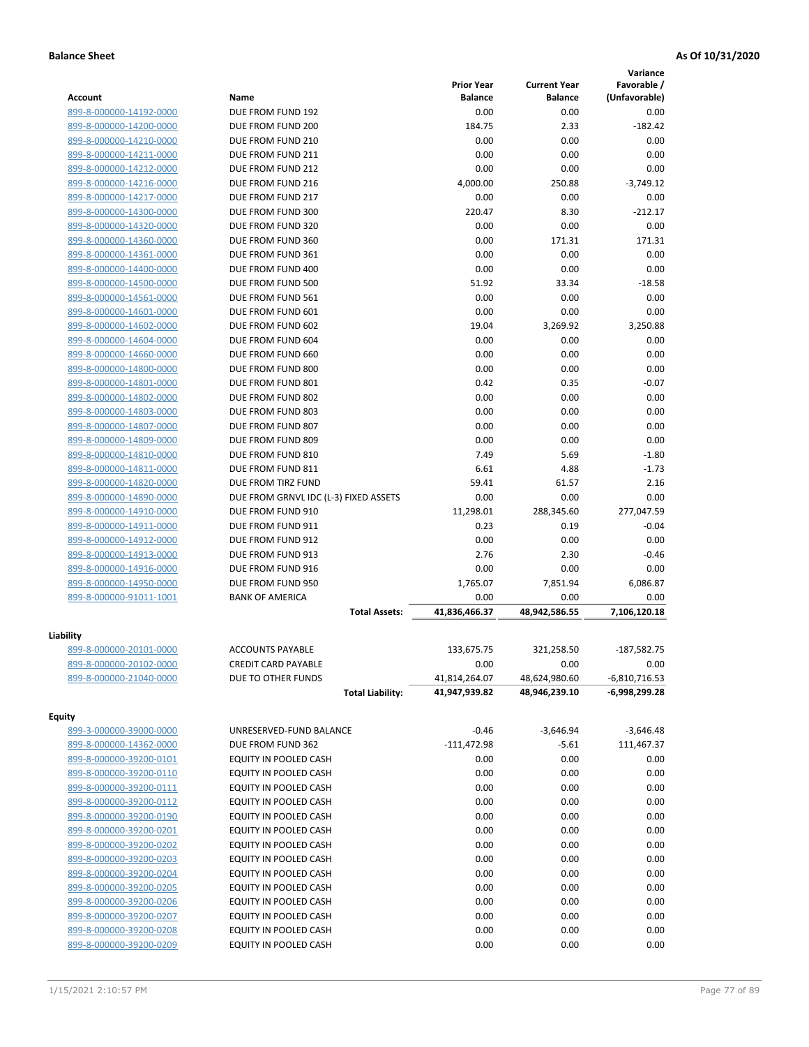|                         |                                       |                   |                     | Variance        |
|-------------------------|---------------------------------------|-------------------|---------------------|-----------------|
|                         |                                       | <b>Prior Year</b> | <b>Current Year</b> | Favorable /     |
| <b>Account</b>          | Name                                  | <b>Balance</b>    | <b>Balance</b>      | (Unfavorable)   |
| 899-8-000000-14192-0000 | DUE FROM FUND 192                     | 0.00              | 0.00                | 0.00            |
| 899-8-000000-14200-0000 | DUE FROM FUND 200                     | 184.75            | 2.33                | $-182.42$       |
| 899-8-000000-14210-0000 | DUE FROM FUND 210                     | 0.00              | 0.00                | 0.00            |
| 899-8-000000-14211-0000 | DUE FROM FUND 211                     | 0.00              | 0.00                | 0.00            |
| 899-8-000000-14212-0000 | DUE FROM FUND 212                     | 0.00              | 0.00                | 0.00            |
| 899-8-000000-14216-0000 | DUE FROM FUND 216                     | 4,000.00          | 250.88              | $-3,749.12$     |
| 899-8-000000-14217-0000 | DUE FROM FUND 217                     | 0.00              | 0.00                | 0.00            |
| 899-8-000000-14300-0000 | DUE FROM FUND 300                     | 220.47            | 8.30                | $-212.17$       |
| 899-8-000000-14320-0000 | DUE FROM FUND 320                     | 0.00              | 0.00                | 0.00            |
| 899-8-000000-14360-0000 | DUE FROM FUND 360                     | 0.00              | 171.31              | 171.31          |
| 899-8-000000-14361-0000 | DUE FROM FUND 361                     | 0.00              | 0.00                | 0.00            |
| 899-8-000000-14400-0000 | DUE FROM FUND 400                     | 0.00              | 0.00                | 0.00            |
| 899-8-000000-14500-0000 | DUE FROM FUND 500                     | 51.92             | 33.34               | $-18.58$        |
| 899-8-000000-14561-0000 | DUE FROM FUND 561                     | 0.00              | 0.00                | 0.00            |
| 899-8-000000-14601-0000 | DUE FROM FUND 601                     | 0.00              | 0.00                | 0.00            |
| 899-8-000000-14602-0000 | DUE FROM FUND 602                     | 19.04             | 3,269.92            | 3,250.88        |
| 899-8-000000-14604-0000 | DUE FROM FUND 604                     | 0.00              | 0.00                | 0.00            |
| 899-8-000000-14660-0000 | DUE FROM FUND 660                     | 0.00              | 0.00                | 0.00            |
| 899-8-000000-14800-0000 | DUE FROM FUND 800                     | 0.00              | 0.00                | 0.00            |
| 899-8-000000-14801-0000 | DUE FROM FUND 801                     | 0.42              | 0.35                | $-0.07$         |
| 899-8-000000-14802-0000 | DUE FROM FUND 802                     | 0.00              | 0.00                | 0.00            |
| 899-8-000000-14803-0000 | DUE FROM FUND 803                     | 0.00              | 0.00                | 0.00            |
| 899-8-000000-14807-0000 | DUE FROM FUND 807                     | 0.00              | 0.00                | 0.00            |
| 899-8-000000-14809-0000 | DUE FROM FUND 809                     | 0.00              | 0.00                | 0.00            |
| 899-8-000000-14810-0000 | DUE FROM FUND 810                     | 7.49              | 5.69                | $-1.80$         |
| 899-8-000000-14811-0000 | DUE FROM FUND 811                     | 6.61              | 4.88                | $-1.73$         |
| 899-8-000000-14820-0000 | DUE FROM TIRZ FUND                    | 59.41             | 61.57               | 2.16            |
| 899-8-000000-14890-0000 | DUE FROM GRNVL IDC (L-3) FIXED ASSETS | 0.00              | 0.00                | 0.00            |
| 899-8-000000-14910-0000 | DUE FROM FUND 910                     | 11,298.01         | 288,345.60          | 277,047.59      |
| 899-8-000000-14911-0000 | DUE FROM FUND 911                     | 0.23              | 0.19                | $-0.04$         |
| 899-8-000000-14912-0000 | DUE FROM FUND 912                     | 0.00              | 0.00                | 0.00            |
| 899-8-000000-14913-0000 | DUE FROM FUND 913                     | 2.76              | 2.30                | $-0.46$         |
| 899-8-000000-14916-0000 | DUE FROM FUND 916                     | 0.00              | 0.00                | 0.00            |
| 899-8-000000-14950-0000 | DUE FROM FUND 950                     | 1,765.07          | 7,851.94            | 6,086.87        |
| 899-8-000000-91011-1001 | <b>BANK OF AMERICA</b>                | 0.00              | 0.00                | 0.00            |
|                         | <b>Total Assets:</b>                  | 41,836,466.37     | 48,942,586.55       | 7,106,120.18    |
| Liability               |                                       |                   |                     |                 |
| 899-8-000000-20101-0000 | <b>ACCOUNTS PAYABLE</b>               | 133,675.75        | 321,258.50          | $-187,582.75$   |
| 899-8-000000-20102-0000 | <b>CREDIT CARD PAYABLE</b>            | 0.00              | 0.00                | 0.00            |
| 899-8-000000-21040-0000 | DUE TO OTHER FUNDS                    | 41,814,264.07     | 48,624,980.60       | $-6,810,716.53$ |
|                         | <b>Total Liability:</b>               | 41,947,939.82     | 48,946,239.10       | -6,998,299.28   |
|                         |                                       |                   |                     |                 |
| <b>Equity</b>           |                                       |                   |                     |                 |
| 899-3-000000-39000-0000 | UNRESERVED-FUND BALANCE               | $-0.46$           | $-3,646.94$         | $-3,646.48$     |
| 899-8-000000-14362-0000 | DUE FROM FUND 362                     | $-111,472.98$     | $-5.61$             | 111,467.37      |
| 899-8-000000-39200-0101 | EQUITY IN POOLED CASH                 | 0.00              | 0.00                | 0.00            |
| 899-8-000000-39200-0110 | EQUITY IN POOLED CASH                 | 0.00              | 0.00                | 0.00            |
| 899-8-000000-39200-0111 | EQUITY IN POOLED CASH                 | 0.00              | 0.00                | 0.00            |
| 899-8-000000-39200-0112 | EQUITY IN POOLED CASH                 | 0.00              | 0.00                | 0.00            |
| 899-8-000000-39200-0190 | EQUITY IN POOLED CASH                 | 0.00              | 0.00                | 0.00            |
| 899-8-000000-39200-0201 | EQUITY IN POOLED CASH                 | 0.00              | 0.00                | 0.00            |
| 899-8-000000-39200-0202 | EQUITY IN POOLED CASH                 | 0.00              | 0.00                | 0.00            |
| 899-8-000000-39200-0203 | EQUITY IN POOLED CASH                 | 0.00              | 0.00                | 0.00            |
| 899-8-000000-39200-0204 | EQUITY IN POOLED CASH                 | 0.00              | 0.00                | 0.00            |
| 899-8-000000-39200-0205 | EQUITY IN POOLED CASH                 | 0.00              | 0.00                | 0.00            |
| 899-8-000000-39200-0206 | EQUITY IN POOLED CASH                 | 0.00              | 0.00                | 0.00            |
| 899-8-000000-39200-0207 | EQUITY IN POOLED CASH                 | 0.00              | 0.00                | 0.00            |
| 899-8-000000-39200-0208 | EQUITY IN POOLED CASH                 | 0.00              | 0.00                | 0.00            |
| 899-8-000000-39200-0209 | EQUITY IN POOLED CASH                 | 0.00              | 0.00                | 0.00            |
|                         |                                       |                   |                     |                 |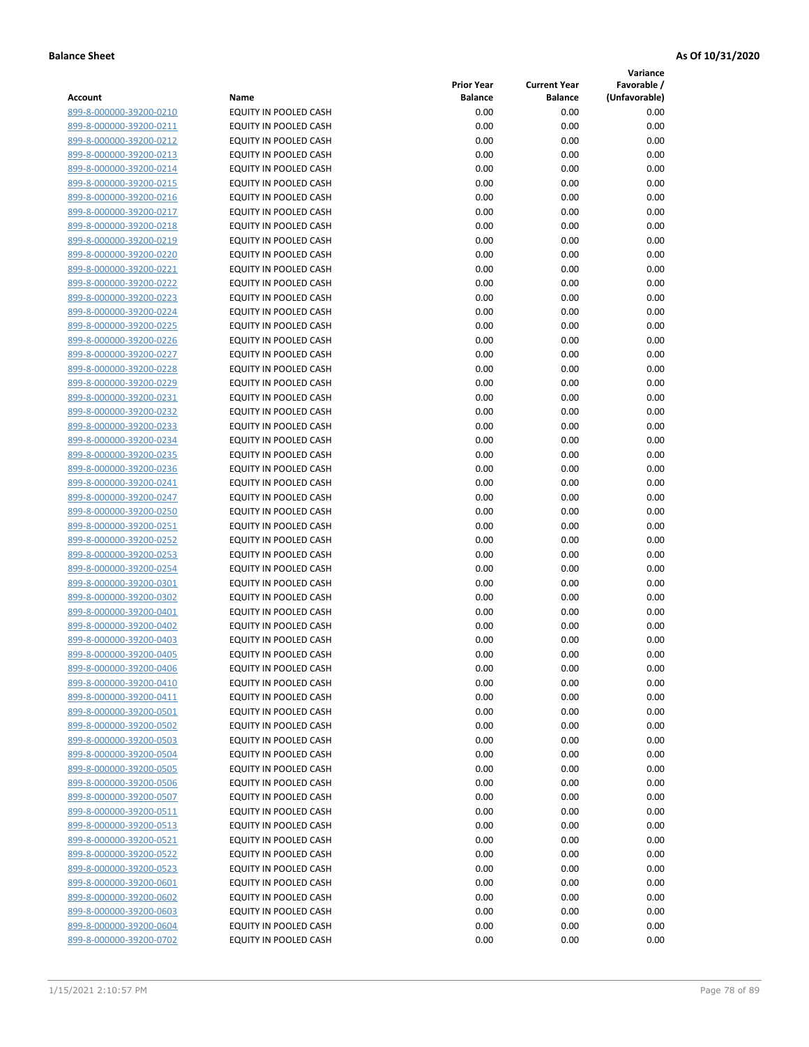**Variance**

|                         |                              | <b>Prior Year</b> | <b>Current Year</b> | Favorable /   |
|-------------------------|------------------------------|-------------------|---------------------|---------------|
| Account                 | Name                         | <b>Balance</b>    | <b>Balance</b>      | (Unfavorable) |
| 899-8-000000-39200-0210 | EQUITY IN POOLED CASH        | 0.00              | 0.00                | 0.00          |
| 899-8-000000-39200-0211 | EQUITY IN POOLED CASH        | 0.00              | 0.00                | 0.00          |
| 899-8-000000-39200-0212 | EQUITY IN POOLED CASH        | 0.00              | 0.00                | 0.00          |
| 899-8-000000-39200-0213 | EQUITY IN POOLED CASH        | 0.00              | 0.00                | 0.00          |
| 899-8-000000-39200-0214 | <b>EQUITY IN POOLED CASH</b> | 0.00              | 0.00                | 0.00          |
| 899-8-000000-39200-0215 | EQUITY IN POOLED CASH        | 0.00              | 0.00                | 0.00          |
| 899-8-000000-39200-0216 | EQUITY IN POOLED CASH        | 0.00              | 0.00                | 0.00          |
| 899-8-000000-39200-0217 | EQUITY IN POOLED CASH        | 0.00              | 0.00                | 0.00          |
| 899-8-000000-39200-0218 | EQUITY IN POOLED CASH        | 0.00              | 0.00                | 0.00          |
| 899-8-000000-39200-0219 | EQUITY IN POOLED CASH        | 0.00              | 0.00                | 0.00          |
| 899-8-000000-39200-0220 | EQUITY IN POOLED CASH        | 0.00              | 0.00                | 0.00          |
| 899-8-000000-39200-0221 | EQUITY IN POOLED CASH        | 0.00              | 0.00                | 0.00          |
| 899-8-000000-39200-0222 | EQUITY IN POOLED CASH        | 0.00              | 0.00                | 0.00          |
| 899-8-000000-39200-0223 | EQUITY IN POOLED CASH        | 0.00              | 0.00                | 0.00          |
| 899-8-000000-39200-0224 | EQUITY IN POOLED CASH        | 0.00              | 0.00                | 0.00          |
| 899-8-000000-39200-0225 | EQUITY IN POOLED CASH        | 0.00              | 0.00                | 0.00          |
| 899-8-000000-39200-0226 | EQUITY IN POOLED CASH        | 0.00              | 0.00                | 0.00          |
| 899-8-000000-39200-0227 | EQUITY IN POOLED CASH        | 0.00              | 0.00                | 0.00          |
| 899-8-000000-39200-0228 | EQUITY IN POOLED CASH        | 0.00              | 0.00                | 0.00          |
| 899-8-000000-39200-0229 | EQUITY IN POOLED CASH        | 0.00              | 0.00                | 0.00          |
| 899-8-000000-39200-0231 | EQUITY IN POOLED CASH        | 0.00              | 0.00                | 0.00          |
| 899-8-000000-39200-0232 | EQUITY IN POOLED CASH        | 0.00              | 0.00                | 0.00          |
| 899-8-000000-39200-0233 | EQUITY IN POOLED CASH        | 0.00              | 0.00                | 0.00          |
| 899-8-000000-39200-0234 | EQUITY IN POOLED CASH        | 0.00              | 0.00                | 0.00          |
| 899-8-000000-39200-0235 | EQUITY IN POOLED CASH        | 0.00              | 0.00                | 0.00          |
| 899-8-000000-39200-0236 | EQUITY IN POOLED CASH        | 0.00              | 0.00                | 0.00          |
| 899-8-000000-39200-0241 | EQUITY IN POOLED CASH        | 0.00              | 0.00                | 0.00          |
| 899-8-000000-39200-0247 | EQUITY IN POOLED CASH        | 0.00              | 0.00                | 0.00          |
| 899-8-000000-39200-0250 | EQUITY IN POOLED CASH        | 0.00              | 0.00                | 0.00          |
| 899-8-000000-39200-0251 | EQUITY IN POOLED CASH        | 0.00              | 0.00                | 0.00          |
| 899-8-000000-39200-0252 | EQUITY IN POOLED CASH        | 0.00              | 0.00                | 0.00          |
| 899-8-000000-39200-0253 | EQUITY IN POOLED CASH        | 0.00              | 0.00                | 0.00          |
| 899-8-000000-39200-0254 | EQUITY IN POOLED CASH        | 0.00              | 0.00                | 0.00          |
| 899-8-000000-39200-0301 | EQUITY IN POOLED CASH        | 0.00              | 0.00                | 0.00          |
| 899-8-000000-39200-0302 | EQUITY IN POOLED CASH        | 0.00              | 0.00                | 0.00          |
| 899-8-000000-39200-0401 | EQUITY IN POOLED CASH        | 0.00              | 0.00                | 0.00          |
| 899-8-000000-39200-0402 | EQUITY IN POOLED CASH        | 0.00              | 0.00                | 0.00          |
| 899-8-000000-39200-0403 | EQUITY IN POOLED CASH        | 0.00              | 0.00                | 0.00          |
| 899-8-000000-39200-0405 | EQUITY IN POOLED CASH        | 0.00              | 0.00                | 0.00          |
| 899-8-000000-39200-0406 | EQUITY IN POOLED CASH        | 0.00              | 0.00                | 0.00          |
| 899-8-000000-39200-0410 | EQUITY IN POOLED CASH        | 0.00              | 0.00                | 0.00          |
| 899-8-000000-39200-0411 | EQUITY IN POOLED CASH        | 0.00              | 0.00                | 0.00          |
| 899-8-000000-39200-0501 | EQUITY IN POOLED CASH        | 0.00              | 0.00                | 0.00          |
| 899-8-000000-39200-0502 | EQUITY IN POOLED CASH        | 0.00              | 0.00                | 0.00          |
| 899-8-000000-39200-0503 | EQUITY IN POOLED CASH        | 0.00              | 0.00                | 0.00          |
| 899-8-000000-39200-0504 | EQUITY IN POOLED CASH        | 0.00              | 0.00                | 0.00          |
| 899-8-000000-39200-0505 | EQUITY IN POOLED CASH        | 0.00              | 0.00                | 0.00          |
| 899-8-000000-39200-0506 | EQUITY IN POOLED CASH        | 0.00              | 0.00                | 0.00          |
| 899-8-000000-39200-0507 | EQUITY IN POOLED CASH        | 0.00              | 0.00                | 0.00          |
| 899-8-000000-39200-0511 | EQUITY IN POOLED CASH        | 0.00              | 0.00                | 0.00          |
| 899-8-000000-39200-0513 | EQUITY IN POOLED CASH        | 0.00              | 0.00                | 0.00          |
| 899-8-000000-39200-0521 | EQUITY IN POOLED CASH        | 0.00              | 0.00                | 0.00          |
| 899-8-000000-39200-0522 | EQUITY IN POOLED CASH        | 0.00              | 0.00                | 0.00          |
| 899-8-000000-39200-0523 | EQUITY IN POOLED CASH        | 0.00              | 0.00                | 0.00          |
| 899-8-000000-39200-0601 | EQUITY IN POOLED CASH        | 0.00              | 0.00                | 0.00          |
| 899-8-000000-39200-0602 | EQUITY IN POOLED CASH        | 0.00              | 0.00                | 0.00          |
| 899-8-000000-39200-0603 | EQUITY IN POOLED CASH        | 0.00              | 0.00                | 0.00          |
| 899-8-000000-39200-0604 | EQUITY IN POOLED CASH        | 0.00              | 0.00                | 0.00          |
| 899-8-000000-39200-0702 | EQUITY IN POOLED CASH        | 0.00              | 0.00                | 0.00          |
|                         |                              |                   |                     |               |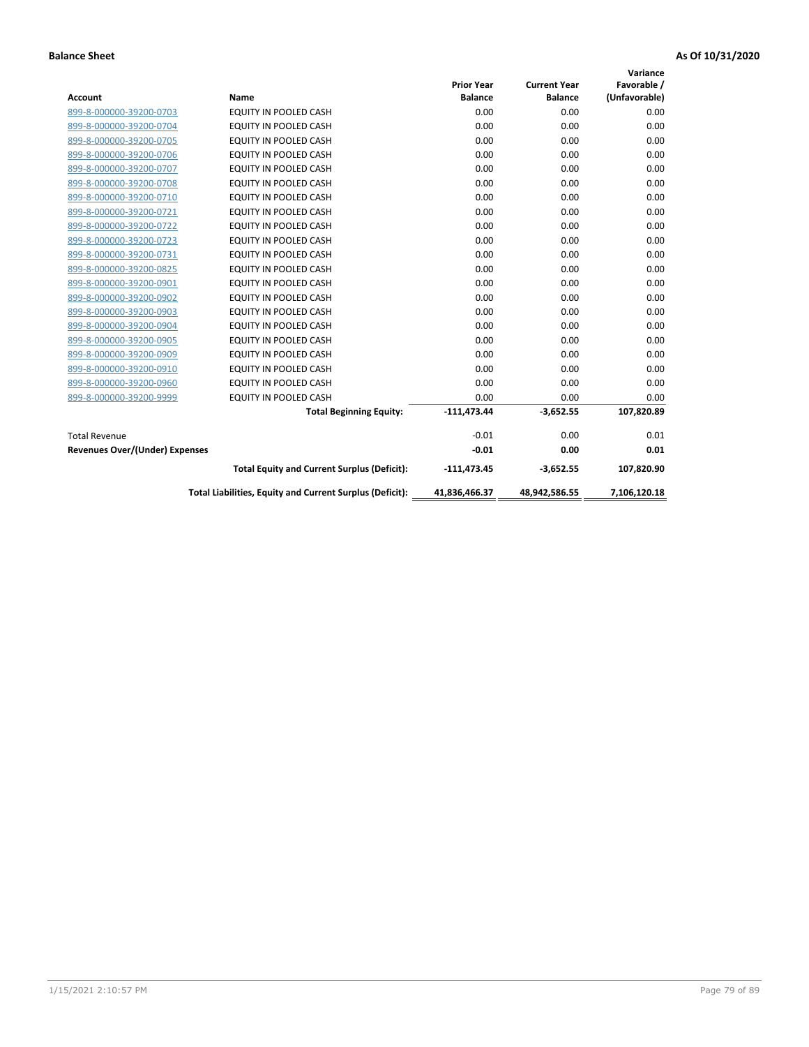|                                |                                                          |                   |                     | Variance      |
|--------------------------------|----------------------------------------------------------|-------------------|---------------------|---------------|
|                                |                                                          | <b>Prior Year</b> | <b>Current Year</b> | Favorable /   |
| <b>Account</b>                 | Name                                                     | <b>Balance</b>    | <b>Balance</b>      | (Unfavorable) |
| 899-8-000000-39200-0703        | EQUITY IN POOLED CASH                                    | 0.00              | 0.00                | 0.00          |
| 899-8-000000-39200-0704        | EQUITY IN POOLED CASH                                    | 0.00              | 0.00                | 0.00          |
| 899-8-000000-39200-0705        | EQUITY IN POOLED CASH                                    | 0.00              | 0.00                | 0.00          |
| 899-8-000000-39200-0706        | <b>EQUITY IN POOLED CASH</b>                             | 0.00              | 0.00                | 0.00          |
| 899-8-000000-39200-0707        | <b>EQUITY IN POOLED CASH</b>                             | 0.00              | 0.00                | 0.00          |
| 899-8-000000-39200-0708        | <b>EQUITY IN POOLED CASH</b>                             | 0.00              | 0.00                | 0.00          |
| 899-8-000000-39200-0710        | EQUITY IN POOLED CASH                                    | 0.00              | 0.00                | 0.00          |
| 899-8-000000-39200-0721        | <b>EQUITY IN POOLED CASH</b>                             | 0.00              | 0.00                | 0.00          |
| 899-8-000000-39200-0722        | EQUITY IN POOLED CASH                                    | 0.00              | 0.00                | 0.00          |
| 899-8-000000-39200-0723        | <b>EQUITY IN POOLED CASH</b>                             | 0.00              | 0.00                | 0.00          |
| 899-8-000000-39200-0731        | <b>EQUITY IN POOLED CASH</b>                             | 0.00              | 0.00                | 0.00          |
| 899-8-000000-39200-0825        | EQUITY IN POOLED CASH                                    | 0.00              | 0.00                | 0.00          |
| 899-8-000000-39200-0901        | <b>EQUITY IN POOLED CASH</b>                             | 0.00              | 0.00                | 0.00          |
| 899-8-000000-39200-0902        | <b>EQUITY IN POOLED CASH</b>                             | 0.00              | 0.00                | 0.00          |
| 899-8-000000-39200-0903        | <b>EQUITY IN POOLED CASH</b>                             | 0.00              | 0.00                | 0.00          |
| 899-8-000000-39200-0904        | <b>EQUITY IN POOLED CASH</b>                             | 0.00              | 0.00                | 0.00          |
| 899-8-000000-39200-0905        | EQUITY IN POOLED CASH                                    | 0.00              | 0.00                | 0.00          |
| 899-8-000000-39200-0909        | EQUITY IN POOLED CASH                                    | 0.00              | 0.00                | 0.00          |
| 899-8-000000-39200-0910        | <b>EQUITY IN POOLED CASH</b>                             | 0.00              | 0.00                | 0.00          |
| 899-8-000000-39200-0960        | <b>EQUITY IN POOLED CASH</b>                             | 0.00              | 0.00                | 0.00          |
| 899-8-000000-39200-9999        | EQUITY IN POOLED CASH                                    | 0.00              | 0.00                | 0.00          |
|                                | <b>Total Beginning Equity:</b>                           | $-111,473.44$     | $-3,652.55$         | 107,820.89    |
| <b>Total Revenue</b>           |                                                          | $-0.01$           | 0.00                | 0.01          |
| Revenues Over/(Under) Expenses |                                                          | $-0.01$           | 0.00                | 0.01          |
|                                | <b>Total Equity and Current Surplus (Deficit):</b>       | $-111,473.45$     | $-3,652.55$         | 107,820.90    |
|                                | Total Liabilities, Equity and Current Surplus (Deficit): | 41,836,466.37     | 48,942,586.55       | 7,106,120.18  |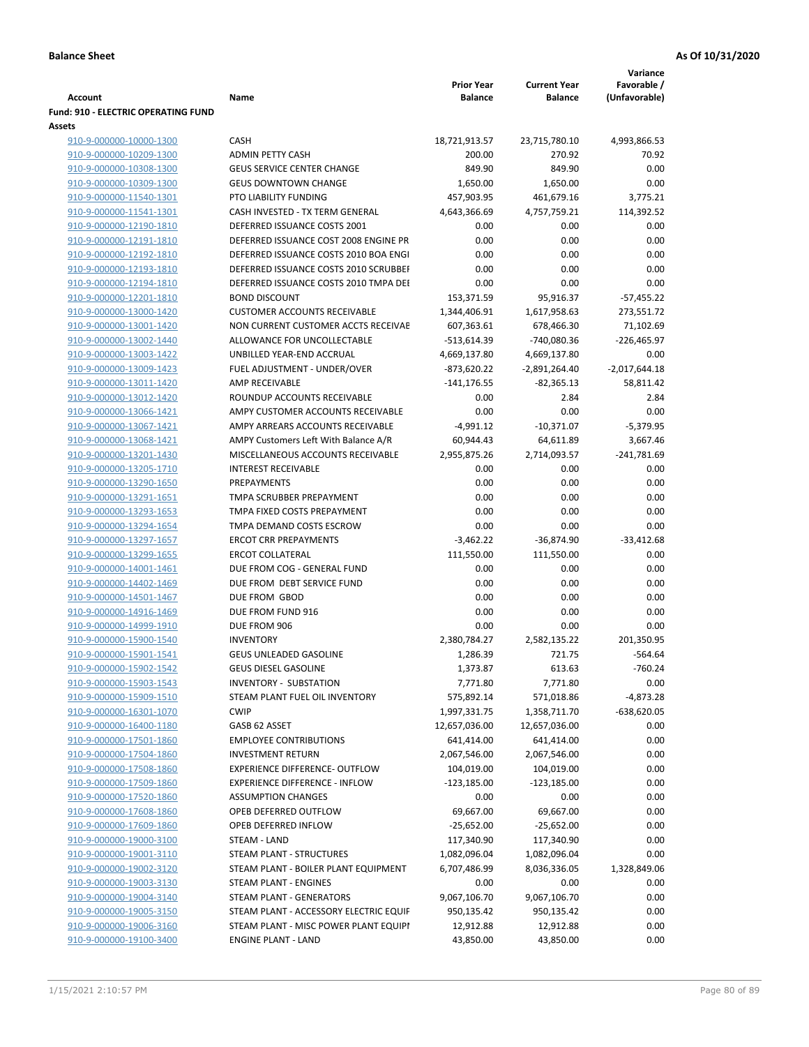|                                            |                                        |                                 |                     | Variance        |
|--------------------------------------------|----------------------------------------|---------------------------------|---------------------|-----------------|
|                                            |                                        | <b>Prior Year</b>               | <b>Current Year</b> | Favorable /     |
| Account                                    | Name                                   | <b>Balance</b>                  | <b>Balance</b>      | (Unfavorable)   |
| <b>Fund: 910 - ELECTRIC OPERATING FUND</b> |                                        |                                 |                     |                 |
| Assets                                     |                                        |                                 |                     |                 |
| 910-9-000000-10000-1300                    | <b>CASH</b>                            | 18,721,913.57                   | 23,715,780.10       | 4,993,866.53    |
| 910-9-000000-10209-1300                    | <b>ADMIN PETTY CASH</b>                | 200.00                          | 270.92              | 70.92           |
| 910-9-000000-10308-1300                    | <b>GEUS SERVICE CENTER CHANGE</b>      | 849.90                          | 849.90              | 0.00            |
| 910-9-000000-10309-1300                    | <b>GEUS DOWNTOWN CHANGE</b>            | 1,650.00                        | 1,650.00            | 0.00            |
| 910-9-000000-11540-1301                    | PTO LIABILITY FUNDING                  | 457,903.95                      | 461,679.16          | 3,775.21        |
| 910-9-000000-11541-1301                    | CASH INVESTED - TX TERM GENERAL        | 4,643,366.69                    | 4,757,759.21        | 114,392.52      |
| 910-9-000000-12190-1810                    | DEFERRED ISSUANCE COSTS 2001           | 0.00                            | 0.00                | 0.00            |
| 910-9-000000-12191-1810                    | DEFERRED ISSUANCE COST 2008 ENGINE PR  | 0.00                            | 0.00                | 0.00            |
| 910-9-000000-12192-1810                    | DEFERRED ISSUANCE COSTS 2010 BOA ENGI  | 0.00                            | 0.00                | 0.00            |
| 910-9-000000-12193-1810                    | DEFERRED ISSUANCE COSTS 2010 SCRUBBEI  | 0.00                            | 0.00                | 0.00            |
| 910-9-000000-12194-1810                    | DEFERRED ISSUANCE COSTS 2010 TMPA DEI  | 0.00                            | 0.00                | 0.00            |
| 910-9-000000-12201-1810                    | <b>BOND DISCOUNT</b>                   | 153,371.59                      | 95,916.37           | $-57,455.22$    |
| 910-9-000000-13000-1420                    | <b>CUSTOMER ACCOUNTS RECEIVABLE</b>    | 1,344,406.91                    | 1,617,958.63        | 273,551.72      |
| 910-9-000000-13001-1420                    | NON CURRENT CUSTOMER ACCTS RECEIVAE    | 607,363.61                      | 678,466.30          | 71,102.69       |
| 910-9-000000-13002-1440                    | ALLOWANCE FOR UNCOLLECTABLE            | $-513,614.39$                   | -740,080.36         | $-226,465.97$   |
| 910-9-000000-13003-1422                    | UNBILLED YEAR-END ACCRUAL              | 4,669,137.80                    | 4,669,137.80        | 0.00            |
|                                            | FUEL ADJUSTMENT - UNDER/OVER           |                                 |                     |                 |
| 910-9-000000-13009-1423                    | <b>AMP RECEIVABLE</b>                  | $-873,620.22$<br>$-141, 176.55$ | $-2,891,264.40$     | $-2,017,644.18$ |
| 910-9-000000-13011-1420                    |                                        |                                 | $-82,365.13$        | 58,811.42       |
| 910-9-000000-13012-1420                    | ROUNDUP ACCOUNTS RECEIVABLE            | 0.00                            | 2.84                | 2.84            |
| 910-9-000000-13066-1421                    | AMPY CUSTOMER ACCOUNTS RECEIVABLE      | 0.00                            | 0.00                | 0.00            |
| 910-9-000000-13067-1421                    | AMPY ARREARS ACCOUNTS RECEIVABLE       | $-4,991.12$                     | $-10,371.07$        | $-5,379.95$     |
| 910-9-000000-13068-1421                    | AMPY Customers Left With Balance A/R   | 60,944.43                       | 64,611.89           | 3,667.46        |
| 910-9-000000-13201-1430                    | MISCELLANEOUS ACCOUNTS RECEIVABLE      | 2,955,875.26                    | 2,714,093.57        | $-241,781.69$   |
| 910-9-000000-13205-1710                    | <b>INTEREST RECEIVABLE</b>             | 0.00                            | 0.00                | 0.00            |
| 910-9-000000-13290-1650                    | PREPAYMENTS                            | 0.00                            | 0.00                | 0.00            |
| 910-9-000000-13291-1651                    | TMPA SCRUBBER PREPAYMENT               | 0.00                            | 0.00                | 0.00            |
| 910-9-000000-13293-1653                    | TMPA FIXED COSTS PREPAYMENT            | 0.00                            | 0.00                | 0.00            |
| 910-9-000000-13294-1654                    | TMPA DEMAND COSTS ESCROW               | 0.00                            | 0.00                | 0.00            |
| 910-9-000000-13297-1657                    | <b>ERCOT CRR PREPAYMENTS</b>           | $-3,462.22$                     | $-36,874.90$        | $-33,412.68$    |
| 910-9-000000-13299-1655                    | <b>ERCOT COLLATERAL</b>                | 111,550.00                      | 111,550.00          | 0.00            |
| 910-9-000000-14001-1461                    | DUE FROM COG - GENERAL FUND            | 0.00                            | 0.00                | 0.00            |
| 910-9-000000-14402-1469                    | DUE FROM DEBT SERVICE FUND             | 0.00                            | 0.00                | 0.00            |
| 910-9-000000-14501-1467                    | DUE FROM GBOD                          | 0.00                            | 0.00                | 0.00            |
| 910-9-000000-14916-1469                    | DUE FROM FUND 916                      | 0.00                            | 0.00                | 0.00            |
| 910-9-000000-14999-1910                    | DUE FROM 906                           | 0.00                            | 0.00                | 0.00            |
| 910-9-000000-15900-1540                    | <b>INVENTORY</b>                       | 2,380,784.27                    | 2,582,135.22        | 201,350.95      |
| 910-9-000000-15901-1541                    | <b>GEUS UNLEADED GASOLINE</b>          | 1,286.39                        | 721.75              | $-564.64$       |
| 910-9-000000-15902-1542                    | <b>GEUS DIESEL GASOLINE</b>            | 1,373.87                        | 613.63              | $-760.24$       |
| 910-9-000000-15903-1543                    | INVENTORY - SUBSTATION                 | 7,771.80                        | 7,771.80            | 0.00            |
| 910-9-000000-15909-1510                    | STEAM PLANT FUEL OIL INVENTORY         | 575,892.14                      | 571,018.86          | $-4,873.28$     |
| 910-9-000000-16301-1070                    | <b>CWIP</b>                            | 1,997,331.75                    | 1,358,711.70        | $-638,620.05$   |
| 910-9-000000-16400-1180                    | GASB 62 ASSET                          | 12,657,036.00                   | 12,657,036.00       | 0.00            |
| 910-9-000000-17501-1860                    | <b>EMPLOYEE CONTRIBUTIONS</b>          | 641,414.00                      | 641,414.00          | 0.00            |
| 910-9-000000-17504-1860                    | <b>INVESTMENT RETURN</b>               | 2,067,546.00                    | 2,067,546.00        | 0.00            |
| 910-9-000000-17508-1860                    | <b>EXPERIENCE DIFFERENCE- OUTFLOW</b>  | 104,019.00                      | 104,019.00          | 0.00            |
| 910-9-000000-17509-1860                    | <b>EXPERIENCE DIFFERENCE - INFLOW</b>  | $-123,185.00$                   | $-123,185.00$       | 0.00            |
| 910-9-000000-17520-1860                    | <b>ASSUMPTION CHANGES</b>              | 0.00                            | 0.00                | 0.00            |
| 910-9-000000-17608-1860                    | OPEB DEFERRED OUTFLOW                  | 69,667.00                       | 69,667.00           | 0.00            |
| 910-9-000000-17609-1860                    | OPEB DEFERRED INFLOW                   | $-25,652.00$                    | $-25,652.00$        | 0.00            |
| 910-9-000000-19000-3100                    | STEAM - LAND                           | 117,340.90                      | 117,340.90          | 0.00            |
|                                            |                                        |                                 |                     |                 |
| 910-9-000000-19001-3110                    | STEAM PLANT - STRUCTURES               | 1,082,096.04                    | 1,082,096.04        | 0.00            |
| 910-9-000000-19002-3120                    | STEAM PLANT - BOILER PLANT EQUIPMENT   | 6,707,486.99                    | 8,036,336.05        | 1,328,849.06    |
| 910-9-000000-19003-3130                    | STEAM PLANT - ENGINES                  | 0.00                            | 0.00                | 0.00            |
| 910-9-000000-19004-3140                    | STEAM PLANT - GENERATORS               | 9,067,106.70                    | 9,067,106.70        | 0.00            |
| 910-9-000000-19005-3150                    | STEAM PLANT - ACCESSORY ELECTRIC EQUIF | 950,135.42                      | 950,135.42          | 0.00            |
| 910-9-000000-19006-3160                    | STEAM PLANT - MISC POWER PLANT EQUIPI  | 12,912.88                       | 12,912.88           | 0.00            |
| 910-9-000000-19100-3400                    | <b>ENGINE PLANT - LAND</b>             | 43,850.00                       | 43,850.00           | 0.00            |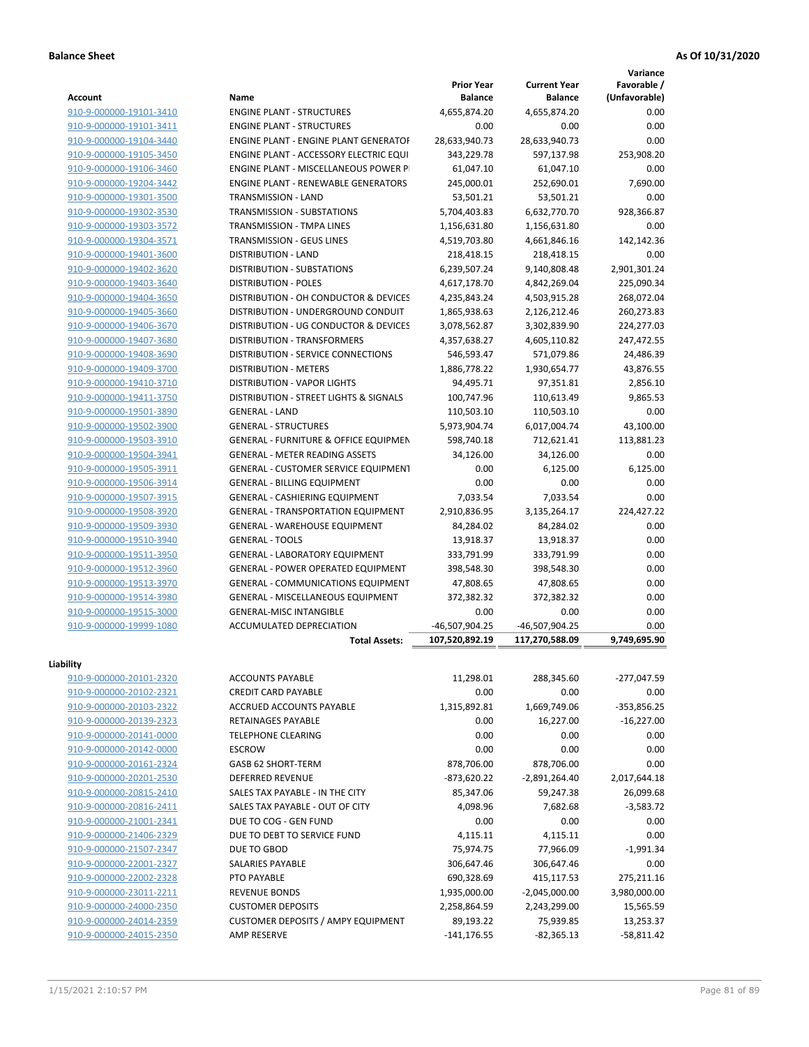**Variance**

| <b>Account</b>                                     | Name                                             | <b>Prior Year</b><br><b>Balance</b> | <b>Current Year</b><br><b>Balance</b> | Favorable /<br>(Unfavorable) |
|----------------------------------------------------|--------------------------------------------------|-------------------------------------|---------------------------------------|------------------------------|
| 910-9-000000-19101-3410                            | <b>ENGINE PLANT - STRUCTURES</b>                 | 4,655,874.20                        | 4,655,874.20                          | 0.00                         |
| 910-9-000000-19101-3411                            | <b>ENGINE PLANT - STRUCTURES</b>                 | 0.00                                | 0.00                                  | 0.00                         |
| 910-9-000000-19104-3440                            | <b>ENGINE PLANT - ENGINE PLANT GENERATOF</b>     | 28,633,940.73                       | 28,633,940.73                         | 0.00                         |
| 910-9-000000-19105-3450                            | ENGINE PLANT - ACCESSORY ELECTRIC EQUI           | 343,229.78                          | 597,137.98                            | 253,908.20                   |
| 910-9-000000-19106-3460                            | ENGINE PLANT - MISCELLANEOUS POWER P             | 61,047.10                           | 61,047.10                             | 0.00                         |
| 910-9-000000-19204-3442                            | <b>ENGINE PLANT - RENEWABLE GENERATORS</b>       | 245,000.01                          |                                       | 7,690.00                     |
| 910-9-000000-19301-3500                            | TRANSMISSION - LAND                              | 53,501.21                           | 252,690.01<br>53,501.21               | 0.00                         |
|                                                    | TRANSMISSION - SUBSTATIONS                       |                                     |                                       | 928,366.87                   |
| 910-9-000000-19302-3530<br>910-9-000000-19303-3572 |                                                  | 5,704,403.83                        | 6,632,770.70                          |                              |
|                                                    | TRANSMISSION - TMPA LINES                        | 1,156,631.80                        | 1,156,631.80                          | 0.00                         |
| 910-9-000000-19304-3571                            | TRANSMISSION - GEUS LINES                        | 4,519,703.80                        | 4,661,846.16                          | 142,142.36                   |
| 910-9-000000-19401-3600                            | <b>DISTRIBUTION - LAND</b>                       | 218,418.15                          | 218,418.15                            | 0.00                         |
| 910-9-000000-19402-3620                            | DISTRIBUTION - SUBSTATIONS                       | 6,239,507.24                        | 9,140,808.48                          | 2,901,301.24                 |
| 910-9-000000-19403-3640                            | <b>DISTRIBUTION - POLES</b>                      | 4,617,178.70                        | 4,842,269.04                          | 225,090.34                   |
| 910-9-000000-19404-3650                            | DISTRIBUTION - OH CONDUCTOR & DEVICES            | 4,235,843.24                        | 4,503,915.28                          | 268,072.04                   |
| 910-9-000000-19405-3660                            | DISTRIBUTION - UNDERGROUND CONDUIT               | 1,865,938.63                        | 2,126,212.46                          | 260,273.83                   |
| 910-9-000000-19406-3670                            | DISTRIBUTION - UG CONDUCTOR & DEVICES            | 3,078,562.87                        | 3,302,839.90                          | 224,277.03                   |
| 910-9-000000-19407-3680                            | <b>DISTRIBUTION - TRANSFORMERS</b>               | 4,357,638.27                        | 4,605,110.82                          | 247,472.55                   |
| 910-9-000000-19408-3690                            | <b>DISTRIBUTION - SERVICE CONNECTIONS</b>        | 546,593.47                          | 571,079.86                            | 24,486.39                    |
| 910-9-000000-19409-3700                            | <b>DISTRIBUTION - METERS</b>                     | 1,886,778.22                        | 1,930,654.77                          | 43,876.55                    |
| 910-9-000000-19410-3710                            | <b>DISTRIBUTION - VAPOR LIGHTS</b>               | 94,495.71                           | 97,351.81                             | 2,856.10                     |
| 910-9-000000-19411-3750                            | DISTRIBUTION - STREET LIGHTS & SIGNALS           | 100,747.96                          | 110,613.49                            | 9,865.53                     |
| 910-9-000000-19501-3890                            | <b>GENERAL - LAND</b>                            | 110,503.10                          | 110,503.10                            | 0.00                         |
| 910-9-000000-19502-3900                            | <b>GENERAL - STRUCTURES</b>                      | 5,973,904.74                        | 6,017,004.74                          | 43,100.00                    |
| 910-9-000000-19503-3910                            | <b>GENERAL - FURNITURE &amp; OFFICE EQUIPMEN</b> | 598,740.18                          | 712,621.41                            | 113,881.23                   |
| 910-9-000000-19504-3941                            | <b>GENERAL - METER READING ASSETS</b>            | 34,126.00                           | 34,126.00                             | 0.00                         |
| 910-9-000000-19505-3911                            | GENERAL - CUSTOMER SERVICE EQUIPMENT             | 0.00                                | 6,125.00                              | 6,125.00                     |
| 910-9-000000-19506-3914                            | <b>GENERAL - BILLING EQUIPMENT</b>               | 0.00                                | 0.00                                  | 0.00                         |
| 910-9-000000-19507-3915                            | GENERAL - CASHIERING EQUIPMENT                   | 7,033.54                            | 7,033.54                              | 0.00                         |
| 910-9-000000-19508-3920                            | <b>GENERAL - TRANSPORTATION EQUIPMENT</b>        | 2,910,836.95                        | 3,135,264.17                          | 224,427.22                   |
| 910-9-000000-19509-3930                            | GENERAL - WAREHOUSE EQUIPMENT                    | 84,284.02                           | 84,284.02                             | 0.00                         |
| 910-9-000000-19510-3940                            | <b>GENERAL - TOOLS</b>                           | 13,918.37                           | 13,918.37                             | 0.00                         |
| 910-9-000000-19511-3950                            | <b>GENERAL - LABORATORY EQUIPMENT</b>            | 333,791.99                          | 333,791.99                            | 0.00                         |
| 910-9-000000-19512-3960                            | <b>GENERAL - POWER OPERATED EQUIPMENT</b>        | 398,548.30                          | 398,548.30                            | 0.00                         |
| 910-9-000000-19513-3970                            | GENERAL - COMMUNICATIONS EQUIPMENT               | 47,808.65                           | 47,808.65                             | 0.00                         |
| 910-9-000000-19514-3980                            | GENERAL - MISCELLANEOUS EQUIPMENT                | 372,382.32                          | 372,382.32                            | 0.00                         |
| 910-9-000000-19515-3000                            | GENERAL-MISC INTANGIBLE                          | 0.00                                | 0.00                                  | 0.00                         |
| 910-9-000000-19999-1080                            | ACCUMULATED DEPRECIATION                         | -46,507,904.25                      | -46,507,904.25                        | 0.00                         |
|                                                    | <b>Total Assets:</b>                             | 107,520,892.19                      | 117,270,588.09                        | 9.749.695.90                 |
|                                                    |                                                  |                                     |                                       |                              |
| Liability                                          |                                                  |                                     |                                       |                              |
| 910-9-000000-20101-2320                            | <b>ACCOUNTS PAYABLE</b>                          | 11,298.01                           | 288,345.60                            | $-277,047.59$                |
| 910-9-000000-20102-2321                            | <b>CREDIT CARD PAYABLE</b>                       | 0.00                                | 0.00                                  | 0.00                         |
| 910-9-000000-20103-2322                            | ACCRUED ACCOUNTS PAYABLE                         | 1,315,892.81                        | 1,669,749.06                          | $-353,856.25$                |
| 910-9-000000-20139-2323                            | <b>RETAINAGES PAYABLE</b>                        | 0.00                                | 16,227.00                             | $-16,227.00$                 |
| 910-9-000000-20141-0000                            | <b>TELEPHONE CLEARING</b>                        | 0.00                                | 0.00                                  | 0.00                         |
| 910-9-000000-20142-0000                            | <b>ESCROW</b>                                    | 0.00                                | 0.00                                  | 0.00                         |
| 910-9-000000-20161-2324                            | GASB 62 SHORT-TERM                               | 878,706.00                          | 878,706.00                            | 0.00                         |
| 910-9-000000-20201-2530                            | <b>DEFERRED REVENUE</b>                          | $-873,620.22$                       | $-2,891,264.40$                       | 2,017,644.18                 |
| 910-9-000000-20815-2410                            | SALES TAX PAYABLE - IN THE CITY                  | 85,347.06                           | 59,247.38                             | 26,099.68                    |
| 910-9-000000-20816-2411                            | SALES TAX PAYABLE - OUT OF CITY                  | 4,098.96                            | 7,682.68                              | $-3,583.72$                  |
| 910-9-000000-21001-2341                            | DUE TO COG - GEN FUND                            | 0.00                                | 0.00                                  | 0.00                         |
| 910-9-000000-21406-2329                            | DUE TO DEBT TO SERVICE FUND                      | 4,115.11                            | 4,115.11                              | 0.00                         |
| 910-9-000000-21507-2347                            | DUE TO GBOD                                      | 75,974.75                           | 77,966.09                             | $-1,991.34$                  |
| 910-9-000000-22001-2327                            | SALARIES PAYABLE                                 | 306,647.46                          | 306,647.46                            | 0.00                         |
| 910-9-000000-22002-2328                            | PTO PAYABLE                                      | 690,328.69                          | 415,117.53                            | 275,211.16                   |
| 910-9-000000-23011-2211                            | <b>REVENUE BONDS</b>                             | 1,935,000.00                        | $-2,045,000.00$                       | 3,980,000.00                 |
| 910-9-000000-24000-2350                            | <b>CUSTOMER DEPOSITS</b>                         | 2,258,864.59                        | 2,243,299.00                          | 15,565.59                    |
| 910-9-000000-24014-2359                            | <b>CUSTOMER DEPOSITS / AMPY EQUIPMENT</b>        | 89,193.22                           | 75,939.85                             | 13,253.37                    |
| 910-9-000000-24015-2350                            | <b>AMP RESERVE</b>                               | $-141, 176.55$                      | $-82,365.13$                          | $-58,811.42$                 |
|                                                    |                                                  |                                     |                                       |                              |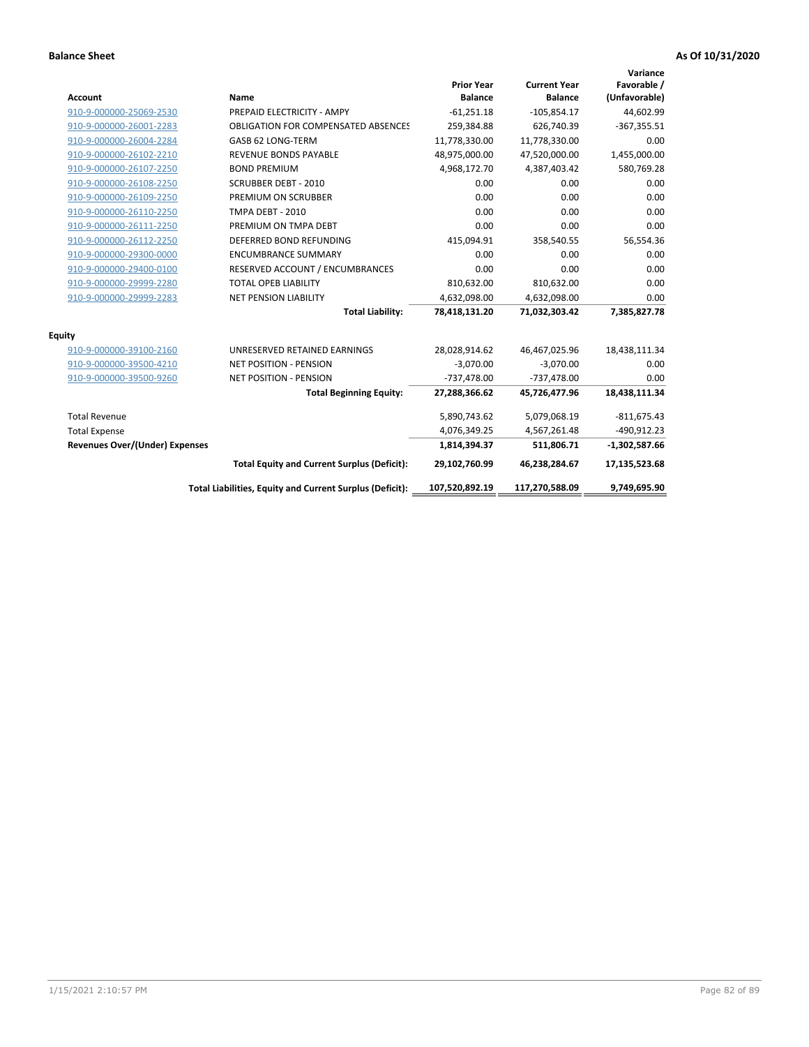| <b>Account</b>                        | Name                                                     | <b>Prior Year</b><br><b>Balance</b> | <b>Current Year</b><br><b>Balance</b> | Variance<br>Favorable /<br>(Unfavorable) |
|---------------------------------------|----------------------------------------------------------|-------------------------------------|---------------------------------------|------------------------------------------|
| 910-9-000000-25069-2530               | PREPAID ELECTRICITY - AMPY                               | $-61,251.18$                        | $-105,854.17$                         | 44,602.99                                |
| 910-9-000000-26001-2283               | <b>OBLIGATION FOR COMPENSATED ABSENCES</b>               | 259,384.88                          | 626,740.39                            | $-367,355.51$                            |
| 910-9-000000-26004-2284               | GASB 62 LONG-TERM                                        | 11,778,330.00                       | 11,778,330.00                         | 0.00                                     |
| 910-9-000000-26102-2210               | <b>REVENUE BONDS PAYABLE</b>                             | 48,975,000.00                       | 47,520,000.00                         | 1,455,000.00                             |
| 910-9-000000-26107-2250               | <b>BOND PREMIUM</b>                                      | 4,968,172.70                        | 4,387,403.42                          | 580,769.28                               |
| 910-9-000000-26108-2250               | <b>SCRUBBER DEBT - 2010</b>                              | 0.00                                | 0.00                                  | 0.00                                     |
| 910-9-000000-26109-2250               | PREMIUM ON SCRUBBER                                      | 0.00                                | 0.00                                  | 0.00                                     |
| 910-9-000000-26110-2250               | <b>TMPA DEBT - 2010</b>                                  | 0.00                                | 0.00                                  | 0.00                                     |
| 910-9-000000-26111-2250               | PREMIUM ON TMPA DEBT                                     | 0.00                                | 0.00                                  | 0.00                                     |
| 910-9-000000-26112-2250               | DEFERRED BOND REFUNDING                                  | 415,094.91                          | 358,540.55                            | 56,554.36                                |
| 910-9-000000-29300-0000               | <b>ENCUMBRANCE SUMMARY</b>                               | 0.00                                | 0.00                                  | 0.00                                     |
| 910-9-000000-29400-0100               | RESERVED ACCOUNT / ENCUMBRANCES                          | 0.00                                | 0.00                                  | 0.00                                     |
| 910-9-000000-29999-2280               | <b>TOTAL OPEB LIABILITY</b>                              | 810,632.00                          | 810,632.00                            | 0.00                                     |
| 910-9-000000-29999-2283               | <b>NET PENSION LIABILITY</b>                             | 4,632,098.00                        | 4,632,098.00                          | 0.00                                     |
|                                       | <b>Total Liability:</b>                                  | 78,418,131.20                       | 71,032,303.42                         | 7,385,827.78                             |
| <b>Equity</b>                         |                                                          |                                     |                                       |                                          |
| 910-9-000000-39100-2160               | UNRESERVED RETAINED EARNINGS                             | 28,028,914.62                       | 46,467,025.96                         | 18,438,111.34                            |
| 910-9-000000-39500-4210               | <b>NET POSITION - PENSION</b>                            | $-3,070.00$                         | $-3,070.00$                           | 0.00                                     |
| 910-9-000000-39500-9260               | <b>NET POSITION - PENSION</b>                            | $-737,478.00$                       | $-737,478.00$                         | 0.00                                     |
|                                       | <b>Total Beginning Equity:</b>                           | 27,288,366.62                       | 45,726,477.96                         | 18,438,111.34                            |
| <b>Total Revenue</b>                  |                                                          | 5,890,743.62                        | 5,079,068.19                          | $-811,675.43$                            |
| <b>Total Expense</b>                  |                                                          | 4,076,349.25                        | 4,567,261.48                          | $-490,912.23$                            |
| <b>Revenues Over/(Under) Expenses</b> |                                                          | 1,814,394.37                        | 511,806.71                            | $-1,302,587.66$                          |
|                                       | <b>Total Equity and Current Surplus (Deficit):</b>       | 29,102,760.99                       | 46,238,284.67                         | 17,135,523.68                            |
|                                       | Total Liabilities, Equity and Current Surplus (Deficit): | 107,520,892.19                      | 117,270,588.09                        | 9.749.695.90                             |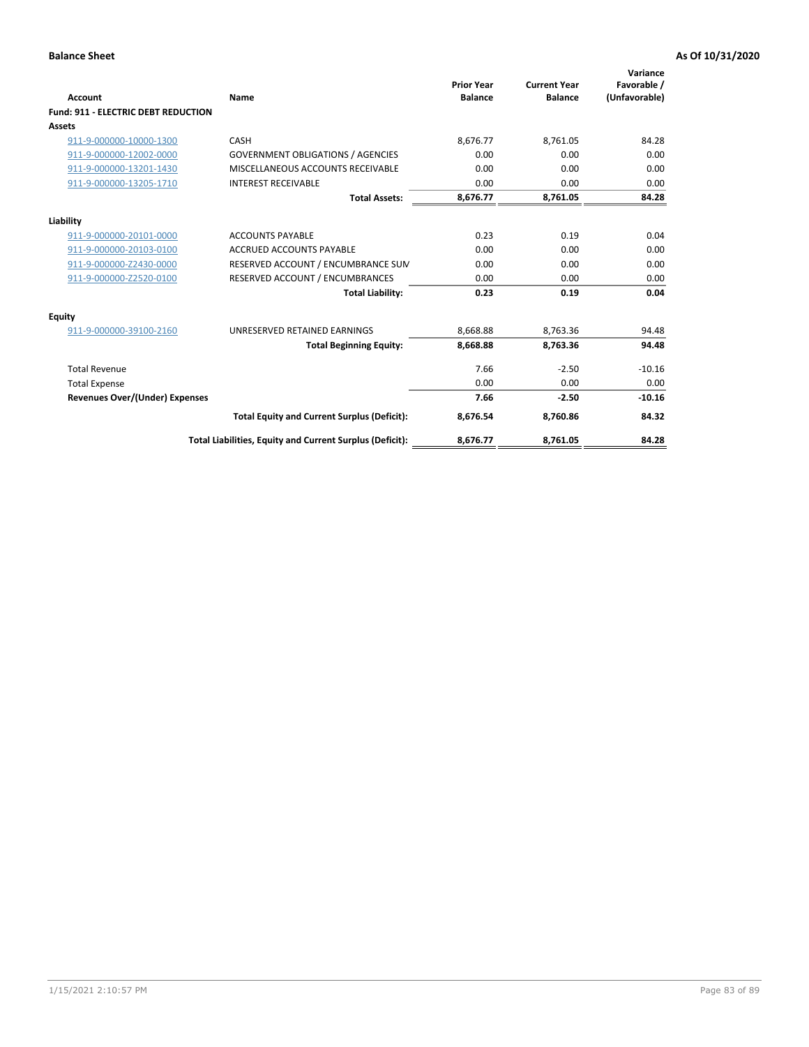| <b>Account</b>                             | Name                                                     | <b>Prior Year</b><br><b>Balance</b> | <b>Current Year</b><br><b>Balance</b> | Variance<br>Favorable /<br>(Unfavorable) |
|--------------------------------------------|----------------------------------------------------------|-------------------------------------|---------------------------------------|------------------------------------------|
| <b>Fund: 911 - ELECTRIC DEBT REDUCTION</b> |                                                          |                                     |                                       |                                          |
| Assets                                     |                                                          |                                     |                                       |                                          |
| 911-9-000000-10000-1300                    | CASH                                                     | 8,676.77                            | 8,761.05                              | 84.28                                    |
| 911-9-000000-12002-0000                    | <b>GOVERNMENT OBLIGATIONS / AGENCIES</b>                 | 0.00                                | 0.00                                  | 0.00                                     |
| 911-9-000000-13201-1430                    | MISCELLANEOUS ACCOUNTS RECEIVABLE                        | 0.00                                | 0.00                                  | 0.00                                     |
| 911-9-000000-13205-1710                    | <b>INTEREST RECEIVABLE</b>                               | 0.00                                | 0.00                                  | 0.00                                     |
|                                            | <b>Total Assets:</b>                                     | 8,676.77                            | 8,761.05                              | 84.28                                    |
| Liability                                  |                                                          |                                     |                                       |                                          |
| 911-9-000000-20101-0000                    | <b>ACCOUNTS PAYABLE</b>                                  | 0.23                                | 0.19                                  | 0.04                                     |
| 911-9-000000-20103-0100                    | <b>ACCRUED ACCOUNTS PAYABLE</b>                          | 0.00                                | 0.00                                  | 0.00                                     |
| 911-9-000000-Z2430-0000                    | RESERVED ACCOUNT / ENCUMBRANCE SUM                       | 0.00                                | 0.00                                  | 0.00                                     |
| 911-9-000000-Z2520-0100                    | RESERVED ACCOUNT / ENCUMBRANCES                          | 0.00                                | 0.00                                  | 0.00                                     |
|                                            | <b>Total Liability:</b>                                  | 0.23                                | 0.19                                  | 0.04                                     |
| <b>Equity</b>                              |                                                          |                                     |                                       |                                          |
| 911-9-000000-39100-2160                    | UNRESERVED RETAINED EARNINGS                             | 8,668.88                            | 8,763.36                              | 94.48                                    |
|                                            | <b>Total Beginning Equity:</b>                           | 8,668.88                            | 8.763.36                              | 94.48                                    |
| <b>Total Revenue</b>                       |                                                          | 7.66                                | $-2.50$                               | $-10.16$                                 |
| <b>Total Expense</b>                       |                                                          | 0.00                                | 0.00                                  | 0.00                                     |
| <b>Revenues Over/(Under) Expenses</b>      |                                                          | 7.66                                | $-2.50$                               | $-10.16$                                 |
|                                            | <b>Total Equity and Current Surplus (Deficit):</b>       | 8,676.54                            | 8.760.86                              | 84.32                                    |
|                                            | Total Liabilities, Equity and Current Surplus (Deficit): | 8,676.77                            | 8,761.05                              | 84.28                                    |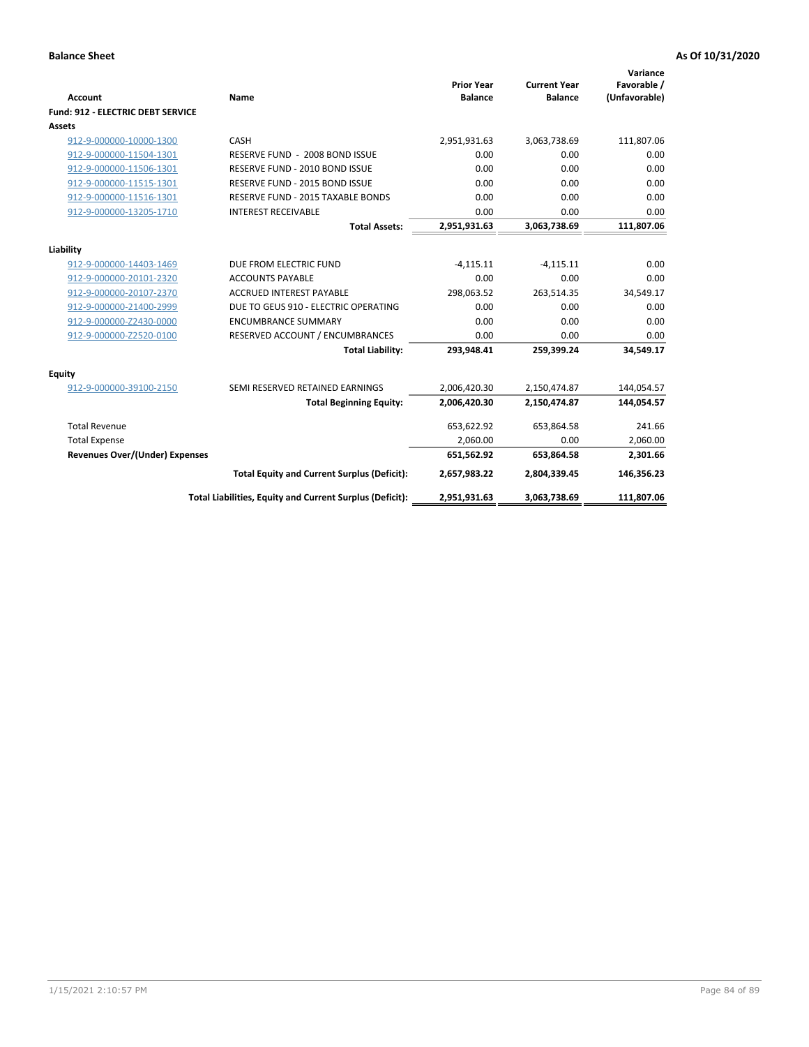| <b>Account</b>                           | Name                                                       | <b>Prior Year</b><br><b>Balance</b> | <b>Current Year</b><br><b>Balance</b> | Variance<br>Favorable /<br>(Unfavorable) |
|------------------------------------------|------------------------------------------------------------|-------------------------------------|---------------------------------------|------------------------------------------|
| <b>Fund: 912 - ELECTRIC DEBT SERVICE</b> |                                                            |                                     |                                       |                                          |
| <b>Assets</b>                            |                                                            |                                     |                                       |                                          |
| 912-9-000000-10000-1300                  | CASH                                                       | 2,951,931.63                        | 3,063,738.69                          | 111,807.06                               |
| 912-9-000000-11504-1301                  | RESERVE FUND - 2008 BOND ISSUE                             | 0.00                                | 0.00                                  | 0.00                                     |
| 912-9-000000-11506-1301                  | RESERVE FUND - 2010 BOND ISSUE                             | 0.00                                | 0.00                                  | 0.00                                     |
| 912-9-000000-11515-1301                  | RESERVE FUND - 2015 BOND ISSUE                             | 0.00                                | 0.00                                  | 0.00                                     |
| 912-9-000000-11516-1301                  | RESERVE FUND - 2015 TAXABLE BONDS                          | 0.00                                | 0.00                                  | 0.00                                     |
| 912-9-000000-13205-1710                  | <b>INTEREST RECEIVABLE</b>                                 | 0.00                                | 0.00                                  | 0.00                                     |
|                                          | <b>Total Assets:</b>                                       | 2,951,931.63                        | 3,063,738.69                          | 111,807.06                               |
|                                          |                                                            |                                     |                                       |                                          |
| Liability                                |                                                            |                                     |                                       |                                          |
| 912-9-000000-14403-1469                  | DUE FROM ELECTRIC FUND                                     | $-4,115.11$                         | $-4,115.11$                           | 0.00                                     |
| 912-9-000000-20101-2320                  | <b>ACCOUNTS PAYABLE</b><br><b>ACCRUED INTEREST PAYABLE</b> | 0.00                                | 0.00                                  | 0.00                                     |
| 912-9-000000-20107-2370                  |                                                            | 298,063.52                          | 263,514.35                            | 34,549.17                                |
| 912-9-000000-21400-2999                  | DUE TO GEUS 910 - ELECTRIC OPERATING                       | 0.00                                | 0.00                                  | 0.00                                     |
| 912-9-000000-Z2430-0000                  | <b>ENCUMBRANCE SUMMARY</b>                                 | 0.00                                | 0.00                                  | 0.00                                     |
| 912-9-000000-Z2520-0100                  | RESERVED ACCOUNT / ENCUMBRANCES                            | 0.00                                | 0.00                                  | 0.00                                     |
|                                          | <b>Total Liability:</b>                                    | 293,948.41                          | 259,399.24                            | 34,549.17                                |
| Equity                                   |                                                            |                                     |                                       |                                          |
| 912-9-000000-39100-2150                  | SEMI RESERVED RETAINED EARNINGS                            | 2,006,420.30                        | 2,150,474.87                          | 144,054.57                               |
|                                          | <b>Total Beginning Equity:</b>                             | 2,006,420.30                        | 2,150,474.87                          | 144,054.57                               |
| <b>Total Revenue</b>                     |                                                            | 653,622.92                          | 653,864.58                            | 241.66                                   |
| <b>Total Expense</b>                     |                                                            | 2,060.00                            | 0.00                                  | 2,060.00                                 |
| <b>Revenues Over/(Under) Expenses</b>    |                                                            | 651,562.92                          | 653,864.58                            | 2,301.66                                 |
|                                          | <b>Total Equity and Current Surplus (Deficit):</b>         | 2,657,983.22                        | 2,804,339.45                          | 146,356.23                               |
|                                          | Total Liabilities, Equity and Current Surplus (Deficit):   | 2,951,931.63                        | 3,063,738.69                          | 111,807.06                               |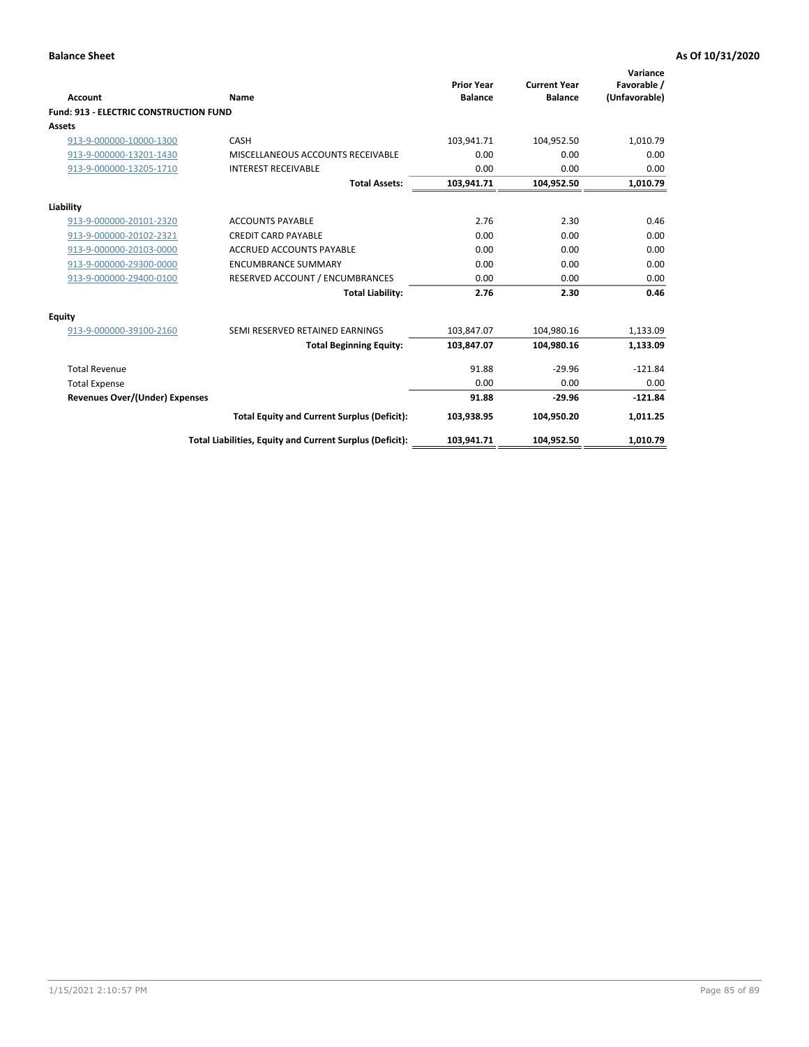| Account                                       | Name                                                     | <b>Prior Year</b><br><b>Balance</b> | <b>Current Year</b><br><b>Balance</b> | Variance<br>Favorable /<br>(Unfavorable) |
|-----------------------------------------------|----------------------------------------------------------|-------------------------------------|---------------------------------------|------------------------------------------|
| <b>Fund: 913 - ELECTRIC CONSTRUCTION FUND</b> |                                                          |                                     |                                       |                                          |
| <b>Assets</b>                                 |                                                          |                                     |                                       |                                          |
| 913-9-000000-10000-1300                       | CASH                                                     | 103,941.71                          | 104,952.50                            | 1,010.79                                 |
| 913-9-000000-13201-1430                       | MISCELLANEOUS ACCOUNTS RECEIVABLE                        | 0.00                                | 0.00                                  | 0.00                                     |
| 913-9-000000-13205-1710                       | <b>INTEREST RECEIVABLE</b>                               | 0.00                                | 0.00                                  | 0.00                                     |
|                                               | <b>Total Assets:</b>                                     | 103,941.71                          | 104,952.50                            | 1,010.79                                 |
| Liability                                     |                                                          |                                     |                                       |                                          |
| 913-9-000000-20101-2320                       | <b>ACCOUNTS PAYABLE</b>                                  | 2.76                                | 2.30                                  | 0.46                                     |
| 913-9-000000-20102-2321                       | <b>CREDIT CARD PAYABLE</b>                               | 0.00                                | 0.00                                  | 0.00                                     |
| 913-9-000000-20103-0000                       | <b>ACCRUED ACCOUNTS PAYABLE</b>                          | 0.00                                | 0.00                                  | 0.00                                     |
| 913-9-000000-29300-0000                       | <b>ENCUMBRANCE SUMMARY</b>                               | 0.00                                | 0.00                                  | 0.00                                     |
| 913-9-000000-29400-0100                       | RESERVED ACCOUNT / ENCUMBRANCES                          | 0.00                                | 0.00                                  | 0.00                                     |
|                                               | <b>Total Liability:</b>                                  | 2.76                                | 2.30                                  | 0.46                                     |
| <b>Equity</b>                                 |                                                          |                                     |                                       |                                          |
| 913-9-000000-39100-2160                       | SEMI RESERVED RETAINED EARNINGS                          | 103,847.07                          | 104,980.16                            | 1,133.09                                 |
|                                               | <b>Total Beginning Equity:</b>                           | 103,847.07                          | 104,980.16                            | 1,133.09                                 |
| <b>Total Revenue</b>                          |                                                          | 91.88                               | $-29.96$                              | $-121.84$                                |
| <b>Total Expense</b>                          |                                                          | 0.00                                | 0.00                                  | 0.00                                     |
| Revenues Over/(Under) Expenses                |                                                          | 91.88                               | $-29.96$                              | $-121.84$                                |
|                                               | <b>Total Equity and Current Surplus (Deficit):</b>       | 103,938.95                          | 104,950.20                            | 1,011.25                                 |
|                                               | Total Liabilities, Equity and Current Surplus (Deficit): | 103,941.71                          | 104,952.50                            | 1,010.79                                 |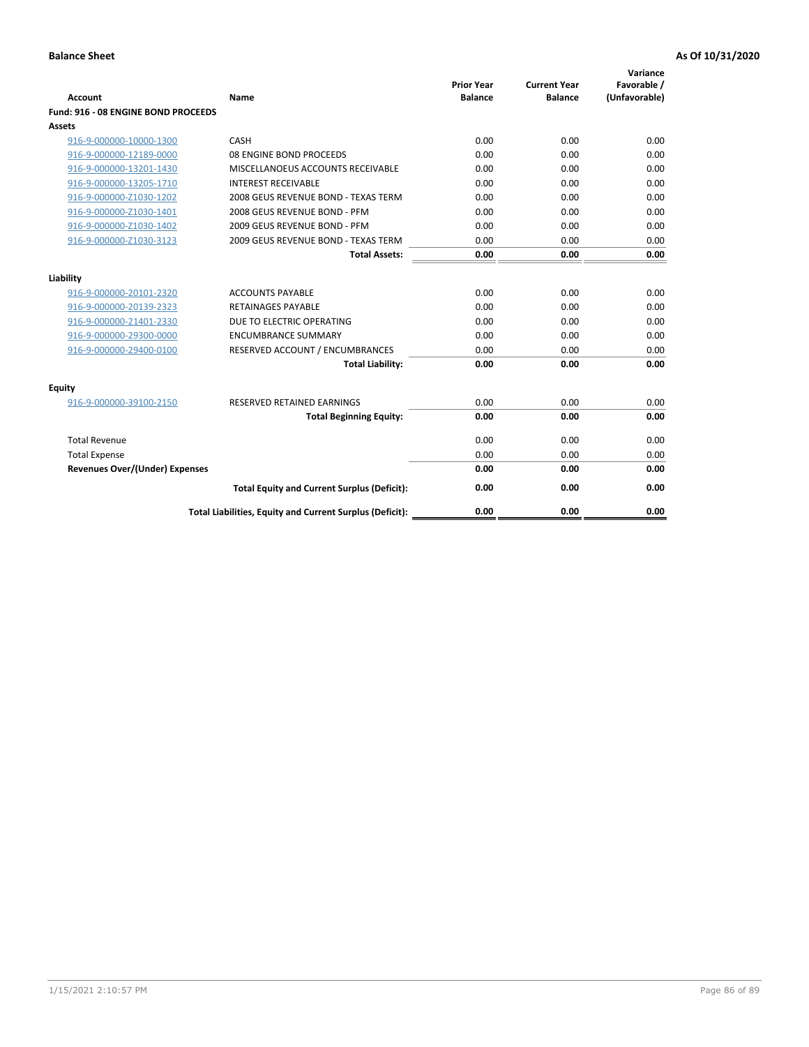| <b>Account</b>                        | Name                                                     | <b>Prior Year</b><br><b>Balance</b> | <b>Current Year</b><br><b>Balance</b> | Variance<br>Favorable /<br>(Unfavorable) |
|---------------------------------------|----------------------------------------------------------|-------------------------------------|---------------------------------------|------------------------------------------|
| Fund: 916 - 08 ENGINE BOND PROCEEDS   |                                                          |                                     |                                       |                                          |
| Assets                                |                                                          |                                     |                                       |                                          |
| 916-9-000000-10000-1300               | CASH                                                     | 0.00                                | 0.00                                  | 0.00                                     |
| 916-9-000000-12189-0000               | 08 ENGINE BOND PROCEEDS                                  | 0.00                                | 0.00                                  | 0.00                                     |
| 916-9-000000-13201-1430               | MISCELLANOEUS ACCOUNTS RECEIVABLE                        | 0.00                                | 0.00                                  | 0.00                                     |
| 916-9-000000-13205-1710               | <b>INTEREST RECEIVABLE</b>                               | 0.00                                | 0.00                                  | 0.00                                     |
| 916-9-000000-Z1030-1202               | 2008 GEUS REVENUE BOND - TEXAS TERM                      | 0.00                                | 0.00                                  | 0.00                                     |
| 916-9-000000-Z1030-1401               | 2008 GEUS REVENUE BOND - PFM                             | 0.00                                | 0.00                                  | 0.00                                     |
| 916-9-000000-Z1030-1402               | 2009 GEUS REVENUE BOND - PFM                             | 0.00                                | 0.00                                  | 0.00                                     |
| 916-9-000000-Z1030-3123               | 2009 GEUS REVENUE BOND - TEXAS TERM                      | 0.00                                | 0.00                                  | 0.00                                     |
|                                       | <b>Total Assets:</b>                                     | 0.00                                | 0.00                                  | 0.00                                     |
| Liability                             |                                                          |                                     |                                       |                                          |
| 916-9-000000-20101-2320               | <b>ACCOUNTS PAYABLE</b>                                  | 0.00                                | 0.00                                  | 0.00                                     |
| 916-9-000000-20139-2323               | <b>RETAINAGES PAYABLE</b>                                | 0.00                                | 0.00                                  | 0.00                                     |
| 916-9-000000-21401-2330               | DUE TO ELECTRIC OPERATING                                | 0.00                                | 0.00                                  | 0.00                                     |
| 916-9-000000-29300-0000               | <b>ENCUMBRANCE SUMMARY</b>                               | 0.00                                | 0.00                                  | 0.00                                     |
| 916-9-000000-29400-0100               | RESERVED ACCOUNT / ENCUMBRANCES                          | 0.00                                | 0.00                                  | 0.00                                     |
|                                       | <b>Total Liability:</b>                                  | 0.00                                | 0.00                                  | 0.00                                     |
|                                       |                                                          |                                     |                                       |                                          |
| Equity                                |                                                          |                                     |                                       |                                          |
| 916-9-000000-39100-2150               | <b>RESERVED RETAINED EARNINGS</b>                        | 0.00                                | 0.00                                  | 0.00                                     |
|                                       | <b>Total Beginning Equity:</b>                           | 0.00                                | 0.00                                  | 0.00                                     |
| <b>Total Revenue</b>                  |                                                          | 0.00                                | 0.00                                  | 0.00                                     |
| <b>Total Expense</b>                  |                                                          | 0.00                                | 0.00                                  | 0.00                                     |
| <b>Revenues Over/(Under) Expenses</b> |                                                          | 0.00                                | 0.00                                  | 0.00                                     |
|                                       | <b>Total Equity and Current Surplus (Deficit):</b>       | 0.00                                | 0.00                                  | 0.00                                     |
|                                       | Total Liabilities, Equity and Current Surplus (Deficit): | 0.00                                | 0.00                                  | 0.00                                     |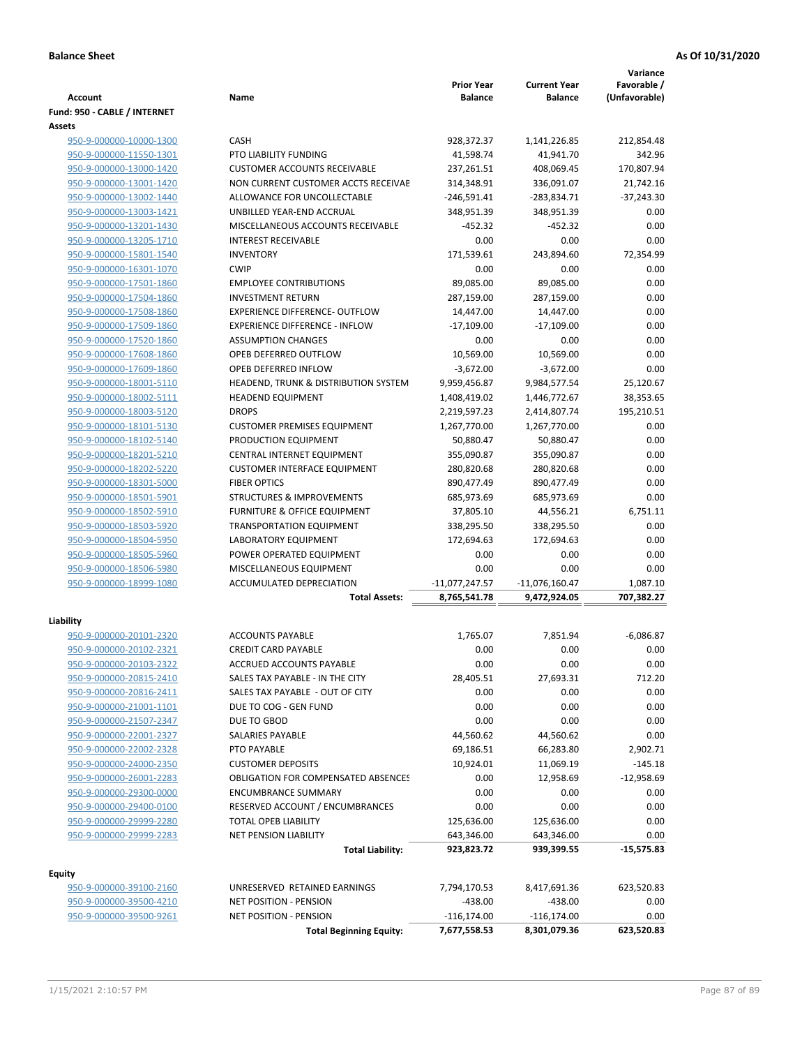|                                                    |                                                    | <b>Prior Year</b>        | <b>Current Year</b>      | Variance<br>Favorable / |
|----------------------------------------------------|----------------------------------------------------|--------------------------|--------------------------|-------------------------|
| <b>Account</b>                                     | Name                                               | <b>Balance</b>           | <b>Balance</b>           | (Unfavorable)           |
| Fund: 950 - CABLE / INTERNET                       |                                                    |                          |                          |                         |
| Assets                                             |                                                    |                          |                          |                         |
| 950-9-000000-10000-1300                            | CASH                                               | 928,372.37               | 1,141,226.85             | 212,854.48              |
| 950-9-000000-11550-1301                            | PTO LIABILITY FUNDING                              | 41,598.74                | 41,941.70                | 342.96                  |
| 950-9-000000-13000-1420                            | <b>CUSTOMER ACCOUNTS RECEIVABLE</b>                | 237,261.51               | 408,069.45               | 170,807.94              |
| 950-9-000000-13001-1420                            | NON CURRENT CUSTOMER ACCTS RECEIVAE                | 314,348.91               | 336,091.07               | 21,742.16               |
| 950-9-000000-13002-1440                            | ALLOWANCE FOR UNCOLLECTABLE                        | $-246,591.41$            | $-283,834.71$            | $-37,243.30$            |
| 950-9-000000-13003-1421                            | UNBILLED YEAR-END ACCRUAL                          | 348,951.39               | 348,951.39               | 0.00                    |
| 950-9-000000-13201-1430                            | MISCELLANEOUS ACCOUNTS RECEIVABLE                  | $-452.32$                | $-452.32$                | 0.00                    |
| 950-9-000000-13205-1710                            | <b>INTEREST RECEIVABLE</b>                         | 0.00                     | 0.00                     | 0.00                    |
| 950-9-000000-15801-1540                            | <b>INVENTORY</b>                                   | 171,539.61               | 243,894.60               | 72,354.99               |
| 950-9-000000-16301-1070                            | <b>CWIP</b>                                        | 0.00                     | 0.00                     | 0.00                    |
| 950-9-000000-17501-1860                            | <b>EMPLOYEE CONTRIBUTIONS</b>                      | 89,085.00                | 89,085.00                | 0.00                    |
| 950-9-000000-17504-1860                            | <b>INVESTMENT RETURN</b>                           | 287,159.00               | 287,159.00               | 0.00                    |
| 950-9-000000-17508-1860                            | <b>EXPERIENCE DIFFERENCE- OUTFLOW</b>              | 14,447.00                | 14,447.00                | 0.00                    |
| 950-9-000000-17509-1860                            | <b>EXPERIENCE DIFFERENCE - INFLOW</b>              | $-17,109.00$             | $-17,109.00$             | 0.00                    |
| 950-9-000000-17520-1860                            | <b>ASSUMPTION CHANGES</b><br>OPEB DEFERRED OUTFLOW | 0.00                     | 0.00                     | 0.00<br>0.00            |
| 950-9-000000-17608-1860                            | <b>OPEB DEFERRED INFLOW</b>                        | 10,569.00<br>$-3,672.00$ | 10,569.00<br>$-3,672.00$ | 0.00                    |
| 950-9-000000-17609-1860<br>950-9-000000-18001-5110 | HEADEND, TRUNK & DISTRIBUTION SYSTEM               | 9,959,456.87             | 9,984,577.54             | 25,120.67               |
| 950-9-000000-18002-5111                            | <b>HEADEND EQUIPMENT</b>                           | 1,408,419.02             | 1,446,772.67             | 38,353.65               |
| 950-9-000000-18003-5120                            | <b>DROPS</b>                                       | 2,219,597.23             | 2,414,807.74             | 195,210.51              |
| 950-9-000000-18101-5130                            | <b>CUSTOMER PREMISES EQUIPMENT</b>                 | 1,267,770.00             | 1,267,770.00             | 0.00                    |
| 950-9-000000-18102-5140                            | PRODUCTION EQUIPMENT                               | 50,880.47                | 50,880.47                | 0.00                    |
| 950-9-000000-18201-5210                            | CENTRAL INTERNET EQUIPMENT                         | 355,090.87               | 355,090.87               | 0.00                    |
| 950-9-000000-18202-5220                            | <b>CUSTOMER INTERFACE EQUIPMENT</b>                | 280,820.68               | 280,820.68               | 0.00                    |
| 950-9-000000-18301-5000                            | <b>FIBER OPTICS</b>                                | 890,477.49               | 890,477.49               | 0.00                    |
| 950-9-000000-18501-5901                            | <b>STRUCTURES &amp; IMPROVEMENTS</b>               | 685,973.69               | 685,973.69               | 0.00                    |
| 950-9-000000-18502-5910                            | <b>FURNITURE &amp; OFFICE EQUIPMENT</b>            | 37,805.10                | 44,556.21                | 6,751.11                |
| 950-9-000000-18503-5920                            | <b>TRANSPORTATION EQUIPMENT</b>                    | 338,295.50               | 338,295.50               | 0.00                    |
| 950-9-000000-18504-5950                            | LABORATORY EQUIPMENT                               | 172,694.63               | 172,694.63               | 0.00                    |
| 950-9-000000-18505-5960                            | POWER OPERATED EQUIPMENT                           | 0.00                     | 0.00                     | 0.00                    |
| 950-9-000000-18506-5980                            | MISCELLANEOUS EQUIPMENT                            | 0.00                     | 0.00                     | 0.00                    |
| 950-9-000000-18999-1080                            | <b>ACCUMULATED DEPRECIATION</b>                    | -11,077,247.57           | $-11,076,160.47$         | 1,087.10                |
|                                                    | <b>Total Assets:</b>                               | 8,765,541.78             | 9,472,924.05             | 707,382.27              |
|                                                    |                                                    |                          |                          |                         |
| Liability                                          |                                                    |                          |                          |                         |
| 950-9-000000-20101-2320                            | <b>ACCOUNTS PAYABLE</b>                            | 1.765.07                 | 7,851.94                 | $-6,086.87$             |
| 950-9-000000-20102-2321                            | <b>CREDIT CARD PAYABLE</b>                         | 0.00                     | 0.00                     | 0.00                    |
| 950-9-000000-20103-2322                            | ACCRUED ACCOUNTS PAYABLE                           | 0.00                     | 0.00                     | 0.00                    |
| 950-9-000000-20815-2410                            | SALES TAX PAYABLE - IN THE CITY                    | 28,405.51                | 27,693.31                | 712.20                  |
| 950-9-000000-20816-2411<br>950-9-000000-21001-1101 | SALES TAX PAYABLE - OUT OF CITY                    | 0.00                     | 0.00                     | 0.00<br>0.00            |
| 950-9-000000-21507-2347                            | DUE TO COG - GEN FUND<br>DUE TO GBOD               | 0.00<br>0.00             | 0.00<br>0.00             | 0.00                    |
| 950-9-000000-22001-2327                            | SALARIES PAYABLE                                   | 44,560.62                | 44,560.62                | 0.00                    |
| 950-9-000000-22002-2328                            | PTO PAYABLE                                        | 69,186.51                | 66,283.80                | 2,902.71                |
| 950-9-000000-24000-2350                            | <b>CUSTOMER DEPOSITS</b>                           | 10,924.01                | 11,069.19                | $-145.18$               |
| 950-9-000000-26001-2283                            | <b>OBLIGATION FOR COMPENSATED ABSENCES</b>         | 0.00                     | 12,958.69                | $-12,958.69$            |
| 950-9-000000-29300-0000                            | <b>ENCUMBRANCE SUMMARY</b>                         | 0.00                     | 0.00                     | 0.00                    |
| 950-9-000000-29400-0100                            | RESERVED ACCOUNT / ENCUMBRANCES                    | 0.00                     | 0.00                     | 0.00                    |
| 950-9-000000-29999-2280                            | TOTAL OPEB LIABILITY                               | 125,636.00               | 125,636.00               | 0.00                    |
| 950-9-000000-29999-2283                            | <b>NET PENSION LIABILITY</b>                       | 643,346.00               | 643,346.00               | 0.00                    |
|                                                    | <b>Total Liability:</b>                            | 923,823.72               | 939,399.55               | $-15,575.83$            |
|                                                    |                                                    |                          |                          |                         |
| <b>Equity</b>                                      |                                                    |                          |                          |                         |
| 950-9-000000-39100-2160                            | UNRESERVED RETAINED EARNINGS                       | 7,794,170.53             | 8,417,691.36             | 623,520.83              |
| 950-9-000000-39500-4210                            | <b>NET POSITION - PENSION</b>                      | $-438.00$                | $-438.00$                | 0.00                    |
| 950-9-000000-39500-9261                            | <b>NET POSITION - PENSION</b>                      | $-116, 174.00$           | $-116, 174.00$           | 0.00                    |
|                                                    | <b>Total Beginning Equity:</b>                     | 7,677,558.53             | 8,301,079.36             | 623,520.83              |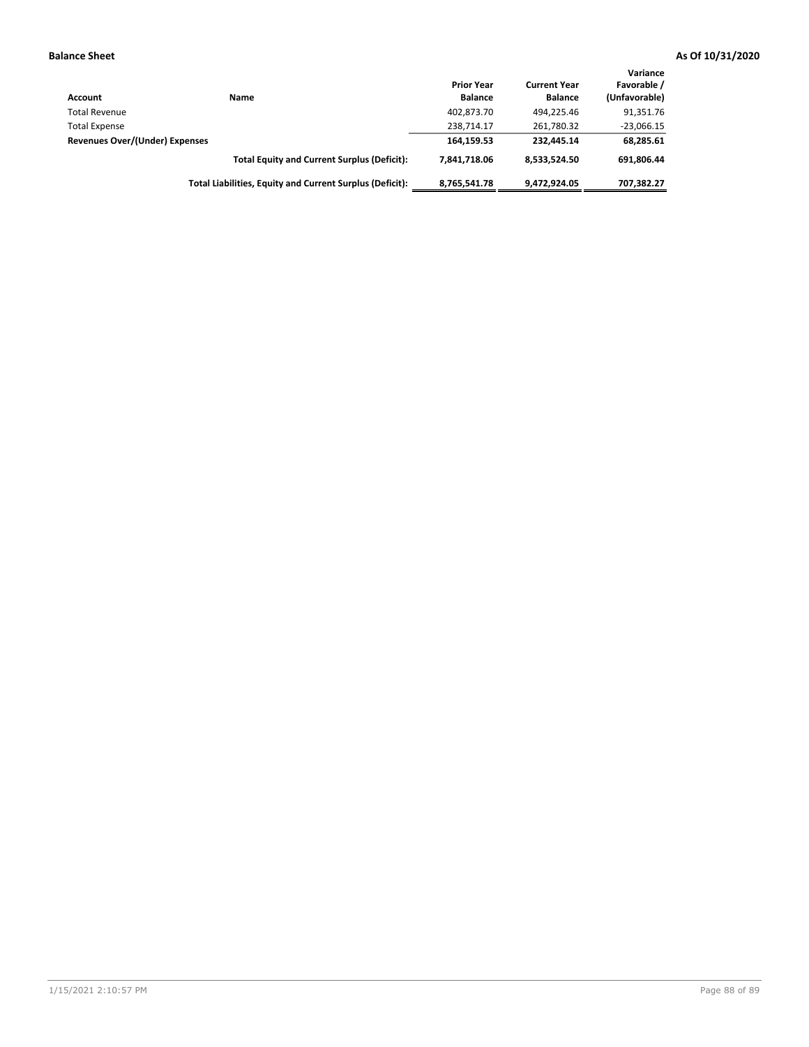| <b>Account</b>                 | Name                                                     | <b>Prior Year</b><br><b>Balance</b> | <b>Current Year</b><br><b>Balance</b> | Variance<br>Favorable /<br>(Unfavorable) |
|--------------------------------|----------------------------------------------------------|-------------------------------------|---------------------------------------|------------------------------------------|
| <b>Total Revenue</b>           |                                                          | 402,873.70                          | 494.225.46                            | 91,351.76                                |
| <b>Total Expense</b>           |                                                          | 238.714.17                          | 261,780.32                            | $-23,066.15$                             |
| Revenues Over/(Under) Expenses |                                                          | 164.159.53                          | 232.445.14                            | 68,285.61                                |
|                                | <b>Total Equity and Current Surplus (Deficit):</b>       | 7.841.718.06                        | 8,533,524.50                          | 691.806.44                               |
|                                | Total Liabilities, Equity and Current Surplus (Deficit): | 8,765,541.78                        | 9,472,924.05                          | 707,382.27                               |